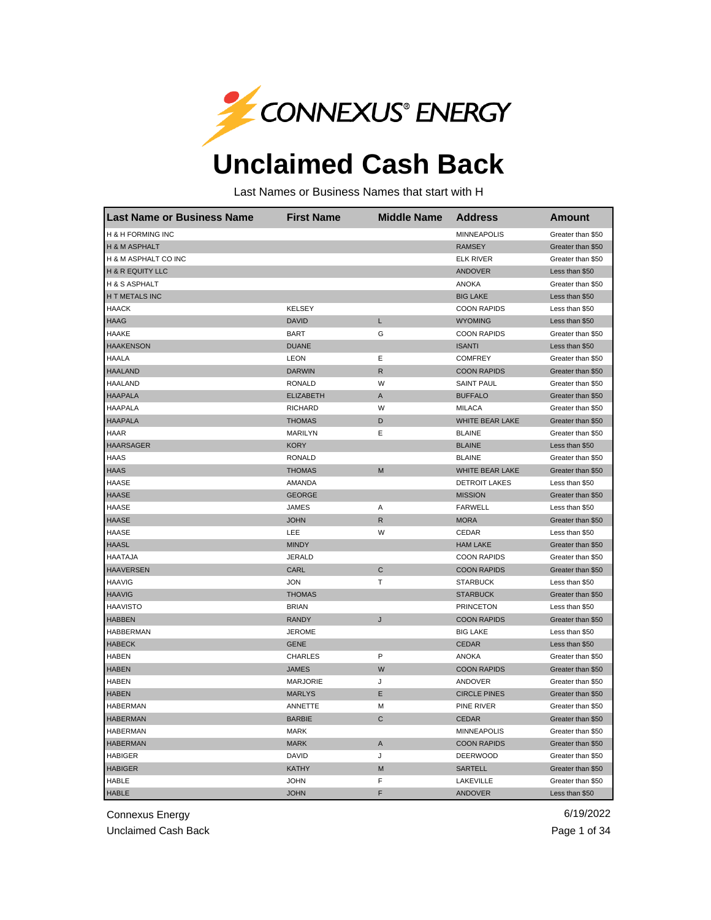

## **Unclaimed Cash Back**

Last Names or Business Names that start with H

| <b>Last Name or Business Name</b> | <b>First Name</b> | <b>Middle Name</b> | <b>Address</b>         | <b>Amount</b>     |
|-----------------------------------|-------------------|--------------------|------------------------|-------------------|
| H & H FORMING INC                 |                   |                    | <b>MINNEAPOLIS</b>     | Greater than \$50 |
| H & M ASPHALT                     |                   |                    | <b>RAMSEY</b>          | Greater than \$50 |
| H & M ASPHALT CO INC              |                   |                    | <b>ELK RIVER</b>       | Greater than \$50 |
| <b>H &amp; R EQUITY LLC</b>       |                   |                    | <b>ANDOVER</b>         | Less than \$50    |
| H & S ASPHALT                     |                   |                    | <b>ANOKA</b>           | Greater than \$50 |
| H T METALS INC                    |                   |                    | <b>BIG LAKE</b>        | Less than \$50    |
| <b>HAACK</b>                      | <b>KELSEY</b>     |                    | <b>COON RAPIDS</b>     | Less than \$50    |
| <b>HAAG</b>                       | <b>DAVID</b>      | L                  | <b>WYOMING</b>         | Less than \$50    |
| <b>HAAKE</b>                      | <b>BART</b>       | G                  | <b>COON RAPIDS</b>     | Greater than \$50 |
| <b>HAAKENSON</b>                  | <b>DUANE</b>      |                    | <b>ISANTI</b>          | Less than \$50    |
| <b>HAALA</b>                      | <b>LEON</b>       | Ε                  | <b>COMFREY</b>         | Greater than \$50 |
| <b>HAALAND</b>                    | <b>DARWIN</b>     | $\mathsf{R}$       | <b>COON RAPIDS</b>     | Greater than \$50 |
| <b>HAALAND</b>                    | <b>RONALD</b>     | W                  | <b>SAINT PAUL</b>      | Greater than \$50 |
| <b>HAAPALA</b>                    | <b>ELIZABETH</b>  | Α                  | <b>BUFFALO</b>         | Greater than \$50 |
| <b>HAAPALA</b>                    | <b>RICHARD</b>    | W                  | <b>MILACA</b>          | Greater than \$50 |
| <b>HAAPALA</b>                    | <b>THOMAS</b>     | D                  | WHITE BEAR LAKE        | Greater than \$50 |
| <b>HAAR</b>                       | <b>MARILYN</b>    | Е                  | <b>BLAINE</b>          | Greater than \$50 |
| <b>HAARSAGER</b>                  | <b>KORY</b>       |                    | <b>BLAINE</b>          | Less than \$50    |
| <b>HAAS</b>                       | <b>RONALD</b>     |                    | <b>BLAINE</b>          | Greater than \$50 |
| <b>HAAS</b>                       | <b>THOMAS</b>     | M                  | <b>WHITE BEAR LAKE</b> | Greater than \$50 |
| <b>HAASE</b>                      | <b>AMANDA</b>     |                    | <b>DETROIT LAKES</b>   | Less than \$50    |
| <b>HAASE</b>                      | <b>GEORGE</b>     |                    | <b>MISSION</b>         | Greater than \$50 |
| <b>HAASE</b>                      | <b>JAMES</b>      | Α                  | <b>FARWELL</b>         | Less than \$50    |
| <b>HAASE</b>                      | <b>JOHN</b>       | $\mathsf{R}$       | <b>MORA</b>            | Greater than \$50 |
| <b>HAASE</b>                      | LEE               | W                  | CEDAR                  | Less than \$50    |
| <b>HAASL</b>                      | <b>MINDY</b>      |                    | <b>HAM LAKE</b>        | Greater than \$50 |
| <b>HAATAJA</b>                    | <b>JERALD</b>     |                    | <b>COON RAPIDS</b>     | Greater than \$50 |
| <b>HAAVERSEN</b>                  | <b>CARL</b>       | $\mathsf C$        | <b>COON RAPIDS</b>     | Greater than \$50 |
| <b>HAAVIG</b>                     | <b>JON</b>        | Т                  | <b>STARBUCK</b>        | Less than \$50    |
| <b>HAAVIG</b>                     | <b>THOMAS</b>     |                    | <b>STARBUCK</b>        | Greater than \$50 |
| <b>HAAVISTO</b>                   | <b>BRIAN</b>      |                    | <b>PRINCETON</b>       | Less than \$50    |
| <b>HABBEN</b>                     | <b>RANDY</b>      | J                  | <b>COON RAPIDS</b>     | Greater than \$50 |
| <b>HABBERMAN</b>                  | <b>JEROME</b>     |                    | <b>BIG LAKE</b>        | Less than \$50    |
| <b>HABECK</b>                     | <b>GENE</b>       |                    | <b>CEDAR</b>           | Less than \$50    |
| <b>HABEN</b>                      | <b>CHARLES</b>    | P                  | <b>ANOKA</b>           | Greater than \$50 |
| <b>HABEN</b>                      | <b>JAMES</b>      | W                  | <b>COON RAPIDS</b>     | Greater than \$50 |
| <b>HABEN</b>                      | <b>MARJORIE</b>   | J                  | ANDOVER                | Greater than \$50 |
| <b>HABEN</b>                      | <b>MARLYS</b>     | E                  | <b>CIRCLE PINES</b>    | Greater than \$50 |
| <b>HABERMAN</b>                   | ANNETTE           | М                  | PINE RIVER             | Greater than \$50 |
| <b>HABERMAN</b>                   | <b>BARBIE</b>     | C                  | <b>CEDAR</b>           | Greater than \$50 |
| <b>HABERMAN</b>                   | <b>MARK</b>       |                    | <b>MINNEAPOLIS</b>     | Greater than \$50 |
| <b>HABERMAN</b>                   | <b>MARK</b>       | Α                  | <b>COON RAPIDS</b>     | Greater than \$50 |
| <b>HABIGER</b>                    | <b>DAVID</b>      | J                  | <b>DEERWOOD</b>        | Greater than \$50 |
| <b>HABIGER</b>                    | <b>KATHY</b>      | M                  | <b>SARTELL</b>         | Greater than \$50 |
| <b>HABLE</b>                      | <b>JOHN</b>       | F                  | LAKEVILLE              | Greater than \$50 |
| <b>HABLE</b>                      | <b>JOHN</b>       | F                  | <b>ANDOVER</b>         | Less than \$50    |

Connexus Energy 6/19/2022

Unclaimed Cash Back **Page 1 of 34**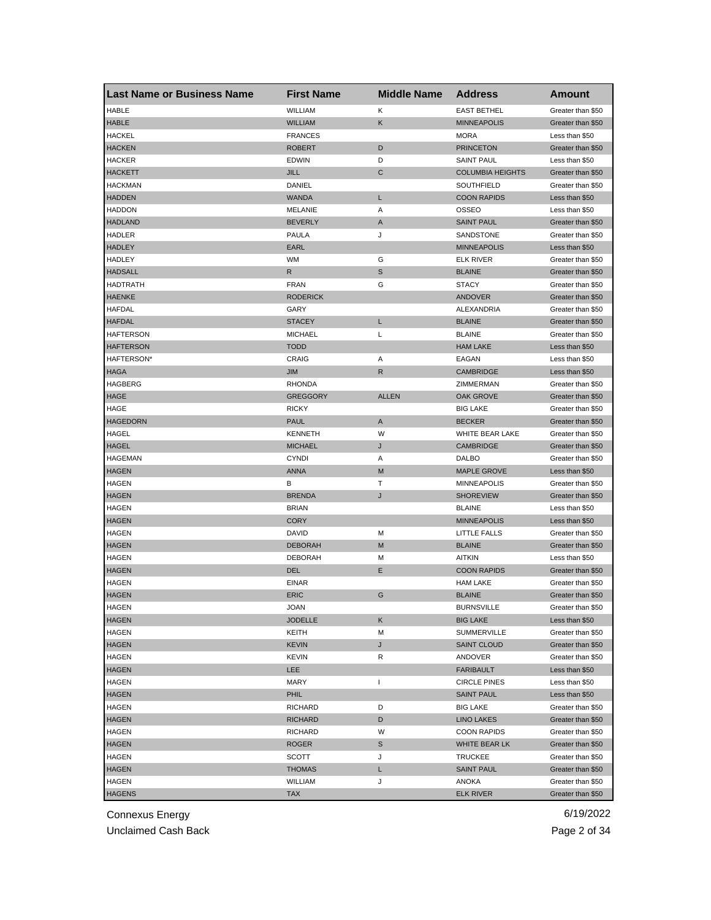| <b>Last Name or Business Name</b> | <b>First Name</b> | <b>Middle Name</b> | <b>Address</b>                          | <b>Amount</b>                       |
|-----------------------------------|-------------------|--------------------|-----------------------------------------|-------------------------------------|
| <b>HABLE</b>                      | WILLIAM           | Κ                  | <b>EAST BETHEL</b>                      | Greater than \$50                   |
| <b>HABLE</b>                      | <b>WILLIAM</b>    | Κ                  | <b>MINNEAPOLIS</b>                      | Greater than \$50                   |
| <b>HACKEL</b>                     | <b>FRANCES</b>    |                    | <b>MORA</b>                             | Less than \$50                      |
| <b>HACKEN</b>                     | <b>ROBERT</b>     | D                  | <b>PRINCETON</b>                        | Greater than \$50                   |
| <b>HACKER</b>                     | <b>EDWIN</b>      | D                  | <b>SAINT PAUL</b>                       | Less than \$50                      |
| <b>HACKETT</b>                    | <b>JILL</b>       | С                  | <b>COLUMBIA HEIGHTS</b>                 | Greater than \$50                   |
| <b>HACKMAN</b>                    | DANIEL            |                    | SOUTHFIELD                              | Greater than \$50                   |
| <b>HADDEN</b>                     | <b>WANDA</b>      | L                  | <b>COON RAPIDS</b>                      | Less than \$50                      |
| <b>HADDON</b>                     | MELANIE           | Α                  | OSSEO                                   | Less than \$50                      |
| <b>HADLAND</b>                    | <b>BEVERLY</b>    | A                  | <b>SAINT PAUL</b>                       | Greater than \$50                   |
| HADLER                            | <b>PAULA</b>      | J                  | SANDSTONE                               | Greater than \$50                   |
| <b>HADLEY</b>                     | EARL              |                    | <b>MINNEAPOLIS</b>                      | Less than \$50                      |
| <b>HADLEY</b>                     | <b>WM</b>         | G                  | <b>ELK RIVER</b>                        | Greater than \$50                   |
| <b>HADSALL</b>                    | R                 | S                  | <b>BLAINE</b>                           | Greater than \$50                   |
| <b>HADTRATH</b>                   | <b>FRAN</b>       | G                  | <b>STACY</b>                            | Greater than \$50                   |
| <b>HAENKE</b>                     | <b>RODERICK</b>   |                    | <b>ANDOVER</b>                          | Greater than \$50                   |
| <b>HAFDAL</b>                     | GARY              |                    | ALEXANDRIA                              | Greater than \$50                   |
| <b>HAFDAL</b>                     | <b>STACEY</b>     | L                  | <b>BLAINE</b>                           | Greater than \$50                   |
| <b>HAFTERSON</b>                  | <b>MICHAEL</b>    | Г                  | <b>BLAINE</b>                           | Greater than \$50                   |
| <b>HAFTERSON</b>                  | <b>TODD</b>       |                    | <b>HAM LAKE</b>                         | Less than \$50                      |
| HAFTERSON*                        | CRAIG             | Α                  | EAGAN                                   | Less than \$50                      |
| <b>HAGA</b>                       | JIM               | R                  | <b>CAMBRIDGE</b>                        | Less than \$50                      |
| <b>HAGBERG</b>                    | <b>RHONDA</b>     |                    | ZIMMERMAN                               | Greater than \$50                   |
| <b>HAGE</b>                       | <b>GREGGORY</b>   | <b>ALLEN</b>       | OAK GROVE                               | Greater than \$50                   |
| HAGE                              | <b>RICKY</b>      |                    | <b>BIG LAKE</b>                         | Greater than \$50                   |
| <b>HAGEDORN</b>                   | <b>PAUL</b>       | A                  | <b>BECKER</b>                           | Greater than \$50                   |
| HAGEL                             | <b>KENNETH</b>    | W                  | WHITE BEAR LAKE                         | Greater than \$50                   |
| <b>HAGEL</b>                      | <b>MICHAEL</b>    | J                  | <b>CAMBRIDGE</b>                        | Greater than \$50                   |
| <b>HAGEMAN</b>                    | <b>CYNDI</b>      | Α                  | DALBO                                   | Greater than \$50                   |
| <b>HAGEN</b>                      | <b>ANNA</b>       | M                  | <b>MAPLE GROVE</b>                      | Less than \$50                      |
| <b>HAGEN</b>                      | в                 | Τ                  | <b>MINNEAPOLIS</b>                      | Greater than \$50                   |
| <b>HAGEN</b>                      | <b>BRENDA</b>     | J                  | <b>SHOREVIEW</b>                        | Greater than \$50                   |
| HAGEN                             | <b>BRIAN</b>      |                    | <b>BLAINE</b>                           | Less than \$50                      |
| <b>HAGEN</b>                      | <b>CORY</b>       |                    | <b>MINNEAPOLIS</b>                      | Less than \$50                      |
| <b>HAGEN</b>                      | <b>DAVID</b>      | M                  | <b>LITTLE FALLS</b>                     | Greater than \$50                   |
| <b>HAGEN</b>                      | <b>DEBORAH</b>    | M                  | <b>BLAINE</b>                           | Greater than \$50                   |
| HAGEN                             | <b>DEBORAH</b>    | М                  | <b>AITKIN</b>                           | Less than \$50                      |
| <b>HAGEN</b>                      | <b>DEL</b>        | Ε                  | <b>COON RAPIDS</b>                      | Greater than \$50                   |
| <b>HAGEN</b>                      | <b>EINAR</b>      |                    | <b>HAM LAKE</b>                         | Greater than \$50                   |
| <b>HAGEN</b>                      | <b>ERIC</b>       | G                  | <b>BLAINE</b>                           | Greater than \$50                   |
|                                   | JOAN              |                    | <b>BURNSVILLE</b>                       |                                     |
| HAGEN<br><b>HAGEN</b>             | <b>JODELLE</b>    | Κ                  | <b>BIG LAKE</b>                         | Greater than \$50<br>Less than \$50 |
| <b>HAGEN</b>                      | KEITH             | M                  | <b>SUMMERVILLE</b>                      | Greater than \$50                   |
| <b>HAGEN</b>                      | <b>KEVIN</b>      | J                  | <b>SAINT CLOUD</b>                      | Greater than \$50                   |
|                                   |                   |                    |                                         | Greater than \$50                   |
| HAGEN                             | KEVIN             | R                  | ANDOVER                                 |                                     |
| <b>HAGEN</b><br><b>HAGEN</b>      | LEE               |                    | <b>FARIBAULT</b><br><b>CIRCLE PINES</b> | Less than \$50                      |
|                                   | MARY              | L                  |                                         | Less than \$50                      |
| <b>HAGEN</b>                      | PHIL              |                    | <b>SAINT PAUL</b>                       | Less than \$50                      |
| HAGEN                             | <b>RICHARD</b>    | D                  | <b>BIG LAKE</b>                         | Greater than \$50                   |
| <b>HAGEN</b>                      | <b>RICHARD</b>    | D                  | <b>LINO LAKES</b>                       | Greater than \$50                   |
| HAGEN                             | <b>RICHARD</b>    | W                  | <b>COON RAPIDS</b>                      | Greater than \$50                   |
| <b>HAGEN</b>                      | <b>ROGER</b>      | S                  | WHITE BEAR LK                           | Greater than \$50                   |
| HAGEN                             | SCOTT             | J                  | <b>TRUCKEE</b>                          | Greater than \$50                   |
| <b>HAGEN</b>                      | <b>THOMAS</b>     | L                  | <b>SAINT PAUL</b>                       | Greater than \$50                   |
| HAGEN                             | WILLIAM           | J                  | ANOKA                                   | Greater than \$50                   |
| <b>HAGENS</b>                     | <b>TAX</b>        |                    | <b>ELK RIVER</b>                        | Greater than \$50                   |

Unclaimed Cash Back **Page 2 of 34**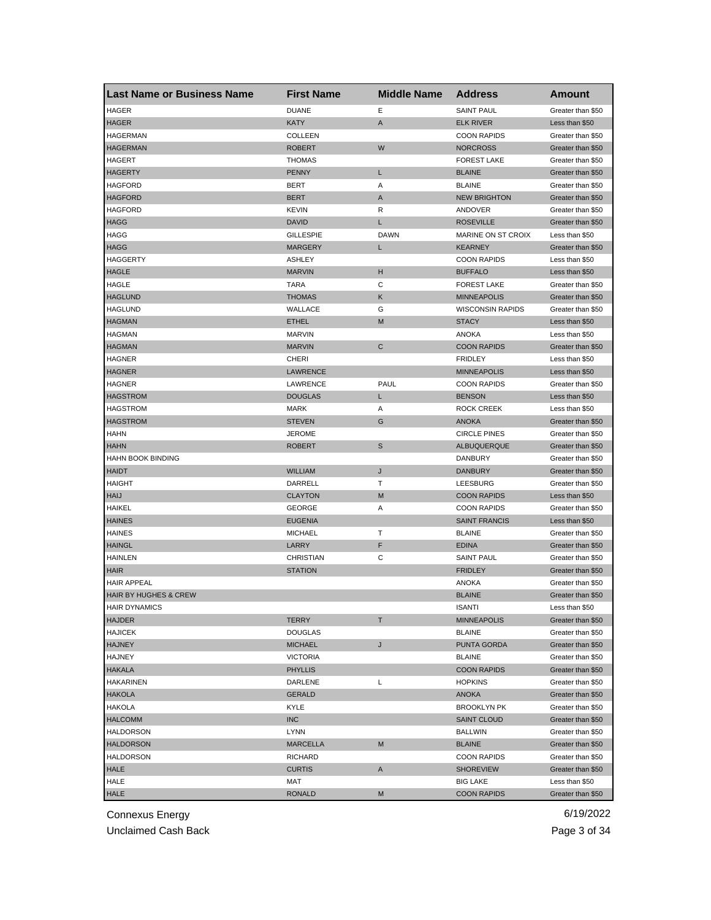| <b>Last Name or Business Name</b> | <b>First Name</b> | <b>Middle Name</b> | <b>Address</b>          | Amount            |
|-----------------------------------|-------------------|--------------------|-------------------------|-------------------|
| <b>HAGER</b>                      | <b>DUANE</b>      | Е                  | <b>SAINT PAUL</b>       | Greater than \$50 |
| <b>HAGER</b>                      | KATY              | A                  | <b>ELK RIVER</b>        | Less than \$50    |
| <b>HAGERMAN</b>                   | <b>COLLEEN</b>    |                    | <b>COON RAPIDS</b>      | Greater than \$50 |
| <b>HAGERMAN</b>                   | <b>ROBERT</b>     | W                  | <b>NORCROSS</b>         | Greater than \$50 |
| <b>HAGERT</b>                     | <b>THOMAS</b>     |                    | <b>FOREST LAKE</b>      | Greater than \$50 |
| <b>HAGERTY</b>                    | <b>PENNY</b>      | L                  | <b>BLAINE</b>           | Greater than \$50 |
| <b>HAGFORD</b>                    | BERT              | Α                  | <b>BLAINE</b>           | Greater than \$50 |
| <b>HAGFORD</b>                    | <b>BERT</b>       | A                  | <b>NEW BRIGHTON</b>     | Greater than \$50 |
| <b>HAGFORD</b>                    | <b>KEVIN</b>      | R                  | <b>ANDOVER</b>          | Greater than \$50 |
| <b>HAGG</b>                       | <b>DAVID</b>      | L                  | <b>ROSEVILLE</b>        | Greater than \$50 |
| HAGG                              | <b>GILLESPIE</b>  | <b>DAWN</b>        | MARINE ON ST CROIX      | Less than \$50    |
| <b>HAGG</b>                       | <b>MARGERY</b>    | L                  | <b>KEARNEY</b>          | Greater than \$50 |
| HAGGERTY                          | <b>ASHLEY</b>     |                    | <b>COON RAPIDS</b>      | Less than \$50    |
| <b>HAGLE</b>                      | <b>MARVIN</b>     | н                  | <b>BUFFALO</b>          | Less than \$50    |
| <b>HAGLE</b>                      | TARA              | С                  | <b>FOREST LAKE</b>      | Greater than \$50 |
| <b>HAGLUND</b>                    | <b>THOMAS</b>     | Κ                  | <b>MINNEAPOLIS</b>      | Greater than \$50 |
| <b>HAGLUND</b>                    | WALLACE           | G                  | <b>WISCONSIN RAPIDS</b> | Greater than \$50 |
| <b>HAGMAN</b>                     | <b>ETHEL</b>      | M                  | <b>STACY</b>            | Less than \$50    |
| <b>HAGMAN</b>                     | <b>MARVIN</b>     |                    | <b>ANOKA</b>            | Less than \$50    |
| <b>HAGMAN</b>                     | <b>MARVIN</b>     | С                  | <b>COON RAPIDS</b>      | Greater than \$50 |
| <b>HAGNER</b>                     | CHERI             |                    | <b>FRIDLEY</b>          | Less than \$50    |
| <b>HAGNER</b>                     | <b>LAWRENCE</b>   |                    | <b>MINNEAPOLIS</b>      | Less than \$50    |
| <b>HAGNER</b>                     | LAWRENCE          | PAUL               | <b>COON RAPIDS</b>      | Greater than \$50 |
| <b>HAGSTROM</b>                   | <b>DOUGLAS</b>    | L                  | <b>BENSON</b>           | Less than \$50    |
| <b>HAGSTROM</b>                   | MARK              | Α                  | <b>ROCK CREEK</b>       | Less than \$50    |
| <b>HAGSTROM</b>                   | <b>STEVEN</b>     | G                  | <b>ANOKA</b>            | Greater than \$50 |
| HAHN                              | <b>JEROME</b>     |                    | <b>CIRCLE PINES</b>     | Greater than \$50 |
| <b>HAHN</b>                       | ROBERT            | S                  | ALBUQUERQUE             | Greater than \$50 |
| <b>HAHN BOOK BINDING</b>          |                   |                    | DANBURY                 | Greater than \$50 |
| <b>HAIDT</b>                      | <b>WILLIAM</b>    | J                  | <b>DANBURY</b>          | Greater than \$50 |
| <b>HAIGHT</b>                     | DARRELL           | т                  | LEESBURG                | Greater than \$50 |
| <b>HAIJ</b>                       | <b>CLAYTON</b>    | M                  | <b>COON RAPIDS</b>      | Less than \$50    |
| <b>HAIKEL</b>                     | GEORGE            | Α                  | <b>COON RAPIDS</b>      | Greater than \$50 |
| <b>HAINES</b>                     | <b>EUGENIA</b>    |                    | <b>SAINT FRANCIS</b>    | Less than \$50    |
| <b>HAINES</b>                     | <b>MICHAEL</b>    | т                  | <b>BLAINE</b>           | Greater than \$50 |
| <b>HAINGL</b>                     | LARRY             | F                  | <b>EDINA</b>            | Greater than \$50 |
| <b>HAINLEN</b>                    | <b>CHRISTIAN</b>  | С                  | <b>SAINT PAUL</b>       | Greater than \$50 |
| <b>HAIR</b>                       | <b>STATION</b>    |                    | <b>FRIDLEY</b>          | Greater than \$50 |
| <b>HAIR APPEAL</b>                |                   |                    | <b>ANOKA</b>            | Greater than \$50 |
| <b>HAIR BY HUGHES &amp; CREW</b>  |                   |                    | <b>BLAINE</b>           | Greater than \$50 |
| <b>HAIR DYNAMICS</b>              |                   |                    | ISANII                  | Less than \$50    |
| <b>HAJDER</b>                     | TERRY             | т                  | <b>MINNEAPOLIS</b>      | Greater than \$50 |
| <b>HAJICEK</b>                    | <b>DOUGLAS</b>    |                    | <b>BLAINE</b>           | Greater than \$50 |
| <b>HAJNEY</b>                     | <b>MICHAEL</b>    | J                  | PUNTA GORDA             | Greater than \$50 |
| <b>HAJNEY</b>                     | <b>VICTORIA</b>   |                    | <b>BLAINE</b>           | Greater than \$50 |
| <b>HAKALA</b>                     | <b>PHYLLIS</b>    |                    | <b>COON RAPIDS</b>      | Greater than \$50 |
| <b>HAKARINEN</b>                  | DARLENE           | Г                  | <b>HOPKINS</b>          | Greater than \$50 |
| <b>HAKOLA</b>                     | <b>GERALD</b>     |                    | <b>ANOKA</b>            | Greater than \$50 |
| <b>HAKOLA</b>                     | KYLE              |                    | <b>BROOKLYN PK</b>      | Greater than \$50 |
| <b>HALCOMM</b>                    | <b>INC</b>        |                    | <b>SAINT CLOUD</b>      | Greater than \$50 |
| <b>HALDORSON</b>                  | LYNN              |                    | BALLWIN                 | Greater than \$50 |
| <b>HALDORSON</b>                  | <b>MARCELLA</b>   | M                  | <b>BLAINE</b>           | Greater than \$50 |
| <b>HALDORSON</b>                  | <b>RICHARD</b>    |                    | <b>COON RAPIDS</b>      | Greater than \$50 |
| HALE                              | <b>CURTIS</b>     | A                  | <b>SHOREVIEW</b>        | Greater than \$50 |
| HALE                              | MAT               |                    | <b>BIG LAKE</b>         | Less than \$50    |
| <b>HALE</b>                       | <b>RONALD</b>     | M                  | <b>COON RAPIDS</b>      | Greater than \$50 |

Unclaimed Cash Back **Page 3 of 34**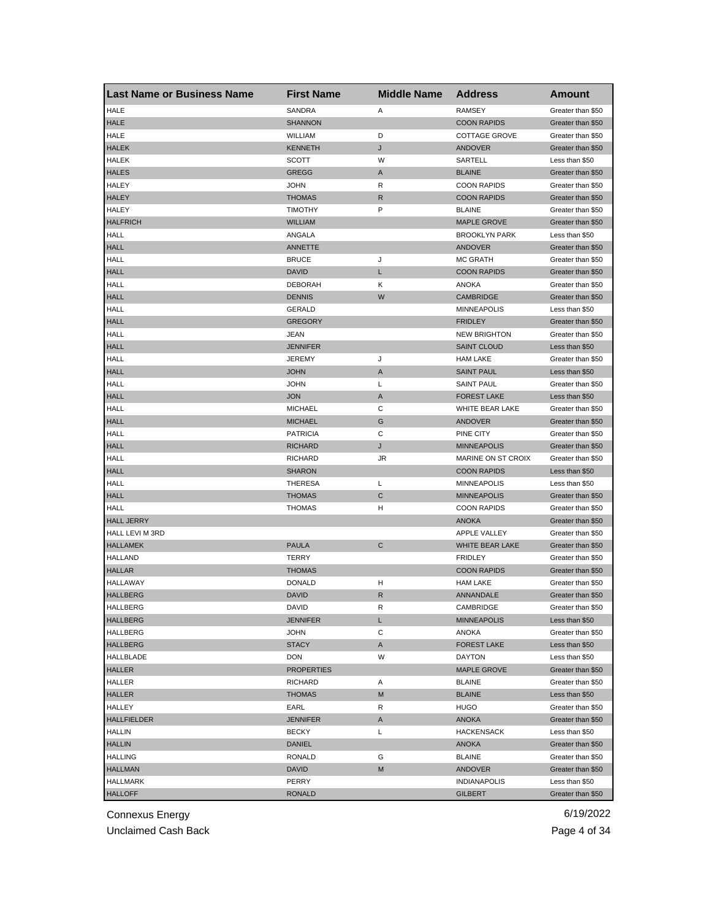| <b>Last Name or Business Name</b> | <b>First Name</b> | <b>Middle Name</b> | <b>Address</b>         | <b>Amount</b>     |
|-----------------------------------|-------------------|--------------------|------------------------|-------------------|
| <b>HALE</b>                       | SANDRA            | Α                  | <b>RAMSEY</b>          | Greater than \$50 |
| <b>HALE</b>                       | <b>SHANNON</b>    |                    | <b>COON RAPIDS</b>     | Greater than \$50 |
| HALE                              | WILLIAM           | D                  | <b>COTTAGE GROVE</b>   | Greater than \$50 |
| <b>HALEK</b>                      | <b>KENNETH</b>    | J                  | <b>ANDOVER</b>         | Greater than \$50 |
| HALEK                             | SCOTT             | W                  | SARTELL                | Less than \$50    |
| <b>HALES</b>                      | <b>GREGG</b>      | Α                  | <b>BLAINE</b>          | Greater than \$50 |
| <b>HALEY</b>                      | JOHN              | R                  | <b>COON RAPIDS</b>     | Greater than \$50 |
| <b>HALEY</b>                      | <b>THOMAS</b>     | R                  | <b>COON RAPIDS</b>     | Greater than \$50 |
| HALEY                             | <b>TIMOTHY</b>    | P                  | <b>BLAINE</b>          | Greater than \$50 |
| <b>HALFRICH</b>                   | <b>WILLIAM</b>    |                    | <b>MAPLE GROVE</b>     | Greater than \$50 |
| <b>HALL</b>                       | ANGALA            |                    | <b>BROOKLYN PARK</b>   | Less than \$50    |
| <b>HALL</b>                       | ANNETTE           |                    | <b>ANDOVER</b>         | Greater than \$50 |
| HALL                              | <b>BRUCE</b>      | J                  | <b>MC GRATH</b>        | Greater than \$50 |
| <b>HALL</b>                       | <b>DAVID</b>      | Г                  | <b>COON RAPIDS</b>     | Greater than \$50 |
| HALL                              | <b>DEBORAH</b>    | Κ                  | <b>ANOKA</b>           | Greater than \$50 |
| <b>HALL</b>                       | <b>DENNIS</b>     | W                  | CAMBRIDGE              | Greater than \$50 |
| HALL                              | <b>GERALD</b>     |                    | <b>MINNEAPOLIS</b>     | Less than \$50    |
| <b>HALL</b>                       | <b>GREGORY</b>    |                    | <b>FRIDLEY</b>         | Greater than \$50 |
| HALL                              | <b>JEAN</b>       |                    | <b>NEW BRIGHTON</b>    | Greater than \$50 |
| <b>HALL</b>                       | <b>JENNIFER</b>   |                    | <b>SAINT CLOUD</b>     | Less than \$50    |
| HALL                              | <b>JEREMY</b>     | J                  | <b>HAM LAKE</b>        | Greater than \$50 |
| <b>HALL</b>                       | <b>JOHN</b>       | A                  | <b>SAINT PAUL</b>      | Less than \$50    |
| HALL                              | <b>JOHN</b>       | L                  | <b>SAINT PAUL</b>      | Greater than \$50 |
| <b>HALL</b>                       | <b>JON</b>        | A                  | <b>FOREST LAKE</b>     | Less than \$50    |
| HALL                              | <b>MICHAEL</b>    | С                  | WHITE BEAR LAKE        | Greater than \$50 |
|                                   |                   |                    |                        |                   |
| <b>HALL</b>                       | <b>MICHAEL</b>    | G                  | <b>ANDOVER</b>         | Greater than \$50 |
| HALL                              | <b>PATRICIA</b>   | C                  | PINE CITY              | Greater than \$50 |
| <b>HALL</b>                       | <b>RICHARD</b>    | J                  | <b>MINNEAPOLIS</b>     | Greater than \$50 |
| HALL                              | <b>RICHARD</b>    | JR                 | MARINE ON ST CROIX     | Greater than \$50 |
| <b>HALL</b>                       | <b>SHARON</b>     |                    | <b>COON RAPIDS</b>     | Less than \$50    |
| HALL                              | <b>THERESA</b>    | L                  | <b>MINNEAPOLIS</b>     | Less than \$50    |
| <b>HALL</b>                       | <b>THOMAS</b>     | C                  | <b>MINNEAPOLIS</b>     | Greater than \$50 |
| <b>HALL</b>                       | <b>THOMAS</b>     | н                  | <b>COON RAPIDS</b>     | Greater than \$50 |
| <b>HALL JERRY</b>                 |                   |                    | <b>ANOKA</b>           | Greater than \$50 |
| HALL LEVI M 3RD                   |                   |                    | <b>APPLE VALLEY</b>    | Greater than \$50 |
| <b>HALLAMEK</b>                   | <b>PAULA</b>      | C                  | <b>WHITE BEAR LAKE</b> | Greater than \$50 |
| <b>HALLAND</b>                    | TERRY             |                    | <b>FRIDLEY</b>         | Greater than \$50 |
| <b>HALLAR</b>                     | <b>THOMAS</b>     |                    | <b>COON RAPIDS</b>     | Greater than \$50 |
| HALLAWAY                          | DONALD            | н                  | <b>HAM LAKE</b>        | Greater than \$50 |
| <b>HALLBERG</b>                   | <b>DAVID</b>      | $\mathsf{R}$       | ANNANDALE              | Greater than \$50 |
| <b>HALLBERG</b>                   | DAVID             | R                  | CAMBRIDGE              | Greater than \$50 |
| <b>HALLBERG</b>                   | <b>JENNIFER</b>   | Г                  | <b>MINNEAPOLIS</b>     | Less than \$50    |
| HALLBERG                          | <b>JOHN</b>       | С                  | ANOKA                  | Greater than \$50 |
| <b>HALLBERG</b>                   | <b>STACY</b>      | Α                  | <b>FOREST LAKE</b>     | Less than \$50    |
| HALLBLADE                         | <b>DON</b>        | W                  | <b>DAYTON</b>          | Less than \$50    |
| <b>HALLER</b>                     | <b>PROPERTIES</b> |                    | <b>MAPLE GROVE</b>     | Greater than \$50 |
| HALLER                            | RICHARD           | Α                  | <b>BLAINE</b>          | Greater than \$50 |
| <b>HALLER</b>                     | <b>THOMAS</b>     | M                  | <b>BLAINE</b>          | Less than \$50    |
| HALLEY                            | EARL              | R                  | HUGO                   | Greater than \$50 |
| <b>HALLFIELDER</b>                | <b>JENNIFER</b>   | A                  | <b>ANOKA</b>           | Greater than \$50 |
| <b>HALLIN</b>                     | <b>BECKY</b>      | Г                  | <b>HACKENSACK</b>      | Less than \$50    |
| <b>HALLIN</b>                     | <b>DANIEL</b>     |                    | ANOKA                  | Greater than \$50 |
| <b>HALLING</b>                    | RONALD            | G                  | <b>BLAINE</b>          | Greater than \$50 |
| <b>HALLMAN</b>                    | <b>DAVID</b>      | M                  | ANDOVER                | Greater than \$50 |
| HALLMARK                          | PERRY             |                    | <b>INDIANAPOLIS</b>    | Less than \$50    |
| <b>HALLOFF</b>                    | <b>RONALD</b>     |                    | <b>GILBERT</b>         | Greater than \$50 |

Unclaimed Cash Back **Page 4 of 34**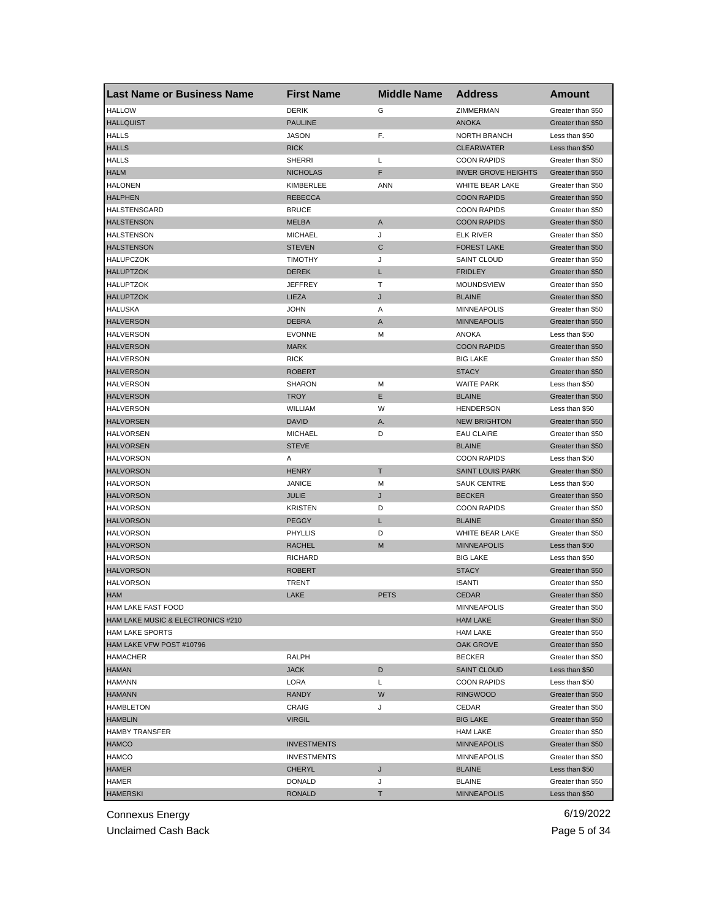| <b>HALLOW</b><br>ZIMMERMAN<br><b>DERIK</b><br>G<br>Greater than \$50<br><b>HALLQUIST</b><br><b>PAULINE</b><br><b>ANOKA</b><br>Greater than \$50<br>F.<br><b>HALLS</b><br>JASON<br>NORTH BRANCH<br>Less than \$50<br><b>HALLS</b><br><b>RICK</b><br><b>CLEARWATER</b><br>Less than \$50<br><b>HALLS</b><br><b>SHERRI</b><br>L<br><b>COON RAPIDS</b><br>Greater than \$50<br><b>HALM</b><br>F<br><b>INVER GROVE HEIGHTS</b><br><b>NICHOLAS</b><br>Greater than \$50<br><b>HALONEN</b><br>KIMBERLEE<br>ANN<br>WHITE BEAR LAKE<br>Greater than \$50<br><b>HALPHEN</b><br><b>REBECCA</b><br><b>COON RAPIDS</b><br>Greater than \$50<br>HALSTENSGARD<br><b>BRUCE</b><br><b>COON RAPIDS</b><br>Greater than \$50<br><b>HALSTENSON</b><br><b>MELBA</b><br>$\mathsf{A}$<br><b>COON RAPIDS</b><br>Greater than \$50<br>HALSTENSON<br><b>MICHAEL</b><br>J<br><b>ELK RIVER</b><br>Greater than \$50<br><b>HALSTENSON</b><br>C<br><b>STEVEN</b><br><b>FOREST LAKE</b><br>Greater than \$50<br>J<br>HALUPCZOK<br>TIMOTHY<br><b>SAINT CLOUD</b><br>Greater than \$50<br><b>HALUPTZOK</b><br><b>DEREK</b><br>L<br><b>FRIDLEY</b><br>Greater than \$50<br><b>HALUPTZOK</b><br><b>JEFFREY</b><br>т<br><b>MOUNDSVIEW</b><br>Greater than \$50<br><b>HALUPTZOK</b><br>LIEZA<br>J<br><b>BLAINE</b><br>Greater than \$50<br><b>HALUSKA</b><br><b>JOHN</b><br>Α<br><b>MINNEAPOLIS</b><br>Greater than \$50<br><b>HALVERSON</b><br><b>DEBRA</b><br>A<br><b>MINNEAPOLIS</b><br>Greater than \$50<br><b>HALVERSON</b><br><b>EVONNE</b><br>M<br>ANOKA<br>Less than \$50<br><b>HALVERSON</b><br><b>MARK</b><br><b>COON RAPIDS</b><br>Greater than \$50<br><b>HALVERSON</b><br><b>RICK</b><br><b>BIG LAKE</b><br>Greater than \$50<br><b>HALVERSON</b><br><b>ROBERT</b><br><b>STACY</b><br>Greater than \$50<br><b>HALVERSON</b><br><b>SHARON</b><br>М<br><b>WAITE PARK</b><br>Less than \$50<br><b>HALVERSON</b><br><b>TROY</b><br>Е<br><b>BLAINE</b><br>Greater than \$50<br><b>HALVERSON</b><br>WILLIAM<br>W<br><b>HENDERSON</b><br>Less than \$50<br><b>HALVORSEN</b><br><b>DAVID</b><br>А.<br><b>NEW BRIGHTON</b><br>Greater than \$50<br>HALVORSEN<br><b>MICHAEL</b><br>D<br><b>EAU CLAIRE</b><br>Greater than \$50<br><b>STEVE</b><br><b>HALVORSEN</b><br><b>BLAINE</b><br>Greater than \$50<br><b>HALVORSON</b><br><b>COON RAPIDS</b><br>Α<br>Less than \$50<br><b>HALVORSON</b><br><b>HENRY</b><br>т<br><b>SAINT LOUIS PARK</b><br>Greater than \$50<br><b>HALVORSON</b><br><b>JANICE</b><br>M<br><b>SAUK CENTRE</b><br>Less than \$50<br><b>HALVORSON</b><br><b>JULIE</b><br>J<br><b>BECKER</b><br>Greater than \$50<br><b>HALVORSON</b><br><b>KRISTEN</b><br>D<br><b>COON RAPIDS</b><br>Greater than \$50<br><b>HALVORSON</b><br><b>PEGGY</b><br>L<br><b>BLAINE</b><br>Greater than \$50<br><b>HALVORSON</b><br>WHITE BEAR LAKE<br>PHYLLIS<br>D<br>Greater than \$50<br>M<br><b>HALVORSON</b><br><b>MINNEAPOLIS</b><br><b>RACHEL</b><br>Less than \$50<br><b>HALVORSON</b><br><b>RICHARD</b><br><b>BIG LAKE</b><br>Less than \$50<br><b>HALVORSON</b><br><b>ROBERT</b><br><b>STACY</b><br>Greater than \$50<br><b>HALVORSON</b><br>TRENT<br><b>ISANTI</b><br>Greater than \$50<br><b>HAM</b><br>LAKE<br><b>PETS</b><br><b>CEDAR</b><br>Greater than \$50<br>HAM LAKE FAST FOOD<br><b>MINNEAPOLIS</b><br>Greater than \$50<br>HAM LAKE MUSIC & ELECTRONICS #210<br><b>HAM LAKE</b><br>Greater than \$50<br><b>HAM LAKE SPORTS</b><br><b>HAM LAKE</b><br>Greater than \$50<br>HAM LAKE VFW POST #10796<br>OAK GROVE<br>Greater than \$50<br>RALPH<br>HAMACHER<br><b>BECKER</b><br>Greater than \$50<br><b>HAMAN</b><br><b>JACK</b><br>D<br><b>SAINT CLOUD</b><br>Less than \$50<br><b>HAMANN</b><br>LORA<br>L<br><b>COON RAPIDS</b><br>Less than \$50<br>W<br><b>HAMANN</b><br><b>RANDY</b><br>Greater than \$50<br><b>RINGWOOD</b><br><b>HAMBLETON</b><br><b>CRAIG</b><br>J<br>CEDAR<br>Greater than \$50<br><b>HAMBLIN</b><br><b>VIRGIL</b><br><b>BIG LAKE</b><br>Greater than \$50<br><b>HAMBY TRANSFER</b><br>HAM LAKE<br>Greater than \$50<br><b>HAMCO</b><br><b>INVESTMENTS</b><br><b>MINNEAPOLIS</b><br>Greater than \$50<br><b>HAMCO</b><br><b>MINNEAPOLIS</b><br>Greater than \$50<br><b>INVESTMENTS</b><br>HAMER<br><b>BLAINE</b><br><b>CHERYL</b><br>J<br>Less than \$50<br>HAMER<br><b>DONALD</b><br><b>BLAINE</b><br>Greater than \$50<br>J<br><b>HAMERSKI</b><br><b>RONALD</b><br>т<br><b>MINNEAPOLIS</b><br>Less than \$50 | <b>Last Name or Business Name</b> | <b>First Name</b> | <b>Middle Name</b> | <b>Address</b> | Amount |
|-----------------------------------------------------------------------------------------------------------------------------------------------------------------------------------------------------------------------------------------------------------------------------------------------------------------------------------------------------------------------------------------------------------------------------------------------------------------------------------------------------------------------------------------------------------------------------------------------------------------------------------------------------------------------------------------------------------------------------------------------------------------------------------------------------------------------------------------------------------------------------------------------------------------------------------------------------------------------------------------------------------------------------------------------------------------------------------------------------------------------------------------------------------------------------------------------------------------------------------------------------------------------------------------------------------------------------------------------------------------------------------------------------------------------------------------------------------------------------------------------------------------------------------------------------------------------------------------------------------------------------------------------------------------------------------------------------------------------------------------------------------------------------------------------------------------------------------------------------------------------------------------------------------------------------------------------------------------------------------------------------------------------------------------------------------------------------------------------------------------------------------------------------------------------------------------------------------------------------------------------------------------------------------------------------------------------------------------------------------------------------------------------------------------------------------------------------------------------------------------------------------------------------------------------------------------------------------------------------------------------------------------------------------------------------------------------------------------------------------------------------------------------------------------------------------------------------------------------------------------------------------------------------------------------------------------------------------------------------------------------------------------------------------------------------------------------------------------------------------------------------------------------------------------------------------------------------------------------------------------------------------------------------------------------------------------------------------------------------------------------------------------------------------------------------------------------------------------------------------------------------------------------------------------------------------------------------------------------------------------------------------------------------------------------------------------------------------------------------------------------------------------------------------------------------------------------------------------------------------------------------------------------------------------------------------------------------------------------------------------------------------------------------------------------------------------------------------------------------------------------------------------------------------------------------------------------------------------------------------------------------------------------------------------------------------------------------------------------------------------------------------------------------------------------|-----------------------------------|-------------------|--------------------|----------------|--------|
|                                                                                                                                                                                                                                                                                                                                                                                                                                                                                                                                                                                                                                                                                                                                                                                                                                                                                                                                                                                                                                                                                                                                                                                                                                                                                                                                                                                                                                                                                                                                                                                                                                                                                                                                                                                                                                                                                                                                                                                                                                                                                                                                                                                                                                                                                                                                                                                                                                                                                                                                                                                                                                                                                                                                                                                                                                                                                                                                                                                                                                                                                                                                                                                                                                                                                                                                                                                                                                                                                                                                                                                                                                                                                                                                                                                                                                                                                                                                                                                                                                                                                                                                                                                                                                                                                                                                                                                                                       |                                   |                   |                    |                |        |
|                                                                                                                                                                                                                                                                                                                                                                                                                                                                                                                                                                                                                                                                                                                                                                                                                                                                                                                                                                                                                                                                                                                                                                                                                                                                                                                                                                                                                                                                                                                                                                                                                                                                                                                                                                                                                                                                                                                                                                                                                                                                                                                                                                                                                                                                                                                                                                                                                                                                                                                                                                                                                                                                                                                                                                                                                                                                                                                                                                                                                                                                                                                                                                                                                                                                                                                                                                                                                                                                                                                                                                                                                                                                                                                                                                                                                                                                                                                                                                                                                                                                                                                                                                                                                                                                                                                                                                                                                       |                                   |                   |                    |                |        |
|                                                                                                                                                                                                                                                                                                                                                                                                                                                                                                                                                                                                                                                                                                                                                                                                                                                                                                                                                                                                                                                                                                                                                                                                                                                                                                                                                                                                                                                                                                                                                                                                                                                                                                                                                                                                                                                                                                                                                                                                                                                                                                                                                                                                                                                                                                                                                                                                                                                                                                                                                                                                                                                                                                                                                                                                                                                                                                                                                                                                                                                                                                                                                                                                                                                                                                                                                                                                                                                                                                                                                                                                                                                                                                                                                                                                                                                                                                                                                                                                                                                                                                                                                                                                                                                                                                                                                                                                                       |                                   |                   |                    |                |        |
|                                                                                                                                                                                                                                                                                                                                                                                                                                                                                                                                                                                                                                                                                                                                                                                                                                                                                                                                                                                                                                                                                                                                                                                                                                                                                                                                                                                                                                                                                                                                                                                                                                                                                                                                                                                                                                                                                                                                                                                                                                                                                                                                                                                                                                                                                                                                                                                                                                                                                                                                                                                                                                                                                                                                                                                                                                                                                                                                                                                                                                                                                                                                                                                                                                                                                                                                                                                                                                                                                                                                                                                                                                                                                                                                                                                                                                                                                                                                                                                                                                                                                                                                                                                                                                                                                                                                                                                                                       |                                   |                   |                    |                |        |
|                                                                                                                                                                                                                                                                                                                                                                                                                                                                                                                                                                                                                                                                                                                                                                                                                                                                                                                                                                                                                                                                                                                                                                                                                                                                                                                                                                                                                                                                                                                                                                                                                                                                                                                                                                                                                                                                                                                                                                                                                                                                                                                                                                                                                                                                                                                                                                                                                                                                                                                                                                                                                                                                                                                                                                                                                                                                                                                                                                                                                                                                                                                                                                                                                                                                                                                                                                                                                                                                                                                                                                                                                                                                                                                                                                                                                                                                                                                                                                                                                                                                                                                                                                                                                                                                                                                                                                                                                       |                                   |                   |                    |                |        |
|                                                                                                                                                                                                                                                                                                                                                                                                                                                                                                                                                                                                                                                                                                                                                                                                                                                                                                                                                                                                                                                                                                                                                                                                                                                                                                                                                                                                                                                                                                                                                                                                                                                                                                                                                                                                                                                                                                                                                                                                                                                                                                                                                                                                                                                                                                                                                                                                                                                                                                                                                                                                                                                                                                                                                                                                                                                                                                                                                                                                                                                                                                                                                                                                                                                                                                                                                                                                                                                                                                                                                                                                                                                                                                                                                                                                                                                                                                                                                                                                                                                                                                                                                                                                                                                                                                                                                                                                                       |                                   |                   |                    |                |        |
|                                                                                                                                                                                                                                                                                                                                                                                                                                                                                                                                                                                                                                                                                                                                                                                                                                                                                                                                                                                                                                                                                                                                                                                                                                                                                                                                                                                                                                                                                                                                                                                                                                                                                                                                                                                                                                                                                                                                                                                                                                                                                                                                                                                                                                                                                                                                                                                                                                                                                                                                                                                                                                                                                                                                                                                                                                                                                                                                                                                                                                                                                                                                                                                                                                                                                                                                                                                                                                                                                                                                                                                                                                                                                                                                                                                                                                                                                                                                                                                                                                                                                                                                                                                                                                                                                                                                                                                                                       |                                   |                   |                    |                |        |
|                                                                                                                                                                                                                                                                                                                                                                                                                                                                                                                                                                                                                                                                                                                                                                                                                                                                                                                                                                                                                                                                                                                                                                                                                                                                                                                                                                                                                                                                                                                                                                                                                                                                                                                                                                                                                                                                                                                                                                                                                                                                                                                                                                                                                                                                                                                                                                                                                                                                                                                                                                                                                                                                                                                                                                                                                                                                                                                                                                                                                                                                                                                                                                                                                                                                                                                                                                                                                                                                                                                                                                                                                                                                                                                                                                                                                                                                                                                                                                                                                                                                                                                                                                                                                                                                                                                                                                                                                       |                                   |                   |                    |                |        |
|                                                                                                                                                                                                                                                                                                                                                                                                                                                                                                                                                                                                                                                                                                                                                                                                                                                                                                                                                                                                                                                                                                                                                                                                                                                                                                                                                                                                                                                                                                                                                                                                                                                                                                                                                                                                                                                                                                                                                                                                                                                                                                                                                                                                                                                                                                                                                                                                                                                                                                                                                                                                                                                                                                                                                                                                                                                                                                                                                                                                                                                                                                                                                                                                                                                                                                                                                                                                                                                                                                                                                                                                                                                                                                                                                                                                                                                                                                                                                                                                                                                                                                                                                                                                                                                                                                                                                                                                                       |                                   |                   |                    |                |        |
|                                                                                                                                                                                                                                                                                                                                                                                                                                                                                                                                                                                                                                                                                                                                                                                                                                                                                                                                                                                                                                                                                                                                                                                                                                                                                                                                                                                                                                                                                                                                                                                                                                                                                                                                                                                                                                                                                                                                                                                                                                                                                                                                                                                                                                                                                                                                                                                                                                                                                                                                                                                                                                                                                                                                                                                                                                                                                                                                                                                                                                                                                                                                                                                                                                                                                                                                                                                                                                                                                                                                                                                                                                                                                                                                                                                                                                                                                                                                                                                                                                                                                                                                                                                                                                                                                                                                                                                                                       |                                   |                   |                    |                |        |
|                                                                                                                                                                                                                                                                                                                                                                                                                                                                                                                                                                                                                                                                                                                                                                                                                                                                                                                                                                                                                                                                                                                                                                                                                                                                                                                                                                                                                                                                                                                                                                                                                                                                                                                                                                                                                                                                                                                                                                                                                                                                                                                                                                                                                                                                                                                                                                                                                                                                                                                                                                                                                                                                                                                                                                                                                                                                                                                                                                                                                                                                                                                                                                                                                                                                                                                                                                                                                                                                                                                                                                                                                                                                                                                                                                                                                                                                                                                                                                                                                                                                                                                                                                                                                                                                                                                                                                                                                       |                                   |                   |                    |                |        |
|                                                                                                                                                                                                                                                                                                                                                                                                                                                                                                                                                                                                                                                                                                                                                                                                                                                                                                                                                                                                                                                                                                                                                                                                                                                                                                                                                                                                                                                                                                                                                                                                                                                                                                                                                                                                                                                                                                                                                                                                                                                                                                                                                                                                                                                                                                                                                                                                                                                                                                                                                                                                                                                                                                                                                                                                                                                                                                                                                                                                                                                                                                                                                                                                                                                                                                                                                                                                                                                                                                                                                                                                                                                                                                                                                                                                                                                                                                                                                                                                                                                                                                                                                                                                                                                                                                                                                                                                                       |                                   |                   |                    |                |        |
|                                                                                                                                                                                                                                                                                                                                                                                                                                                                                                                                                                                                                                                                                                                                                                                                                                                                                                                                                                                                                                                                                                                                                                                                                                                                                                                                                                                                                                                                                                                                                                                                                                                                                                                                                                                                                                                                                                                                                                                                                                                                                                                                                                                                                                                                                                                                                                                                                                                                                                                                                                                                                                                                                                                                                                                                                                                                                                                                                                                                                                                                                                                                                                                                                                                                                                                                                                                                                                                                                                                                                                                                                                                                                                                                                                                                                                                                                                                                                                                                                                                                                                                                                                                                                                                                                                                                                                                                                       |                                   |                   |                    |                |        |
|                                                                                                                                                                                                                                                                                                                                                                                                                                                                                                                                                                                                                                                                                                                                                                                                                                                                                                                                                                                                                                                                                                                                                                                                                                                                                                                                                                                                                                                                                                                                                                                                                                                                                                                                                                                                                                                                                                                                                                                                                                                                                                                                                                                                                                                                                                                                                                                                                                                                                                                                                                                                                                                                                                                                                                                                                                                                                                                                                                                                                                                                                                                                                                                                                                                                                                                                                                                                                                                                                                                                                                                                                                                                                                                                                                                                                                                                                                                                                                                                                                                                                                                                                                                                                                                                                                                                                                                                                       |                                   |                   |                    |                |        |
|                                                                                                                                                                                                                                                                                                                                                                                                                                                                                                                                                                                                                                                                                                                                                                                                                                                                                                                                                                                                                                                                                                                                                                                                                                                                                                                                                                                                                                                                                                                                                                                                                                                                                                                                                                                                                                                                                                                                                                                                                                                                                                                                                                                                                                                                                                                                                                                                                                                                                                                                                                                                                                                                                                                                                                                                                                                                                                                                                                                                                                                                                                                                                                                                                                                                                                                                                                                                                                                                                                                                                                                                                                                                                                                                                                                                                                                                                                                                                                                                                                                                                                                                                                                                                                                                                                                                                                                                                       |                                   |                   |                    |                |        |
|                                                                                                                                                                                                                                                                                                                                                                                                                                                                                                                                                                                                                                                                                                                                                                                                                                                                                                                                                                                                                                                                                                                                                                                                                                                                                                                                                                                                                                                                                                                                                                                                                                                                                                                                                                                                                                                                                                                                                                                                                                                                                                                                                                                                                                                                                                                                                                                                                                                                                                                                                                                                                                                                                                                                                                                                                                                                                                                                                                                                                                                                                                                                                                                                                                                                                                                                                                                                                                                                                                                                                                                                                                                                                                                                                                                                                                                                                                                                                                                                                                                                                                                                                                                                                                                                                                                                                                                                                       |                                   |                   |                    |                |        |
|                                                                                                                                                                                                                                                                                                                                                                                                                                                                                                                                                                                                                                                                                                                                                                                                                                                                                                                                                                                                                                                                                                                                                                                                                                                                                                                                                                                                                                                                                                                                                                                                                                                                                                                                                                                                                                                                                                                                                                                                                                                                                                                                                                                                                                                                                                                                                                                                                                                                                                                                                                                                                                                                                                                                                                                                                                                                                                                                                                                                                                                                                                                                                                                                                                                                                                                                                                                                                                                                                                                                                                                                                                                                                                                                                                                                                                                                                                                                                                                                                                                                                                                                                                                                                                                                                                                                                                                                                       |                                   |                   |                    |                |        |
|                                                                                                                                                                                                                                                                                                                                                                                                                                                                                                                                                                                                                                                                                                                                                                                                                                                                                                                                                                                                                                                                                                                                                                                                                                                                                                                                                                                                                                                                                                                                                                                                                                                                                                                                                                                                                                                                                                                                                                                                                                                                                                                                                                                                                                                                                                                                                                                                                                                                                                                                                                                                                                                                                                                                                                                                                                                                                                                                                                                                                                                                                                                                                                                                                                                                                                                                                                                                                                                                                                                                                                                                                                                                                                                                                                                                                                                                                                                                                                                                                                                                                                                                                                                                                                                                                                                                                                                                                       |                                   |                   |                    |                |        |
|                                                                                                                                                                                                                                                                                                                                                                                                                                                                                                                                                                                                                                                                                                                                                                                                                                                                                                                                                                                                                                                                                                                                                                                                                                                                                                                                                                                                                                                                                                                                                                                                                                                                                                                                                                                                                                                                                                                                                                                                                                                                                                                                                                                                                                                                                                                                                                                                                                                                                                                                                                                                                                                                                                                                                                                                                                                                                                                                                                                                                                                                                                                                                                                                                                                                                                                                                                                                                                                                                                                                                                                                                                                                                                                                                                                                                                                                                                                                                                                                                                                                                                                                                                                                                                                                                                                                                                                                                       |                                   |                   |                    |                |        |
|                                                                                                                                                                                                                                                                                                                                                                                                                                                                                                                                                                                                                                                                                                                                                                                                                                                                                                                                                                                                                                                                                                                                                                                                                                                                                                                                                                                                                                                                                                                                                                                                                                                                                                                                                                                                                                                                                                                                                                                                                                                                                                                                                                                                                                                                                                                                                                                                                                                                                                                                                                                                                                                                                                                                                                                                                                                                                                                                                                                                                                                                                                                                                                                                                                                                                                                                                                                                                                                                                                                                                                                                                                                                                                                                                                                                                                                                                                                                                                                                                                                                                                                                                                                                                                                                                                                                                                                                                       |                                   |                   |                    |                |        |
|                                                                                                                                                                                                                                                                                                                                                                                                                                                                                                                                                                                                                                                                                                                                                                                                                                                                                                                                                                                                                                                                                                                                                                                                                                                                                                                                                                                                                                                                                                                                                                                                                                                                                                                                                                                                                                                                                                                                                                                                                                                                                                                                                                                                                                                                                                                                                                                                                                                                                                                                                                                                                                                                                                                                                                                                                                                                                                                                                                                                                                                                                                                                                                                                                                                                                                                                                                                                                                                                                                                                                                                                                                                                                                                                                                                                                                                                                                                                                                                                                                                                                                                                                                                                                                                                                                                                                                                                                       |                                   |                   |                    |                |        |
|                                                                                                                                                                                                                                                                                                                                                                                                                                                                                                                                                                                                                                                                                                                                                                                                                                                                                                                                                                                                                                                                                                                                                                                                                                                                                                                                                                                                                                                                                                                                                                                                                                                                                                                                                                                                                                                                                                                                                                                                                                                                                                                                                                                                                                                                                                                                                                                                                                                                                                                                                                                                                                                                                                                                                                                                                                                                                                                                                                                                                                                                                                                                                                                                                                                                                                                                                                                                                                                                                                                                                                                                                                                                                                                                                                                                                                                                                                                                                                                                                                                                                                                                                                                                                                                                                                                                                                                                                       |                                   |                   |                    |                |        |
|                                                                                                                                                                                                                                                                                                                                                                                                                                                                                                                                                                                                                                                                                                                                                                                                                                                                                                                                                                                                                                                                                                                                                                                                                                                                                                                                                                                                                                                                                                                                                                                                                                                                                                                                                                                                                                                                                                                                                                                                                                                                                                                                                                                                                                                                                                                                                                                                                                                                                                                                                                                                                                                                                                                                                                                                                                                                                                                                                                                                                                                                                                                                                                                                                                                                                                                                                                                                                                                                                                                                                                                                                                                                                                                                                                                                                                                                                                                                                                                                                                                                                                                                                                                                                                                                                                                                                                                                                       |                                   |                   |                    |                |        |
|                                                                                                                                                                                                                                                                                                                                                                                                                                                                                                                                                                                                                                                                                                                                                                                                                                                                                                                                                                                                                                                                                                                                                                                                                                                                                                                                                                                                                                                                                                                                                                                                                                                                                                                                                                                                                                                                                                                                                                                                                                                                                                                                                                                                                                                                                                                                                                                                                                                                                                                                                                                                                                                                                                                                                                                                                                                                                                                                                                                                                                                                                                                                                                                                                                                                                                                                                                                                                                                                                                                                                                                                                                                                                                                                                                                                                                                                                                                                                                                                                                                                                                                                                                                                                                                                                                                                                                                                                       |                                   |                   |                    |                |        |
|                                                                                                                                                                                                                                                                                                                                                                                                                                                                                                                                                                                                                                                                                                                                                                                                                                                                                                                                                                                                                                                                                                                                                                                                                                                                                                                                                                                                                                                                                                                                                                                                                                                                                                                                                                                                                                                                                                                                                                                                                                                                                                                                                                                                                                                                                                                                                                                                                                                                                                                                                                                                                                                                                                                                                                                                                                                                                                                                                                                                                                                                                                                                                                                                                                                                                                                                                                                                                                                                                                                                                                                                                                                                                                                                                                                                                                                                                                                                                                                                                                                                                                                                                                                                                                                                                                                                                                                                                       |                                   |                   |                    |                |        |
|                                                                                                                                                                                                                                                                                                                                                                                                                                                                                                                                                                                                                                                                                                                                                                                                                                                                                                                                                                                                                                                                                                                                                                                                                                                                                                                                                                                                                                                                                                                                                                                                                                                                                                                                                                                                                                                                                                                                                                                                                                                                                                                                                                                                                                                                                                                                                                                                                                                                                                                                                                                                                                                                                                                                                                                                                                                                                                                                                                                                                                                                                                                                                                                                                                                                                                                                                                                                                                                                                                                                                                                                                                                                                                                                                                                                                                                                                                                                                                                                                                                                                                                                                                                                                                                                                                                                                                                                                       |                                   |                   |                    |                |        |
|                                                                                                                                                                                                                                                                                                                                                                                                                                                                                                                                                                                                                                                                                                                                                                                                                                                                                                                                                                                                                                                                                                                                                                                                                                                                                                                                                                                                                                                                                                                                                                                                                                                                                                                                                                                                                                                                                                                                                                                                                                                                                                                                                                                                                                                                                                                                                                                                                                                                                                                                                                                                                                                                                                                                                                                                                                                                                                                                                                                                                                                                                                                                                                                                                                                                                                                                                                                                                                                                                                                                                                                                                                                                                                                                                                                                                                                                                                                                                                                                                                                                                                                                                                                                                                                                                                                                                                                                                       |                                   |                   |                    |                |        |
|                                                                                                                                                                                                                                                                                                                                                                                                                                                                                                                                                                                                                                                                                                                                                                                                                                                                                                                                                                                                                                                                                                                                                                                                                                                                                                                                                                                                                                                                                                                                                                                                                                                                                                                                                                                                                                                                                                                                                                                                                                                                                                                                                                                                                                                                                                                                                                                                                                                                                                                                                                                                                                                                                                                                                                                                                                                                                                                                                                                                                                                                                                                                                                                                                                                                                                                                                                                                                                                                                                                                                                                                                                                                                                                                                                                                                                                                                                                                                                                                                                                                                                                                                                                                                                                                                                                                                                                                                       |                                   |                   |                    |                |        |
|                                                                                                                                                                                                                                                                                                                                                                                                                                                                                                                                                                                                                                                                                                                                                                                                                                                                                                                                                                                                                                                                                                                                                                                                                                                                                                                                                                                                                                                                                                                                                                                                                                                                                                                                                                                                                                                                                                                                                                                                                                                                                                                                                                                                                                                                                                                                                                                                                                                                                                                                                                                                                                                                                                                                                                                                                                                                                                                                                                                                                                                                                                                                                                                                                                                                                                                                                                                                                                                                                                                                                                                                                                                                                                                                                                                                                                                                                                                                                                                                                                                                                                                                                                                                                                                                                                                                                                                                                       |                                   |                   |                    |                |        |
|                                                                                                                                                                                                                                                                                                                                                                                                                                                                                                                                                                                                                                                                                                                                                                                                                                                                                                                                                                                                                                                                                                                                                                                                                                                                                                                                                                                                                                                                                                                                                                                                                                                                                                                                                                                                                                                                                                                                                                                                                                                                                                                                                                                                                                                                                                                                                                                                                                                                                                                                                                                                                                                                                                                                                                                                                                                                                                                                                                                                                                                                                                                                                                                                                                                                                                                                                                                                                                                                                                                                                                                                                                                                                                                                                                                                                                                                                                                                                                                                                                                                                                                                                                                                                                                                                                                                                                                                                       |                                   |                   |                    |                |        |
|                                                                                                                                                                                                                                                                                                                                                                                                                                                                                                                                                                                                                                                                                                                                                                                                                                                                                                                                                                                                                                                                                                                                                                                                                                                                                                                                                                                                                                                                                                                                                                                                                                                                                                                                                                                                                                                                                                                                                                                                                                                                                                                                                                                                                                                                                                                                                                                                                                                                                                                                                                                                                                                                                                                                                                                                                                                                                                                                                                                                                                                                                                                                                                                                                                                                                                                                                                                                                                                                                                                                                                                                                                                                                                                                                                                                                                                                                                                                                                                                                                                                                                                                                                                                                                                                                                                                                                                                                       |                                   |                   |                    |                |        |
|                                                                                                                                                                                                                                                                                                                                                                                                                                                                                                                                                                                                                                                                                                                                                                                                                                                                                                                                                                                                                                                                                                                                                                                                                                                                                                                                                                                                                                                                                                                                                                                                                                                                                                                                                                                                                                                                                                                                                                                                                                                                                                                                                                                                                                                                                                                                                                                                                                                                                                                                                                                                                                                                                                                                                                                                                                                                                                                                                                                                                                                                                                                                                                                                                                                                                                                                                                                                                                                                                                                                                                                                                                                                                                                                                                                                                                                                                                                                                                                                                                                                                                                                                                                                                                                                                                                                                                                                                       |                                   |                   |                    |                |        |
|                                                                                                                                                                                                                                                                                                                                                                                                                                                                                                                                                                                                                                                                                                                                                                                                                                                                                                                                                                                                                                                                                                                                                                                                                                                                                                                                                                                                                                                                                                                                                                                                                                                                                                                                                                                                                                                                                                                                                                                                                                                                                                                                                                                                                                                                                                                                                                                                                                                                                                                                                                                                                                                                                                                                                                                                                                                                                                                                                                                                                                                                                                                                                                                                                                                                                                                                                                                                                                                                                                                                                                                                                                                                                                                                                                                                                                                                                                                                                                                                                                                                                                                                                                                                                                                                                                                                                                                                                       |                                   |                   |                    |                |        |
|                                                                                                                                                                                                                                                                                                                                                                                                                                                                                                                                                                                                                                                                                                                                                                                                                                                                                                                                                                                                                                                                                                                                                                                                                                                                                                                                                                                                                                                                                                                                                                                                                                                                                                                                                                                                                                                                                                                                                                                                                                                                                                                                                                                                                                                                                                                                                                                                                                                                                                                                                                                                                                                                                                                                                                                                                                                                                                                                                                                                                                                                                                                                                                                                                                                                                                                                                                                                                                                                                                                                                                                                                                                                                                                                                                                                                                                                                                                                                                                                                                                                                                                                                                                                                                                                                                                                                                                                                       |                                   |                   |                    |                |        |
|                                                                                                                                                                                                                                                                                                                                                                                                                                                                                                                                                                                                                                                                                                                                                                                                                                                                                                                                                                                                                                                                                                                                                                                                                                                                                                                                                                                                                                                                                                                                                                                                                                                                                                                                                                                                                                                                                                                                                                                                                                                                                                                                                                                                                                                                                                                                                                                                                                                                                                                                                                                                                                                                                                                                                                                                                                                                                                                                                                                                                                                                                                                                                                                                                                                                                                                                                                                                                                                                                                                                                                                                                                                                                                                                                                                                                                                                                                                                                                                                                                                                                                                                                                                                                                                                                                                                                                                                                       |                                   |                   |                    |                |        |
|                                                                                                                                                                                                                                                                                                                                                                                                                                                                                                                                                                                                                                                                                                                                                                                                                                                                                                                                                                                                                                                                                                                                                                                                                                                                                                                                                                                                                                                                                                                                                                                                                                                                                                                                                                                                                                                                                                                                                                                                                                                                                                                                                                                                                                                                                                                                                                                                                                                                                                                                                                                                                                                                                                                                                                                                                                                                                                                                                                                                                                                                                                                                                                                                                                                                                                                                                                                                                                                                                                                                                                                                                                                                                                                                                                                                                                                                                                                                                                                                                                                                                                                                                                                                                                                                                                                                                                                                                       |                                   |                   |                    |                |        |
|                                                                                                                                                                                                                                                                                                                                                                                                                                                                                                                                                                                                                                                                                                                                                                                                                                                                                                                                                                                                                                                                                                                                                                                                                                                                                                                                                                                                                                                                                                                                                                                                                                                                                                                                                                                                                                                                                                                                                                                                                                                                                                                                                                                                                                                                                                                                                                                                                                                                                                                                                                                                                                                                                                                                                                                                                                                                                                                                                                                                                                                                                                                                                                                                                                                                                                                                                                                                                                                                                                                                                                                                                                                                                                                                                                                                                                                                                                                                                                                                                                                                                                                                                                                                                                                                                                                                                                                                                       |                                   |                   |                    |                |        |
|                                                                                                                                                                                                                                                                                                                                                                                                                                                                                                                                                                                                                                                                                                                                                                                                                                                                                                                                                                                                                                                                                                                                                                                                                                                                                                                                                                                                                                                                                                                                                                                                                                                                                                                                                                                                                                                                                                                                                                                                                                                                                                                                                                                                                                                                                                                                                                                                                                                                                                                                                                                                                                                                                                                                                                                                                                                                                                                                                                                                                                                                                                                                                                                                                                                                                                                                                                                                                                                                                                                                                                                                                                                                                                                                                                                                                                                                                                                                                                                                                                                                                                                                                                                                                                                                                                                                                                                                                       |                                   |                   |                    |                |        |
|                                                                                                                                                                                                                                                                                                                                                                                                                                                                                                                                                                                                                                                                                                                                                                                                                                                                                                                                                                                                                                                                                                                                                                                                                                                                                                                                                                                                                                                                                                                                                                                                                                                                                                                                                                                                                                                                                                                                                                                                                                                                                                                                                                                                                                                                                                                                                                                                                                                                                                                                                                                                                                                                                                                                                                                                                                                                                                                                                                                                                                                                                                                                                                                                                                                                                                                                                                                                                                                                                                                                                                                                                                                                                                                                                                                                                                                                                                                                                                                                                                                                                                                                                                                                                                                                                                                                                                                                                       |                                   |                   |                    |                |        |
|                                                                                                                                                                                                                                                                                                                                                                                                                                                                                                                                                                                                                                                                                                                                                                                                                                                                                                                                                                                                                                                                                                                                                                                                                                                                                                                                                                                                                                                                                                                                                                                                                                                                                                                                                                                                                                                                                                                                                                                                                                                                                                                                                                                                                                                                                                                                                                                                                                                                                                                                                                                                                                                                                                                                                                                                                                                                                                                                                                                                                                                                                                                                                                                                                                                                                                                                                                                                                                                                                                                                                                                                                                                                                                                                                                                                                                                                                                                                                                                                                                                                                                                                                                                                                                                                                                                                                                                                                       |                                   |                   |                    |                |        |
|                                                                                                                                                                                                                                                                                                                                                                                                                                                                                                                                                                                                                                                                                                                                                                                                                                                                                                                                                                                                                                                                                                                                                                                                                                                                                                                                                                                                                                                                                                                                                                                                                                                                                                                                                                                                                                                                                                                                                                                                                                                                                                                                                                                                                                                                                                                                                                                                                                                                                                                                                                                                                                                                                                                                                                                                                                                                                                                                                                                                                                                                                                                                                                                                                                                                                                                                                                                                                                                                                                                                                                                                                                                                                                                                                                                                                                                                                                                                                                                                                                                                                                                                                                                                                                                                                                                                                                                                                       |                                   |                   |                    |                |        |
|                                                                                                                                                                                                                                                                                                                                                                                                                                                                                                                                                                                                                                                                                                                                                                                                                                                                                                                                                                                                                                                                                                                                                                                                                                                                                                                                                                                                                                                                                                                                                                                                                                                                                                                                                                                                                                                                                                                                                                                                                                                                                                                                                                                                                                                                                                                                                                                                                                                                                                                                                                                                                                                                                                                                                                                                                                                                                                                                                                                                                                                                                                                                                                                                                                                                                                                                                                                                                                                                                                                                                                                                                                                                                                                                                                                                                                                                                                                                                                                                                                                                                                                                                                                                                                                                                                                                                                                                                       |                                   |                   |                    |                |        |
|                                                                                                                                                                                                                                                                                                                                                                                                                                                                                                                                                                                                                                                                                                                                                                                                                                                                                                                                                                                                                                                                                                                                                                                                                                                                                                                                                                                                                                                                                                                                                                                                                                                                                                                                                                                                                                                                                                                                                                                                                                                                                                                                                                                                                                                                                                                                                                                                                                                                                                                                                                                                                                                                                                                                                                                                                                                                                                                                                                                                                                                                                                                                                                                                                                                                                                                                                                                                                                                                                                                                                                                                                                                                                                                                                                                                                                                                                                                                                                                                                                                                                                                                                                                                                                                                                                                                                                                                                       |                                   |                   |                    |                |        |
|                                                                                                                                                                                                                                                                                                                                                                                                                                                                                                                                                                                                                                                                                                                                                                                                                                                                                                                                                                                                                                                                                                                                                                                                                                                                                                                                                                                                                                                                                                                                                                                                                                                                                                                                                                                                                                                                                                                                                                                                                                                                                                                                                                                                                                                                                                                                                                                                                                                                                                                                                                                                                                                                                                                                                                                                                                                                                                                                                                                                                                                                                                                                                                                                                                                                                                                                                                                                                                                                                                                                                                                                                                                                                                                                                                                                                                                                                                                                                                                                                                                                                                                                                                                                                                                                                                                                                                                                                       |                                   |                   |                    |                |        |
|                                                                                                                                                                                                                                                                                                                                                                                                                                                                                                                                                                                                                                                                                                                                                                                                                                                                                                                                                                                                                                                                                                                                                                                                                                                                                                                                                                                                                                                                                                                                                                                                                                                                                                                                                                                                                                                                                                                                                                                                                                                                                                                                                                                                                                                                                                                                                                                                                                                                                                                                                                                                                                                                                                                                                                                                                                                                                                                                                                                                                                                                                                                                                                                                                                                                                                                                                                                                                                                                                                                                                                                                                                                                                                                                                                                                                                                                                                                                                                                                                                                                                                                                                                                                                                                                                                                                                                                                                       |                                   |                   |                    |                |        |
|                                                                                                                                                                                                                                                                                                                                                                                                                                                                                                                                                                                                                                                                                                                                                                                                                                                                                                                                                                                                                                                                                                                                                                                                                                                                                                                                                                                                                                                                                                                                                                                                                                                                                                                                                                                                                                                                                                                                                                                                                                                                                                                                                                                                                                                                                                                                                                                                                                                                                                                                                                                                                                                                                                                                                                                                                                                                                                                                                                                                                                                                                                                                                                                                                                                                                                                                                                                                                                                                                                                                                                                                                                                                                                                                                                                                                                                                                                                                                                                                                                                                                                                                                                                                                                                                                                                                                                                                                       |                                   |                   |                    |                |        |
|                                                                                                                                                                                                                                                                                                                                                                                                                                                                                                                                                                                                                                                                                                                                                                                                                                                                                                                                                                                                                                                                                                                                                                                                                                                                                                                                                                                                                                                                                                                                                                                                                                                                                                                                                                                                                                                                                                                                                                                                                                                                                                                                                                                                                                                                                                                                                                                                                                                                                                                                                                                                                                                                                                                                                                                                                                                                                                                                                                                                                                                                                                                                                                                                                                                                                                                                                                                                                                                                                                                                                                                                                                                                                                                                                                                                                                                                                                                                                                                                                                                                                                                                                                                                                                                                                                                                                                                                                       |                                   |                   |                    |                |        |
|                                                                                                                                                                                                                                                                                                                                                                                                                                                                                                                                                                                                                                                                                                                                                                                                                                                                                                                                                                                                                                                                                                                                                                                                                                                                                                                                                                                                                                                                                                                                                                                                                                                                                                                                                                                                                                                                                                                                                                                                                                                                                                                                                                                                                                                                                                                                                                                                                                                                                                                                                                                                                                                                                                                                                                                                                                                                                                                                                                                                                                                                                                                                                                                                                                                                                                                                                                                                                                                                                                                                                                                                                                                                                                                                                                                                                                                                                                                                                                                                                                                                                                                                                                                                                                                                                                                                                                                                                       |                                   |                   |                    |                |        |
|                                                                                                                                                                                                                                                                                                                                                                                                                                                                                                                                                                                                                                                                                                                                                                                                                                                                                                                                                                                                                                                                                                                                                                                                                                                                                                                                                                                                                                                                                                                                                                                                                                                                                                                                                                                                                                                                                                                                                                                                                                                                                                                                                                                                                                                                                                                                                                                                                                                                                                                                                                                                                                                                                                                                                                                                                                                                                                                                                                                                                                                                                                                                                                                                                                                                                                                                                                                                                                                                                                                                                                                                                                                                                                                                                                                                                                                                                                                                                                                                                                                                                                                                                                                                                                                                                                                                                                                                                       |                                   |                   |                    |                |        |
|                                                                                                                                                                                                                                                                                                                                                                                                                                                                                                                                                                                                                                                                                                                                                                                                                                                                                                                                                                                                                                                                                                                                                                                                                                                                                                                                                                                                                                                                                                                                                                                                                                                                                                                                                                                                                                                                                                                                                                                                                                                                                                                                                                                                                                                                                                                                                                                                                                                                                                                                                                                                                                                                                                                                                                                                                                                                                                                                                                                                                                                                                                                                                                                                                                                                                                                                                                                                                                                                                                                                                                                                                                                                                                                                                                                                                                                                                                                                                                                                                                                                                                                                                                                                                                                                                                                                                                                                                       |                                   |                   |                    |                |        |
|                                                                                                                                                                                                                                                                                                                                                                                                                                                                                                                                                                                                                                                                                                                                                                                                                                                                                                                                                                                                                                                                                                                                                                                                                                                                                                                                                                                                                                                                                                                                                                                                                                                                                                                                                                                                                                                                                                                                                                                                                                                                                                                                                                                                                                                                                                                                                                                                                                                                                                                                                                                                                                                                                                                                                                                                                                                                                                                                                                                                                                                                                                                                                                                                                                                                                                                                                                                                                                                                                                                                                                                                                                                                                                                                                                                                                                                                                                                                                                                                                                                                                                                                                                                                                                                                                                                                                                                                                       |                                   |                   |                    |                |        |
|                                                                                                                                                                                                                                                                                                                                                                                                                                                                                                                                                                                                                                                                                                                                                                                                                                                                                                                                                                                                                                                                                                                                                                                                                                                                                                                                                                                                                                                                                                                                                                                                                                                                                                                                                                                                                                                                                                                                                                                                                                                                                                                                                                                                                                                                                                                                                                                                                                                                                                                                                                                                                                                                                                                                                                                                                                                                                                                                                                                                                                                                                                                                                                                                                                                                                                                                                                                                                                                                                                                                                                                                                                                                                                                                                                                                                                                                                                                                                                                                                                                                                                                                                                                                                                                                                                                                                                                                                       |                                   |                   |                    |                |        |
|                                                                                                                                                                                                                                                                                                                                                                                                                                                                                                                                                                                                                                                                                                                                                                                                                                                                                                                                                                                                                                                                                                                                                                                                                                                                                                                                                                                                                                                                                                                                                                                                                                                                                                                                                                                                                                                                                                                                                                                                                                                                                                                                                                                                                                                                                                                                                                                                                                                                                                                                                                                                                                                                                                                                                                                                                                                                                                                                                                                                                                                                                                                                                                                                                                                                                                                                                                                                                                                                                                                                                                                                                                                                                                                                                                                                                                                                                                                                                                                                                                                                                                                                                                                                                                                                                                                                                                                                                       |                                   |                   |                    |                |        |
|                                                                                                                                                                                                                                                                                                                                                                                                                                                                                                                                                                                                                                                                                                                                                                                                                                                                                                                                                                                                                                                                                                                                                                                                                                                                                                                                                                                                                                                                                                                                                                                                                                                                                                                                                                                                                                                                                                                                                                                                                                                                                                                                                                                                                                                                                                                                                                                                                                                                                                                                                                                                                                                                                                                                                                                                                                                                                                                                                                                                                                                                                                                                                                                                                                                                                                                                                                                                                                                                                                                                                                                                                                                                                                                                                                                                                                                                                                                                                                                                                                                                                                                                                                                                                                                                                                                                                                                                                       |                                   |                   |                    |                |        |
|                                                                                                                                                                                                                                                                                                                                                                                                                                                                                                                                                                                                                                                                                                                                                                                                                                                                                                                                                                                                                                                                                                                                                                                                                                                                                                                                                                                                                                                                                                                                                                                                                                                                                                                                                                                                                                                                                                                                                                                                                                                                                                                                                                                                                                                                                                                                                                                                                                                                                                                                                                                                                                                                                                                                                                                                                                                                                                                                                                                                                                                                                                                                                                                                                                                                                                                                                                                                                                                                                                                                                                                                                                                                                                                                                                                                                                                                                                                                                                                                                                                                                                                                                                                                                                                                                                                                                                                                                       |                                   |                   |                    |                |        |
|                                                                                                                                                                                                                                                                                                                                                                                                                                                                                                                                                                                                                                                                                                                                                                                                                                                                                                                                                                                                                                                                                                                                                                                                                                                                                                                                                                                                                                                                                                                                                                                                                                                                                                                                                                                                                                                                                                                                                                                                                                                                                                                                                                                                                                                                                                                                                                                                                                                                                                                                                                                                                                                                                                                                                                                                                                                                                                                                                                                                                                                                                                                                                                                                                                                                                                                                                                                                                                                                                                                                                                                                                                                                                                                                                                                                                                                                                                                                                                                                                                                                                                                                                                                                                                                                                                                                                                                                                       |                                   |                   |                    |                |        |

Unclaimed Cash Back **Page 5 of 34**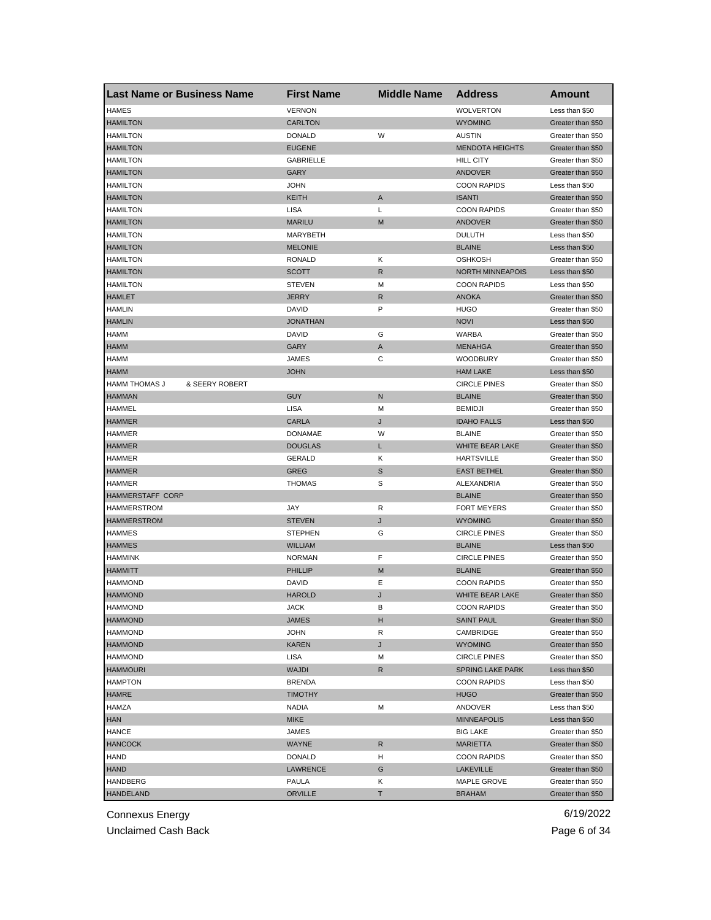| <b>HAMES</b><br><b>VERNON</b><br><b>WOLVERTON</b><br>Less than \$50<br><b>HAMILTON</b><br><b>CARLTON</b><br><b>WYOMING</b><br>Greater than \$50<br>W<br><b>HAMILTON</b><br><b>DONALD</b><br><b>AUSTIN</b><br>Greater than \$50<br><b>MENDOTA HEIGHTS</b><br><b>HAMILTON</b><br><b>EUGENE</b><br>Greater than \$50<br><b>GABRIELLE</b><br><b>HAMILTON</b><br><b>HILL CITY</b><br>Greater than \$50<br><b>HAMILTON</b><br>GARY<br><b>ANDOVER</b><br>Greater than \$50<br><b>HAMILTON</b><br><b>JOHN</b><br><b>COON RAPIDS</b><br>Less than \$50<br><b>HAMILTON</b><br>KEITH<br><b>ISANTI</b><br>A<br>Greater than \$50<br><b>HAMILTON</b><br><b>LISA</b><br>Г<br><b>COON RAPIDS</b><br>Greater than \$50<br><b>HAMILTON</b><br><b>MARILU</b><br><b>ANDOVER</b><br>M<br>Greater than \$50<br><b>HAMILTON</b><br>MARYBETH<br><b>DULUTH</b><br>Less than \$50<br><b>BLAINE</b><br><b>HAMILTON</b><br><b>MELONIE</b><br>Less than \$50<br>κ<br><b>HAMILTON</b><br><b>RONALD</b><br>OSHKOSH<br>Greater than \$50<br><b>HAMILTON</b><br><b>SCOTT</b><br>R<br><b>NORTH MINNEAPOIS</b><br>Less than \$50<br><b>STEVEN</b><br><b>COON RAPIDS</b><br><b>HAMILTON</b><br>М<br>Less than \$50<br><b>HAMLET</b><br><b>JERRY</b><br>R<br><b>ANOKA</b><br>Greater than \$50<br>P<br><b>HAMLIN</b><br><b>DAVID</b><br><b>HUGO</b><br>Greater than \$50<br><b>HAMLIN</b><br><b>JONATHAN</b><br><b>NOVI</b><br>Less than \$50<br><b>HAMM</b><br><b>DAVID</b><br>G<br>WARBA<br>Greater than \$50<br><b>HAMM</b><br>GARY<br>Α<br><b>MENAHGA</b><br>Greater than \$50<br>С<br><b>HAMM</b><br><b>JAMES</b><br><b>WOODBURY</b><br>Greater than \$50<br><b>HAMM</b><br><b>JOHN</b><br><b>HAM LAKE</b><br>Less than \$50<br><b>HAMM THOMAS J</b><br>& SEERY ROBERT<br><b>CIRCLE PINES</b><br>Greater than \$50<br><b>HAMMAN</b><br>GUY<br>N<br><b>BLAINE</b><br>Greater than \$50<br><b>HAMMEL</b><br><b>LISA</b><br><b>BEMIDJI</b><br>Greater than \$50<br>М<br><b>HAMMER</b><br><b>CARLA</b><br><b>IDAHO FALLS</b><br>J<br>Less than \$50<br><b>DONAMAE</b><br>W<br><b>BLAINE</b><br><b>HAMMER</b><br>Greater than \$50<br><b>DOUGLAS</b><br>Г<br>WHITE BEAR LAKE<br><b>HAMMER</b><br>Greater than \$50<br>κ<br><b>HAMMER</b><br><b>GERALD</b><br><b>HARTSVILLE</b><br>Greater than \$50<br><b>HAMMER</b><br><b>GREG</b><br>S<br><b>EAST BETHEL</b><br>Greater than \$50<br>S<br><b>THOMAS</b><br>ALEXANDRIA<br><b>HAMMER</b><br>Greater than \$50<br><b>HAMMERSTAFF CORP</b><br><b>BLAINE</b><br>Greater than \$50<br>JAY<br>R<br><b>FORT MEYERS</b><br><b>HAMMERSTROM</b><br>Greater than \$50<br>J<br><b>HAMMERSTROM</b><br><b>STEVEN</b><br><b>WYOMING</b><br>Greater than \$50<br><b>HAMMES</b><br>G<br><b>CIRCLE PINES</b><br><b>STEPHEN</b><br>Greater than \$50<br><b>HAMMES</b><br><b>WILLIAM</b><br><b>BLAINE</b><br>Less than \$50<br><b>HAMMINK</b><br><b>NORMAN</b><br>F<br><b>CIRCLE PINES</b><br>Greater than \$50<br><b>HAMMITT</b><br><b>PHILLIP</b><br>M<br><b>BLAINE</b><br>Greater than \$50<br><b>HAMMOND</b><br>DAVID<br>Ε<br><b>COON RAPIDS</b><br>Greater than \$50<br><b>HAMMOND</b><br><b>HAROLD</b><br>WHITE BEAR LAKE<br>J<br>Greater than \$50<br><b>HAMMOND</b><br>JACK<br>в<br><b>COON RAPIDS</b><br>Greater than \$50<br><b>HAMMOND</b><br><b>JAMES</b><br>н<br><b>SAINT PAUL</b><br>Greater than \$50<br><b>HAMMOND</b><br>JOHN<br>CAMBRIDGE<br>Greater than \$50<br>R<br><b>HAMMOND</b><br><b>KAREN</b><br>J<br><b>WYOMING</b><br>Greater than \$50<br><b>HAMMOND</b><br>LISA<br><b>CIRCLE PINES</b><br>Greater than \$50<br>M<br><b>HAMMOURI</b><br><b>WAJDI</b><br>R<br>SPRING LAKE PARK<br>Less than \$50<br><b>HAMPTON</b><br><b>BRENDA</b><br><b>COON RAPIDS</b><br>Less than \$50<br><b>HAMRE</b><br><b>TIMOTHY</b><br><b>HUGO</b><br>Greater than \$50<br><b>HAMZA</b><br><b>NADIA</b><br>М<br>ANDOVER<br>Less than \$50<br><b>HAN</b><br><b>MIKE</b><br><b>MINNEAPOLIS</b><br>Less than \$50<br><b>HANCE</b><br>JAMES<br>Greater than \$50<br><b>BIG LAKE</b><br><b>HANCOCK</b><br><b>WAYNE</b><br>R<br><b>MARIETTA</b><br>Greater than \$50<br>HAND<br><b>DONALD</b><br><b>COON RAPIDS</b><br>Greater than \$50<br>H<br><b>HAND</b><br>LAWRENCE<br>G<br><b>LAKEVILLE</b><br>Greater than \$50<br>HANDBERG<br>PAULA<br>Κ<br>MAPLE GROVE<br>Greater than \$50<br>т<br>Greater than \$50 | <b>Last Name or Business Name</b> | <b>First Name</b> | <b>Middle Name</b> | <b>Address</b> | <b>Amount</b> |
|---------------------------------------------------------------------------------------------------------------------------------------------------------------------------------------------------------------------------------------------------------------------------------------------------------------------------------------------------------------------------------------------------------------------------------------------------------------------------------------------------------------------------------------------------------------------------------------------------------------------------------------------------------------------------------------------------------------------------------------------------------------------------------------------------------------------------------------------------------------------------------------------------------------------------------------------------------------------------------------------------------------------------------------------------------------------------------------------------------------------------------------------------------------------------------------------------------------------------------------------------------------------------------------------------------------------------------------------------------------------------------------------------------------------------------------------------------------------------------------------------------------------------------------------------------------------------------------------------------------------------------------------------------------------------------------------------------------------------------------------------------------------------------------------------------------------------------------------------------------------------------------------------------------------------------------------------------------------------------------------------------------------------------------------------------------------------------------------------------------------------------------------------------------------------------------------------------------------------------------------------------------------------------------------------------------------------------------------------------------------------------------------------------------------------------------------------------------------------------------------------------------------------------------------------------------------------------------------------------------------------------------------------------------------------------------------------------------------------------------------------------------------------------------------------------------------------------------------------------------------------------------------------------------------------------------------------------------------------------------------------------------------------------------------------------------------------------------------------------------------------------------------------------------------------------------------------------------------------------------------------------------------------------------------------------------------------------------------------------------------------------------------------------------------------------------------------------------------------------------------------------------------------------------------------------------------------------------------------------------------------------------------------------------------------------------------------------------------------------------------------------------------------------------------------------------------------------------------------------------------------------------------------------------------------------------------------------------------------------------------------------------------------------------------------------------------------------------------------------------------------------------------------------------------------------------------------------------------------------------------------------------------------------------------------------|-----------------------------------|-------------------|--------------------|----------------|---------------|
|                                                                                                                                                                                                                                                                                                                                                                                                                                                                                                                                                                                                                                                                                                                                                                                                                                                                                                                                                                                                                                                                                                                                                                                                                                                                                                                                                                                                                                                                                                                                                                                                                                                                                                                                                                                                                                                                                                                                                                                                                                                                                                                                                                                                                                                                                                                                                                                                                                                                                                                                                                                                                                                                                                                                                                                                                                                                                                                                                                                                                                                                                                                                                                                                                                                                                                                                                                                                                                                                                                                                                                                                                                                                                                                                                                                                                                                                                                                                                                                                                                                                                                                                                                                                                                                                                                         |                                   |                   |                    |                |               |
|                                                                                                                                                                                                                                                                                                                                                                                                                                                                                                                                                                                                                                                                                                                                                                                                                                                                                                                                                                                                                                                                                                                                                                                                                                                                                                                                                                                                                                                                                                                                                                                                                                                                                                                                                                                                                                                                                                                                                                                                                                                                                                                                                                                                                                                                                                                                                                                                                                                                                                                                                                                                                                                                                                                                                                                                                                                                                                                                                                                                                                                                                                                                                                                                                                                                                                                                                                                                                                                                                                                                                                                                                                                                                                                                                                                                                                                                                                                                                                                                                                                                                                                                                                                                                                                                                                         |                                   |                   |                    |                |               |
|                                                                                                                                                                                                                                                                                                                                                                                                                                                                                                                                                                                                                                                                                                                                                                                                                                                                                                                                                                                                                                                                                                                                                                                                                                                                                                                                                                                                                                                                                                                                                                                                                                                                                                                                                                                                                                                                                                                                                                                                                                                                                                                                                                                                                                                                                                                                                                                                                                                                                                                                                                                                                                                                                                                                                                                                                                                                                                                                                                                                                                                                                                                                                                                                                                                                                                                                                                                                                                                                                                                                                                                                                                                                                                                                                                                                                                                                                                                                                                                                                                                                                                                                                                                                                                                                                                         |                                   |                   |                    |                |               |
|                                                                                                                                                                                                                                                                                                                                                                                                                                                                                                                                                                                                                                                                                                                                                                                                                                                                                                                                                                                                                                                                                                                                                                                                                                                                                                                                                                                                                                                                                                                                                                                                                                                                                                                                                                                                                                                                                                                                                                                                                                                                                                                                                                                                                                                                                                                                                                                                                                                                                                                                                                                                                                                                                                                                                                                                                                                                                                                                                                                                                                                                                                                                                                                                                                                                                                                                                                                                                                                                                                                                                                                                                                                                                                                                                                                                                                                                                                                                                                                                                                                                                                                                                                                                                                                                                                         |                                   |                   |                    |                |               |
|                                                                                                                                                                                                                                                                                                                                                                                                                                                                                                                                                                                                                                                                                                                                                                                                                                                                                                                                                                                                                                                                                                                                                                                                                                                                                                                                                                                                                                                                                                                                                                                                                                                                                                                                                                                                                                                                                                                                                                                                                                                                                                                                                                                                                                                                                                                                                                                                                                                                                                                                                                                                                                                                                                                                                                                                                                                                                                                                                                                                                                                                                                                                                                                                                                                                                                                                                                                                                                                                                                                                                                                                                                                                                                                                                                                                                                                                                                                                                                                                                                                                                                                                                                                                                                                                                                         |                                   |                   |                    |                |               |
|                                                                                                                                                                                                                                                                                                                                                                                                                                                                                                                                                                                                                                                                                                                                                                                                                                                                                                                                                                                                                                                                                                                                                                                                                                                                                                                                                                                                                                                                                                                                                                                                                                                                                                                                                                                                                                                                                                                                                                                                                                                                                                                                                                                                                                                                                                                                                                                                                                                                                                                                                                                                                                                                                                                                                                                                                                                                                                                                                                                                                                                                                                                                                                                                                                                                                                                                                                                                                                                                                                                                                                                                                                                                                                                                                                                                                                                                                                                                                                                                                                                                                                                                                                                                                                                                                                         |                                   |                   |                    |                |               |
|                                                                                                                                                                                                                                                                                                                                                                                                                                                                                                                                                                                                                                                                                                                                                                                                                                                                                                                                                                                                                                                                                                                                                                                                                                                                                                                                                                                                                                                                                                                                                                                                                                                                                                                                                                                                                                                                                                                                                                                                                                                                                                                                                                                                                                                                                                                                                                                                                                                                                                                                                                                                                                                                                                                                                                                                                                                                                                                                                                                                                                                                                                                                                                                                                                                                                                                                                                                                                                                                                                                                                                                                                                                                                                                                                                                                                                                                                                                                                                                                                                                                                                                                                                                                                                                                                                         |                                   |                   |                    |                |               |
|                                                                                                                                                                                                                                                                                                                                                                                                                                                                                                                                                                                                                                                                                                                                                                                                                                                                                                                                                                                                                                                                                                                                                                                                                                                                                                                                                                                                                                                                                                                                                                                                                                                                                                                                                                                                                                                                                                                                                                                                                                                                                                                                                                                                                                                                                                                                                                                                                                                                                                                                                                                                                                                                                                                                                                                                                                                                                                                                                                                                                                                                                                                                                                                                                                                                                                                                                                                                                                                                                                                                                                                                                                                                                                                                                                                                                                                                                                                                                                                                                                                                                                                                                                                                                                                                                                         |                                   |                   |                    |                |               |
|                                                                                                                                                                                                                                                                                                                                                                                                                                                                                                                                                                                                                                                                                                                                                                                                                                                                                                                                                                                                                                                                                                                                                                                                                                                                                                                                                                                                                                                                                                                                                                                                                                                                                                                                                                                                                                                                                                                                                                                                                                                                                                                                                                                                                                                                                                                                                                                                                                                                                                                                                                                                                                                                                                                                                                                                                                                                                                                                                                                                                                                                                                                                                                                                                                                                                                                                                                                                                                                                                                                                                                                                                                                                                                                                                                                                                                                                                                                                                                                                                                                                                                                                                                                                                                                                                                         |                                   |                   |                    |                |               |
|                                                                                                                                                                                                                                                                                                                                                                                                                                                                                                                                                                                                                                                                                                                                                                                                                                                                                                                                                                                                                                                                                                                                                                                                                                                                                                                                                                                                                                                                                                                                                                                                                                                                                                                                                                                                                                                                                                                                                                                                                                                                                                                                                                                                                                                                                                                                                                                                                                                                                                                                                                                                                                                                                                                                                                                                                                                                                                                                                                                                                                                                                                                                                                                                                                                                                                                                                                                                                                                                                                                                                                                                                                                                                                                                                                                                                                                                                                                                                                                                                                                                                                                                                                                                                                                                                                         |                                   |                   |                    |                |               |
|                                                                                                                                                                                                                                                                                                                                                                                                                                                                                                                                                                                                                                                                                                                                                                                                                                                                                                                                                                                                                                                                                                                                                                                                                                                                                                                                                                                                                                                                                                                                                                                                                                                                                                                                                                                                                                                                                                                                                                                                                                                                                                                                                                                                                                                                                                                                                                                                                                                                                                                                                                                                                                                                                                                                                                                                                                                                                                                                                                                                                                                                                                                                                                                                                                                                                                                                                                                                                                                                                                                                                                                                                                                                                                                                                                                                                                                                                                                                                                                                                                                                                                                                                                                                                                                                                                         |                                   |                   |                    |                |               |
|                                                                                                                                                                                                                                                                                                                                                                                                                                                                                                                                                                                                                                                                                                                                                                                                                                                                                                                                                                                                                                                                                                                                                                                                                                                                                                                                                                                                                                                                                                                                                                                                                                                                                                                                                                                                                                                                                                                                                                                                                                                                                                                                                                                                                                                                                                                                                                                                                                                                                                                                                                                                                                                                                                                                                                                                                                                                                                                                                                                                                                                                                                                                                                                                                                                                                                                                                                                                                                                                                                                                                                                                                                                                                                                                                                                                                                                                                                                                                                                                                                                                                                                                                                                                                                                                                                         |                                   |                   |                    |                |               |
|                                                                                                                                                                                                                                                                                                                                                                                                                                                                                                                                                                                                                                                                                                                                                                                                                                                                                                                                                                                                                                                                                                                                                                                                                                                                                                                                                                                                                                                                                                                                                                                                                                                                                                                                                                                                                                                                                                                                                                                                                                                                                                                                                                                                                                                                                                                                                                                                                                                                                                                                                                                                                                                                                                                                                                                                                                                                                                                                                                                                                                                                                                                                                                                                                                                                                                                                                                                                                                                                                                                                                                                                                                                                                                                                                                                                                                                                                                                                                                                                                                                                                                                                                                                                                                                                                                         |                                   |                   |                    |                |               |
|                                                                                                                                                                                                                                                                                                                                                                                                                                                                                                                                                                                                                                                                                                                                                                                                                                                                                                                                                                                                                                                                                                                                                                                                                                                                                                                                                                                                                                                                                                                                                                                                                                                                                                                                                                                                                                                                                                                                                                                                                                                                                                                                                                                                                                                                                                                                                                                                                                                                                                                                                                                                                                                                                                                                                                                                                                                                                                                                                                                                                                                                                                                                                                                                                                                                                                                                                                                                                                                                                                                                                                                                                                                                                                                                                                                                                                                                                                                                                                                                                                                                                                                                                                                                                                                                                                         |                                   |                   |                    |                |               |
|                                                                                                                                                                                                                                                                                                                                                                                                                                                                                                                                                                                                                                                                                                                                                                                                                                                                                                                                                                                                                                                                                                                                                                                                                                                                                                                                                                                                                                                                                                                                                                                                                                                                                                                                                                                                                                                                                                                                                                                                                                                                                                                                                                                                                                                                                                                                                                                                                                                                                                                                                                                                                                                                                                                                                                                                                                                                                                                                                                                                                                                                                                                                                                                                                                                                                                                                                                                                                                                                                                                                                                                                                                                                                                                                                                                                                                                                                                                                                                                                                                                                                                                                                                                                                                                                                                         |                                   |                   |                    |                |               |
|                                                                                                                                                                                                                                                                                                                                                                                                                                                                                                                                                                                                                                                                                                                                                                                                                                                                                                                                                                                                                                                                                                                                                                                                                                                                                                                                                                                                                                                                                                                                                                                                                                                                                                                                                                                                                                                                                                                                                                                                                                                                                                                                                                                                                                                                                                                                                                                                                                                                                                                                                                                                                                                                                                                                                                                                                                                                                                                                                                                                                                                                                                                                                                                                                                                                                                                                                                                                                                                                                                                                                                                                                                                                                                                                                                                                                                                                                                                                                                                                                                                                                                                                                                                                                                                                                                         |                                   |                   |                    |                |               |
|                                                                                                                                                                                                                                                                                                                                                                                                                                                                                                                                                                                                                                                                                                                                                                                                                                                                                                                                                                                                                                                                                                                                                                                                                                                                                                                                                                                                                                                                                                                                                                                                                                                                                                                                                                                                                                                                                                                                                                                                                                                                                                                                                                                                                                                                                                                                                                                                                                                                                                                                                                                                                                                                                                                                                                                                                                                                                                                                                                                                                                                                                                                                                                                                                                                                                                                                                                                                                                                                                                                                                                                                                                                                                                                                                                                                                                                                                                                                                                                                                                                                                                                                                                                                                                                                                                         |                                   |                   |                    |                |               |
|                                                                                                                                                                                                                                                                                                                                                                                                                                                                                                                                                                                                                                                                                                                                                                                                                                                                                                                                                                                                                                                                                                                                                                                                                                                                                                                                                                                                                                                                                                                                                                                                                                                                                                                                                                                                                                                                                                                                                                                                                                                                                                                                                                                                                                                                                                                                                                                                                                                                                                                                                                                                                                                                                                                                                                                                                                                                                                                                                                                                                                                                                                                                                                                                                                                                                                                                                                                                                                                                                                                                                                                                                                                                                                                                                                                                                                                                                                                                                                                                                                                                                                                                                                                                                                                                                                         |                                   |                   |                    |                |               |
|                                                                                                                                                                                                                                                                                                                                                                                                                                                                                                                                                                                                                                                                                                                                                                                                                                                                                                                                                                                                                                                                                                                                                                                                                                                                                                                                                                                                                                                                                                                                                                                                                                                                                                                                                                                                                                                                                                                                                                                                                                                                                                                                                                                                                                                                                                                                                                                                                                                                                                                                                                                                                                                                                                                                                                                                                                                                                                                                                                                                                                                                                                                                                                                                                                                                                                                                                                                                                                                                                                                                                                                                                                                                                                                                                                                                                                                                                                                                                                                                                                                                                                                                                                                                                                                                                                         |                                   |                   |                    |                |               |
|                                                                                                                                                                                                                                                                                                                                                                                                                                                                                                                                                                                                                                                                                                                                                                                                                                                                                                                                                                                                                                                                                                                                                                                                                                                                                                                                                                                                                                                                                                                                                                                                                                                                                                                                                                                                                                                                                                                                                                                                                                                                                                                                                                                                                                                                                                                                                                                                                                                                                                                                                                                                                                                                                                                                                                                                                                                                                                                                                                                                                                                                                                                                                                                                                                                                                                                                                                                                                                                                                                                                                                                                                                                                                                                                                                                                                                                                                                                                                                                                                                                                                                                                                                                                                                                                                                         |                                   |                   |                    |                |               |
|                                                                                                                                                                                                                                                                                                                                                                                                                                                                                                                                                                                                                                                                                                                                                                                                                                                                                                                                                                                                                                                                                                                                                                                                                                                                                                                                                                                                                                                                                                                                                                                                                                                                                                                                                                                                                                                                                                                                                                                                                                                                                                                                                                                                                                                                                                                                                                                                                                                                                                                                                                                                                                                                                                                                                                                                                                                                                                                                                                                                                                                                                                                                                                                                                                                                                                                                                                                                                                                                                                                                                                                                                                                                                                                                                                                                                                                                                                                                                                                                                                                                                                                                                                                                                                                                                                         |                                   |                   |                    |                |               |
|                                                                                                                                                                                                                                                                                                                                                                                                                                                                                                                                                                                                                                                                                                                                                                                                                                                                                                                                                                                                                                                                                                                                                                                                                                                                                                                                                                                                                                                                                                                                                                                                                                                                                                                                                                                                                                                                                                                                                                                                                                                                                                                                                                                                                                                                                                                                                                                                                                                                                                                                                                                                                                                                                                                                                                                                                                                                                                                                                                                                                                                                                                                                                                                                                                                                                                                                                                                                                                                                                                                                                                                                                                                                                                                                                                                                                                                                                                                                                                                                                                                                                                                                                                                                                                                                                                         |                                   |                   |                    |                |               |
|                                                                                                                                                                                                                                                                                                                                                                                                                                                                                                                                                                                                                                                                                                                                                                                                                                                                                                                                                                                                                                                                                                                                                                                                                                                                                                                                                                                                                                                                                                                                                                                                                                                                                                                                                                                                                                                                                                                                                                                                                                                                                                                                                                                                                                                                                                                                                                                                                                                                                                                                                                                                                                                                                                                                                                                                                                                                                                                                                                                                                                                                                                                                                                                                                                                                                                                                                                                                                                                                                                                                                                                                                                                                                                                                                                                                                                                                                                                                                                                                                                                                                                                                                                                                                                                                                                         |                                   |                   |                    |                |               |
|                                                                                                                                                                                                                                                                                                                                                                                                                                                                                                                                                                                                                                                                                                                                                                                                                                                                                                                                                                                                                                                                                                                                                                                                                                                                                                                                                                                                                                                                                                                                                                                                                                                                                                                                                                                                                                                                                                                                                                                                                                                                                                                                                                                                                                                                                                                                                                                                                                                                                                                                                                                                                                                                                                                                                                                                                                                                                                                                                                                                                                                                                                                                                                                                                                                                                                                                                                                                                                                                                                                                                                                                                                                                                                                                                                                                                                                                                                                                                                                                                                                                                                                                                                                                                                                                                                         |                                   |                   |                    |                |               |
|                                                                                                                                                                                                                                                                                                                                                                                                                                                                                                                                                                                                                                                                                                                                                                                                                                                                                                                                                                                                                                                                                                                                                                                                                                                                                                                                                                                                                                                                                                                                                                                                                                                                                                                                                                                                                                                                                                                                                                                                                                                                                                                                                                                                                                                                                                                                                                                                                                                                                                                                                                                                                                                                                                                                                                                                                                                                                                                                                                                                                                                                                                                                                                                                                                                                                                                                                                                                                                                                                                                                                                                                                                                                                                                                                                                                                                                                                                                                                                                                                                                                                                                                                                                                                                                                                                         |                                   |                   |                    |                |               |
|                                                                                                                                                                                                                                                                                                                                                                                                                                                                                                                                                                                                                                                                                                                                                                                                                                                                                                                                                                                                                                                                                                                                                                                                                                                                                                                                                                                                                                                                                                                                                                                                                                                                                                                                                                                                                                                                                                                                                                                                                                                                                                                                                                                                                                                                                                                                                                                                                                                                                                                                                                                                                                                                                                                                                                                                                                                                                                                                                                                                                                                                                                                                                                                                                                                                                                                                                                                                                                                                                                                                                                                                                                                                                                                                                                                                                                                                                                                                                                                                                                                                                                                                                                                                                                                                                                         |                                   |                   |                    |                |               |
|                                                                                                                                                                                                                                                                                                                                                                                                                                                                                                                                                                                                                                                                                                                                                                                                                                                                                                                                                                                                                                                                                                                                                                                                                                                                                                                                                                                                                                                                                                                                                                                                                                                                                                                                                                                                                                                                                                                                                                                                                                                                                                                                                                                                                                                                                                                                                                                                                                                                                                                                                                                                                                                                                                                                                                                                                                                                                                                                                                                                                                                                                                                                                                                                                                                                                                                                                                                                                                                                                                                                                                                                                                                                                                                                                                                                                                                                                                                                                                                                                                                                                                                                                                                                                                                                                                         |                                   |                   |                    |                |               |
|                                                                                                                                                                                                                                                                                                                                                                                                                                                                                                                                                                                                                                                                                                                                                                                                                                                                                                                                                                                                                                                                                                                                                                                                                                                                                                                                                                                                                                                                                                                                                                                                                                                                                                                                                                                                                                                                                                                                                                                                                                                                                                                                                                                                                                                                                                                                                                                                                                                                                                                                                                                                                                                                                                                                                                                                                                                                                                                                                                                                                                                                                                                                                                                                                                                                                                                                                                                                                                                                                                                                                                                                                                                                                                                                                                                                                                                                                                                                                                                                                                                                                                                                                                                                                                                                                                         |                                   |                   |                    |                |               |
|                                                                                                                                                                                                                                                                                                                                                                                                                                                                                                                                                                                                                                                                                                                                                                                                                                                                                                                                                                                                                                                                                                                                                                                                                                                                                                                                                                                                                                                                                                                                                                                                                                                                                                                                                                                                                                                                                                                                                                                                                                                                                                                                                                                                                                                                                                                                                                                                                                                                                                                                                                                                                                                                                                                                                                                                                                                                                                                                                                                                                                                                                                                                                                                                                                                                                                                                                                                                                                                                                                                                                                                                                                                                                                                                                                                                                                                                                                                                                                                                                                                                                                                                                                                                                                                                                                         |                                   |                   |                    |                |               |
|                                                                                                                                                                                                                                                                                                                                                                                                                                                                                                                                                                                                                                                                                                                                                                                                                                                                                                                                                                                                                                                                                                                                                                                                                                                                                                                                                                                                                                                                                                                                                                                                                                                                                                                                                                                                                                                                                                                                                                                                                                                                                                                                                                                                                                                                                                                                                                                                                                                                                                                                                                                                                                                                                                                                                                                                                                                                                                                                                                                                                                                                                                                                                                                                                                                                                                                                                                                                                                                                                                                                                                                                                                                                                                                                                                                                                                                                                                                                                                                                                                                                                                                                                                                                                                                                                                         |                                   |                   |                    |                |               |
|                                                                                                                                                                                                                                                                                                                                                                                                                                                                                                                                                                                                                                                                                                                                                                                                                                                                                                                                                                                                                                                                                                                                                                                                                                                                                                                                                                                                                                                                                                                                                                                                                                                                                                                                                                                                                                                                                                                                                                                                                                                                                                                                                                                                                                                                                                                                                                                                                                                                                                                                                                                                                                                                                                                                                                                                                                                                                                                                                                                                                                                                                                                                                                                                                                                                                                                                                                                                                                                                                                                                                                                                                                                                                                                                                                                                                                                                                                                                                                                                                                                                                                                                                                                                                                                                                                         |                                   |                   |                    |                |               |
|                                                                                                                                                                                                                                                                                                                                                                                                                                                                                                                                                                                                                                                                                                                                                                                                                                                                                                                                                                                                                                                                                                                                                                                                                                                                                                                                                                                                                                                                                                                                                                                                                                                                                                                                                                                                                                                                                                                                                                                                                                                                                                                                                                                                                                                                                                                                                                                                                                                                                                                                                                                                                                                                                                                                                                                                                                                                                                                                                                                                                                                                                                                                                                                                                                                                                                                                                                                                                                                                                                                                                                                                                                                                                                                                                                                                                                                                                                                                                                                                                                                                                                                                                                                                                                                                                                         |                                   |                   |                    |                |               |
|                                                                                                                                                                                                                                                                                                                                                                                                                                                                                                                                                                                                                                                                                                                                                                                                                                                                                                                                                                                                                                                                                                                                                                                                                                                                                                                                                                                                                                                                                                                                                                                                                                                                                                                                                                                                                                                                                                                                                                                                                                                                                                                                                                                                                                                                                                                                                                                                                                                                                                                                                                                                                                                                                                                                                                                                                                                                                                                                                                                                                                                                                                                                                                                                                                                                                                                                                                                                                                                                                                                                                                                                                                                                                                                                                                                                                                                                                                                                                                                                                                                                                                                                                                                                                                                                                                         |                                   |                   |                    |                |               |
|                                                                                                                                                                                                                                                                                                                                                                                                                                                                                                                                                                                                                                                                                                                                                                                                                                                                                                                                                                                                                                                                                                                                                                                                                                                                                                                                                                                                                                                                                                                                                                                                                                                                                                                                                                                                                                                                                                                                                                                                                                                                                                                                                                                                                                                                                                                                                                                                                                                                                                                                                                                                                                                                                                                                                                                                                                                                                                                                                                                                                                                                                                                                                                                                                                                                                                                                                                                                                                                                                                                                                                                                                                                                                                                                                                                                                                                                                                                                                                                                                                                                                                                                                                                                                                                                                                         |                                   |                   |                    |                |               |
|                                                                                                                                                                                                                                                                                                                                                                                                                                                                                                                                                                                                                                                                                                                                                                                                                                                                                                                                                                                                                                                                                                                                                                                                                                                                                                                                                                                                                                                                                                                                                                                                                                                                                                                                                                                                                                                                                                                                                                                                                                                                                                                                                                                                                                                                                                                                                                                                                                                                                                                                                                                                                                                                                                                                                                                                                                                                                                                                                                                                                                                                                                                                                                                                                                                                                                                                                                                                                                                                                                                                                                                                                                                                                                                                                                                                                                                                                                                                                                                                                                                                                                                                                                                                                                                                                                         |                                   |                   |                    |                |               |
|                                                                                                                                                                                                                                                                                                                                                                                                                                                                                                                                                                                                                                                                                                                                                                                                                                                                                                                                                                                                                                                                                                                                                                                                                                                                                                                                                                                                                                                                                                                                                                                                                                                                                                                                                                                                                                                                                                                                                                                                                                                                                                                                                                                                                                                                                                                                                                                                                                                                                                                                                                                                                                                                                                                                                                                                                                                                                                                                                                                                                                                                                                                                                                                                                                                                                                                                                                                                                                                                                                                                                                                                                                                                                                                                                                                                                                                                                                                                                                                                                                                                                                                                                                                                                                                                                                         |                                   |                   |                    |                |               |
|                                                                                                                                                                                                                                                                                                                                                                                                                                                                                                                                                                                                                                                                                                                                                                                                                                                                                                                                                                                                                                                                                                                                                                                                                                                                                                                                                                                                                                                                                                                                                                                                                                                                                                                                                                                                                                                                                                                                                                                                                                                                                                                                                                                                                                                                                                                                                                                                                                                                                                                                                                                                                                                                                                                                                                                                                                                                                                                                                                                                                                                                                                                                                                                                                                                                                                                                                                                                                                                                                                                                                                                                                                                                                                                                                                                                                                                                                                                                                                                                                                                                                                                                                                                                                                                                                                         |                                   |                   |                    |                |               |
|                                                                                                                                                                                                                                                                                                                                                                                                                                                                                                                                                                                                                                                                                                                                                                                                                                                                                                                                                                                                                                                                                                                                                                                                                                                                                                                                                                                                                                                                                                                                                                                                                                                                                                                                                                                                                                                                                                                                                                                                                                                                                                                                                                                                                                                                                                                                                                                                                                                                                                                                                                                                                                                                                                                                                                                                                                                                                                                                                                                                                                                                                                                                                                                                                                                                                                                                                                                                                                                                                                                                                                                                                                                                                                                                                                                                                                                                                                                                                                                                                                                                                                                                                                                                                                                                                                         |                                   |                   |                    |                |               |
|                                                                                                                                                                                                                                                                                                                                                                                                                                                                                                                                                                                                                                                                                                                                                                                                                                                                                                                                                                                                                                                                                                                                                                                                                                                                                                                                                                                                                                                                                                                                                                                                                                                                                                                                                                                                                                                                                                                                                                                                                                                                                                                                                                                                                                                                                                                                                                                                                                                                                                                                                                                                                                                                                                                                                                                                                                                                                                                                                                                                                                                                                                                                                                                                                                                                                                                                                                                                                                                                                                                                                                                                                                                                                                                                                                                                                                                                                                                                                                                                                                                                                                                                                                                                                                                                                                         |                                   |                   |                    |                |               |
|                                                                                                                                                                                                                                                                                                                                                                                                                                                                                                                                                                                                                                                                                                                                                                                                                                                                                                                                                                                                                                                                                                                                                                                                                                                                                                                                                                                                                                                                                                                                                                                                                                                                                                                                                                                                                                                                                                                                                                                                                                                                                                                                                                                                                                                                                                                                                                                                                                                                                                                                                                                                                                                                                                                                                                                                                                                                                                                                                                                                                                                                                                                                                                                                                                                                                                                                                                                                                                                                                                                                                                                                                                                                                                                                                                                                                                                                                                                                                                                                                                                                                                                                                                                                                                                                                                         |                                   |                   |                    |                |               |
|                                                                                                                                                                                                                                                                                                                                                                                                                                                                                                                                                                                                                                                                                                                                                                                                                                                                                                                                                                                                                                                                                                                                                                                                                                                                                                                                                                                                                                                                                                                                                                                                                                                                                                                                                                                                                                                                                                                                                                                                                                                                                                                                                                                                                                                                                                                                                                                                                                                                                                                                                                                                                                                                                                                                                                                                                                                                                                                                                                                                                                                                                                                                                                                                                                                                                                                                                                                                                                                                                                                                                                                                                                                                                                                                                                                                                                                                                                                                                                                                                                                                                                                                                                                                                                                                                                         |                                   |                   |                    |                |               |
|                                                                                                                                                                                                                                                                                                                                                                                                                                                                                                                                                                                                                                                                                                                                                                                                                                                                                                                                                                                                                                                                                                                                                                                                                                                                                                                                                                                                                                                                                                                                                                                                                                                                                                                                                                                                                                                                                                                                                                                                                                                                                                                                                                                                                                                                                                                                                                                                                                                                                                                                                                                                                                                                                                                                                                                                                                                                                                                                                                                                                                                                                                                                                                                                                                                                                                                                                                                                                                                                                                                                                                                                                                                                                                                                                                                                                                                                                                                                                                                                                                                                                                                                                                                                                                                                                                         |                                   |                   |                    |                |               |
|                                                                                                                                                                                                                                                                                                                                                                                                                                                                                                                                                                                                                                                                                                                                                                                                                                                                                                                                                                                                                                                                                                                                                                                                                                                                                                                                                                                                                                                                                                                                                                                                                                                                                                                                                                                                                                                                                                                                                                                                                                                                                                                                                                                                                                                                                                                                                                                                                                                                                                                                                                                                                                                                                                                                                                                                                                                                                                                                                                                                                                                                                                                                                                                                                                                                                                                                                                                                                                                                                                                                                                                                                                                                                                                                                                                                                                                                                                                                                                                                                                                                                                                                                                                                                                                                                                         |                                   |                   |                    |                |               |
|                                                                                                                                                                                                                                                                                                                                                                                                                                                                                                                                                                                                                                                                                                                                                                                                                                                                                                                                                                                                                                                                                                                                                                                                                                                                                                                                                                                                                                                                                                                                                                                                                                                                                                                                                                                                                                                                                                                                                                                                                                                                                                                                                                                                                                                                                                                                                                                                                                                                                                                                                                                                                                                                                                                                                                                                                                                                                                                                                                                                                                                                                                                                                                                                                                                                                                                                                                                                                                                                                                                                                                                                                                                                                                                                                                                                                                                                                                                                                                                                                                                                                                                                                                                                                                                                                                         |                                   |                   |                    |                |               |
|                                                                                                                                                                                                                                                                                                                                                                                                                                                                                                                                                                                                                                                                                                                                                                                                                                                                                                                                                                                                                                                                                                                                                                                                                                                                                                                                                                                                                                                                                                                                                                                                                                                                                                                                                                                                                                                                                                                                                                                                                                                                                                                                                                                                                                                                                                                                                                                                                                                                                                                                                                                                                                                                                                                                                                                                                                                                                                                                                                                                                                                                                                                                                                                                                                                                                                                                                                                                                                                                                                                                                                                                                                                                                                                                                                                                                                                                                                                                                                                                                                                                                                                                                                                                                                                                                                         |                                   |                   |                    |                |               |
|                                                                                                                                                                                                                                                                                                                                                                                                                                                                                                                                                                                                                                                                                                                                                                                                                                                                                                                                                                                                                                                                                                                                                                                                                                                                                                                                                                                                                                                                                                                                                                                                                                                                                                                                                                                                                                                                                                                                                                                                                                                                                                                                                                                                                                                                                                                                                                                                                                                                                                                                                                                                                                                                                                                                                                                                                                                                                                                                                                                                                                                                                                                                                                                                                                                                                                                                                                                                                                                                                                                                                                                                                                                                                                                                                                                                                                                                                                                                                                                                                                                                                                                                                                                                                                                                                                         |                                   |                   |                    |                |               |
|                                                                                                                                                                                                                                                                                                                                                                                                                                                                                                                                                                                                                                                                                                                                                                                                                                                                                                                                                                                                                                                                                                                                                                                                                                                                                                                                                                                                                                                                                                                                                                                                                                                                                                                                                                                                                                                                                                                                                                                                                                                                                                                                                                                                                                                                                                                                                                                                                                                                                                                                                                                                                                                                                                                                                                                                                                                                                                                                                                                                                                                                                                                                                                                                                                                                                                                                                                                                                                                                                                                                                                                                                                                                                                                                                                                                                                                                                                                                                                                                                                                                                                                                                                                                                                                                                                         |                                   |                   |                    |                |               |
|                                                                                                                                                                                                                                                                                                                                                                                                                                                                                                                                                                                                                                                                                                                                                                                                                                                                                                                                                                                                                                                                                                                                                                                                                                                                                                                                                                                                                                                                                                                                                                                                                                                                                                                                                                                                                                                                                                                                                                                                                                                                                                                                                                                                                                                                                                                                                                                                                                                                                                                                                                                                                                                                                                                                                                                                                                                                                                                                                                                                                                                                                                                                                                                                                                                                                                                                                                                                                                                                                                                                                                                                                                                                                                                                                                                                                                                                                                                                                                                                                                                                                                                                                                                                                                                                                                         |                                   |                   |                    |                |               |
|                                                                                                                                                                                                                                                                                                                                                                                                                                                                                                                                                                                                                                                                                                                                                                                                                                                                                                                                                                                                                                                                                                                                                                                                                                                                                                                                                                                                                                                                                                                                                                                                                                                                                                                                                                                                                                                                                                                                                                                                                                                                                                                                                                                                                                                                                                                                                                                                                                                                                                                                                                                                                                                                                                                                                                                                                                                                                                                                                                                                                                                                                                                                                                                                                                                                                                                                                                                                                                                                                                                                                                                                                                                                                                                                                                                                                                                                                                                                                                                                                                                                                                                                                                                                                                                                                                         |                                   |                   |                    |                |               |
|                                                                                                                                                                                                                                                                                                                                                                                                                                                                                                                                                                                                                                                                                                                                                                                                                                                                                                                                                                                                                                                                                                                                                                                                                                                                                                                                                                                                                                                                                                                                                                                                                                                                                                                                                                                                                                                                                                                                                                                                                                                                                                                                                                                                                                                                                                                                                                                                                                                                                                                                                                                                                                                                                                                                                                                                                                                                                                                                                                                                                                                                                                                                                                                                                                                                                                                                                                                                                                                                                                                                                                                                                                                                                                                                                                                                                                                                                                                                                                                                                                                                                                                                                                                                                                                                                                         |                                   |                   |                    |                |               |
|                                                                                                                                                                                                                                                                                                                                                                                                                                                                                                                                                                                                                                                                                                                                                                                                                                                                                                                                                                                                                                                                                                                                                                                                                                                                                                                                                                                                                                                                                                                                                                                                                                                                                                                                                                                                                                                                                                                                                                                                                                                                                                                                                                                                                                                                                                                                                                                                                                                                                                                                                                                                                                                                                                                                                                                                                                                                                                                                                                                                                                                                                                                                                                                                                                                                                                                                                                                                                                                                                                                                                                                                                                                                                                                                                                                                                                                                                                                                                                                                                                                                                                                                                                                                                                                                                                         |                                   |                   |                    |                |               |
|                                                                                                                                                                                                                                                                                                                                                                                                                                                                                                                                                                                                                                                                                                                                                                                                                                                                                                                                                                                                                                                                                                                                                                                                                                                                                                                                                                                                                                                                                                                                                                                                                                                                                                                                                                                                                                                                                                                                                                                                                                                                                                                                                                                                                                                                                                                                                                                                                                                                                                                                                                                                                                                                                                                                                                                                                                                                                                                                                                                                                                                                                                                                                                                                                                                                                                                                                                                                                                                                                                                                                                                                                                                                                                                                                                                                                                                                                                                                                                                                                                                                                                                                                                                                                                                                                                         |                                   |                   |                    |                |               |
|                                                                                                                                                                                                                                                                                                                                                                                                                                                                                                                                                                                                                                                                                                                                                                                                                                                                                                                                                                                                                                                                                                                                                                                                                                                                                                                                                                                                                                                                                                                                                                                                                                                                                                                                                                                                                                                                                                                                                                                                                                                                                                                                                                                                                                                                                                                                                                                                                                                                                                                                                                                                                                                                                                                                                                                                                                                                                                                                                                                                                                                                                                                                                                                                                                                                                                                                                                                                                                                                                                                                                                                                                                                                                                                                                                                                                                                                                                                                                                                                                                                                                                                                                                                                                                                                                                         |                                   |                   |                    |                |               |
|                                                                                                                                                                                                                                                                                                                                                                                                                                                                                                                                                                                                                                                                                                                                                                                                                                                                                                                                                                                                                                                                                                                                                                                                                                                                                                                                                                                                                                                                                                                                                                                                                                                                                                                                                                                                                                                                                                                                                                                                                                                                                                                                                                                                                                                                                                                                                                                                                                                                                                                                                                                                                                                                                                                                                                                                                                                                                                                                                                                                                                                                                                                                                                                                                                                                                                                                                                                                                                                                                                                                                                                                                                                                                                                                                                                                                                                                                                                                                                                                                                                                                                                                                                                                                                                                                                         |                                   |                   |                    |                |               |
|                                                                                                                                                                                                                                                                                                                                                                                                                                                                                                                                                                                                                                                                                                                                                                                                                                                                                                                                                                                                                                                                                                                                                                                                                                                                                                                                                                                                                                                                                                                                                                                                                                                                                                                                                                                                                                                                                                                                                                                                                                                                                                                                                                                                                                                                                                                                                                                                                                                                                                                                                                                                                                                                                                                                                                                                                                                                                                                                                                                                                                                                                                                                                                                                                                                                                                                                                                                                                                                                                                                                                                                                                                                                                                                                                                                                                                                                                                                                                                                                                                                                                                                                                                                                                                                                                                         |                                   |                   |                    |                |               |
|                                                                                                                                                                                                                                                                                                                                                                                                                                                                                                                                                                                                                                                                                                                                                                                                                                                                                                                                                                                                                                                                                                                                                                                                                                                                                                                                                                                                                                                                                                                                                                                                                                                                                                                                                                                                                                                                                                                                                                                                                                                                                                                                                                                                                                                                                                                                                                                                                                                                                                                                                                                                                                                                                                                                                                                                                                                                                                                                                                                                                                                                                                                                                                                                                                                                                                                                                                                                                                                                                                                                                                                                                                                                                                                                                                                                                                                                                                                                                                                                                                                                                                                                                                                                                                                                                                         | <b>HANDELAND</b>                  | <b>ORVILLE</b>    |                    | <b>BRAHAM</b>  |               |

Unclaimed Cash Back **Page 6 of 34**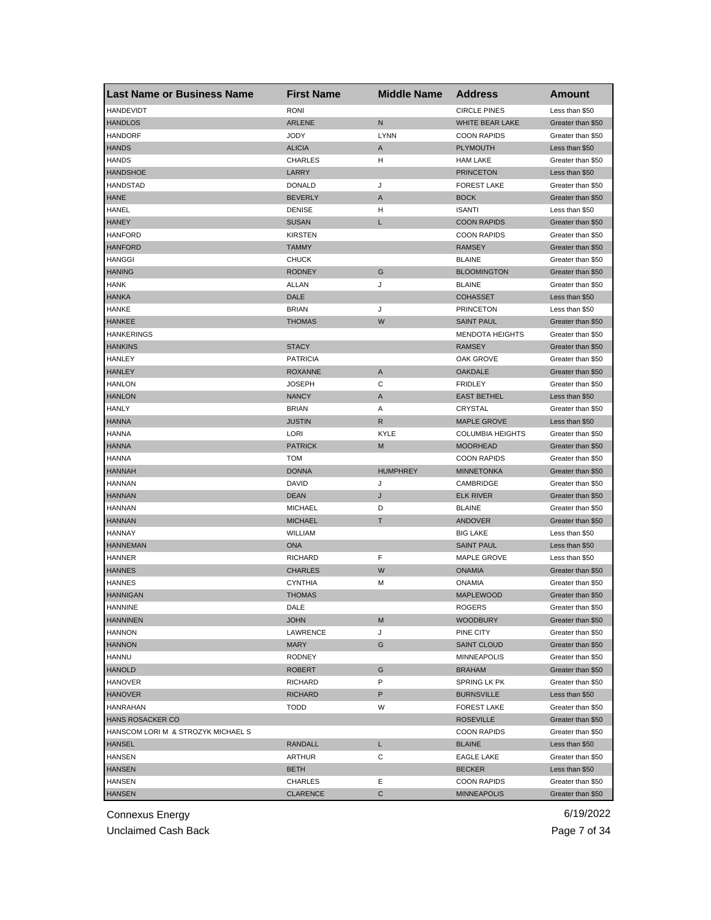| <b>Last Name or Business Name</b>  | <b>First Name</b> | <b>Middle Name</b> | <b>Address</b>          | Amount            |
|------------------------------------|-------------------|--------------------|-------------------------|-------------------|
| <b>HANDEVIDT</b>                   | <b>RONI</b>       |                    | <b>CIRCLE PINES</b>     | Less than \$50    |
| <b>HANDLOS</b>                     | <b>ARLENE</b>     | ${\sf N}$          | WHITE BEAR LAKE         | Greater than \$50 |
| <b>HANDORF</b>                     | JODY              | <b>LYNN</b>        | <b>COON RAPIDS</b>      | Greater than \$50 |
| <b>HANDS</b>                       | <b>ALICIA</b>     | A                  | <b>PLYMOUTH</b>         | Less than \$50    |
| <b>HANDS</b>                       | <b>CHARLES</b>    | н                  | <b>HAM LAKE</b>         | Greater than \$50 |
| <b>HANDSHOE</b>                    | LARRY             |                    | <b>PRINCETON</b>        | Less than \$50    |
| HANDSTAD                           | <b>DONALD</b>     | J                  | <b>FOREST LAKE</b>      | Greater than \$50 |
| <b>HANE</b>                        | <b>BEVERLY</b>    | A                  | <b>BOCK</b>             | Greater than \$50 |
| <b>HANEL</b>                       | <b>DENISE</b>     | н                  | <b>ISANTI</b>           | Less than \$50    |
| <b>HANEY</b>                       | <b>SUSAN</b>      | L                  | <b>COON RAPIDS</b>      | Greater than \$50 |
| <b>HANFORD</b>                     | <b>KIRSTEN</b>    |                    | <b>COON RAPIDS</b>      | Greater than \$50 |
| <b>HANFORD</b>                     | <b>TAMMY</b>      |                    | <b>RAMSEY</b>           | Greater than \$50 |
| <b>HANGGI</b>                      | <b>CHUCK</b>      |                    | <b>BLAINE</b>           | Greater than \$50 |
| <b>HANING</b>                      | <b>RODNEY</b>     | G                  | <b>BLOOMINGTON</b>      | Greater than \$50 |
| <b>HANK</b>                        | <b>ALLAN</b>      | J                  | <b>BLAINE</b>           | Greater than \$50 |
| <b>HANKA</b>                       | DALE              |                    | <b>COHASSET</b>         | Less than \$50    |
| <b>HANKE</b>                       | <b>BRIAN</b>      | J                  | <b>PRINCETON</b>        | Less than \$50    |
| <b>HANKEE</b>                      | <b>THOMAS</b>     | W                  | <b>SAINT PAUL</b>       | Greater than \$50 |
| <b>HANKERINGS</b>                  |                   |                    | <b>MENDOTA HEIGHTS</b>  | Greater than \$50 |
| <b>HANKINS</b>                     | <b>STACY</b>      |                    | <b>RAMSEY</b>           | Greater than \$50 |
| <b>HANLEY</b>                      | <b>PATRICIA</b>   |                    | OAK GROVE               | Greater than \$50 |
| <b>HANLEY</b>                      | <b>ROXANNE</b>    | A                  | <b>OAKDALE</b>          | Greater than \$50 |
| <b>HANLON</b>                      | <b>JOSEPH</b>     | С                  | <b>FRIDLEY</b>          | Greater than \$50 |
| <b>HANLON</b>                      | <b>NANCY</b>      | A                  | <b>EAST BETHEL</b>      | Less than \$50    |
| HANLY                              | <b>BRIAN</b>      | Α                  | <b>CRYSTAL</b>          | Greater than \$50 |
| <b>HANNA</b>                       | <b>JUSTIN</b>     | R                  | <b>MAPLE GROVE</b>      | Less than \$50    |
| HANNA                              | LORI              | KYLE               | <b>COLUMBIA HEIGHTS</b> | Greater than \$50 |
| <b>HANNA</b>                       | <b>PATRICK</b>    | M                  | <b>MOORHEAD</b>         | Greater than \$50 |
| <b>HANNA</b>                       | <b>TOM</b>        |                    | <b>COON RAPIDS</b>      | Greater than \$50 |
| <b>HANNAH</b>                      | <b>DONNA</b>      | <b>HUMPHREY</b>    | <b>MINNETONKA</b>       | Greater than \$50 |
| <b>HANNAN</b>                      | <b>DAVID</b>      | J                  | CAMBRIDGE               | Greater than \$50 |
| <b>HANNAN</b>                      | <b>DEAN</b>       | J                  | <b>ELK RIVER</b>        | Greater than \$50 |
| <b>HANNAN</b>                      | <b>MICHAEL</b>    | D                  | <b>BLAINE</b>           | Greater than \$50 |
| <b>HANNAN</b>                      | <b>MICHAEL</b>    | Т                  | ANDOVER                 | Greater than \$50 |
| <b>HANNAY</b>                      | <b>WILLIAM</b>    |                    | <b>BIG LAKE</b>         | Less than \$50    |
| <b>HANNEMAN</b>                    | <b>ONA</b>        |                    | <b>SAINT PAUL</b>       | Less than \$50    |
| HANNER                             | <b>RICHARD</b>    | F                  | MAPLE GROVE             | Less than \$50    |
| <b>HANNES</b>                      | <b>CHARLES</b>    | W                  | <b>ONAMIA</b>           | Greater than \$50 |
| <b>HANNES</b>                      | <b>CYNTHIA</b>    | М                  | <b>ONAMIA</b>           | Greater than \$50 |
| <b>HANNIGAN</b>                    | <b>THOMAS</b>     |                    | <b>MAPLEWOOD</b>        | Greater than \$50 |
| HANNINE                            | DALE              |                    | ROGERS                  | Greater than \$50 |
| <b>HANNINEN</b>                    | <b>JOHN</b>       | M                  | <b>WOODBURY</b>         | Greater than \$50 |
| <b>HANNON</b>                      | LAWRENCE          | J                  | PINE CITY               | Greater than \$50 |
| <b>HANNON</b>                      | MARY              | G                  | <b>SAINT CLOUD</b>      | Greater than \$50 |
| HANNU                              | RODNEY            |                    | <b>MINNEAPOLIS</b>      | Greater than \$50 |
| <b>HANOLD</b>                      | <b>ROBERT</b>     | G                  | <b>BRAHAM</b>           | Greater than \$50 |
| <b>HANOVER</b>                     | <b>RICHARD</b>    | P                  | SPRING LK PK            | Greater than \$50 |
| <b>HANOVER</b>                     | RICHARD           | P                  | <b>BURNSVILLE</b>       | Less than \$50    |
| <b>HANRAHAN</b>                    | <b>TODD</b>       | W                  | <b>FOREST LAKE</b>      | Greater than \$50 |
| HANS ROSACKER CO                   |                   |                    | <b>ROSEVILLE</b>        | Greater than \$50 |
| HANSCOM LORI M & STROZYK MICHAEL S |                   |                    | <b>COON RAPIDS</b>      | Greater than \$50 |
| <b>HANSEL</b>                      | RANDALL           | L                  | <b>BLAINE</b>           | Less than \$50    |
| <b>HANSEN</b>                      | ARTHUR            | С                  | <b>EAGLE LAKE</b>       | Greater than \$50 |
| <b>HANSEN</b>                      | <b>BETH</b>       |                    | <b>BECKER</b>           | Less than \$50    |
| <b>HANSEN</b>                      | CHARLES           | Ε                  | <b>COON RAPIDS</b>      | Greater than \$50 |
| <b>HANSEN</b>                      | <b>CLARENCE</b>   | С                  | <b>MINNEAPOLIS</b>      | Greater than \$50 |
|                                    |                   |                    |                         |                   |

Unclaimed Cash Back **Page 7 of 34**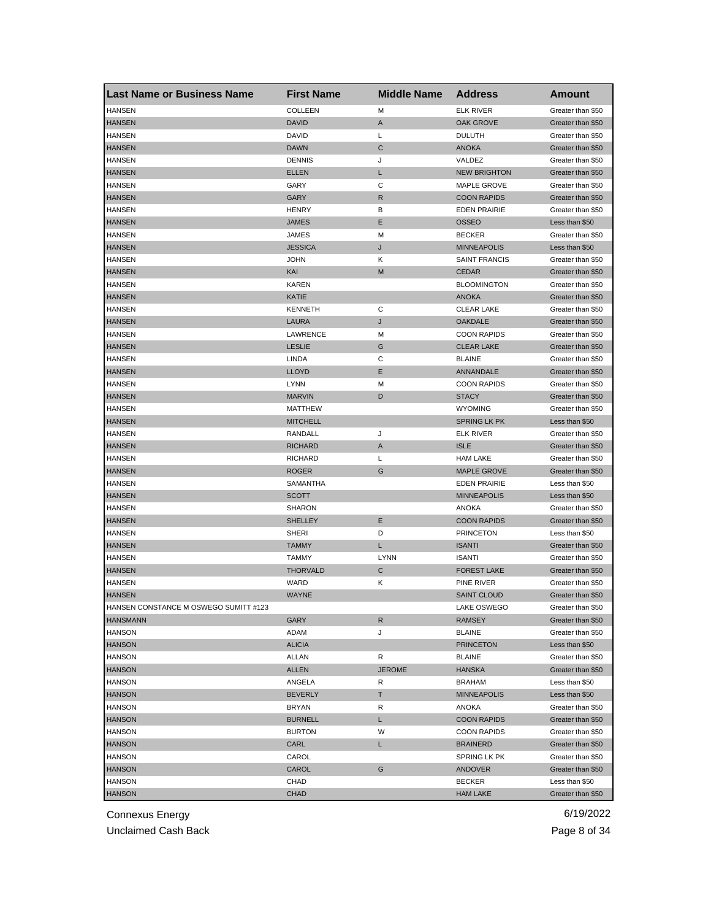| <b>Last Name or Business Name</b>     | <b>First Name</b> | <b>Middle Name</b> | <b>Address</b>       | <b>Amount</b>     |
|---------------------------------------|-------------------|--------------------|----------------------|-------------------|
| <b>HANSEN</b>                         | COLLEEN           | M                  | <b>ELK RIVER</b>     | Greater than \$50 |
| <b>HANSEN</b>                         | <b>DAVID</b>      | A                  | <b>OAK GROVE</b>     | Greater than \$50 |
| <b>HANSEN</b>                         | DAVID             | L                  | <b>DULUTH</b>        | Greater than \$50 |
| <b>HANSEN</b>                         | <b>DAWN</b>       | C                  | <b>ANOKA</b>         | Greater than \$50 |
| <b>HANSEN</b>                         | <b>DENNIS</b>     | J                  | VALDEZ               | Greater than \$50 |
| <b>HANSEN</b>                         | <b>ELLEN</b>      | L                  | <b>NEW BRIGHTON</b>  | Greater than \$50 |
| HANSEN                                | GARY              | С                  | MAPLE GROVE          | Greater than \$50 |
| <b>HANSEN</b>                         | <b>GARY</b>       | R                  | <b>COON RAPIDS</b>   | Greater than \$50 |
| <b>HANSEN</b>                         | <b>HENRY</b>      | В                  | <b>EDEN PRAIRIE</b>  | Greater than \$50 |
| <b>HANSEN</b>                         | JAMES             | Ε                  | <b>OSSEO</b>         | Less than \$50    |
| <b>HANSEN</b>                         | JAMES             | M                  | <b>BECKER</b>        | Greater than \$50 |
| <b>HANSEN</b>                         | <b>JESSICA</b>    | J                  | <b>MINNEAPOLIS</b>   | Less than \$50    |
| <b>HANSEN</b>                         | <b>JOHN</b>       | Κ                  | <b>SAINT FRANCIS</b> | Greater than \$50 |
| <b>HANSEN</b>                         | KAI               | M                  | <b>CEDAR</b>         | Greater than \$50 |
| <b>HANSEN</b>                         | <b>KAREN</b>      |                    | <b>BLOOMINGTON</b>   | Greater than \$50 |
| <b>HANSEN</b>                         | KATIE             |                    | <b>ANOKA</b>         | Greater than \$50 |
| <b>HANSEN</b>                         | <b>KENNETH</b>    | С                  | <b>CLEAR LAKE</b>    | Greater than \$50 |
| <b>HANSEN</b>                         | <b>LAURA</b>      | J                  | <b>OAKDALE</b>       | Greater than \$50 |
| <b>HANSEN</b>                         | <b>LAWRENCE</b>   | M                  | <b>COON RAPIDS</b>   | Greater than \$50 |
| <b>HANSEN</b>                         | <b>LESLIE</b>     | G                  | <b>CLEAR LAKE</b>    | Greater than \$50 |
| <b>HANSEN</b>                         | LINDA             | С                  | <b>BLAINE</b>        | Greater than \$50 |
| <b>HANSEN</b>                         | <b>LLOYD</b>      | Ε                  | ANNANDALE            | Greater than \$50 |
| <b>HANSEN</b>                         | <b>LYNN</b>       | M                  | <b>COON RAPIDS</b>   | Greater than \$50 |
| <b>HANSEN</b>                         | <b>MARVIN</b>     | D                  | <b>STACY</b>         | Greater than \$50 |
| HANSEN                                | MATTHEW           |                    | <b>WYOMING</b>       | Greater than \$50 |
| <b>HANSEN</b>                         | <b>MITCHELL</b>   |                    | <b>SPRING LK PK</b>  | Less than \$50    |
| <b>HANSEN</b>                         | RANDALL           | J                  | <b>ELK RIVER</b>     | Greater than \$50 |
| <b>HANSEN</b>                         | <b>RICHARD</b>    | A                  | <b>ISLE</b>          | Greater than \$50 |
| <b>HANSEN</b>                         | <b>RICHARD</b>    | L                  | <b>HAM LAKE</b>      | Greater than \$50 |
| <b>HANSEN</b>                         | <b>ROGER</b>      | G                  | <b>MAPLE GROVE</b>   | Greater than \$50 |
| <b>HANSEN</b>                         | SAMANTHA          |                    | <b>EDEN PRAIRIE</b>  | Less than \$50    |
| <b>HANSEN</b>                         | <b>SCOTT</b>      |                    | <b>MINNEAPOLIS</b>   | Less than \$50    |
| <b>HANSEN</b>                         | SHARON            |                    | ANOKA                | Greater than \$50 |
| <b>HANSEN</b>                         | <b>SHELLEY</b>    | Ε                  | <b>COON RAPIDS</b>   | Greater than \$50 |
| <b>HANSEN</b>                         | <b>SHERI</b>      | D                  | <b>PRINCETON</b>     | Less than \$50    |
| <b>HANSEN</b>                         | <b>TAMMY</b>      | L                  | <b>ISANTI</b>        | Greater than \$50 |
| <b>HANSEN</b>                         | <b>TAMMY</b>      | <b>LYNN</b>        | <b>ISANTI</b>        | Greater than \$50 |
| <b>HANSEN</b>                         | <b>THORVALD</b>   | C                  | <b>FOREST LAKE</b>   | Greater than \$50 |
| <b>HANSEN</b>                         | WARD              | Κ                  | PINE RIVER           | Greater than \$50 |
| <b>HANSEN</b>                         | <b>WAYNE</b>      |                    | <b>SAINT CLOUD</b>   | Greater than \$50 |
| HANSEN CONSTANCE M OSWEGO SUMITT #123 |                   |                    | LAKE OSWEGO          | Greater than \$50 |
| <b>HANSMANN</b>                       | GARY              | R                  | RAMSEY               | Greater than \$50 |
| <b>HANSON</b>                         | ADAM              | J                  | <b>BLAINE</b>        | Greater than \$50 |
| <b>HANSON</b>                         | <b>ALICIA</b>     |                    | <b>PRINCETON</b>     | Less than \$50    |
| <b>HANSON</b>                         | ALLAN             | R                  | <b>BLAINE</b>        | Greater than \$50 |
| <b>HANSON</b>                         | ALLEN             | <b>JEROME</b>      | <b>HANSKA</b>        | Greater than \$50 |
| <b>HANSON</b>                         | ANGELA            | R                  | <b>BRAHAM</b>        | Less than \$50    |
| <b>HANSON</b>                         | <b>BEVERLY</b>    | т                  | <b>MINNEAPOLIS</b>   | Less than \$50    |
| <b>HANSON</b>                         | <b>BRYAN</b>      | R                  | ANOKA                | Greater than \$50 |
| <b>HANSON</b>                         | <b>BURNELL</b>    | L                  | <b>COON RAPIDS</b>   | Greater than \$50 |
| <b>HANSON</b>                         | <b>BURTON</b>     | W                  | <b>COON RAPIDS</b>   | Greater than \$50 |
| <b>HANSON</b>                         | CARL              | L                  | <b>BRAINERD</b>      | Greater than \$50 |
| <b>HANSON</b>                         | CAROL             |                    | SPRING LK PK         | Greater than \$50 |
| <b>HANSON</b>                         | CAROL             | G                  | ANDOVER              | Greater than \$50 |
| HANSON                                | CHAD              |                    | <b>BECKER</b>        | Less than \$50    |
| <b>HANSON</b>                         | <b>CHAD</b>       |                    | <b>HAM LAKE</b>      | Greater than \$50 |
|                                       |                   |                    |                      |                   |

Unclaimed Cash Back **Page 8 of 34**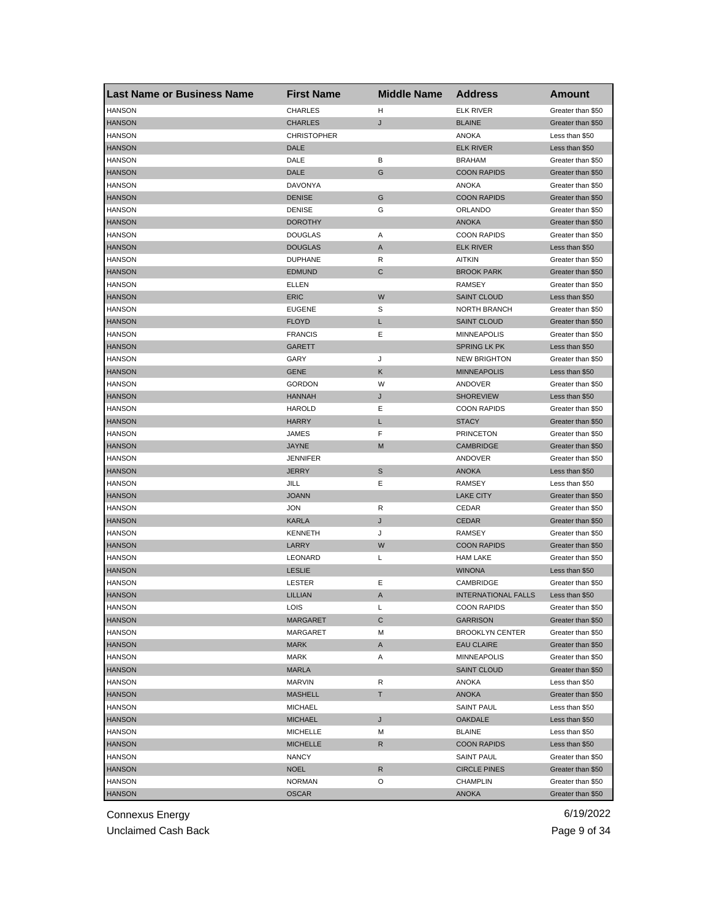| <b>Last Name or Business Name</b> | <b>First Name</b>  | <b>Middle Name</b> | <b>Address</b>             | <b>Amount</b>     |
|-----------------------------------|--------------------|--------------------|----------------------------|-------------------|
| <b>HANSON</b>                     | <b>CHARLES</b>     | н                  | <b>ELK RIVER</b>           | Greater than \$50 |
| <b>HANSON</b>                     | <b>CHARLES</b>     | J                  | <b>BLAINE</b>              | Greater than \$50 |
| <b>HANSON</b>                     | <b>CHRISTOPHER</b> |                    | ANOKA                      | Less than \$50    |
| <b>HANSON</b>                     | DALE               |                    | <b>ELK RIVER</b>           | Less than \$50    |
| <b>HANSON</b>                     | DALE               | В                  | <b>BRAHAM</b>              | Greater than \$50 |
| <b>HANSON</b>                     | DALE               | G                  | <b>COON RAPIDS</b>         | Greater than \$50 |
| <b>HANSON</b>                     | DAVONYA            |                    | <b>ANOKA</b>               | Greater than \$50 |
| <b>HANSON</b>                     | <b>DENISE</b>      | G                  | <b>COON RAPIDS</b>         | Greater than \$50 |
| <b>HANSON</b>                     | <b>DENISE</b>      | G                  | ORLANDO                    | Greater than \$50 |
| <b>HANSON</b>                     | <b>DOROTHY</b>     |                    | <b>ANOKA</b>               | Greater than \$50 |
| <b>HANSON</b>                     | <b>DOUGLAS</b>     | Α                  | <b>COON RAPIDS</b>         | Greater than \$50 |
| <b>HANSON</b>                     | <b>DOUGLAS</b>     | A                  | <b>ELK RIVER</b>           | Less than \$50    |
| <b>HANSON</b>                     | <b>DUPHANE</b>     | R                  | <b>AITKIN</b>              | Greater than \$50 |
| <b>HANSON</b>                     | <b>EDMUND</b>      | $\mathsf{C}$       | <b>BROOK PARK</b>          | Greater than \$50 |
| <b>HANSON</b>                     | ELLEN              |                    | <b>RAMSEY</b>              | Greater than \$50 |
| <b>HANSON</b>                     | <b>ERIC</b>        | W                  | <b>SAINT CLOUD</b>         | Less than \$50    |
| <b>HANSON</b>                     | <b>EUGENE</b>      | S                  | <b>NORTH BRANCH</b>        | Greater than \$50 |
| <b>HANSON</b>                     | <b>FLOYD</b>       | L                  | <b>SAINT CLOUD</b>         | Greater than \$50 |
| <b>HANSON</b>                     | <b>FRANCIS</b>     | Ε                  | <b>MINNEAPOLIS</b>         | Greater than \$50 |
| <b>HANSON</b>                     | <b>GARETT</b>      |                    | <b>SPRING LK PK</b>        | Less than \$50    |
| <b>HANSON</b>                     | GARY               | J                  | <b>NEW BRIGHTON</b>        | Greater than \$50 |
| <b>HANSON</b>                     | <b>GENE</b>        | Κ                  | <b>MINNEAPOLIS</b>         | Less than \$50    |
| <b>HANSON</b>                     | <b>GORDON</b>      | W                  | ANDOVER                    | Greater than \$50 |
| <b>HANSON</b>                     | <b>HANNAH</b>      | J                  | <b>SHOREVIEW</b>           | Less than \$50    |
| <b>HANSON</b>                     | <b>HAROLD</b>      | Ε                  | <b>COON RAPIDS</b>         | Greater than \$50 |
| <b>HANSON</b>                     | <b>HARRY</b>       | L                  | <b>STACY</b>               | Greater than \$50 |
| <b>HANSON</b>                     | JAMES              | F                  | <b>PRINCETON</b>           | Greater than \$50 |
| <b>HANSON</b>                     | <b>JAYNE</b>       | M                  | <b>CAMBRIDGE</b>           | Greater than \$50 |
| <b>HANSON</b>                     | <b>JENNIFER</b>    |                    | ANDOVER                    | Greater than \$50 |
| <b>HANSON</b>                     | <b>JERRY</b>       | S                  | <b>ANOKA</b>               | Less than \$50    |
| <b>HANSON</b>                     | JILL               | Ε                  | <b>RAMSEY</b>              | Less than \$50    |
| <b>HANSON</b>                     | <b>JOANN</b>       |                    | <b>LAKE CITY</b>           | Greater than \$50 |
| <b>HANSON</b>                     | <b>JON</b>         | R                  | CEDAR                      | Greater than \$50 |
| <b>HANSON</b>                     | <b>KARLA</b>       | J                  | <b>CEDAR</b>               | Greater than \$50 |
| <b>HANSON</b>                     | <b>KENNETH</b>     | J                  | <b>RAMSEY</b>              | Greater than \$50 |
| <b>HANSON</b>                     | LARRY              | W                  | <b>COON RAPIDS</b>         | Greater than \$50 |
| <b>HANSON</b>                     | LEONARD            | L                  | <b>HAM LAKE</b>            | Greater than \$50 |
| <b>HANSON</b>                     | <b>LESLIE</b>      |                    | <b>WINONA</b>              | Less than \$50    |
| <b>HANSON</b>                     | LESTER             | Ε                  | CAMBRIDGE                  | Greater than \$50 |
| <b>HANSON</b>                     | LILLIAN            | A                  | <b>INTERNATIONAL FALLS</b> | Less than \$50    |
| HANSON                            | LOIS               | L                  | COON RAPIDS                | Greater than \$50 |
| <b>HANSON</b>                     | MARGARET           | C                  | <b>GARRISON</b>            | Greater than \$50 |
| <b>HANSON</b>                     | MARGARET           | M                  | <b>BROOKLYN CENTER</b>     | Greater than \$50 |
| <b>HANSON</b>                     | <b>MARK</b>        | A                  | <b>EAU CLAIRE</b>          | Greater than \$50 |
| <b>HANSON</b>                     | MARK               | Α                  | <b>MINNEAPOLIS</b>         | Greater than \$50 |
| <b>HANSON</b>                     | <b>MARLA</b>       |                    | <b>SAINT CLOUD</b>         | Greater than \$50 |
| <b>HANSON</b>                     | <b>MARVIN</b>      | R                  | <b>ANOKA</b>               | Less than \$50    |
| <b>HANSON</b>                     | <b>MASHELL</b>     | Τ                  | <b>ANOKA</b>               | Greater than \$50 |
| <b>HANSON</b>                     | <b>MICHAEL</b>     |                    | <b>SAINT PAUL</b>          | Less than \$50    |
|                                   |                    |                    |                            |                   |
| <b>HANSON</b>                     | <b>MICHAEL</b>     | J                  | <b>OAKDALE</b>             | Less than \$50    |
| <b>HANSON</b>                     | <b>MICHELLE</b>    | м                  | <b>BLAINE</b>              | Less than \$50    |
| <b>HANSON</b>                     | <b>MICHELLE</b>    | R                  | <b>COON RAPIDS</b>         | Less than \$50    |
| HANSON                            | NANCY              |                    | <b>SAINT PAUL</b>          | Greater than \$50 |
| <b>HANSON</b>                     | <b>NOEL</b>        | R                  | <b>CIRCLE PINES</b>        | Greater than \$50 |
| <b>HANSON</b>                     | <b>NORMAN</b>      | O                  | <b>CHAMPLIN</b>            | Greater than \$50 |
| <b>HANSON</b>                     | <b>OSCAR</b>       |                    | <b>ANOKA</b>               | Greater than \$50 |

Unclaimed Cash Back **Page 9 of 34**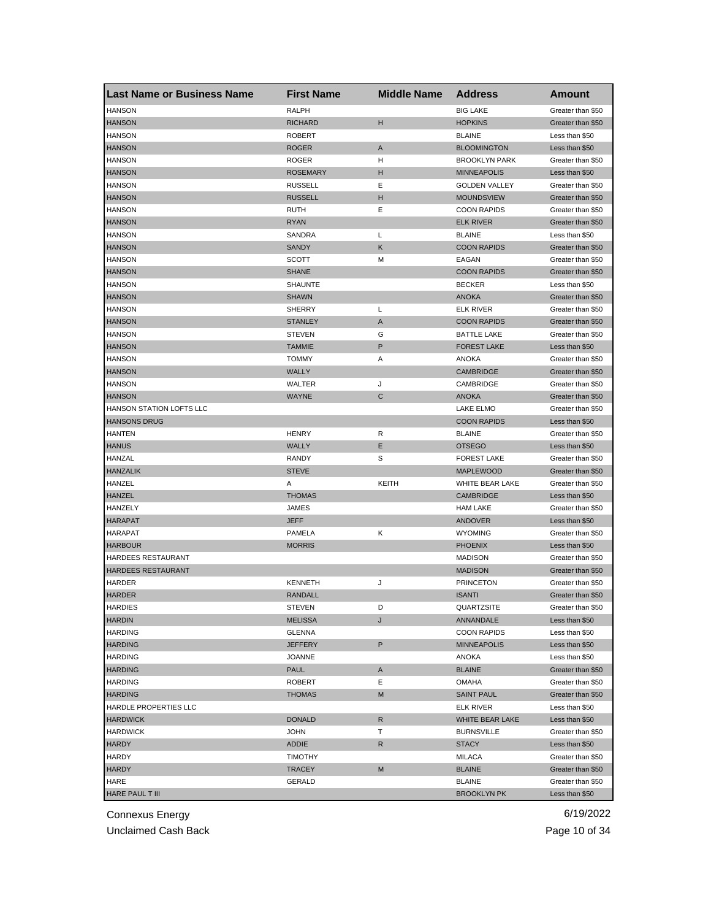| <b>Last Name or Business Name</b> | <b>First Name</b> | <b>Middle Name</b> | <b>Address</b>       | <b>Amount</b>     |
|-----------------------------------|-------------------|--------------------|----------------------|-------------------|
| <b>HANSON</b>                     | <b>RALPH</b>      |                    | <b>BIG LAKE</b>      | Greater than \$50 |
| <b>HANSON</b>                     | <b>RICHARD</b>    | н                  | <b>HOPKINS</b>       | Greater than \$50 |
| <b>HANSON</b>                     | <b>ROBERT</b>     |                    | <b>BLAINE</b>        | Less than \$50    |
| <b>HANSON</b>                     | <b>ROGER</b>      | A                  | <b>BLOOMINGTON</b>   | Less than \$50    |
| <b>HANSON</b>                     | <b>ROGER</b>      | н                  | <b>BROOKLYN PARK</b> | Greater than \$50 |
| <b>HANSON</b>                     | <b>ROSEMARY</b>   | н                  | <b>MINNEAPOLIS</b>   | Less than \$50    |
| <b>HANSON</b>                     | <b>RUSSELL</b>    | Ε                  | <b>GOLDEN VALLEY</b> | Greater than \$50 |
| <b>HANSON</b>                     | <b>RUSSELL</b>    | н                  | <b>MOUNDSVIEW</b>    | Greater than \$50 |
| <b>HANSON</b>                     | RUTH              | Ε                  | <b>COON RAPIDS</b>   | Greater than \$50 |
| <b>HANSON</b>                     | <b>RYAN</b>       |                    | <b>ELK RIVER</b>     | Greater than \$50 |
| <b>HANSON</b>                     | SANDRA            | L                  | <b>BLAINE</b>        | Less than \$50    |
| <b>HANSON</b>                     | SANDY             | Κ                  | <b>COON RAPIDS</b>   | Greater than \$50 |
| <b>HANSON</b>                     | SCOTT             | М                  | EAGAN                | Greater than \$50 |
| <b>HANSON</b>                     | <b>SHANE</b>      |                    | <b>COON RAPIDS</b>   | Greater than \$50 |
| <b>HANSON</b>                     | SHAUNTE           |                    | <b>BECKER</b>        | Less than \$50    |
| <b>HANSON</b>                     | <b>SHAWN</b>      |                    | <b>ANOKA</b>         | Greater than \$50 |
| <b>HANSON</b>                     | <b>SHERRY</b>     | L                  | <b>ELK RIVER</b>     | Greater than \$50 |
| <b>HANSON</b>                     | <b>STANLEY</b>    | A                  | <b>COON RAPIDS</b>   | Greater than \$50 |
| <b>HANSON</b>                     | <b>STEVEN</b>     | G                  | <b>BATTLE LAKE</b>   | Greater than \$50 |
| <b>HANSON</b>                     | <b>TAMMIE</b>     | P                  | <b>FOREST LAKE</b>   | Less than \$50    |
| <b>HANSON</b>                     | <b>TOMMY</b>      | Α                  | ANOKA                | Greater than \$50 |
| <b>HANSON</b>                     | <b>WALLY</b>      |                    | <b>CAMBRIDGE</b>     | Greater than \$50 |
| <b>HANSON</b>                     | WALTER            | J                  | CAMBRIDGE            | Greater than \$50 |
| <b>HANSON</b>                     | <b>WAYNE</b>      | C                  | <b>ANOKA</b>         | Greater than \$50 |
| HANSON STATION LOFTS LLC          |                   |                    | LAKE ELMO            | Greater than \$50 |
| <b>HANSONS DRUG</b>               |                   |                    | <b>COON RAPIDS</b>   | Less than \$50    |
| HANTEN                            | <b>HENRY</b>      | R                  | <b>BLAINE</b>        | Greater than \$50 |
| <b>HANUS</b>                      | <b>WALLY</b>      | Ε                  | <b>OTSEGO</b>        | Less than \$50    |
| HANZAL                            | RANDY             | S                  | <b>FOREST LAKE</b>   | Greater than \$50 |
| <b>HANZALIK</b>                   | <b>STEVE</b>      |                    | <b>MAPLEWOOD</b>     | Greater than \$50 |
| HANZEL                            | Α                 | KEITH              | WHITE BEAR LAKE      | Greater than \$50 |
| HANZEL                            | <b>THOMAS</b>     |                    | <b>CAMBRIDGE</b>     | Less than \$50    |
| HANZELY                           | JAMES             |                    | <b>HAM LAKE</b>      | Greater than \$50 |
| <b>HARAPAT</b>                    | <b>JEFF</b>       |                    | <b>ANDOVER</b>       | Less than \$50    |
| HARAPAT                           | PAMELA            | Κ                  | <b>WYOMING</b>       | Greater than \$50 |
| <b>HARBOUR</b>                    |                   |                    | <b>PHOENIX</b>       | Less than \$50    |
|                                   | <b>MORRIS</b>     |                    |                      |                   |
| HARDEES RESTAURANT                |                   |                    | <b>MADISON</b>       | Greater than \$50 |
| HARDEES RESTAURANT                |                   |                    | <b>MADISON</b>       | Greater than \$50 |
| HARDER                            | <b>KENNETH</b>    | J                  | <b>PRINCETON</b>     | Greater than \$50 |
| <b>HARDER</b>                     | <b>RANDALL</b>    |                    | <b>ISANTI</b>        | Greater than \$50 |
| <b>HARDIES</b>                    | SIEVEN            | D                  | <b>QUARTZSITE</b>    | Greater than \$50 |
| <b>HARDIN</b>                     | <b>MELISSA</b>    | J                  | ANNANDALE            | Less than \$50    |
| <b>HARDING</b>                    | <b>GLENNA</b>     |                    | <b>COON RAPIDS</b>   | Less than \$50    |
| <b>HARDING</b>                    | JEFFERY           | P                  | <b>MINNEAPOLIS</b>   | Less than \$50    |
| <b>HARDING</b>                    | <b>JOANNE</b>     |                    | ANOKA                | Less than \$50    |
| <b>HARDING</b>                    | <b>PAUL</b>       | A                  | <b>BLAINE</b>        | Greater than \$50 |
| <b>HARDING</b>                    | <b>ROBERT</b>     | Ε                  | OMAHA                | Greater than \$50 |
| <b>HARDING</b>                    | <b>THOMAS</b>     | M                  | <b>SAINT PAUL</b>    | Greater than \$50 |
| HARDLE PROPERTIES LLC             |                   |                    | <b>ELK RIVER</b>     | Less than \$50    |
| <b>HARDWICK</b>                   | <b>DONALD</b>     | R                  | WHITE BEAR LAKE      | Less than \$50    |
| <b>HARDWICK</b>                   | JOHN              | т                  | <b>BURNSVILLE</b>    | Greater than \$50 |
| <b>HARDY</b>                      | <b>ADDIE</b>      | R                  | <b>STACY</b>         | Less than \$50    |
| <b>HARDY</b>                      | <b>TIMOTHY</b>    |                    | MILACA               | Greater than \$50 |
| <b>HARDY</b>                      | <b>TRACEY</b>     | M                  | <b>BLAINE</b>        | Greater than \$50 |
| HARE                              | GERALD            |                    | <b>BLAINE</b>        | Greater than \$50 |
| HARE PAUL T III                   |                   |                    | <b>BROOKLYN PK</b>   | Less than \$50    |

Unclaimed Cash Back **Page 10 of 34**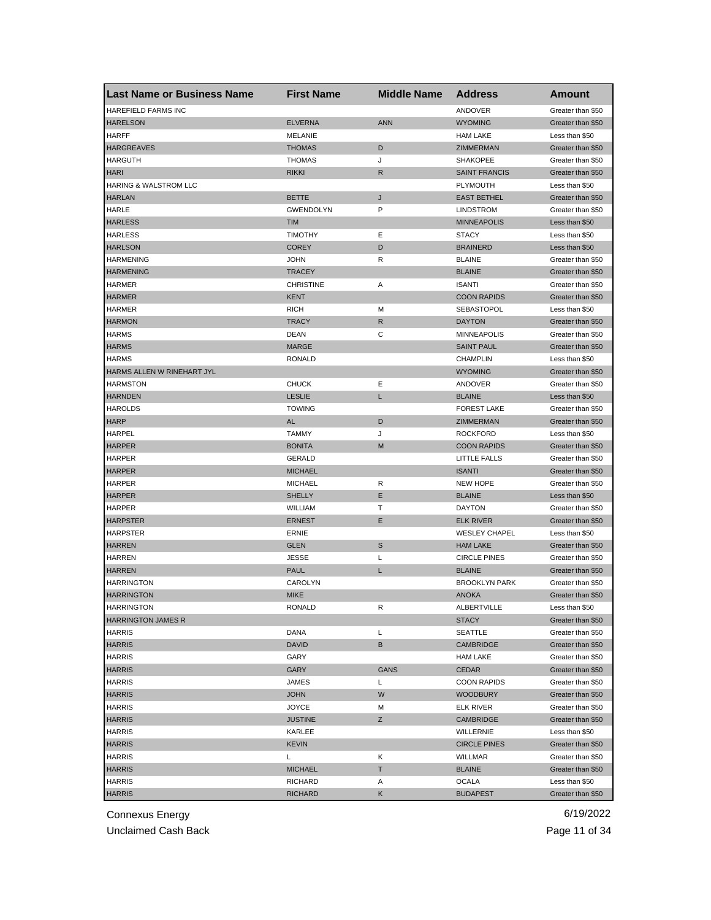| <b>Last Name or Business Name</b> | <b>First Name</b> | <b>Middle Name</b> | <b>Address</b>       | <b>Amount</b>     |
|-----------------------------------|-------------------|--------------------|----------------------|-------------------|
| HAREFIELD FARMS INC               |                   |                    | ANDOVER              | Greater than \$50 |
| <b>HARELSON</b>                   | <b>ELVERNA</b>    | <b>ANN</b>         | <b>WYOMING</b>       | Greater than \$50 |
| <b>HARFF</b>                      | <b>MELANIE</b>    |                    | <b>HAM LAKE</b>      | Less than \$50    |
| <b>HARGREAVES</b>                 | <b>THOMAS</b>     | D                  | ZIMMERMAN            | Greater than \$50 |
| <b>HARGUTH</b>                    | <b>THOMAS</b>     | J                  | <b>SHAKOPEE</b>      | Greater than \$50 |
| <b>HARI</b>                       | <b>RIKKI</b>      | R                  | <b>SAINT FRANCIS</b> | Greater than \$50 |
| HARING & WALSTROM LLC             |                   |                    | PLYMOUTH             | Less than \$50    |
| <b>HARLAN</b>                     | BETTE             | J                  | <b>EAST BETHEL</b>   | Greater than \$50 |
| HARLE                             | <b>GWENDOLYN</b>  | P                  | <b>LINDSTROM</b>     | Greater than \$50 |
| <b>HARLESS</b>                    | <b>TIM</b>        |                    | <b>MINNEAPOLIS</b>   | Less than \$50    |
| <b>HARLESS</b>                    | <b>TIMOTHY</b>    | Ε                  | <b>STACY</b>         | Less than \$50    |
| <b>HARLSON</b>                    | <b>COREY</b>      | D                  | <b>BRAINERD</b>      | Less than \$50    |
| <b>HARMENING</b>                  | <b>JOHN</b>       | R                  | <b>BLAINE</b>        | Greater than \$50 |
| <b>HARMENING</b>                  | <b>TRACEY</b>     |                    | <b>BLAINE</b>        | Greater than \$50 |
| <b>HARMER</b>                     | <b>CHRISTINE</b>  | Α                  | <b>ISANTI</b>        | Greater than \$50 |
| <b>HARMER</b>                     | KENT              |                    | <b>COON RAPIDS</b>   | Greater than \$50 |
| <b>HARMER</b>                     | <b>RICH</b>       | M                  | SEBASTOPOL           | Less than \$50    |
| <b>HARMON</b>                     | <b>TRACY</b>      | R                  | <b>DAYTON</b>        | Greater than \$50 |
| <b>HARMS</b>                      | DEAN              | C                  | <b>MINNEAPOLIS</b>   | Greater than \$50 |
| <b>HARMS</b>                      | <b>MARGE</b>      |                    | <b>SAINT PAUL</b>    | Greater than \$50 |
| <b>HARMS</b>                      | <b>RONALD</b>     |                    | <b>CHAMPLIN</b>      | Less than \$50    |
| HARMS ALLEN W RINEHART JYL        |                   |                    | <b>WYOMING</b>       | Greater than \$50 |
| <b>HARMSTON</b>                   | <b>CHUCK</b>      | Е                  | ANDOVER              | Greater than \$50 |
| <b>HARNDEN</b>                    | <b>LESLIE</b>     | L                  | <b>BLAINE</b>        | Less than \$50    |
| <b>HAROLDS</b>                    | <b>TOWING</b>     |                    | <b>FOREST LAKE</b>   | Greater than \$50 |
| <b>HARP</b>                       | AL                | D                  | ZIMMERMAN            | Greater than \$50 |
| HARPEL                            | <b>TAMMY</b>      | J                  | <b>ROCKFORD</b>      | Less than \$50    |
| <b>HARPER</b>                     | <b>BONITA</b>     | M                  | <b>COON RAPIDS</b>   | Greater than \$50 |
| <b>HARPER</b>                     | <b>GERALD</b>     |                    | LITTLE FALLS         | Greater than \$50 |
| <b>HARPER</b>                     | <b>MICHAEL</b>    |                    | <b>ISANTI</b>        |                   |
|                                   |                   |                    |                      | Greater than \$50 |
| <b>HARPER</b>                     | <b>MICHAEL</b>    | R<br>E             | <b>NEW HOPE</b>      | Greater than \$50 |
| <b>HARPER</b>                     | <b>SHELLY</b>     |                    | <b>BLAINE</b>        | Less than \$50    |
| <b>HARPER</b>                     | WILLIAM           | Т                  | <b>DAYTON</b>        | Greater than \$50 |
| <b>HARPSTER</b>                   | <b>ERNEST</b>     | Е                  | <b>ELK RIVER</b>     | Greater than \$50 |
| <b>HARPSTER</b>                   | ERNIE             |                    | <b>WESLEY CHAPEL</b> | Less than \$50    |
| <b>HARREN</b>                     | <b>GLEN</b>       | $\mathbb S$        | <b>HAM LAKE</b>      | Greater than \$50 |
| HARREN                            | <b>JESSE</b>      | Г                  | <b>CIRCLE PINES</b>  | Greater than \$50 |
| <b>HARREN</b>                     | <b>PAUL</b>       | L                  | <b>BLAINE</b>        | Greater than \$50 |
| <b>HARRINGTON</b>                 | CAROLYN           |                    | <b>BROOKLYN PARK</b> | Greater than \$50 |
| <b>HARRINGTON</b>                 | <b>MIKE</b>       |                    | <b>ANOKA</b>         | Greater than \$50 |
| <b>HARRINGTON</b>                 | RONALD            | R                  | ALBERTVILLE          | Less than \$50    |
| <b>HARRINGTON JAMES R</b>         |                   |                    | <b>STACY</b>         | Greater than \$50 |
| <b>HARRIS</b>                     | DANA              | Г                  | <b>SEATTLE</b>       | Greater than \$50 |
| <b>HARRIS</b>                     | <b>DAVID</b>      | B                  | <b>CAMBRIDGE</b>     | Greater than \$50 |
| <b>HARRIS</b>                     | GARY              |                    | <b>HAM LAKE</b>      | Greater than \$50 |
| <b>HARRIS</b>                     | <b>GARY</b>       | GANS               | <b>CEDAR</b>         | Greater than \$50 |
| <b>HARRIS</b>                     | JAMES             | Г                  | <b>COON RAPIDS</b>   | Greater than \$50 |
| <b>HARRIS</b>                     | <b>JOHN</b>       | W                  | <b>WOODBURY</b>      | Greater than \$50 |
| <b>HARRIS</b>                     | JOYCE             | М                  | ELK RIVER            | Greater than \$50 |
| <b>HARRIS</b>                     | JUSTINE           | Ζ                  | <b>CAMBRIDGE</b>     | Greater than \$50 |
| <b>HARRIS</b>                     | KARLEE            |                    | WILLERNIE            | Less than \$50    |
| <b>HARRIS</b>                     | KEVIN             |                    | <b>CIRCLE PINES</b>  | Greater than \$50 |
| <b>HARRIS</b>                     | Г                 | Κ                  | WILLMAR              | Greater than \$50 |
| <b>HARRIS</b>                     | MICHAEL           | T.                 | <b>BLAINE</b>        | Greater than \$50 |
| <b>HARRIS</b>                     | RICHARD           | Α                  | <b>OCALA</b>         | Less than \$50    |
| <b>HARRIS</b>                     | RICHARD           | Κ                  | <b>BUDAPEST</b>      | Greater than \$50 |

Unclaimed Cash Back **Page 11 of 34**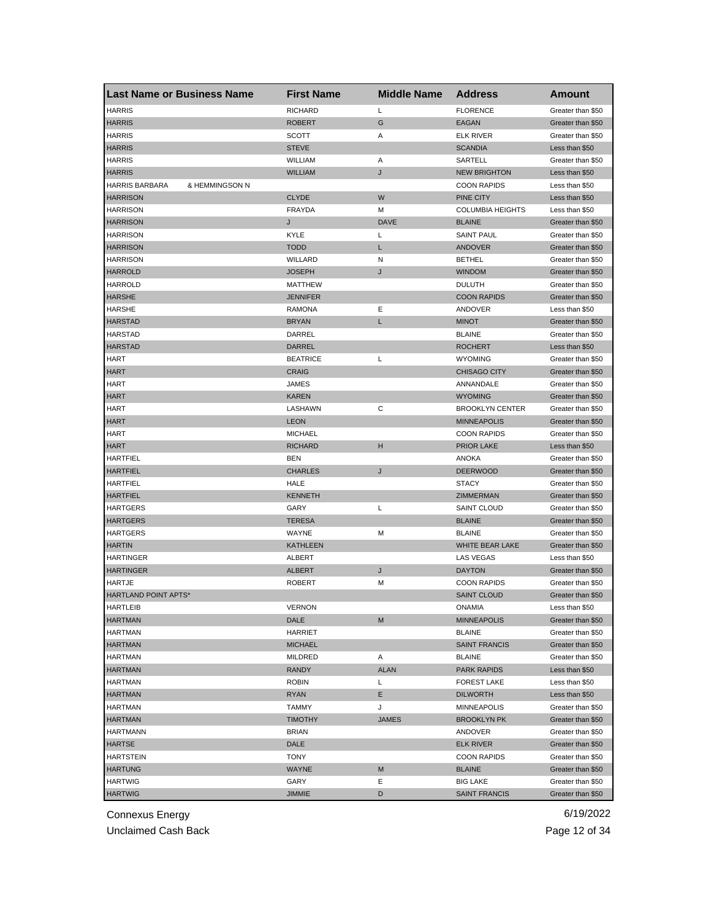| <b>Last Name or Business Name</b> | <b>First Name</b> | <b>Middle Name</b> | <b>Address</b>          | Amount            |
|-----------------------------------|-------------------|--------------------|-------------------------|-------------------|
| <b>HARRIS</b>                     | <b>RICHARD</b>    | L                  | <b>FLORENCE</b>         | Greater than \$50 |
| <b>HARRIS</b>                     | <b>ROBERT</b>     | G                  | EAGAN                   | Greater than \$50 |
| <b>HARRIS</b>                     | SCOTT             | Α                  | <b>ELK RIVER</b>        | Greater than \$50 |
| <b>HARRIS</b>                     | <b>STEVE</b>      |                    | <b>SCANDIA</b>          | Less than \$50    |
| <b>HARRIS</b>                     | WILLIAM           | Α                  | SARTELL                 | Greater than \$50 |
| <b>HARRIS</b>                     | <b>WILLIAM</b>    | J                  | <b>NEW BRIGHTON</b>     | Less than \$50    |
| HARRIS BARBARA<br>& HEMMINGSON N  |                   |                    | <b>COON RAPIDS</b>      | Less than \$50    |
| <b>HARRISON</b>                   | <b>CLYDE</b>      | W                  | PINE CITY               | Less than \$50    |
| <b>HARRISON</b>                   | <b>FRAYDA</b>     | M                  | <b>COLUMBIA HEIGHTS</b> | Less than \$50    |
| <b>HARRISON</b>                   | J                 | <b>DAVE</b>        | <b>BLAINE</b>           | Greater than \$50 |
| <b>HARRISON</b>                   | KYLE              | Г                  | <b>SAINT PAUL</b>       | Greater than \$50 |
| <b>HARRISON</b>                   | <b>TODD</b>       | L                  | ANDOVER                 | Greater than \$50 |
| <b>HARRISON</b>                   | WILLARD           | N                  | <b>BETHEL</b>           | Greater than \$50 |
| <b>HARROLD</b>                    | <b>JOSEPH</b>     | J                  | <b>WINDOM</b>           | Greater than \$50 |
| <b>HARROLD</b>                    | <b>MATTHEW</b>    |                    | <b>DULUTH</b>           | Greater than \$50 |
| <b>HARSHE</b>                     | <b>JENNIFER</b>   |                    | <b>COON RAPIDS</b>      | Greater than \$50 |
| <b>HARSHE</b>                     | <b>RAMONA</b>     | Ε                  | ANDOVER                 | Less than \$50    |
| <b>HARSTAD</b>                    | <b>BRYAN</b>      | L                  | <b>MINOT</b>            | Greater than \$50 |
| <b>HARSTAD</b>                    | DARREL            |                    | <b>BLAINE</b>           | Greater than \$50 |
| <b>HARSTAD</b>                    | <b>DARREL</b>     |                    | <b>ROCHERT</b>          | Less than \$50    |
| HART                              | <b>BEATRICE</b>   | L                  | <b>WYOMING</b>          | Greater than \$50 |
| <b>HART</b>                       | <b>CRAIG</b>      |                    | <b>CHISAGO CITY</b>     | Greater than \$50 |
| HART                              | JAMES             |                    | ANNANDALE               | Greater than \$50 |
| <b>HART</b>                       | <b>KAREN</b>      |                    | <b>WYOMING</b>          | Greater than \$50 |
| HART                              | LASHAWN           | С                  | <b>BROOKLYN CENTER</b>  | Greater than \$50 |
| <b>HART</b>                       | <b>LEON</b>       |                    | <b>MINNEAPOLIS</b>      | Greater than \$50 |
| HART                              | <b>MICHAEL</b>    |                    | <b>COON RAPIDS</b>      | Greater than \$50 |
| HART                              | <b>RICHARD</b>    | н                  | <b>PRIOR LAKE</b>       | Less than \$50    |
| <b>HARTFIEL</b>                   | <b>BEN</b>        |                    | <b>ANOKA</b>            | Greater than \$50 |
| <b>HARTFIEL</b>                   | <b>CHARLES</b>    | J                  | <b>DEERWOOD</b>         | Greater than \$50 |
| <b>HARTFIEL</b>                   | HALE              |                    | <b>STACY</b>            | Greater than \$50 |
| <b>HARTFIEL</b>                   | <b>KENNETH</b>    |                    | ZIMMERMAN               | Greater than \$50 |
| <b>HARTGERS</b>                   | GARY              | Г                  | <b>SAINT CLOUD</b>      | Greater than \$50 |
| <b>HARTGERS</b>                   | <b>TERESA</b>     |                    | <b>BLAINE</b>           | Greater than \$50 |
| <b>HARTGERS</b>                   | WAYNE             | M                  | <b>BLAINE</b>           | Greater than \$50 |
| <b>HARTIN</b>                     | <b>KATHLEEN</b>   |                    | WHITE BEAR LAKE         | Greater than \$50 |
| HARTINGER                         | ALBERT            |                    | <b>LAS VEGAS</b>        | Less than \$50    |
| <b>HARTINGER</b>                  | <b>ALBERT</b>     | J                  | <b>DAYTON</b>           | Greater than \$50 |
| HARTJE                            | <b>ROBERT</b>     | М                  | <b>COON RAPIDS</b>      | Greater than \$50 |
| HARTLAND POINT APTS*              |                   |                    | <b>SAINT CLOUD</b>      | Greater than \$50 |
| <b>HARTLEIB</b>                   | VERNON            |                    | ONAMIA                  | Less than \$50    |
| <b>HARTMAN</b>                    | DALE              | M                  | <b>MINNEAPOLIS</b>      | Greater than \$50 |
| <b>HARTMAN</b>                    | <b>HARRIET</b>    |                    | <b>BLAINE</b>           | Greater than \$50 |
| <b>HARTMAN</b>                    | <b>MICHAEL</b>    |                    | <b>SAINT FRANCIS</b>    | Greater than \$50 |
| <b>HARTMAN</b>                    | MILDRED           | Α                  | <b>BLAINE</b>           | Greater than \$50 |
| <b>HARTMAN</b>                    | <b>RANDY</b>      | <b>ALAN</b>        | <b>PARK RAPIDS</b>      | Less than \$50    |
| <b>HARTMAN</b>                    | <b>ROBIN</b>      | L                  | <b>FOREST LAKE</b>      | Less than \$50    |
| <b>HARTMAN</b>                    | RYAN              | Е                  | <b>DILWORTH</b>         | Less than \$50    |
| <b>HARTMAN</b>                    | <b>TAMMY</b>      | J                  | MINNEAPOLIS             | Greater than \$50 |
| <b>HARTMAN</b>                    | <b>TIMOTHY</b>    | <b>JAMES</b>       | <b>BROOKLYN PK</b>      | Greater than \$50 |
| <b>HARTMANN</b>                   | <b>BRIAN</b>      |                    | ANDOVER                 | Greater than \$50 |
| HARTSE                            | DALE              |                    | <b>ELK RIVER</b>        | Greater than \$50 |
| <b>HARTSTEIN</b>                  | TONY              |                    | <b>COON RAPIDS</b>      | Greater than \$50 |
| <b>HARTUNG</b>                    | WAYNE             | M                  | <b>BLAINE</b>           | Greater than \$50 |
| <b>HARTWIG</b>                    | GARY              | Е                  | <b>BIG LAKE</b>         | Greater than \$50 |
| <b>HARTWIG</b>                    | <b>JIMMIE</b>     | D                  | <b>SAINT FRANCIS</b>    | Greater than \$50 |
|                                   |                   |                    |                         |                   |

Unclaimed Cash Back **Page 12 of 34**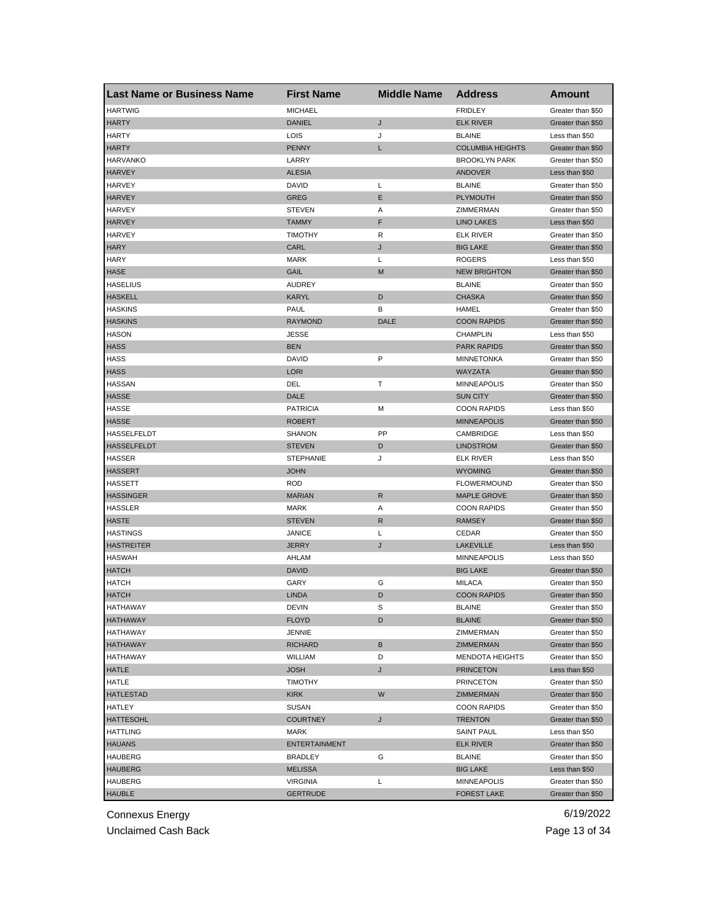| <b>Last Name or Business Name</b>   | <b>First Name</b>    | <b>Middle Name</b> | <b>Address</b>          | <b>Amount</b>     |
|-------------------------------------|----------------------|--------------------|-------------------------|-------------------|
| <b>HARTWIG</b>                      | <b>MICHAEL</b>       |                    | <b>FRIDLEY</b>          | Greater than \$50 |
| <b>HARTY</b>                        | <b>DANIEL</b>        | J                  | <b>ELK RIVER</b>        | Greater than \$50 |
| <b>HARTY</b>                        | LOIS                 | J                  | <b>BLAINE</b>           | Less than \$50    |
| <b>HARTY</b>                        | <b>PENNY</b>         | L                  | <b>COLUMBIA HEIGHTS</b> | Greater than \$50 |
| <b>HARVANKO</b>                     | LARRY                |                    | <b>BROOKLYN PARK</b>    | Greater than \$50 |
| <b>HARVEY</b>                       | <b>ALESIA</b>        |                    | ANDOVER                 | Less than \$50    |
| <b>HARVEY</b>                       | DAVID                | Г                  | <b>BLAINE</b>           | Greater than \$50 |
| <b>HARVEY</b>                       | GREG                 | Е                  | <b>PLYMOUTH</b>         | Greater than \$50 |
| HARVEY                              | <b>STEVEN</b>        | Α                  | ZIMMERMAN               | Greater than \$50 |
| <b>HARVEY</b>                       | <b>TAMMY</b>         | F                  | <b>LINO LAKES</b>       | Less than \$50    |
| <b>HARVEY</b>                       | <b>TIMOTHY</b>       | R                  | ELK RIVER               | Greater than \$50 |
| <b>HARY</b>                         | CARL                 | J                  | <b>BIG LAKE</b>         | Greater than \$50 |
| HARY                                | MARK                 | Г                  | <b>ROGERS</b>           | Less than \$50    |
| <b>HASE</b>                         | GAIL                 | M                  | <b>NEW BRIGHTON</b>     | Greater than \$50 |
| <b>HASELIUS</b>                     | <b>AUDREY</b>        |                    | <b>BLAINE</b>           | Greater than \$50 |
| <b>HASKELL</b>                      | KARYL                | D                  | <b>CHASKA</b>           | Greater than \$50 |
| <b>HASKINS</b>                      | PAUL                 | В                  | HAMEL                   | Greater than \$50 |
| <b>HASKINS</b>                      | <b>RAYMOND</b>       | DALE               | <b>COON RAPIDS</b>      | Greater than \$50 |
| <b>HASON</b>                        | <b>JESSE</b>         |                    | <b>CHAMPLIN</b>         | Less than \$50    |
| <b>HASS</b>                         | <b>BEN</b>           |                    | <b>PARK RAPIDS</b>      | Greater than \$50 |
| <b>HASS</b>                         | DAVID                | P                  | <b>MINNETONKA</b>       | Greater than \$50 |
| <b>HASS</b>                         | <b>LORI</b>          |                    | WAYZATA                 | Greater than \$50 |
| <b>HASSAN</b>                       | DEL                  | т                  | <b>MINNEAPOLIS</b>      | Greater than \$50 |
| <b>HASSE</b>                        | DALE                 |                    | <b>SUN CITY</b>         | Greater than \$50 |
| HASSE                               | <b>PATRICIA</b>      | М                  | <b>COON RAPIDS</b>      | Less than \$50    |
| <b>HASSE</b>                        | ROBERT               |                    | <b>MINNEAPOLIS</b>      | Greater than \$50 |
| HASSELFELDT                         | <b>SHANON</b>        | PP                 | CAMBRIDGE               | Less than \$50    |
| <b>HASSELFELDT</b>                  | <b>STEVEN</b>        | D                  | <b>LINDSTROM</b>        | Greater than \$50 |
| <b>HASSER</b>                       | STEPHANIE            | J                  | ELK RIVER               | Less than \$50    |
| <b>HASSERT</b>                      | <b>JOHN</b>          |                    | <b>WYOMING</b>          | Greater than \$50 |
| <b>HASSETT</b>                      | <b>ROD</b>           |                    | <b>FLOWERMOUND</b>      | Greater than \$50 |
| <b>HASSINGER</b>                    | <b>MARIAN</b>        | $\mathsf{R}$       | <b>MAPLE GROVE</b>      | Greater than \$50 |
| <b>HASSLER</b>                      | <b>MARK</b>          | Α                  | <b>COON RAPIDS</b>      | Greater than \$50 |
| <b>HASTE</b>                        | <b>STEVEN</b>        | R                  | <b>RAMSEY</b>           | Greater than \$50 |
| <b>HASTINGS</b>                     | JANICE               | L                  | CEDAR                   | Greater than \$50 |
| <b>HASTREITER</b>                   | JERRY                | J                  | <b>LAKEVILLE</b>        | Less than \$50    |
| <b>HASWAH</b>                       | AHLAM                |                    | <b>MINNEAPOLIS</b>      | Less than \$50    |
| <b>HATCH</b>                        | DAVID                |                    | <b>BIG LAKE</b>         | Greater than \$50 |
| <b>HATCH</b>                        | GARY                 | G                  | <b>MILACA</b>           | Greater than \$50 |
| <b>HATCH</b>                        | <b>LINDA</b>         | D                  | <b>COON RAPIDS</b>      | Greater than \$50 |
| HAIHAWAY                            | DEVIN                | S                  | <b>BLAINE</b>           | Greater than \$50 |
| <b>HATHAWAY</b>                     | FLOYD                | D                  | <b>BLAINE</b>           | Greater than \$50 |
| HATHAWAY                            | JENNIE               |                    | ZIMMERMAN               | Greater than \$50 |
| <b>HATHAWAY</b>                     | RICHARD              | B                  | ZIMMERMAN               | Greater than \$50 |
| HATHAWAY                            | WILLIAM              | D                  | <b>MENDOTA HEIGHTS</b>  | Greater than \$50 |
| <b>HATLE</b>                        | <b>JOSH</b>          | J                  | <b>PRINCETON</b>        | Less than \$50    |
| HATLE                               | <b>TIMOTHY</b>       |                    | <b>PRINCETON</b>        | Greater than \$50 |
| <b>HATLESTAD</b>                    | <b>KIRK</b>          | W                  | <b>ZIMMERMAN</b>        | Greater than \$50 |
| HATLEY                              | <b>SUSAN</b>         |                    | <b>COON RAPIDS</b>      | Greater than \$50 |
|                                     | <b>COURTNEY</b>      | J                  | <b>TRENTON</b>          | Greater than \$50 |
| <b>HATTESOHL</b><br><b>HATTLING</b> | MARK                 |                    |                         | Less than \$50    |
|                                     |                      |                    | <b>SAINT PAUL</b>       |                   |
| <b>HAUANS</b>                       | <b>ENTERTAINMENT</b> |                    | <b>ELK RIVER</b>        | Greater than \$50 |
| HAUBERG                             | <b>BRADLEY</b>       | G                  | <b>BLAINE</b>           | Greater than \$50 |
| <b>HAUBERG</b>                      | MELISSA              |                    | <b>BIG LAKE</b>         | Less than \$50    |
| <b>HAUBERG</b>                      | VIRGINIA             | L                  | <b>MINNEAPOLIS</b>      | Greater than \$50 |
| <b>HAUBLE</b>                       | <b>GERTRUDE</b>      |                    | <b>FOREST LAKE</b>      | Greater than \$50 |

Unclaimed Cash Back **Page 13 of 34**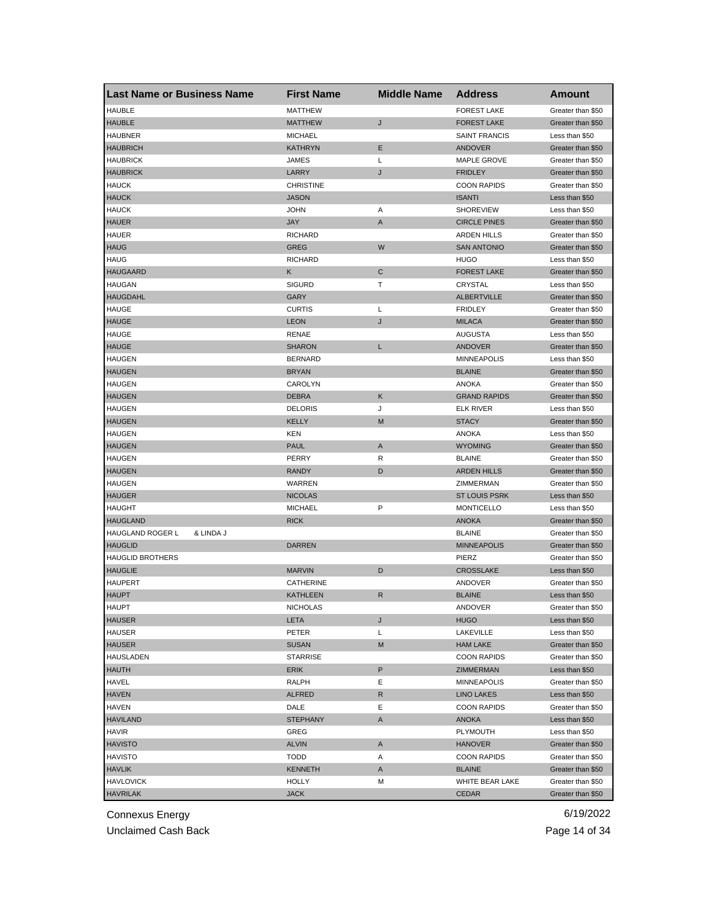| <b>HAUBLE</b><br><b>FOREST LAKE</b><br><b>MATTHEW</b><br>Greater than \$50<br><b>HAUBLE</b><br><b>MATTHEW</b><br>J<br><b>FOREST LAKE</b><br>Greater than \$50<br><b>HAUBNER</b><br><b>MICHAEL</b><br><b>SAINT FRANCIS</b><br>Less than \$50<br>E<br><b>HAUBRICH</b><br><b>KATHRYN</b><br><b>ANDOVER</b><br>Greater than \$50<br><b>HAUBRICK</b><br>JAMES<br>Г<br>MAPLE GROVE<br>Greater than \$50<br><b>HAUBRICK</b><br>LARRY<br>J<br><b>FRIDLEY</b><br>Greater than \$50<br><b>HAUCK</b><br><b>CHRISTINE</b><br><b>COON RAPIDS</b><br>Greater than \$50<br><b>HAUCK</b><br><b>JASON</b><br><b>ISANTI</b><br>Less than \$50<br><b>HAUCK</b><br>JOHN<br>Α<br><b>SHOREVIEW</b><br>Less than \$50<br><b>HAUER</b><br>JAY<br>A<br><b>CIRCLE PINES</b><br>Greater than \$50<br><b>HAUER</b><br><b>RICHARD</b><br><b>ARDEN HILLS</b><br>Greater than \$50<br>W<br><b>HAUG</b><br><b>GREG</b><br><b>SAN ANTONIO</b><br>Greater than \$50<br><b>HAUG</b><br><b>RICHARD</b><br><b>HUGO</b><br>Less than \$50<br><b>HAUGAARD</b><br>$\mathsf{C}$<br>κ<br><b>FOREST LAKE</b><br>Greater than \$50<br><b>HAUGAN</b><br><b>SIGURD</b><br>т<br>CRYSTAL<br>Less than \$50<br><b>HAUGDAHL</b><br><b>ALBERTVILLE</b><br>GARY<br>Greater than \$50<br><b>HAUGE</b><br><b>CURTIS</b><br>L<br><b>FRIDLEY</b><br>Greater than \$50<br><b>HAUGE</b><br><b>LEON</b><br>J<br><b>MILACA</b><br>Greater than \$50<br><b>HAUGE</b><br>RENAE<br><b>AUGUSTA</b><br>Less than \$50<br><b>HAUGE</b><br><b>SHARON</b><br>L<br>ANDOVER<br>Greater than \$50<br><b>HAUGEN</b><br><b>BERNARD</b><br><b>MINNEAPOLIS</b><br>Less than \$50<br><b>HAUGEN</b><br><b>BRYAN</b><br><b>BLAINE</b><br>Greater than \$50<br><b>HAUGEN</b><br>CAROLYN<br><b>ANOKA</b><br>Greater than \$50<br><b>HAUGEN</b><br>Κ<br><b>GRAND RAPIDS</b><br><b>DEBRA</b><br>Greater than \$50<br>HAUGEN<br><b>DELORIS</b><br>J<br>ELK RIVER<br>Less than \$50<br><b>HAUGEN</b><br><b>KELLY</b><br>M<br><b>STACY</b><br>Greater than \$50<br><b>HAUGEN</b><br>KEN<br>ANOKA<br>Less than \$50<br><b>HAUGEN</b><br><b>PAUL</b><br>A<br><b>WYOMING</b><br>Greater than \$50<br><b>HAUGEN</b><br>PERRY<br>R<br><b>BLAINE</b><br>Greater than \$50<br><b>ARDEN HILLS</b><br><b>HAUGEN</b><br><b>RANDY</b><br>D<br>Greater than \$50<br><b>HAUGEN</b><br>WARREN<br>ZIMMERMAN<br>Greater than \$50<br><b>HAUGER</b><br><b>NICOLAS</b><br><b>ST LOUIS PSRK</b><br>Less than \$50<br>P<br><b>HAUGHT</b><br><b>MICHAEL</b><br><b>MONTICELLO</b><br>Less than \$50<br><b>HAUGLAND</b><br><b>RICK</b><br><b>ANOKA</b><br>Greater than \$50<br>HAUGLAND ROGER L<br>& LINDA J<br><b>BLAINE</b><br>Greater than \$50<br><b>HAUGLID</b><br><b>DARREN</b><br><b>MINNEAPOLIS</b><br>Greater than \$50<br><b>HAUGLID BROTHERS</b><br>PIERZ<br>Greater than \$50<br><b>HAUGLIE</b><br><b>MARVIN</b><br>D<br><b>CROSSLAKE</b><br>Less than \$50<br><b>HAUPERT</b><br>CATHERINE<br>Greater than \$50<br>ANDOVER<br><b>HAUPT</b><br><b>KATHLEEN</b><br>R<br><b>BLAINE</b><br>Less than \$50<br><b>HAUPT</b><br><b>NICHOLAS</b><br>ANDOVER<br>Greater than \$50<br><b>HAUSER</b><br>LETA<br>J<br><b>HUGO</b><br>Less than \$50<br><b>HAUSER</b><br>PETER<br>Г<br>LAKEVILLE<br>Less than \$50<br><b>HAUSER</b><br><b>SUSAN</b><br>M<br><b>HAM LAKE</b><br>Greater than \$50<br>HAUSLADEN<br><b>STARRISE</b><br><b>COON RAPIDS</b><br>Greater than \$50<br>P<br><b>HAUTH</b><br>ERIK<br>ZIMMERMAN<br>Less than \$50<br>HAVEL<br><b>RALPH</b><br>Ε<br><b>MINNEAPOLIS</b><br>Greater than \$50<br><b>HAVEN</b><br><b>ALFRED</b><br>R<br><b>LINO LAKES</b><br>Less than \$50<br><b>HAVEN</b><br>Е<br><b>COON RAPIDS</b><br>Greater than \$50<br>DALE<br><b>HAVILAND</b><br><b>STEPHANY</b><br>A<br><b>ANOKA</b><br>Less than \$50<br>HAVIR<br>PLYMOUTH<br>Less than \$50<br>GREG<br><b>HAVISTO</b><br><b>ALVIN</b><br>Α<br><b>HANOVER</b><br>Greater than \$50<br><b>HAVISTO</b><br>TODD<br><b>COON RAPIDS</b><br>Greater than \$50<br>Α<br><b>HAVLIK</b><br>KENNETH<br><b>BLAINE</b><br>Greater than \$50<br>A<br><b>HAVLOVICK</b><br><b>HOLLY</b><br>WHITE BEAR LAKE<br>Greater than \$50<br>M | <b>Last Name or Business Name</b> | <b>First Name</b> | <b>Middle Name</b> | <b>Address</b> | Amount            |
|------------------------------------------------------------------------------------------------------------------------------------------------------------------------------------------------------------------------------------------------------------------------------------------------------------------------------------------------------------------------------------------------------------------------------------------------------------------------------------------------------------------------------------------------------------------------------------------------------------------------------------------------------------------------------------------------------------------------------------------------------------------------------------------------------------------------------------------------------------------------------------------------------------------------------------------------------------------------------------------------------------------------------------------------------------------------------------------------------------------------------------------------------------------------------------------------------------------------------------------------------------------------------------------------------------------------------------------------------------------------------------------------------------------------------------------------------------------------------------------------------------------------------------------------------------------------------------------------------------------------------------------------------------------------------------------------------------------------------------------------------------------------------------------------------------------------------------------------------------------------------------------------------------------------------------------------------------------------------------------------------------------------------------------------------------------------------------------------------------------------------------------------------------------------------------------------------------------------------------------------------------------------------------------------------------------------------------------------------------------------------------------------------------------------------------------------------------------------------------------------------------------------------------------------------------------------------------------------------------------------------------------------------------------------------------------------------------------------------------------------------------------------------------------------------------------------------------------------------------------------------------------------------------------------------------------------------------------------------------------------------------------------------------------------------------------------------------------------------------------------------------------------------------------------------------------------------------------------------------------------------------------------------------------------------------------------------------------------------------------------------------------------------------------------------------------------------------------------------------------------------------------------------------------------------------------------------------------------------------------------------------------------------------------------------------------------------------------------------------------------------------------------------------------------------------------------------------------------------------------------------------------------------------------------------------------------------------------------------------------------------------------------------------------------------------------------------------------------------|-----------------------------------|-------------------|--------------------|----------------|-------------------|
|                                                                                                                                                                                                                                                                                                                                                                                                                                                                                                                                                                                                                                                                                                                                                                                                                                                                                                                                                                                                                                                                                                                                                                                                                                                                                                                                                                                                                                                                                                                                                                                                                                                                                                                                                                                                                                                                                                                                                                                                                                                                                                                                                                                                                                                                                                                                                                                                                                                                                                                                                                                                                                                                                                                                                                                                                                                                                                                                                                                                                                                                                                                                                                                                                                                                                                                                                                                                                                                                                                                                                                                                                                                                                                                                                                                                                                                                                                                                                                                                                                                                                                      |                                   |                   |                    |                |                   |
|                                                                                                                                                                                                                                                                                                                                                                                                                                                                                                                                                                                                                                                                                                                                                                                                                                                                                                                                                                                                                                                                                                                                                                                                                                                                                                                                                                                                                                                                                                                                                                                                                                                                                                                                                                                                                                                                                                                                                                                                                                                                                                                                                                                                                                                                                                                                                                                                                                                                                                                                                                                                                                                                                                                                                                                                                                                                                                                                                                                                                                                                                                                                                                                                                                                                                                                                                                                                                                                                                                                                                                                                                                                                                                                                                                                                                                                                                                                                                                                                                                                                                                      |                                   |                   |                    |                |                   |
|                                                                                                                                                                                                                                                                                                                                                                                                                                                                                                                                                                                                                                                                                                                                                                                                                                                                                                                                                                                                                                                                                                                                                                                                                                                                                                                                                                                                                                                                                                                                                                                                                                                                                                                                                                                                                                                                                                                                                                                                                                                                                                                                                                                                                                                                                                                                                                                                                                                                                                                                                                                                                                                                                                                                                                                                                                                                                                                                                                                                                                                                                                                                                                                                                                                                                                                                                                                                                                                                                                                                                                                                                                                                                                                                                                                                                                                                                                                                                                                                                                                                                                      |                                   |                   |                    |                |                   |
|                                                                                                                                                                                                                                                                                                                                                                                                                                                                                                                                                                                                                                                                                                                                                                                                                                                                                                                                                                                                                                                                                                                                                                                                                                                                                                                                                                                                                                                                                                                                                                                                                                                                                                                                                                                                                                                                                                                                                                                                                                                                                                                                                                                                                                                                                                                                                                                                                                                                                                                                                                                                                                                                                                                                                                                                                                                                                                                                                                                                                                                                                                                                                                                                                                                                                                                                                                                                                                                                                                                                                                                                                                                                                                                                                                                                                                                                                                                                                                                                                                                                                                      |                                   |                   |                    |                |                   |
|                                                                                                                                                                                                                                                                                                                                                                                                                                                                                                                                                                                                                                                                                                                                                                                                                                                                                                                                                                                                                                                                                                                                                                                                                                                                                                                                                                                                                                                                                                                                                                                                                                                                                                                                                                                                                                                                                                                                                                                                                                                                                                                                                                                                                                                                                                                                                                                                                                                                                                                                                                                                                                                                                                                                                                                                                                                                                                                                                                                                                                                                                                                                                                                                                                                                                                                                                                                                                                                                                                                                                                                                                                                                                                                                                                                                                                                                                                                                                                                                                                                                                                      |                                   |                   |                    |                |                   |
|                                                                                                                                                                                                                                                                                                                                                                                                                                                                                                                                                                                                                                                                                                                                                                                                                                                                                                                                                                                                                                                                                                                                                                                                                                                                                                                                                                                                                                                                                                                                                                                                                                                                                                                                                                                                                                                                                                                                                                                                                                                                                                                                                                                                                                                                                                                                                                                                                                                                                                                                                                                                                                                                                                                                                                                                                                                                                                                                                                                                                                                                                                                                                                                                                                                                                                                                                                                                                                                                                                                                                                                                                                                                                                                                                                                                                                                                                                                                                                                                                                                                                                      |                                   |                   |                    |                |                   |
|                                                                                                                                                                                                                                                                                                                                                                                                                                                                                                                                                                                                                                                                                                                                                                                                                                                                                                                                                                                                                                                                                                                                                                                                                                                                                                                                                                                                                                                                                                                                                                                                                                                                                                                                                                                                                                                                                                                                                                                                                                                                                                                                                                                                                                                                                                                                                                                                                                                                                                                                                                                                                                                                                                                                                                                                                                                                                                                                                                                                                                                                                                                                                                                                                                                                                                                                                                                                                                                                                                                                                                                                                                                                                                                                                                                                                                                                                                                                                                                                                                                                                                      |                                   |                   |                    |                |                   |
|                                                                                                                                                                                                                                                                                                                                                                                                                                                                                                                                                                                                                                                                                                                                                                                                                                                                                                                                                                                                                                                                                                                                                                                                                                                                                                                                                                                                                                                                                                                                                                                                                                                                                                                                                                                                                                                                                                                                                                                                                                                                                                                                                                                                                                                                                                                                                                                                                                                                                                                                                                                                                                                                                                                                                                                                                                                                                                                                                                                                                                                                                                                                                                                                                                                                                                                                                                                                                                                                                                                                                                                                                                                                                                                                                                                                                                                                                                                                                                                                                                                                                                      |                                   |                   |                    |                |                   |
|                                                                                                                                                                                                                                                                                                                                                                                                                                                                                                                                                                                                                                                                                                                                                                                                                                                                                                                                                                                                                                                                                                                                                                                                                                                                                                                                                                                                                                                                                                                                                                                                                                                                                                                                                                                                                                                                                                                                                                                                                                                                                                                                                                                                                                                                                                                                                                                                                                                                                                                                                                                                                                                                                                                                                                                                                                                                                                                                                                                                                                                                                                                                                                                                                                                                                                                                                                                                                                                                                                                                                                                                                                                                                                                                                                                                                                                                                                                                                                                                                                                                                                      |                                   |                   |                    |                |                   |
|                                                                                                                                                                                                                                                                                                                                                                                                                                                                                                                                                                                                                                                                                                                                                                                                                                                                                                                                                                                                                                                                                                                                                                                                                                                                                                                                                                                                                                                                                                                                                                                                                                                                                                                                                                                                                                                                                                                                                                                                                                                                                                                                                                                                                                                                                                                                                                                                                                                                                                                                                                                                                                                                                                                                                                                                                                                                                                                                                                                                                                                                                                                                                                                                                                                                                                                                                                                                                                                                                                                                                                                                                                                                                                                                                                                                                                                                                                                                                                                                                                                                                                      |                                   |                   |                    |                |                   |
|                                                                                                                                                                                                                                                                                                                                                                                                                                                                                                                                                                                                                                                                                                                                                                                                                                                                                                                                                                                                                                                                                                                                                                                                                                                                                                                                                                                                                                                                                                                                                                                                                                                                                                                                                                                                                                                                                                                                                                                                                                                                                                                                                                                                                                                                                                                                                                                                                                                                                                                                                                                                                                                                                                                                                                                                                                                                                                                                                                                                                                                                                                                                                                                                                                                                                                                                                                                                                                                                                                                                                                                                                                                                                                                                                                                                                                                                                                                                                                                                                                                                                                      |                                   |                   |                    |                |                   |
|                                                                                                                                                                                                                                                                                                                                                                                                                                                                                                                                                                                                                                                                                                                                                                                                                                                                                                                                                                                                                                                                                                                                                                                                                                                                                                                                                                                                                                                                                                                                                                                                                                                                                                                                                                                                                                                                                                                                                                                                                                                                                                                                                                                                                                                                                                                                                                                                                                                                                                                                                                                                                                                                                                                                                                                                                                                                                                                                                                                                                                                                                                                                                                                                                                                                                                                                                                                                                                                                                                                                                                                                                                                                                                                                                                                                                                                                                                                                                                                                                                                                                                      |                                   |                   |                    |                |                   |
|                                                                                                                                                                                                                                                                                                                                                                                                                                                                                                                                                                                                                                                                                                                                                                                                                                                                                                                                                                                                                                                                                                                                                                                                                                                                                                                                                                                                                                                                                                                                                                                                                                                                                                                                                                                                                                                                                                                                                                                                                                                                                                                                                                                                                                                                                                                                                                                                                                                                                                                                                                                                                                                                                                                                                                                                                                                                                                                                                                                                                                                                                                                                                                                                                                                                                                                                                                                                                                                                                                                                                                                                                                                                                                                                                                                                                                                                                                                                                                                                                                                                                                      |                                   |                   |                    |                |                   |
|                                                                                                                                                                                                                                                                                                                                                                                                                                                                                                                                                                                                                                                                                                                                                                                                                                                                                                                                                                                                                                                                                                                                                                                                                                                                                                                                                                                                                                                                                                                                                                                                                                                                                                                                                                                                                                                                                                                                                                                                                                                                                                                                                                                                                                                                                                                                                                                                                                                                                                                                                                                                                                                                                                                                                                                                                                                                                                                                                                                                                                                                                                                                                                                                                                                                                                                                                                                                                                                                                                                                                                                                                                                                                                                                                                                                                                                                                                                                                                                                                                                                                                      |                                   |                   |                    |                |                   |
|                                                                                                                                                                                                                                                                                                                                                                                                                                                                                                                                                                                                                                                                                                                                                                                                                                                                                                                                                                                                                                                                                                                                                                                                                                                                                                                                                                                                                                                                                                                                                                                                                                                                                                                                                                                                                                                                                                                                                                                                                                                                                                                                                                                                                                                                                                                                                                                                                                                                                                                                                                                                                                                                                                                                                                                                                                                                                                                                                                                                                                                                                                                                                                                                                                                                                                                                                                                                                                                                                                                                                                                                                                                                                                                                                                                                                                                                                                                                                                                                                                                                                                      |                                   |                   |                    |                |                   |
|                                                                                                                                                                                                                                                                                                                                                                                                                                                                                                                                                                                                                                                                                                                                                                                                                                                                                                                                                                                                                                                                                                                                                                                                                                                                                                                                                                                                                                                                                                                                                                                                                                                                                                                                                                                                                                                                                                                                                                                                                                                                                                                                                                                                                                                                                                                                                                                                                                                                                                                                                                                                                                                                                                                                                                                                                                                                                                                                                                                                                                                                                                                                                                                                                                                                                                                                                                                                                                                                                                                                                                                                                                                                                                                                                                                                                                                                                                                                                                                                                                                                                                      |                                   |                   |                    |                |                   |
|                                                                                                                                                                                                                                                                                                                                                                                                                                                                                                                                                                                                                                                                                                                                                                                                                                                                                                                                                                                                                                                                                                                                                                                                                                                                                                                                                                                                                                                                                                                                                                                                                                                                                                                                                                                                                                                                                                                                                                                                                                                                                                                                                                                                                                                                                                                                                                                                                                                                                                                                                                                                                                                                                                                                                                                                                                                                                                                                                                                                                                                                                                                                                                                                                                                                                                                                                                                                                                                                                                                                                                                                                                                                                                                                                                                                                                                                                                                                                                                                                                                                                                      |                                   |                   |                    |                |                   |
|                                                                                                                                                                                                                                                                                                                                                                                                                                                                                                                                                                                                                                                                                                                                                                                                                                                                                                                                                                                                                                                                                                                                                                                                                                                                                                                                                                                                                                                                                                                                                                                                                                                                                                                                                                                                                                                                                                                                                                                                                                                                                                                                                                                                                                                                                                                                                                                                                                                                                                                                                                                                                                                                                                                                                                                                                                                                                                                                                                                                                                                                                                                                                                                                                                                                                                                                                                                                                                                                                                                                                                                                                                                                                                                                                                                                                                                                                                                                                                                                                                                                                                      |                                   |                   |                    |                |                   |
|                                                                                                                                                                                                                                                                                                                                                                                                                                                                                                                                                                                                                                                                                                                                                                                                                                                                                                                                                                                                                                                                                                                                                                                                                                                                                                                                                                                                                                                                                                                                                                                                                                                                                                                                                                                                                                                                                                                                                                                                                                                                                                                                                                                                                                                                                                                                                                                                                                                                                                                                                                                                                                                                                                                                                                                                                                                                                                                                                                                                                                                                                                                                                                                                                                                                                                                                                                                                                                                                                                                                                                                                                                                                                                                                                                                                                                                                                                                                                                                                                                                                                                      |                                   |                   |                    |                |                   |
|                                                                                                                                                                                                                                                                                                                                                                                                                                                                                                                                                                                                                                                                                                                                                                                                                                                                                                                                                                                                                                                                                                                                                                                                                                                                                                                                                                                                                                                                                                                                                                                                                                                                                                                                                                                                                                                                                                                                                                                                                                                                                                                                                                                                                                                                                                                                                                                                                                                                                                                                                                                                                                                                                                                                                                                                                                                                                                                                                                                                                                                                                                                                                                                                                                                                                                                                                                                                                                                                                                                                                                                                                                                                                                                                                                                                                                                                                                                                                                                                                                                                                                      |                                   |                   |                    |                |                   |
|                                                                                                                                                                                                                                                                                                                                                                                                                                                                                                                                                                                                                                                                                                                                                                                                                                                                                                                                                                                                                                                                                                                                                                                                                                                                                                                                                                                                                                                                                                                                                                                                                                                                                                                                                                                                                                                                                                                                                                                                                                                                                                                                                                                                                                                                                                                                                                                                                                                                                                                                                                                                                                                                                                                                                                                                                                                                                                                                                                                                                                                                                                                                                                                                                                                                                                                                                                                                                                                                                                                                                                                                                                                                                                                                                                                                                                                                                                                                                                                                                                                                                                      |                                   |                   |                    |                |                   |
|                                                                                                                                                                                                                                                                                                                                                                                                                                                                                                                                                                                                                                                                                                                                                                                                                                                                                                                                                                                                                                                                                                                                                                                                                                                                                                                                                                                                                                                                                                                                                                                                                                                                                                                                                                                                                                                                                                                                                                                                                                                                                                                                                                                                                                                                                                                                                                                                                                                                                                                                                                                                                                                                                                                                                                                                                                                                                                                                                                                                                                                                                                                                                                                                                                                                                                                                                                                                                                                                                                                                                                                                                                                                                                                                                                                                                                                                                                                                                                                                                                                                                                      |                                   |                   |                    |                |                   |
|                                                                                                                                                                                                                                                                                                                                                                                                                                                                                                                                                                                                                                                                                                                                                                                                                                                                                                                                                                                                                                                                                                                                                                                                                                                                                                                                                                                                                                                                                                                                                                                                                                                                                                                                                                                                                                                                                                                                                                                                                                                                                                                                                                                                                                                                                                                                                                                                                                                                                                                                                                                                                                                                                                                                                                                                                                                                                                                                                                                                                                                                                                                                                                                                                                                                                                                                                                                                                                                                                                                                                                                                                                                                                                                                                                                                                                                                                                                                                                                                                                                                                                      |                                   |                   |                    |                |                   |
|                                                                                                                                                                                                                                                                                                                                                                                                                                                                                                                                                                                                                                                                                                                                                                                                                                                                                                                                                                                                                                                                                                                                                                                                                                                                                                                                                                                                                                                                                                                                                                                                                                                                                                                                                                                                                                                                                                                                                                                                                                                                                                                                                                                                                                                                                                                                                                                                                                                                                                                                                                                                                                                                                                                                                                                                                                                                                                                                                                                                                                                                                                                                                                                                                                                                                                                                                                                                                                                                                                                                                                                                                                                                                                                                                                                                                                                                                                                                                                                                                                                                                                      |                                   |                   |                    |                |                   |
|                                                                                                                                                                                                                                                                                                                                                                                                                                                                                                                                                                                                                                                                                                                                                                                                                                                                                                                                                                                                                                                                                                                                                                                                                                                                                                                                                                                                                                                                                                                                                                                                                                                                                                                                                                                                                                                                                                                                                                                                                                                                                                                                                                                                                                                                                                                                                                                                                                                                                                                                                                                                                                                                                                                                                                                                                                                                                                                                                                                                                                                                                                                                                                                                                                                                                                                                                                                                                                                                                                                                                                                                                                                                                                                                                                                                                                                                                                                                                                                                                                                                                                      |                                   |                   |                    |                |                   |
|                                                                                                                                                                                                                                                                                                                                                                                                                                                                                                                                                                                                                                                                                                                                                                                                                                                                                                                                                                                                                                                                                                                                                                                                                                                                                                                                                                                                                                                                                                                                                                                                                                                                                                                                                                                                                                                                                                                                                                                                                                                                                                                                                                                                                                                                                                                                                                                                                                                                                                                                                                                                                                                                                                                                                                                                                                                                                                                                                                                                                                                                                                                                                                                                                                                                                                                                                                                                                                                                                                                                                                                                                                                                                                                                                                                                                                                                                                                                                                                                                                                                                                      |                                   |                   |                    |                |                   |
|                                                                                                                                                                                                                                                                                                                                                                                                                                                                                                                                                                                                                                                                                                                                                                                                                                                                                                                                                                                                                                                                                                                                                                                                                                                                                                                                                                                                                                                                                                                                                                                                                                                                                                                                                                                                                                                                                                                                                                                                                                                                                                                                                                                                                                                                                                                                                                                                                                                                                                                                                                                                                                                                                                                                                                                                                                                                                                                                                                                                                                                                                                                                                                                                                                                                                                                                                                                                                                                                                                                                                                                                                                                                                                                                                                                                                                                                                                                                                                                                                                                                                                      |                                   |                   |                    |                |                   |
|                                                                                                                                                                                                                                                                                                                                                                                                                                                                                                                                                                                                                                                                                                                                                                                                                                                                                                                                                                                                                                                                                                                                                                                                                                                                                                                                                                                                                                                                                                                                                                                                                                                                                                                                                                                                                                                                                                                                                                                                                                                                                                                                                                                                                                                                                                                                                                                                                                                                                                                                                                                                                                                                                                                                                                                                                                                                                                                                                                                                                                                                                                                                                                                                                                                                                                                                                                                                                                                                                                                                                                                                                                                                                                                                                                                                                                                                                                                                                                                                                                                                                                      |                                   |                   |                    |                |                   |
|                                                                                                                                                                                                                                                                                                                                                                                                                                                                                                                                                                                                                                                                                                                                                                                                                                                                                                                                                                                                                                                                                                                                                                                                                                                                                                                                                                                                                                                                                                                                                                                                                                                                                                                                                                                                                                                                                                                                                                                                                                                                                                                                                                                                                                                                                                                                                                                                                                                                                                                                                                                                                                                                                                                                                                                                                                                                                                                                                                                                                                                                                                                                                                                                                                                                                                                                                                                                                                                                                                                                                                                                                                                                                                                                                                                                                                                                                                                                                                                                                                                                                                      |                                   |                   |                    |                |                   |
|                                                                                                                                                                                                                                                                                                                                                                                                                                                                                                                                                                                                                                                                                                                                                                                                                                                                                                                                                                                                                                                                                                                                                                                                                                                                                                                                                                                                                                                                                                                                                                                                                                                                                                                                                                                                                                                                                                                                                                                                                                                                                                                                                                                                                                                                                                                                                                                                                                                                                                                                                                                                                                                                                                                                                                                                                                                                                                                                                                                                                                                                                                                                                                                                                                                                                                                                                                                                                                                                                                                                                                                                                                                                                                                                                                                                                                                                                                                                                                                                                                                                                                      |                                   |                   |                    |                |                   |
|                                                                                                                                                                                                                                                                                                                                                                                                                                                                                                                                                                                                                                                                                                                                                                                                                                                                                                                                                                                                                                                                                                                                                                                                                                                                                                                                                                                                                                                                                                                                                                                                                                                                                                                                                                                                                                                                                                                                                                                                                                                                                                                                                                                                                                                                                                                                                                                                                                                                                                                                                                                                                                                                                                                                                                                                                                                                                                                                                                                                                                                                                                                                                                                                                                                                                                                                                                                                                                                                                                                                                                                                                                                                                                                                                                                                                                                                                                                                                                                                                                                                                                      |                                   |                   |                    |                |                   |
|                                                                                                                                                                                                                                                                                                                                                                                                                                                                                                                                                                                                                                                                                                                                                                                                                                                                                                                                                                                                                                                                                                                                                                                                                                                                                                                                                                                                                                                                                                                                                                                                                                                                                                                                                                                                                                                                                                                                                                                                                                                                                                                                                                                                                                                                                                                                                                                                                                                                                                                                                                                                                                                                                                                                                                                                                                                                                                                                                                                                                                                                                                                                                                                                                                                                                                                                                                                                                                                                                                                                                                                                                                                                                                                                                                                                                                                                                                                                                                                                                                                                                                      |                                   |                   |                    |                |                   |
|                                                                                                                                                                                                                                                                                                                                                                                                                                                                                                                                                                                                                                                                                                                                                                                                                                                                                                                                                                                                                                                                                                                                                                                                                                                                                                                                                                                                                                                                                                                                                                                                                                                                                                                                                                                                                                                                                                                                                                                                                                                                                                                                                                                                                                                                                                                                                                                                                                                                                                                                                                                                                                                                                                                                                                                                                                                                                                                                                                                                                                                                                                                                                                                                                                                                                                                                                                                                                                                                                                                                                                                                                                                                                                                                                                                                                                                                                                                                                                                                                                                                                                      |                                   |                   |                    |                |                   |
|                                                                                                                                                                                                                                                                                                                                                                                                                                                                                                                                                                                                                                                                                                                                                                                                                                                                                                                                                                                                                                                                                                                                                                                                                                                                                                                                                                                                                                                                                                                                                                                                                                                                                                                                                                                                                                                                                                                                                                                                                                                                                                                                                                                                                                                                                                                                                                                                                                                                                                                                                                                                                                                                                                                                                                                                                                                                                                                                                                                                                                                                                                                                                                                                                                                                                                                                                                                                                                                                                                                                                                                                                                                                                                                                                                                                                                                                                                                                                                                                                                                                                                      |                                   |                   |                    |                |                   |
|                                                                                                                                                                                                                                                                                                                                                                                                                                                                                                                                                                                                                                                                                                                                                                                                                                                                                                                                                                                                                                                                                                                                                                                                                                                                                                                                                                                                                                                                                                                                                                                                                                                                                                                                                                                                                                                                                                                                                                                                                                                                                                                                                                                                                                                                                                                                                                                                                                                                                                                                                                                                                                                                                                                                                                                                                                                                                                                                                                                                                                                                                                                                                                                                                                                                                                                                                                                                                                                                                                                                                                                                                                                                                                                                                                                                                                                                                                                                                                                                                                                                                                      |                                   |                   |                    |                |                   |
|                                                                                                                                                                                                                                                                                                                                                                                                                                                                                                                                                                                                                                                                                                                                                                                                                                                                                                                                                                                                                                                                                                                                                                                                                                                                                                                                                                                                                                                                                                                                                                                                                                                                                                                                                                                                                                                                                                                                                                                                                                                                                                                                                                                                                                                                                                                                                                                                                                                                                                                                                                                                                                                                                                                                                                                                                                                                                                                                                                                                                                                                                                                                                                                                                                                                                                                                                                                                                                                                                                                                                                                                                                                                                                                                                                                                                                                                                                                                                                                                                                                                                                      |                                   |                   |                    |                |                   |
|                                                                                                                                                                                                                                                                                                                                                                                                                                                                                                                                                                                                                                                                                                                                                                                                                                                                                                                                                                                                                                                                                                                                                                                                                                                                                                                                                                                                                                                                                                                                                                                                                                                                                                                                                                                                                                                                                                                                                                                                                                                                                                                                                                                                                                                                                                                                                                                                                                                                                                                                                                                                                                                                                                                                                                                                                                                                                                                                                                                                                                                                                                                                                                                                                                                                                                                                                                                                                                                                                                                                                                                                                                                                                                                                                                                                                                                                                                                                                                                                                                                                                                      |                                   |                   |                    |                |                   |
|                                                                                                                                                                                                                                                                                                                                                                                                                                                                                                                                                                                                                                                                                                                                                                                                                                                                                                                                                                                                                                                                                                                                                                                                                                                                                                                                                                                                                                                                                                                                                                                                                                                                                                                                                                                                                                                                                                                                                                                                                                                                                                                                                                                                                                                                                                                                                                                                                                                                                                                                                                                                                                                                                                                                                                                                                                                                                                                                                                                                                                                                                                                                                                                                                                                                                                                                                                                                                                                                                                                                                                                                                                                                                                                                                                                                                                                                                                                                                                                                                                                                                                      |                                   |                   |                    |                |                   |
|                                                                                                                                                                                                                                                                                                                                                                                                                                                                                                                                                                                                                                                                                                                                                                                                                                                                                                                                                                                                                                                                                                                                                                                                                                                                                                                                                                                                                                                                                                                                                                                                                                                                                                                                                                                                                                                                                                                                                                                                                                                                                                                                                                                                                                                                                                                                                                                                                                                                                                                                                                                                                                                                                                                                                                                                                                                                                                                                                                                                                                                                                                                                                                                                                                                                                                                                                                                                                                                                                                                                                                                                                                                                                                                                                                                                                                                                                                                                                                                                                                                                                                      |                                   |                   |                    |                |                   |
|                                                                                                                                                                                                                                                                                                                                                                                                                                                                                                                                                                                                                                                                                                                                                                                                                                                                                                                                                                                                                                                                                                                                                                                                                                                                                                                                                                                                                                                                                                                                                                                                                                                                                                                                                                                                                                                                                                                                                                                                                                                                                                                                                                                                                                                                                                                                                                                                                                                                                                                                                                                                                                                                                                                                                                                                                                                                                                                                                                                                                                                                                                                                                                                                                                                                                                                                                                                                                                                                                                                                                                                                                                                                                                                                                                                                                                                                                                                                                                                                                                                                                                      |                                   |                   |                    |                |                   |
|                                                                                                                                                                                                                                                                                                                                                                                                                                                                                                                                                                                                                                                                                                                                                                                                                                                                                                                                                                                                                                                                                                                                                                                                                                                                                                                                                                                                                                                                                                                                                                                                                                                                                                                                                                                                                                                                                                                                                                                                                                                                                                                                                                                                                                                                                                                                                                                                                                                                                                                                                                                                                                                                                                                                                                                                                                                                                                                                                                                                                                                                                                                                                                                                                                                                                                                                                                                                                                                                                                                                                                                                                                                                                                                                                                                                                                                                                                                                                                                                                                                                                                      |                                   |                   |                    |                |                   |
|                                                                                                                                                                                                                                                                                                                                                                                                                                                                                                                                                                                                                                                                                                                                                                                                                                                                                                                                                                                                                                                                                                                                                                                                                                                                                                                                                                                                                                                                                                                                                                                                                                                                                                                                                                                                                                                                                                                                                                                                                                                                                                                                                                                                                                                                                                                                                                                                                                                                                                                                                                                                                                                                                                                                                                                                                                                                                                                                                                                                                                                                                                                                                                                                                                                                                                                                                                                                                                                                                                                                                                                                                                                                                                                                                                                                                                                                                                                                                                                                                                                                                                      |                                   |                   |                    |                |                   |
|                                                                                                                                                                                                                                                                                                                                                                                                                                                                                                                                                                                                                                                                                                                                                                                                                                                                                                                                                                                                                                                                                                                                                                                                                                                                                                                                                                                                                                                                                                                                                                                                                                                                                                                                                                                                                                                                                                                                                                                                                                                                                                                                                                                                                                                                                                                                                                                                                                                                                                                                                                                                                                                                                                                                                                                                                                                                                                                                                                                                                                                                                                                                                                                                                                                                                                                                                                                                                                                                                                                                                                                                                                                                                                                                                                                                                                                                                                                                                                                                                                                                                                      |                                   |                   |                    |                |                   |
|                                                                                                                                                                                                                                                                                                                                                                                                                                                                                                                                                                                                                                                                                                                                                                                                                                                                                                                                                                                                                                                                                                                                                                                                                                                                                                                                                                                                                                                                                                                                                                                                                                                                                                                                                                                                                                                                                                                                                                                                                                                                                                                                                                                                                                                                                                                                                                                                                                                                                                                                                                                                                                                                                                                                                                                                                                                                                                                                                                                                                                                                                                                                                                                                                                                                                                                                                                                                                                                                                                                                                                                                                                                                                                                                                                                                                                                                                                                                                                                                                                                                                                      |                                   |                   |                    |                |                   |
|                                                                                                                                                                                                                                                                                                                                                                                                                                                                                                                                                                                                                                                                                                                                                                                                                                                                                                                                                                                                                                                                                                                                                                                                                                                                                                                                                                                                                                                                                                                                                                                                                                                                                                                                                                                                                                                                                                                                                                                                                                                                                                                                                                                                                                                                                                                                                                                                                                                                                                                                                                                                                                                                                                                                                                                                                                                                                                                                                                                                                                                                                                                                                                                                                                                                                                                                                                                                                                                                                                                                                                                                                                                                                                                                                                                                                                                                                                                                                                                                                                                                                                      |                                   |                   |                    |                |                   |
|                                                                                                                                                                                                                                                                                                                                                                                                                                                                                                                                                                                                                                                                                                                                                                                                                                                                                                                                                                                                                                                                                                                                                                                                                                                                                                                                                                                                                                                                                                                                                                                                                                                                                                                                                                                                                                                                                                                                                                                                                                                                                                                                                                                                                                                                                                                                                                                                                                                                                                                                                                                                                                                                                                                                                                                                                                                                                                                                                                                                                                                                                                                                                                                                                                                                                                                                                                                                                                                                                                                                                                                                                                                                                                                                                                                                                                                                                                                                                                                                                                                                                                      |                                   |                   |                    |                |                   |
|                                                                                                                                                                                                                                                                                                                                                                                                                                                                                                                                                                                                                                                                                                                                                                                                                                                                                                                                                                                                                                                                                                                                                                                                                                                                                                                                                                                                                                                                                                                                                                                                                                                                                                                                                                                                                                                                                                                                                                                                                                                                                                                                                                                                                                                                                                                                                                                                                                                                                                                                                                                                                                                                                                                                                                                                                                                                                                                                                                                                                                                                                                                                                                                                                                                                                                                                                                                                                                                                                                                                                                                                                                                                                                                                                                                                                                                                                                                                                                                                                                                                                                      |                                   |                   |                    |                |                   |
|                                                                                                                                                                                                                                                                                                                                                                                                                                                                                                                                                                                                                                                                                                                                                                                                                                                                                                                                                                                                                                                                                                                                                                                                                                                                                                                                                                                                                                                                                                                                                                                                                                                                                                                                                                                                                                                                                                                                                                                                                                                                                                                                                                                                                                                                                                                                                                                                                                                                                                                                                                                                                                                                                                                                                                                                                                                                                                                                                                                                                                                                                                                                                                                                                                                                                                                                                                                                                                                                                                                                                                                                                                                                                                                                                                                                                                                                                                                                                                                                                                                                                                      |                                   |                   |                    |                |                   |
|                                                                                                                                                                                                                                                                                                                                                                                                                                                                                                                                                                                                                                                                                                                                                                                                                                                                                                                                                                                                                                                                                                                                                                                                                                                                                                                                                                                                                                                                                                                                                                                                                                                                                                                                                                                                                                                                                                                                                                                                                                                                                                                                                                                                                                                                                                                                                                                                                                                                                                                                                                                                                                                                                                                                                                                                                                                                                                                                                                                                                                                                                                                                                                                                                                                                                                                                                                                                                                                                                                                                                                                                                                                                                                                                                                                                                                                                                                                                                                                                                                                                                                      |                                   |                   |                    |                |                   |
|                                                                                                                                                                                                                                                                                                                                                                                                                                                                                                                                                                                                                                                                                                                                                                                                                                                                                                                                                                                                                                                                                                                                                                                                                                                                                                                                                                                                                                                                                                                                                                                                                                                                                                                                                                                                                                                                                                                                                                                                                                                                                                                                                                                                                                                                                                                                                                                                                                                                                                                                                                                                                                                                                                                                                                                                                                                                                                                                                                                                                                                                                                                                                                                                                                                                                                                                                                                                                                                                                                                                                                                                                                                                                                                                                                                                                                                                                                                                                                                                                                                                                                      |                                   |                   |                    |                |                   |
|                                                                                                                                                                                                                                                                                                                                                                                                                                                                                                                                                                                                                                                                                                                                                                                                                                                                                                                                                                                                                                                                                                                                                                                                                                                                                                                                                                                                                                                                                                                                                                                                                                                                                                                                                                                                                                                                                                                                                                                                                                                                                                                                                                                                                                                                                                                                                                                                                                                                                                                                                                                                                                                                                                                                                                                                                                                                                                                                                                                                                                                                                                                                                                                                                                                                                                                                                                                                                                                                                                                                                                                                                                                                                                                                                                                                                                                                                                                                                                                                                                                                                                      |                                   |                   |                    |                |                   |
|                                                                                                                                                                                                                                                                                                                                                                                                                                                                                                                                                                                                                                                                                                                                                                                                                                                                                                                                                                                                                                                                                                                                                                                                                                                                                                                                                                                                                                                                                                                                                                                                                                                                                                                                                                                                                                                                                                                                                                                                                                                                                                                                                                                                                                                                                                                                                                                                                                                                                                                                                                                                                                                                                                                                                                                                                                                                                                                                                                                                                                                                                                                                                                                                                                                                                                                                                                                                                                                                                                                                                                                                                                                                                                                                                                                                                                                                                                                                                                                                                                                                                                      |                                   |                   |                    |                |                   |
|                                                                                                                                                                                                                                                                                                                                                                                                                                                                                                                                                                                                                                                                                                                                                                                                                                                                                                                                                                                                                                                                                                                                                                                                                                                                                                                                                                                                                                                                                                                                                                                                                                                                                                                                                                                                                                                                                                                                                                                                                                                                                                                                                                                                                                                                                                                                                                                                                                                                                                                                                                                                                                                                                                                                                                                                                                                                                                                                                                                                                                                                                                                                                                                                                                                                                                                                                                                                                                                                                                                                                                                                                                                                                                                                                                                                                                                                                                                                                                                                                                                                                                      |                                   |                   |                    |                |                   |
|                                                                                                                                                                                                                                                                                                                                                                                                                                                                                                                                                                                                                                                                                                                                                                                                                                                                                                                                                                                                                                                                                                                                                                                                                                                                                                                                                                                                                                                                                                                                                                                                                                                                                                                                                                                                                                                                                                                                                                                                                                                                                                                                                                                                                                                                                                                                                                                                                                                                                                                                                                                                                                                                                                                                                                                                                                                                                                                                                                                                                                                                                                                                                                                                                                                                                                                                                                                                                                                                                                                                                                                                                                                                                                                                                                                                                                                                                                                                                                                                                                                                                                      |                                   |                   |                    |                |                   |
|                                                                                                                                                                                                                                                                                                                                                                                                                                                                                                                                                                                                                                                                                                                                                                                                                                                                                                                                                                                                                                                                                                                                                                                                                                                                                                                                                                                                                                                                                                                                                                                                                                                                                                                                                                                                                                                                                                                                                                                                                                                                                                                                                                                                                                                                                                                                                                                                                                                                                                                                                                                                                                                                                                                                                                                                                                                                                                                                                                                                                                                                                                                                                                                                                                                                                                                                                                                                                                                                                                                                                                                                                                                                                                                                                                                                                                                                                                                                                                                                                                                                                                      |                                   |                   |                    |                |                   |
|                                                                                                                                                                                                                                                                                                                                                                                                                                                                                                                                                                                                                                                                                                                                                                                                                                                                                                                                                                                                                                                                                                                                                                                                                                                                                                                                                                                                                                                                                                                                                                                                                                                                                                                                                                                                                                                                                                                                                                                                                                                                                                                                                                                                                                                                                                                                                                                                                                                                                                                                                                                                                                                                                                                                                                                                                                                                                                                                                                                                                                                                                                                                                                                                                                                                                                                                                                                                                                                                                                                                                                                                                                                                                                                                                                                                                                                                                                                                                                                                                                                                                                      |                                   |                   |                    |                |                   |
|                                                                                                                                                                                                                                                                                                                                                                                                                                                                                                                                                                                                                                                                                                                                                                                                                                                                                                                                                                                                                                                                                                                                                                                                                                                                                                                                                                                                                                                                                                                                                                                                                                                                                                                                                                                                                                                                                                                                                                                                                                                                                                                                                                                                                                                                                                                                                                                                                                                                                                                                                                                                                                                                                                                                                                                                                                                                                                                                                                                                                                                                                                                                                                                                                                                                                                                                                                                                                                                                                                                                                                                                                                                                                                                                                                                                                                                                                                                                                                                                                                                                                                      | <b>HAVRILAK</b>                   | <b>JACK</b>       |                    | <b>CEDAR</b>   | Greater than \$50 |

Unclaimed Cash Back **Page 14 of 34**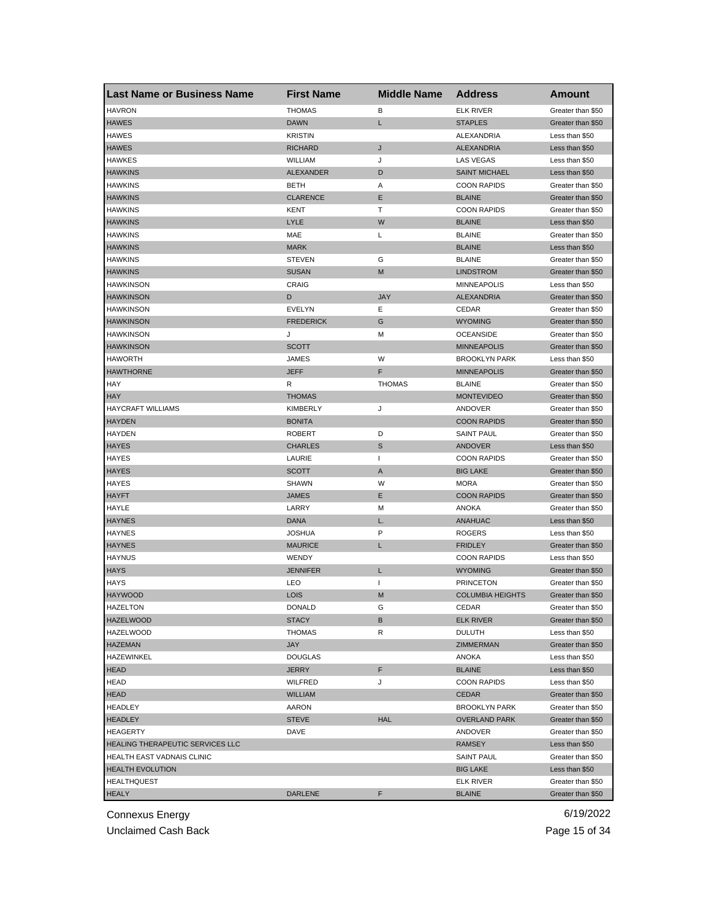| <b>Last Name or Business Name</b>       | <b>First Name</b> | <b>Middle Name</b> | <b>Address</b>          | <b>Amount</b>     |
|-----------------------------------------|-------------------|--------------------|-------------------------|-------------------|
| <b>HAVRON</b>                           | <b>THOMAS</b>     | В                  | <b>ELK RIVER</b>        | Greater than \$50 |
| <b>HAWES</b>                            | <b>DAWN</b>       | Г                  | <b>STAPLES</b>          | Greater than \$50 |
| <b>HAWES</b>                            | <b>KRISTIN</b>    |                    | ALEXANDRIA              | Less than \$50    |
| <b>HAWES</b>                            | RICHARD           | J                  | <b>ALEXANDRIA</b>       | Less than \$50    |
| <b>HAWKES</b>                           | <b>WILLIAM</b>    | J                  | LAS VEGAS               | Less than \$50    |
| <b>HAWKINS</b>                          | <b>ALEXANDER</b>  | D                  | <b>SAINT MICHAEL</b>    | Less than \$50    |
| <b>HAWKINS</b>                          | <b>BETH</b>       | Α                  | <b>COON RAPIDS</b>      | Greater than \$50 |
| <b>HAWKINS</b>                          | <b>CLARENCE</b>   | Ε                  | <b>BLAINE</b>           | Greater than \$50 |
| <b>HAWKINS</b>                          | KENT              | Т                  | <b>COON RAPIDS</b>      | Greater than \$50 |
| <b>HAWKINS</b>                          | <b>LYLE</b>       | W                  | <b>BLAINE</b>           | Less than \$50    |
| <b>HAWKINS</b>                          | MAE               | L                  | <b>BLAINE</b>           | Greater than \$50 |
| <b>HAWKINS</b>                          | <b>MARK</b>       |                    | <b>BLAINE</b>           | Less than \$50    |
| <b>HAWKINS</b>                          | <b>STEVEN</b>     | G                  | <b>BLAINE</b>           | Greater than \$50 |
| <b>HAWKINS</b>                          | <b>SUSAN</b>      | M                  | <b>LINDSTROM</b>        | Greater than \$50 |
| <b>HAWKINSON</b>                        | CRAIG             |                    | <b>MINNEAPOLIS</b>      | Less than \$50    |
| <b>HAWKINSON</b>                        | D                 | <b>JAY</b>         | <b>ALEXANDRIA</b>       | Greater than \$50 |
| <b>HAWKINSON</b>                        | EVELYN            | Ε                  | CEDAR                   | Greater than \$50 |
| <b>HAWKINSON</b>                        | <b>FREDERICK</b>  | G                  | <b>WYOMING</b>          | Greater than \$50 |
| <b>HAWKINSON</b>                        | J                 | м                  | <b>OCEANSIDE</b>        | Greater than \$50 |
| <b>HAWKINSON</b>                        | <b>SCOTT</b>      |                    | <b>MINNEAPOLIS</b>      | Greater than \$50 |
| <b>HAWORTH</b>                          | JAMES             | W                  | <b>BROOKLYN PARK</b>    | Less than \$50    |
| <b>HAWTHORNE</b>                        | <b>JEFF</b>       | F                  | <b>MINNEAPOLIS</b>      | Greater than \$50 |
| HAY                                     | R                 | <b>THOMAS</b>      | <b>BLAINE</b>           | Greater than \$50 |
| <b>HAY</b>                              | <b>THOMAS</b>     |                    | <b>MONTEVIDEO</b>       | Greater than \$50 |
| <b>HAYCRAFT WILLIAMS</b>                | KIMBERLY          | J                  | ANDOVER                 | Greater than \$50 |
| <b>HAYDEN</b>                           | <b>BONITA</b>     |                    | <b>COON RAPIDS</b>      | Greater than \$50 |
| <b>HAYDEN</b>                           | <b>ROBERT</b>     | D                  | <b>SAINT PAUL</b>       | Greater than \$50 |
| <b>HAYES</b>                            | CHARLES           | S                  | <b>ANDOVER</b>          | Less than \$50    |
| HAYES                                   | LAURIE            | $\mathbf{I}$       | <b>COON RAPIDS</b>      | Greater than \$50 |
| <b>HAYES</b>                            | <b>SCOTT</b>      | A                  | <b>BIG LAKE</b>         | Greater than \$50 |
| <b>HAYES</b>                            | <b>SHAWN</b>      | W                  | <b>MORA</b>             | Greater than \$50 |
| <b>HAYFT</b>                            | JAMES             | Ε                  | <b>COON RAPIDS</b>      | Greater than \$50 |
| HAYLE                                   | LARRY             | м                  | ANOKA                   | Greater than \$50 |
| <b>HAYNES</b>                           | <b>DANA</b>       | L.                 | <b>ANAHUAC</b>          | Less than \$50    |
| <b>HAYNES</b>                           | <b>JOSHUA</b>     | P                  | <b>ROGERS</b>           | Less than \$50    |
| <b>HAYNES</b>                           | <b>MAURICE</b>    | L                  | <b>FRIDLEY</b>          | Greater than \$50 |
| <b>HAYNUS</b>                           | <b>WENDY</b>      |                    | <b>COON RAPIDS</b>      | Less than \$50    |
| <b>HAYS</b>                             | <b>JENNIFER</b>   | L                  | <b>WYOMING</b>          | Greater than \$50 |
| <b>HAYS</b>                             | LEO               | $\mathbf{I}$       | <b>PRINCETON</b>        | Greater than \$50 |
| <b>HAYWOOD</b>                          | <b>LOIS</b>       | M                  | <b>COLUMBIA HEIGHTS</b> | Greater than \$50 |
| HAZELTON                                | DONALD            | G                  | <b>CEDAR</b>            | Greater than \$50 |
| <b>HAZELWOOD</b>                        | <b>STACY</b>      | В                  | <b>ELK RIVER</b>        | Greater than \$50 |
| <b>HAZELWOOD</b>                        | <b>THOMAS</b>     | R                  | <b>DULUTH</b>           | Less than \$50    |
| <b>HAZEMAN</b>                          | JAY               |                    | ZIMMERMAN               | Greater than \$50 |
| HAZEWINKEL                              | <b>DOUGLAS</b>    |                    | ANOKA                   | Less than \$50    |
| <b>HEAD</b>                             | <b>JERRY</b>      | F                  | <b>BLAINE</b>           | Less than \$50    |
| <b>HEAD</b>                             | WILFRED           | J                  | <b>COON RAPIDS</b>      | Less than \$50    |
| <b>HEAD</b>                             | <b>WILLIAM</b>    |                    | <b>CEDAR</b>            | Greater than \$50 |
| <b>HEADLEY</b>                          | AARON             |                    | <b>BROOKLYN PARK</b>    | Greater than \$50 |
| <b>HEADLEY</b>                          | <b>STEVE</b>      | <b>HAL</b>         | <b>OVERLAND PARK</b>    | Greater than \$50 |
| <b>HEAGERTY</b>                         | DAVE              |                    | ANDOVER                 | Greater than \$50 |
| <b>HEALING THERAPEUTIC SERVICES LLC</b> |                   |                    | <b>RAMSEY</b>           | Less than \$50    |
| HEALTH EAST VADNAIS CLINIC              |                   |                    | <b>SAINT PAUL</b>       | Greater than \$50 |
| <b>HEALTH EVOLUTION</b>                 |                   |                    | <b>BIG LAKE</b>         | Less than \$50    |
| <b>HEALTHQUEST</b>                      |                   |                    | <b>ELK RIVER</b>        | Greater than \$50 |
| <b>HEALY</b>                            | <b>DARLENE</b>    | F                  | <b>BLAINE</b>           | Greater than \$50 |
|                                         |                   |                    |                         |                   |

Unclaimed Cash Back **Page 15 of 34**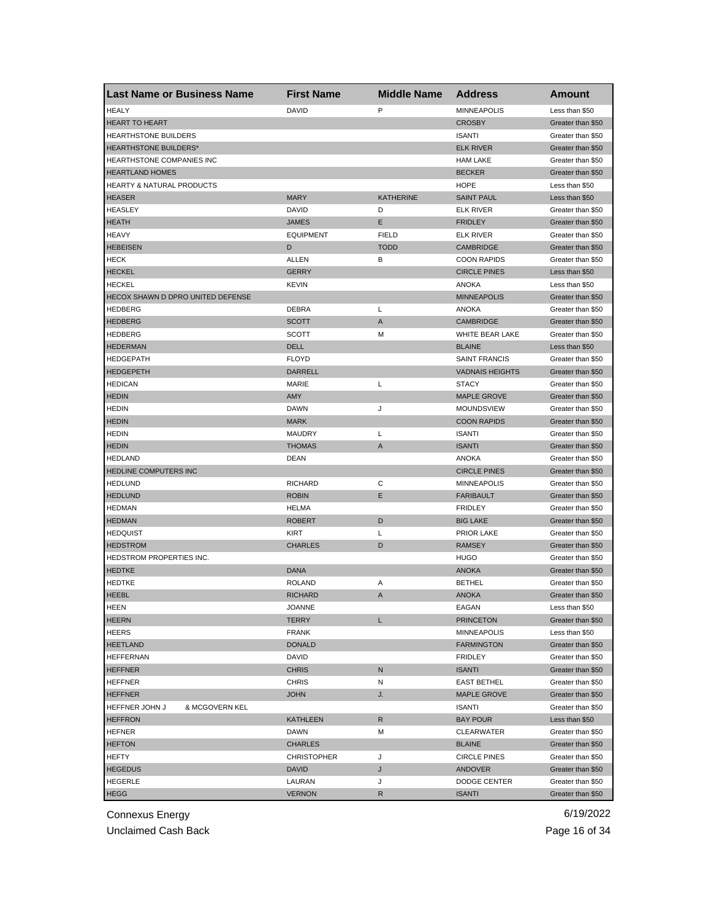| <b>Last Name or Business Name</b>    | <b>First Name</b>  | <b>Middle Name</b> | <b>Address</b>         | <b>Amount</b>     |
|--------------------------------------|--------------------|--------------------|------------------------|-------------------|
| <b>HEALY</b>                         | <b>DAVID</b>       | P                  | <b>MINNEAPOLIS</b>     | Less than \$50    |
| <b>HEART TO HEART</b>                |                    |                    | <b>CROSBY</b>          | Greater than \$50 |
| HEARTHSTONE BUILDERS                 |                    |                    | <b>ISANTI</b>          | Greater than \$50 |
| HEARTHSTONE BUILDERS*                |                    |                    | <b>ELK RIVER</b>       | Greater than \$50 |
| HEARTHSTONE COMPANIES INC            |                    |                    | <b>HAM LAKE</b>        | Greater than \$50 |
| <b>HEARTLAND HOMES</b>               |                    |                    | <b>BECKER</b>          | Greater than \$50 |
| <b>HEARTY &amp; NATURAL PRODUCTS</b> |                    |                    | <b>HOPE</b>            | Less than \$50    |
| <b>HEASER</b>                        | <b>MARY</b>        | <b>KATHERINE</b>   | <b>SAINT PAUL</b>      | Less than \$50    |
| <b>HEASLEY</b>                       | <b>DAVID</b>       | D                  | <b>ELK RIVER</b>       | Greater than \$50 |
| <b>HEATH</b>                         | <b>JAMES</b>       | Е                  | <b>FRIDLEY</b>         | Greater than \$50 |
| <b>HEAVY</b>                         | <b>EQUIPMENT</b>   | <b>FIELD</b>       | <b>ELK RIVER</b>       | Greater than \$50 |
| <b>HEBEISEN</b>                      | D                  | <b>TODD</b>        | <b>CAMBRIDGE</b>       | Greater than \$50 |
| <b>HECK</b>                          | ALLEN              | В                  | <b>COON RAPIDS</b>     | Greater than \$50 |
| <b>HECKEL</b>                        | <b>GERRY</b>       |                    | <b>CIRCLE PINES</b>    | Less than \$50    |
| <b>HECKEL</b>                        | <b>KEVIN</b>       |                    | <b>ANOKA</b>           | Less than \$50    |
| HECOX SHAWN D DPRO UNITED DEFENSE    |                    |                    | <b>MINNEAPOLIS</b>     | Greater than \$50 |
| <b>HEDBERG</b>                       | DEBRA              | L                  | <b>ANOKA</b>           | Greater than \$50 |
| <b>HEDBERG</b>                       | <b>SCOTT</b>       | A                  | <b>CAMBRIDGE</b>       | Greater than \$50 |
| <b>HEDBERG</b>                       | <b>SCOTT</b>       | М                  | WHITE BEAR LAKE        | Greater than \$50 |
| <b>HEDERMAN</b>                      | <b>DELL</b>        |                    | <b>BLAINE</b>          | Less than \$50    |
| <b>HEDGEPATH</b>                     | <b>FLOYD</b>       |                    | <b>SAINT FRANCIS</b>   | Greater than \$50 |
| <b>HEDGEPETH</b>                     | <b>DARRELL</b>     |                    | <b>VADNAIS HEIGHTS</b> | Greater than \$50 |
| <b>HEDICAN</b>                       | MARIE              | Г                  | <b>STACY</b>           | Greater than \$50 |
| <b>HEDIN</b>                         | AMY                |                    | <b>MAPLE GROVE</b>     | Greater than \$50 |
| <b>HEDIN</b>                         | <b>DAWN</b>        | J                  | MOUNDSVIEW             | Greater than \$50 |
| <b>HEDIN</b>                         | <b>MARK</b>        |                    | <b>COON RAPIDS</b>     | Greater than \$50 |
| <b>HEDIN</b>                         | <b>MAUDRY</b>      | Г                  | <b>ISANTI</b>          | Greater than \$50 |
| <b>HEDIN</b>                         | <b>THOMAS</b>      | A                  | <b>ISANTI</b>          | Greater than \$50 |
| <b>HEDLAND</b>                       | DEAN               |                    | ANOKA                  | Greater than \$50 |
| HEDLINE COMPUTERS INC                |                    |                    | <b>CIRCLE PINES</b>    | Greater than \$50 |
| <b>HEDLUND</b>                       | <b>RICHARD</b>     | С                  | <b>MINNEAPOLIS</b>     | Greater than \$50 |
| <b>HEDLUND</b>                       | <b>ROBIN</b>       | Ε                  | <b>FARIBAULT</b>       | Greater than \$50 |
| <b>HEDMAN</b>                        | <b>HELMA</b>       |                    | <b>FRIDLEY</b>         | Greater than \$50 |
| <b>HEDMAN</b>                        | <b>ROBERT</b>      | D                  | <b>BIG LAKE</b>        | Greater than \$50 |
| <b>HEDQUIST</b>                      | <b>KIRT</b>        | Г                  | <b>PRIOR LAKE</b>      | Greater than \$50 |
| <b>HEDSTROM</b>                      | <b>CHARLES</b>     | D                  | <b>RAMSEY</b>          | Greater than \$50 |
| HEDSTROM PROPERTIES INC.             |                    |                    | <b>HUGO</b>            | Greater than \$50 |
| <b>HEDTKE</b>                        | <b>DANA</b>        |                    | <b>ANOKA</b>           | Greater than \$50 |
| <b>HEDTKE</b>                        | <b>ROLAND</b>      | Α                  | <b>BETHEL</b>          | Greater than \$50 |
| <b>HEEBL</b>                         | <b>RICHARD</b>     | A                  | <b>ANOKA</b>           | Greater than \$50 |
| HEEN                                 | JOANNE             |                    | EAGAN                  | Less than \$50    |
| <b>HEERN</b>                         | <b>TERRY</b>       | L                  | <b>PRINCETON</b>       | Greater than \$50 |
| <b>HEERS</b>                         | <b>FRANK</b>       |                    | <b>MINNEAPOLIS</b>     | Less than \$50    |
| <b>HEETLAND</b>                      | <b>DONALD</b>      |                    | <b>FARMINGTON</b>      | Greater than \$50 |
| <b>HEFFERNAN</b>                     | DAVID              |                    | <b>FRIDLEY</b>         | Greater than \$50 |
| <b>HEFFNER</b>                       | <b>CHRIS</b>       | N                  | <b>ISANTI</b>          | Greater than \$50 |
| <b>HEFFNER</b>                       | <b>CHRIS</b>       | Ν                  | <b>EAST BETHEL</b>     | Greater than \$50 |
| <b>HEFFNER</b>                       | <b>JOHN</b>        | J.                 | <b>MAPLE GROVE</b>     | Greater than \$50 |
| HEFFNER JOHN J<br>& MCGOVERN KEL     |                    |                    | <b>ISANTI</b>          | Greater than \$50 |
|                                      | <b>KATHLEEN</b>    | R                  | <b>BAY POUR</b>        | Less than \$50    |
| <b>HEFFRON</b><br><b>HEFNER</b>      | DAWN               | М                  | <b>CLEARWATER</b>      | Greater than \$50 |
|                                      | <b>CHARLES</b>     |                    | <b>BLAINE</b>          |                   |
| <b>HEFTON</b>                        |                    |                    |                        | Greater than \$50 |
| HEFTY                                | <b>CHRISTOPHER</b> | J                  | <b>CIRCLE PINES</b>    | Greater than \$50 |
| <b>HEGEDUS</b>                       | <b>DAVID</b>       | J                  | ANDOVER                | Greater than \$50 |
| HEGERLE                              | LAURAN             | J                  | DODGE CENTER           | Greater than \$50 |
| <b>HEGG</b>                          | <b>VERNON</b>      | R                  | <b>ISANTI</b>          | Greater than \$50 |

Unclaimed Cash Back **Page 16 of 34**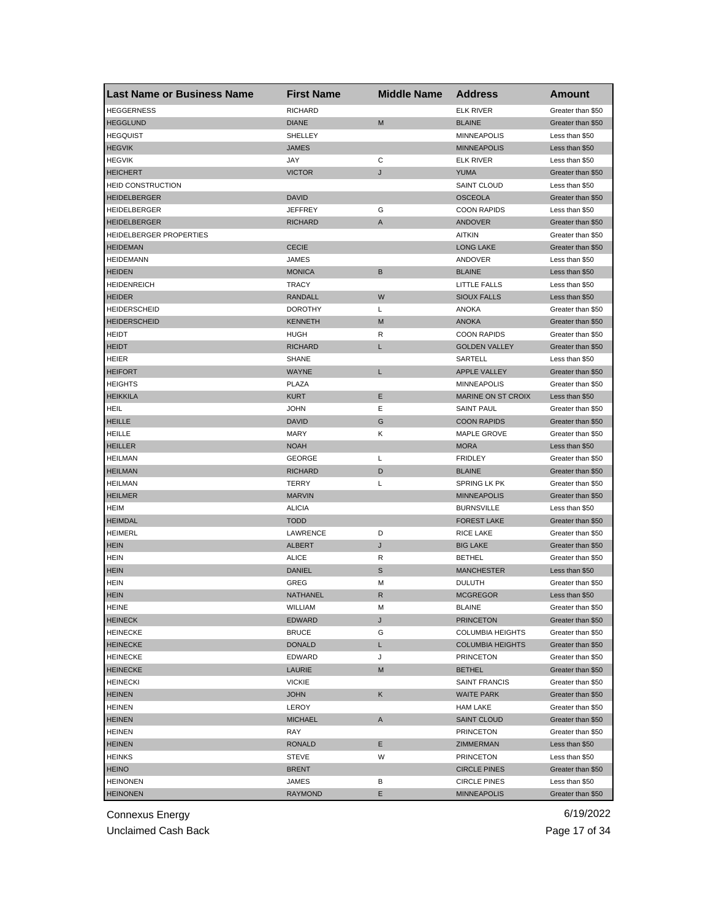| <b>Last Name or Business Name</b> | <b>First Name</b> | <b>Middle Name</b> | <b>Address</b>            | Amount            |
|-----------------------------------|-------------------|--------------------|---------------------------|-------------------|
| <b>HEGGERNESS</b>                 | <b>RICHARD</b>    |                    | <b>ELK RIVER</b>          | Greater than \$50 |
| <b>HEGGLUND</b>                   | <b>DIANE</b>      | M                  | <b>BLAINE</b>             | Greater than \$50 |
| <b>HEGQUIST</b>                   | SHELLEY           |                    | <b>MINNEAPOLIS</b>        | Less than \$50    |
| <b>HEGVIK</b>                     | <b>JAMES</b>      |                    | <b>MINNEAPOLIS</b>        | Less than \$50    |
| <b>HEGVIK</b>                     | JAY               | С                  | <b>ELK RIVER</b>          | Less than \$50    |
| <b>HEICHERT</b>                   | <b>VICTOR</b>     | J                  | <b>YUMA</b>               | Greater than \$50 |
| <b>HEID CONSTRUCTION</b>          |                   |                    | <b>SAINT CLOUD</b>        | Less than \$50    |
| <b>HEIDELBERGER</b>               | <b>DAVID</b>      |                    | <b>OSCEOLA</b>            | Greater than \$50 |
| HEIDELBERGER                      | JEFFREY           | G                  | <b>COON RAPIDS</b>        | Less than \$50    |
| <b>HEIDELBERGER</b>               | RICHARD           | A                  | ANDOVER                   | Greater than \$50 |
| HEIDELBERGER PROPERTIES           |                   |                    | <b>AITKIN</b>             | Greater than \$50 |
| <b>HEIDEMAN</b>                   | <b>CECIE</b>      |                    | <b>LONG LAKE</b>          | Greater than \$50 |
| <b>HEIDEMANN</b>                  | JAMES             |                    | ANDOVER                   | Less than \$50    |
| <b>HEIDEN</b>                     | <b>MONICA</b>     | B                  | <b>BLAINE</b>             | Less than \$50    |
| <b>HEIDENREICH</b>                | <b>TRACY</b>      |                    | <b>LITTLE FALLS</b>       | Less than \$50    |
| <b>HEIDER</b>                     | <b>RANDALL</b>    | W                  | <b>SIOUX FALLS</b>        | Less than \$50    |
| HEIDERSCHEID                      | <b>DOROTHY</b>    | L                  | <b>ANOKA</b>              | Greater than \$50 |
| <b>HEIDERSCHEID</b>               | <b>KENNETH</b>    | M                  | <b>ANOKA</b>              | Greater than \$50 |
| <b>HEIDT</b>                      | HUGH              | R                  | <b>COON RAPIDS</b>        | Greater than \$50 |
| <b>HEIDT</b>                      | <b>RICHARD</b>    | L                  | <b>GOLDEN VALLEY</b>      | Greater than \$50 |
| HEIER                             | <b>SHANE</b>      |                    | SARTELL                   | Less than \$50    |
| <b>HEIFORT</b>                    | <b>WAYNE</b>      | L                  | <b>APPLE VALLEY</b>       | Greater than \$50 |
| <b>HEIGHTS</b>                    | <b>PLAZA</b>      |                    | <b>MINNEAPOLIS</b>        | Greater than \$50 |
| <b>HEIKKILA</b>                   | <b>KURT</b>       | Ε                  | <b>MARINE ON ST CROIX</b> | Less than \$50    |
| HEIL                              | <b>JOHN</b>       | Ε                  | <b>SAINT PAUL</b>         | Greater than \$50 |
| <b>HEILLE</b>                     | <b>DAVID</b>      | G                  | <b>COON RAPIDS</b>        | Greater than \$50 |
| <b>HEILLE</b>                     | MARY              | Κ                  | MAPLE GROVE               | Greater than \$50 |
| <b>HEILLER</b>                    | <b>NOAH</b>       |                    | <b>MORA</b>               | Less than \$50    |
| <b>HEILMAN</b>                    | <b>GEORGE</b>     | L                  | <b>FRIDLEY</b>            | Greater than \$50 |
| <b>HEILMAN</b>                    | <b>RICHARD</b>    | D                  | <b>BLAINE</b>             | Greater than \$50 |
| <b>HEILMAN</b>                    | <b>TERRY</b>      | L                  | SPRING LK PK              | Greater than \$50 |
| <b>HEILMER</b>                    | <b>MARVIN</b>     |                    | <b>MINNEAPOLIS</b>        | Greater than \$50 |
| <b>HEIM</b>                       | <b>ALICIA</b>     |                    | <b>BURNSVILLE</b>         | Less than \$50    |
| <b>HEIMDAL</b>                    | <b>TODD</b>       |                    | <b>FOREST LAKE</b>        | Greater than \$50 |
| <b>HEIMERL</b>                    | LAWRENCE          | D                  | RICE LAKE                 | Greater than \$50 |
| <b>HEIN</b>                       | <b>ALBERT</b>     | J                  | <b>BIG LAKE</b>           | Greater than \$50 |
| <b>HEIN</b>                       | <b>ALICE</b>      | R                  | <b>BETHEL</b>             | Greater than \$50 |
| <b>HEIN</b>                       | DANIEL            | S                  | <b>MANCHESTER</b>         | Less than \$50    |
| <b>HEIN</b>                       | GREG              | M                  | <b>DULUTH</b>             | Greater than \$50 |
| <b>HEIN</b>                       | NATHANEL          | R                  | <b>MCGREGOR</b>           | Less than \$50    |
| <b>HEINE</b>                      | WILLIAM           | M                  | <b>BLAINE</b>             | Greater than \$50 |
| <b>HEINECK</b>                    | EDWARD            | J                  | <b>PRINCETON</b>          | Greater than \$50 |
| <b>HEINECKE</b>                   | <b>BRUCE</b>      | G                  | <b>COLUMBIA HEIGHTS</b>   | Greater than \$50 |
| <b>HEINECKE</b>                   | DONALD            | L                  | <b>COLUMBIA HEIGHTS</b>   | Greater than \$50 |
| <b>HEINECKE</b>                   | EDWARD            | J                  | <b>PRINCETON</b>          | Greater than \$50 |
| <b>HEINECKE</b>                   | <b>LAURIE</b>     | M                  | <b>BETHEL</b>             | Greater than \$50 |
| <b>HEINECKI</b>                   | <b>VICKIE</b>     |                    | SAINT FRANCIS             | Greater than \$50 |
| <b>HEINEN</b>                     | <b>JOHN</b>       | Κ                  | <b>WAITE PARK</b>         | Greater than \$50 |
| <b>HEINEN</b>                     | <b>LEROY</b>      |                    | <b>HAM LAKE</b>           | Greater than \$50 |
| <b>HEINEN</b>                     | <b>MICHAEL</b>    | Α                  | <b>SAINT CLOUD</b>        | Greater than \$50 |
| <b>HEINEN</b>                     | RAY               |                    | <b>PRINCETON</b>          | Greater than \$50 |
| <b>HEINEN</b>                     | <b>RONALD</b>     | Е                  | ZIMMERMAN                 | Less than \$50    |
| <b>HEINKS</b>                     | STEVE             | W                  | <b>PRINCETON</b>          | Less than \$50    |
| <b>HEINO</b>                      | <b>BRENT</b>      |                    | <b>CIRCLE PINES</b>       | Greater than \$50 |
| <b>HEINONEN</b>                   | JAMES             | в                  | <b>CIRCLE PINES</b>       | Less than \$50    |
| <b>HEINONEN</b>                   | <b>RAYMOND</b>    | E.                 | <b>MINNEAPOLIS</b>        | Greater than \$50 |

Unclaimed Cash Back **Page 17 of 34**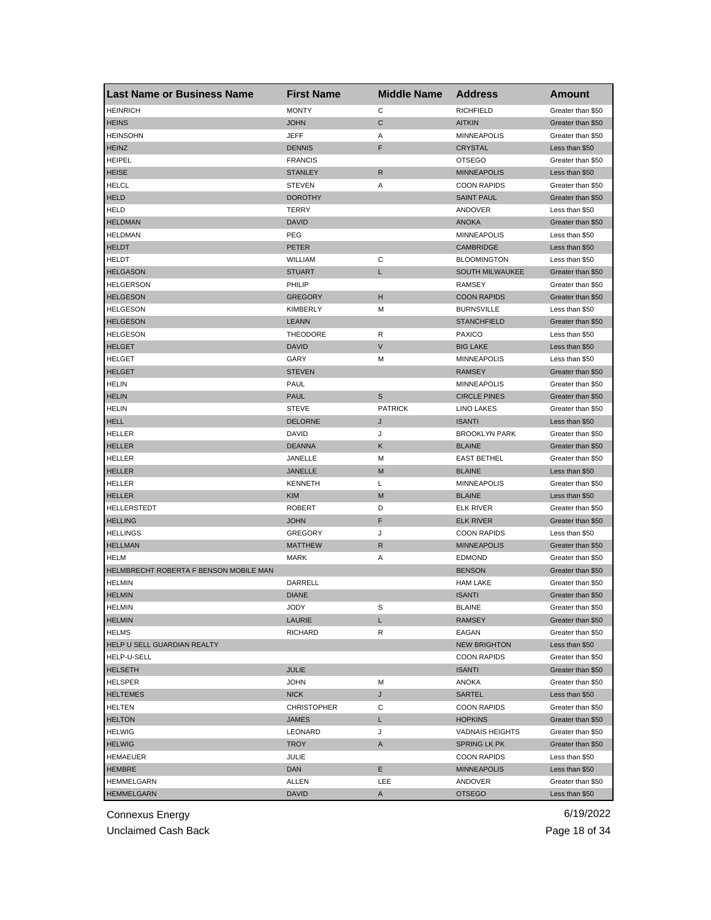| <b>Last Name or Business Name</b>      | <b>First Name</b>  | <b>Middle Name</b> | <b>Address</b>         | Amount            |
|----------------------------------------|--------------------|--------------------|------------------------|-------------------|
| <b>HEINRICH</b>                        | <b>MONTY</b>       | C                  | <b>RICHFIELD</b>       | Greater than \$50 |
| <b>HEINS</b>                           | <b>JOHN</b>        | $\mathsf C$        | <b>AITKIN</b>          | Greater than \$50 |
| <b>HEINSOHN</b>                        | JEFF               | Α                  | <b>MINNEAPOLIS</b>     | Greater than \$50 |
| <b>HEINZ</b>                           | <b>DENNIS</b>      | F                  | <b>CRYSTAL</b>         | Less than \$50    |
| <b>HEIPEL</b>                          | <b>FRANCIS</b>     |                    | <b>OTSEGO</b>          | Greater than \$50 |
| <b>HEISE</b>                           | <b>STANLEY</b>     | R                  | <b>MINNEAPOLIS</b>     | Less than \$50    |
| <b>HELCL</b>                           | <b>STEVEN</b>      | Α                  | <b>COON RAPIDS</b>     | Greater than \$50 |
| <b>HELD</b>                            | <b>DOROTHY</b>     |                    | <b>SAINT PAUL</b>      | Greater than \$50 |
| <b>HELD</b>                            | TERRY              |                    | <b>ANDOVER</b>         | Less than \$50    |
| <b>HELDMAN</b>                         | <b>DAVID</b>       |                    | <b>ANOKA</b>           | Greater than \$50 |
| <b>HELDMAN</b>                         | <b>PEG</b>         |                    | <b>MINNEAPOLIS</b>     | Less than \$50    |
| <b>HELDT</b>                           | <b>PETER</b>       |                    | <b>CAMBRIDGE</b>       | Less than \$50    |
| <b>HELDT</b>                           | WILLIAM            | С                  | <b>BLOOMINGTON</b>     | Less than \$50    |
| <b>HELGASON</b>                        | <b>STUART</b>      | L                  | SOUTH MILWAUKEE        | Greater than \$50 |
| <b>HELGERSON</b>                       | PHILIP             |                    | <b>RAMSEY</b>          | Greater than \$50 |
| <b>HELGESON</b>                        | <b>GREGORY</b>     | н                  | <b>COON RAPIDS</b>     | Greater than \$50 |
| <b>HELGESON</b>                        | KIMBERLY           | М                  | <b>BURNSVILLE</b>      | Less than \$50    |
| <b>HELGESON</b>                        | <b>LEANN</b>       |                    | <b>STANCHFIELD</b>     | Greater than \$50 |
| <b>HELGESON</b>                        | <b>THEODORE</b>    | R                  | <b>PAXICO</b>          | Less than \$50    |
| <b>HELGET</b>                          | <b>DAVID</b>       | V                  | <b>BIG LAKE</b>        | Less than \$50    |
| <b>HELGET</b>                          | GARY               | м                  | <b>MINNEAPOLIS</b>     | Less than \$50    |
| <b>HELGET</b>                          | <b>STEVEN</b>      |                    | <b>RAMSEY</b>          | Greater than \$50 |
| <b>HELIN</b>                           | PAUL               |                    | <b>MINNEAPOLIS</b>     | Greater than \$50 |
| <b>HELIN</b>                           | <b>PAUL</b>        | S                  | <b>CIRCLE PINES</b>    | Greater than \$50 |
| <b>HELIN</b>                           | <b>STEVE</b>       | <b>PATRICK</b>     | <b>LINO LAKES</b>      | Greater than \$50 |
| <b>HELL</b>                            | <b>DELORNE</b>     | J                  | <b>ISANTI</b>          | Less than \$50    |
| HELLER                                 | DAVID              | J                  | <b>BROOKLYN PARK</b>   | Greater than \$50 |
| <b>HELLER</b>                          | <b>DEANNA</b>      | Κ                  | <b>BLAINE</b>          | Greater than \$50 |
| <b>HELLER</b>                          | JANELLE            | м                  | <b>EAST BETHEL</b>     | Greater than \$50 |
| <b>HELLER</b>                          | JANELLE            | M                  | <b>BLAINE</b>          | Less than \$50    |
| <b>HELLER</b>                          | <b>KENNETH</b>     | Г                  | <b>MINNEAPOLIS</b>     | Greater than \$50 |
| <b>HELLER</b>                          | <b>KIM</b>         | M                  | <b>BLAINE</b>          | Less than \$50    |
| HELLERSTEDT                            | <b>ROBERT</b>      | D                  | <b>ELK RIVER</b>       | Greater than \$50 |
| <b>HELLING</b>                         | <b>JOHN</b>        | F                  | <b>ELK RIVER</b>       | Greater than \$50 |
| <b>HELLINGS</b>                        | <b>GREGORY</b>     | J                  | <b>COON RAPIDS</b>     | Less than \$50    |
| <b>HELLMAN</b>                         | <b>MATTHEW</b>     | R                  | <b>MINNEAPOLIS</b>     | Greater than \$50 |
| <b>HELM</b>                            | <b>MARK</b>        | Α                  | <b>EDMOND</b>          | Greater than \$50 |
| HELMBRECHT ROBERTA F BENSON MOBILE MAN |                    |                    | <b>BENSON</b>          | Greater than \$50 |
| <b>HELMIN</b>                          | DARRELL            |                    | <b>HAM LAKE</b>        | Greater than \$50 |
| <b>HELMIN</b>                          | <b>DIANE</b>       |                    | <b>ISANTI</b>          | Greater than \$50 |
| <b>HELMIN</b>                          | JODY               | S                  | <b>BLAINE</b>          | Greater than \$50 |
| <b>HELMIN</b>                          | LAURIE             | L                  | <b>RAMSEY</b>          | Greater than \$50 |
| <b>HELMS</b>                           | <b>RICHARD</b>     | R                  | EAGAN                  | Greater than \$50 |
| <b>HELP U SELL GUARDIAN REALTY</b>     |                    |                    | <b>NEW BRIGHTON</b>    | Less than \$50    |
| HELP-U-SELL                            |                    |                    | <b>COON RAPIDS</b>     | Greater than \$50 |
| <b>HELSETH</b>                         | <b>JULIE</b>       |                    | <b>ISANTI</b>          | Greater than \$50 |
| <b>HELSPER</b>                         | <b>JOHN</b>        | М                  | ANOKA                  | Greater than \$50 |
| <b>HELTEMES</b>                        | <b>NICK</b>        | J                  | SARTEL                 | Less than \$50    |
| <b>HELTEN</b>                          | <b>CHRISTOPHER</b> | С                  | <b>COON RAPIDS</b>     | Greater than \$50 |
| <b>HELTON</b>                          | <b>JAMES</b>       | L                  | <b>HOPKINS</b>         | Greater than \$50 |
| <b>HELWIG</b>                          | LEONARD            | J                  | <b>VADNAIS HEIGHTS</b> | Greater than \$50 |
| <b>HELWIG</b>                          | TROY               | A                  | SPRING LK PK           | Greater than \$50 |
| HEMAEUER                               | JULIE              |                    | <b>COON RAPIDS</b>     | Less than \$50    |
| <b>HEMBRE</b>                          | DAN                | Е                  | <b>MINNEAPOLIS</b>     | Less than \$50    |
| HEMMELGARN                             | ALLEN              | LEE                | ANDOVER                | Greater than \$50 |
| <b>HEMMELGARN</b>                      | DAVID              |                    |                        |                   |
|                                        |                    | A                  | <b>OTSEGO</b>          | Less than \$50    |

Unclaimed Cash Back **Page 18 of 34**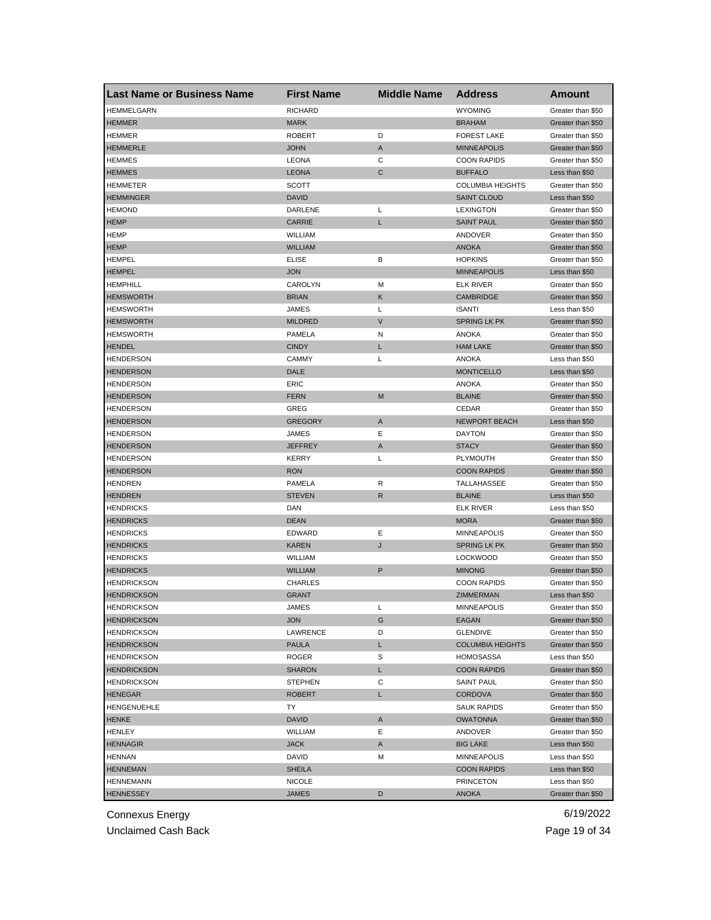| <b>Last Name or Business Name</b> | <b>First Name</b> | <b>Middle Name</b> | <b>Address</b>          | <b>Amount</b>     |
|-----------------------------------|-------------------|--------------------|-------------------------|-------------------|
| <b>HEMMELGARN</b>                 | <b>RICHARD</b>    |                    | <b>WYOMING</b>          | Greater than \$50 |
| <b>HEMMER</b>                     | <b>MARK</b>       |                    | <b>BRAHAM</b>           | Greater than \$50 |
| HEMMER                            | <b>ROBERT</b>     | D                  | <b>FOREST LAKE</b>      | Greater than \$50 |
| <b>HEMMERLE</b>                   | <b>JOHN</b>       | A                  | <b>MINNEAPOLIS</b>      | Greater than \$50 |
| <b>HEMMES</b>                     | <b>LEONA</b>      | C                  | <b>COON RAPIDS</b>      | Greater than \$50 |
| <b>HEMMES</b>                     | <b>LEONA</b>      | C                  | <b>BUFFALO</b>          | Less than \$50    |
| <b>HEMMETER</b>                   | SCOTT             |                    | <b>COLUMBIA HEIGHTS</b> | Greater than \$50 |
| <b>HEMMINGER</b>                  | <b>DAVID</b>      |                    | <b>SAINT CLOUD</b>      | Less than \$50    |
| <b>HEMOND</b>                     | DARLENE           | L                  | <b>LEXINGTON</b>        | Greater than \$50 |
| <b>HEMP</b>                       | <b>CARRIE</b>     | L                  | <b>SAINT PAUL</b>       | Greater than \$50 |
| HEMP                              | WILLIAM           |                    | ANDOVER                 | Greater than \$50 |
| <b>HEMP</b>                       | <b>WILLIAM</b>    |                    | <b>ANOKA</b>            | Greater than \$50 |
| <b>HEMPEL</b>                     | ELISE             | в                  | <b>HOPKINS</b>          | Greater than \$50 |
| <b>HEMPEL</b>                     | <b>JON</b>        |                    | <b>MINNEAPOLIS</b>      | Less than \$50    |
| <b>HEMPHILL</b>                   | CAROLYN           | M                  | <b>ELK RIVER</b>        | Greater than \$50 |
| <b>HEMSWORTH</b>                  | <b>BRIAN</b>      | Κ                  | <b>CAMBRIDGE</b>        | Greater than \$50 |
| <b>HEMSWORTH</b>                  | JAMES             | L                  | <b>ISANTI</b>           | Less than \$50    |
| <b>HEMSWORTH</b>                  | <b>MILDRED</b>    | $\vee$             | <b>SPRING LK PK</b>     | Greater than \$50 |
| <b>HEMSWORTH</b>                  | <b>PAMELA</b>     | N                  | ANOKA                   | Greater than \$50 |
| <b>HENDEL</b>                     | <b>CINDY</b>      | L                  | <b>HAM LAKE</b>         | Greater than \$50 |
| <b>HENDERSON</b>                  | <b>CAMMY</b>      | L                  | <b>ANOKA</b>            | Less than \$50    |
| <b>HENDERSON</b>                  | DALE              |                    | <b>MONTICELLO</b>       | Less than \$50    |
| <b>HENDERSON</b>                  | ERIC              |                    | <b>ANOKA</b>            | Greater than \$50 |
| <b>HENDERSON</b>                  | <b>FERN</b>       | M                  | <b>BLAINE</b>           | Greater than \$50 |
| <b>HENDERSON</b>                  | GREG              |                    | CEDAR                   | Greater than \$50 |
| <b>HENDERSON</b>                  | GREGORY           | A                  | <b>NEWPORT BEACH</b>    | Less than \$50    |
| HENDERSON                         | JAMES             | Ε                  | <b>DAYTON</b>           | Greater than \$50 |
| <b>HENDERSON</b>                  | <b>JEFFREY</b>    | A                  | <b>STACY</b>            | Greater than \$50 |
| <b>HENDERSON</b>                  | KERRY             | L                  | <b>PLYMOUTH</b>         | Greater than \$50 |
| <b>HENDERSON</b>                  | <b>RON</b>        |                    | <b>COON RAPIDS</b>      | Greater than \$50 |
| <b>HENDREN</b>                    | PAMELA            | R                  | TALLAHASSEE             | Greater than \$50 |
| <b>HENDREN</b>                    | <b>STEVEN</b>     | $\mathsf{R}$       | <b>BLAINE</b>           | Less than \$50    |
| <b>HENDRICKS</b>                  | DAN               |                    | <b>ELK RIVER</b>        | Less than \$50    |
| <b>HENDRICKS</b>                  | <b>DEAN</b>       |                    | <b>MORA</b>             | Greater than \$50 |
| <b>HENDRICKS</b>                  | <b>EDWARD</b>     | Е                  | <b>MINNEAPOLIS</b>      | Greater than \$50 |
| <b>HENDRICKS</b>                  | <b>KAREN</b>      | J                  | <b>SPRING LK PK</b>     | Greater than \$50 |
| <b>HENDRICKS</b>                  | <b>WILLIAM</b>    |                    | <b>LOCKWOOD</b>         | Greater than \$50 |
| <b>HENDRICKS</b>                  | <b>WILLIAM</b>    | P                  | <b>MINONG</b>           | Greater than \$50 |
| <b>HENDRICKSON</b>                | <b>CHARLES</b>    |                    | <b>COON RAPIDS</b>      | Greater than \$50 |
| <b>HENDRICKSON</b>                | GRANT             |                    | ZIMMERMAN               | Less than \$50    |
| <b>HENDRICKSON</b>                | JAMES             | L                  | <b>MINNEAPOLIS</b>      | Greater than \$50 |
| <b>HENDRICKSON</b>                | <b>JON</b>        | G                  | EAGAN                   | Greater than \$50 |
| <b>HENDRICKSON</b>                | LAWRENCE          | D                  | <b>GLENDIVE</b>         | Greater than \$50 |
| <b>HENDRICKSON</b>                | PAULA             | L                  | <b>COLUMBIA HEIGHTS</b> | Greater than \$50 |
| <b>HENDRICKSON</b>                | ROGER             | S                  | <b>HOMOSASSA</b>        | Less than \$50    |
| <b>HENDRICKSON</b>                | <b>SHARON</b>     | L                  | <b>COON RAPIDS</b>      | Greater than \$50 |
| <b>HENDRICKSON</b>                | <b>STEPHEN</b>    | С                  | <b>SAINT PAUL</b>       | Greater than \$50 |
| <b>HENEGAR</b>                    | ROBERT            | L                  | <b>CORDOVA</b>          | Greater than \$50 |
| <b>HENGENUEHLE</b>                | TY                |                    | <b>SAUK RAPIDS</b>      | Greater than \$50 |
| <b>HENKE</b>                      | <b>DAVID</b>      | Α                  | <b>OWATONNA</b>         | Greater than \$50 |
| HENLEY                            | WILLIAM           | Ε                  | ANDOVER                 | Greater than \$50 |
| <b>HENNAGIR</b>                   | <b>JACK</b>       | A                  | <b>BIG LAKE</b>         | Less than \$50    |
| <b>HENNAN</b>                     | DAVID             | Μ                  | MINNEAPOLIS             | Less than \$50    |
| <b>HENNEMAN</b>                   | <b>SHEILA</b>     |                    | <b>COON RAPIDS</b>      | Less than \$50    |
| <b>HENNEMANN</b>                  | <b>NICOLE</b>     |                    | <b>PRINCETON</b>        | Less than \$50    |
| <b>HENNESSEY</b>                  | <b>JAMES</b>      | D                  | <b>ANOKA</b>            | Greater than \$50 |

Unclaimed Cash Back **Page 19 of 34**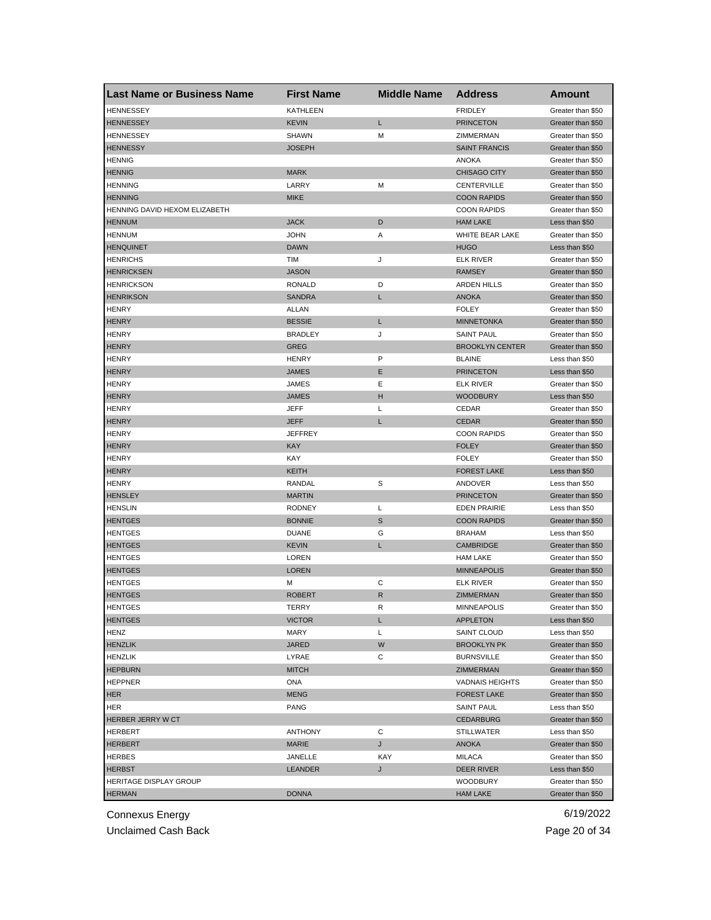| <b>Last Name or Business Name</b> | <b>First Name</b> | <b>Middle Name</b> | <b>Address</b>         | Amount            |
|-----------------------------------|-------------------|--------------------|------------------------|-------------------|
| <b>HENNESSEY</b>                  | <b>KATHLEEN</b>   |                    | <b>FRIDLEY</b>         | Greater than \$50 |
| <b>HENNESSEY</b>                  | <b>KEVIN</b>      | L                  | <b>PRINCETON</b>       | Greater than \$50 |
| <b>HENNESSEY</b>                  | <b>SHAWN</b>      | M                  | ZIMMERMAN              | Greater than \$50 |
| <b>HENNESSY</b>                   | <b>JOSEPH</b>     |                    | <b>SAINT FRANCIS</b>   | Greater than \$50 |
| <b>HENNIG</b>                     |                   |                    | ANOKA                  | Greater than \$50 |
| <b>HENNIG</b>                     | <b>MARK</b>       |                    | <b>CHISAGO CITY</b>    | Greater than \$50 |
| <b>HENNING</b>                    | LARRY             | M                  | CENTERVILLE            | Greater than \$50 |
| <b>HENNING</b>                    | <b>MIKE</b>       |                    | <b>COON RAPIDS</b>     | Greater than \$50 |
| HENNING DAVID HEXOM ELIZABETH     |                   |                    | <b>COON RAPIDS</b>     | Greater than \$50 |
| <b>HENNUM</b>                     | <b>JACK</b>       | D                  | <b>HAM LAKE</b>        | Less than \$50    |
| <b>HENNUM</b>                     | <b>JOHN</b>       | Α                  | WHITE BEAR LAKE        | Greater than \$50 |
| <b>HENQUINET</b>                  | <b>DAWN</b>       |                    | <b>HUGO</b>            | Less than \$50    |
| <b>HENRICHS</b>                   | TIM               | J                  | <b>ELK RIVER</b>       | Greater than \$50 |
| <b>HENRICKSEN</b>                 | <b>JASON</b>      |                    | <b>RAMSEY</b>          | Greater than \$50 |
| <b>HENRICKSON</b>                 | RONALD            | D                  | <b>ARDEN HILLS</b>     | Greater than \$50 |
| <b>HENRIKSON</b>                  | <b>SANDRA</b>     | L                  | <b>ANOKA</b>           | Greater than \$50 |
| <b>HENRY</b>                      | ALLAN             |                    | <b>FOLEY</b>           | Greater than \$50 |
| <b>HENRY</b>                      | <b>BESSIE</b>     | L                  | <b>MINNETONKA</b>      | Greater than \$50 |
| <b>HENRY</b>                      | <b>BRADLEY</b>    | J                  | <b>SAINT PAUL</b>      | Greater than \$50 |
| <b>HENRY</b>                      | <b>GREG</b>       |                    | <b>BROOKLYN CENTER</b> | Greater than \$50 |
| <b>HENRY</b>                      | <b>HENRY</b>      | P                  | <b>BLAINE</b>          | Less than \$50    |
| <b>HENRY</b>                      | <b>JAMES</b>      | Ε                  | <b>PRINCETON</b>       | Less than \$50    |
| <b>HENRY</b>                      | JAMES             | Ε                  | <b>ELK RIVER</b>       | Greater than \$50 |
| <b>HENRY</b>                      | <b>JAMES</b>      | н                  | <b>WOODBURY</b>        | Less than \$50    |
| <b>HENRY</b>                      | JEFF              | Г                  | CEDAR                  | Greater than \$50 |
| <b>HENRY</b>                      | <b>JEFF</b>       | L                  | <b>CEDAR</b>           | Greater than \$50 |
| <b>HENRY</b>                      | <b>JEFFREY</b>    |                    | <b>COON RAPIDS</b>     | Greater than \$50 |
| <b>HENRY</b>                      | <b>KAY</b>        |                    | <b>FOLEY</b>           | Greater than \$50 |
| <b>HENRY</b>                      | KAY               |                    | <b>FOLEY</b>           | Greater than \$50 |
| <b>HENRY</b>                      | KEITH             |                    | <b>FOREST LAKE</b>     | Less than \$50    |
| <b>HENRY</b>                      | RANDAL            | S                  | ANDOVER                | Less than \$50    |
| <b>HENSLEY</b>                    | <b>MARTIN</b>     |                    | <b>PRINCETON</b>       | Greater than \$50 |
| <b>HENSLIN</b>                    | <b>RODNEY</b>     | L                  | <b>EDEN PRAIRIE</b>    | Less than \$50    |
| <b>HENTGES</b>                    | <b>BONNIE</b>     | S                  | <b>COON RAPIDS</b>     | Greater than \$50 |
| <b>HENTGES</b>                    | <b>DUANE</b>      | G                  | <b>BRAHAM</b>          | Less than \$50    |
| <b>HENTGES</b>                    | <b>KEVIN</b>      | L                  | <b>CAMBRIDGE</b>       | Greater than \$50 |
| <b>HENTGES</b>                    | LOREN             |                    | <b>HAM LAKE</b>        | Greater than \$50 |
| <b>HENTGES</b>                    | <b>LOREN</b>      |                    | <b>MINNEAPOLIS</b>     | Greater than \$50 |
| <b>HENTGES</b>                    | М                 | С                  | <b>ELK RIVER</b>       | Greater than \$50 |
| <b>HENTGES</b>                    | <b>ROBERT</b>     | R                  | ZIMMERMAN              | Greater than \$50 |
| <b>HENIGES</b>                    | TERRY             | к                  | <b>MINNEAPOLIS</b>     | Greater than \$50 |
| <b>HENTGES</b>                    | <b>VICTOR</b>     | L                  | <b>APPLETON</b>        | Less than \$50    |
| <b>HENZ</b>                       | MARY              | Г                  | SAINT CLOUD            | Less than \$50    |
| <b>HENZLIK</b>                    | JARED             | W                  | <b>BROOKLYN PK</b>     | Greater than \$50 |
| <b>HENZLIK</b>                    | LYRAE             | С                  | <b>BURNSVILLE</b>      | Greater than \$50 |
| <b>HEPBURN</b>                    | <b>MITCH</b>      |                    | ZIMMERMAN              | Greater than \$50 |
| <b>HEPPNER</b>                    | ONA               |                    | <b>VADNAIS HEIGHTS</b> | Greater than \$50 |
| <b>HER</b>                        | <b>MENG</b>       |                    | <b>FOREST LAKE</b>     | Greater than \$50 |
| HER                               | PANG              |                    | <b>SAINT PAUL</b>      | Less than \$50    |
| HERBER JERRY W CT                 |                   |                    | <b>CEDARBURG</b>       | Greater than \$50 |
| <b>HERBERT</b>                    | <b>ANTHONY</b>    | С                  | <b>STILLWATER</b>      | Less than \$50    |
| <b>HERBERT</b>                    | <b>MARIE</b>      | J                  | ANOKA                  | Greater than \$50 |
| <b>HERBES</b>                     | JANELLE           | KAY                | MILACA                 | Greater than \$50 |
| <b>HERBST</b>                     | LEANDER           | J                  | DEER RIVER             | Less than \$50    |
| HERITAGE DISPLAY GROUP            |                   |                    | <b>WOODBURY</b>        | Greater than \$50 |
| <b>HERMAN</b>                     | <b>DONNA</b>      |                    | <b>HAM LAKE</b>        | Greater than \$50 |
|                                   |                   |                    |                        |                   |

Unclaimed Cash Back **Page 20 of 34**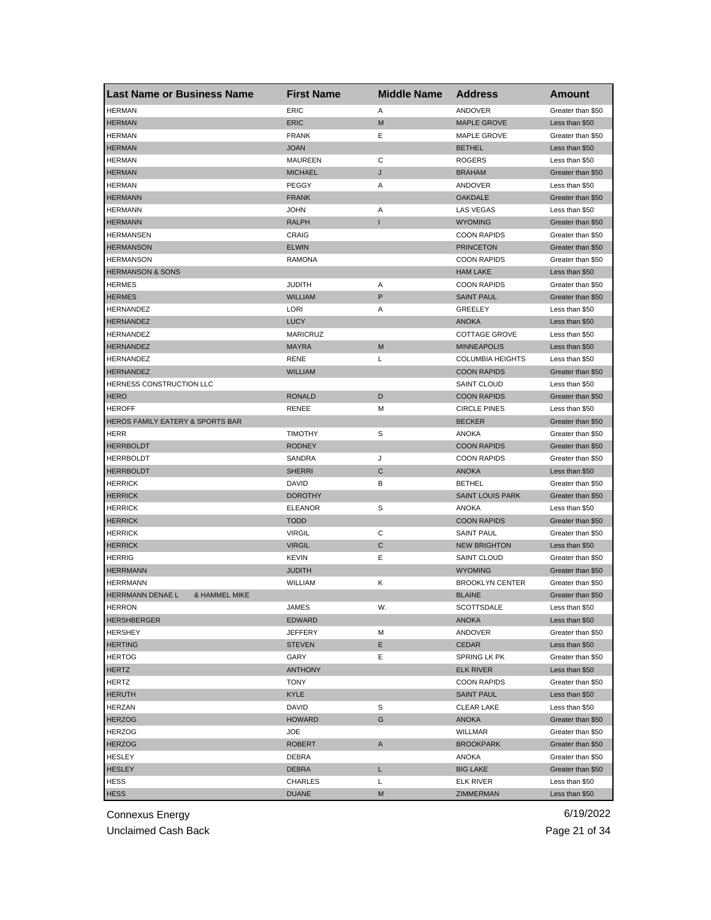| <b>Last Name or Business Name</b>            | <b>First Name</b> | <b>Middle Name</b> | <b>Address</b>                 | <b>Amount</b>                          |
|----------------------------------------------|-------------------|--------------------|--------------------------------|----------------------------------------|
| <b>HERMAN</b>                                | ERIC              | Α                  | ANDOVER                        | Greater than \$50                      |
| <b>HERMAN</b>                                | <b>ERIC</b>       | M                  | <b>MAPLE GROVE</b>             | Less than \$50                         |
| <b>HERMAN</b>                                | <b>FRANK</b>      | Ε                  | <b>MAPLE GROVE</b>             | Greater than \$50                      |
| <b>HERMAN</b>                                | <b>JOAN</b>       |                    | <b>BETHEL</b>                  | Less than \$50                         |
| <b>HERMAN</b>                                | <b>MAUREEN</b>    | С                  | <b>ROGERS</b>                  | Less than \$50                         |
| <b>HERMAN</b>                                | <b>MICHAEL</b>    | J                  | <b>BRAHAM</b>                  | Greater than \$50                      |
| <b>HERMAN</b>                                | PEGGY             | Α                  | ANDOVER                        | Less than \$50                         |
| <b>HERMANN</b>                               | <b>FRANK</b>      |                    | <b>OAKDALE</b>                 | Greater than \$50                      |
| <b>HERMANN</b>                               | <b>JOHN</b>       | Α                  | LAS VEGAS                      | Less than \$50                         |
| <b>HERMANN</b>                               | <b>RALPH</b>      | ı                  | <b>WYOMING</b>                 | Greater than \$50                      |
| <b>HERMANSEN</b>                             | CRAIG             |                    | <b>COON RAPIDS</b>             | Greater than \$50                      |
| <b>HERMANSON</b>                             | <b>ELWIN</b>      |                    | <b>PRINCETON</b>               | Greater than \$50                      |
| <b>HERMANSON</b>                             | RAMONA            |                    | <b>COON RAPIDS</b>             | Greater than \$50                      |
| <b>HERMANSON &amp; SONS</b>                  |                   |                    | <b>HAM LAKE</b>                | Less than \$50                         |
| <b>HERMES</b>                                | <b>JUDITH</b>     | Α                  | <b>COON RAPIDS</b>             | Greater than \$50                      |
| <b>HERMES</b>                                | <b>WILLIAM</b>    | P                  | <b>SAINT PAUL</b>              | Greater than \$50                      |
| HERNANDEZ                                    | LORI              | Α                  | <b>GREELEY</b>                 | Less than \$50                         |
| <b>HERNANDEZ</b>                             | <b>LUCY</b>       |                    | <b>ANOKA</b>                   | Less than \$50                         |
| HERNANDEZ                                    | <b>MARICRUZ</b>   |                    | <b>COTTAGE GROVE</b>           | Less than \$50                         |
| <b>HERNANDEZ</b>                             | <b>MAYRA</b>      | M                  | <b>MINNEAPOLIS</b>             | Less than \$50                         |
| HERNANDEZ                                    | <b>RENE</b>       | L                  | <b>COLUMBIA HEIGHTS</b>        | Less than \$50                         |
| <b>HERNANDEZ</b>                             | WILLIAM           |                    | <b>COON RAPIDS</b>             | Greater than \$50                      |
| HERNESS CONSTRUCTION LLC                     |                   |                    | <b>SAINT CLOUD</b>             | Less than \$50                         |
| <b>HERO</b>                                  | <b>RONALD</b>     | D                  | <b>COON RAPIDS</b>             | Greater than \$50                      |
| <b>HEROFF</b>                                | <b>RENEE</b>      | М                  | <b>CIRCLE PINES</b>            | Less than \$50                         |
| HEROS FAMILY EATERY & SPORTS BAR             |                   |                    | <b>BECKER</b>                  | Greater than \$50                      |
| HERR                                         | <b>TIMOTHY</b>    | S                  | <b>ANOKA</b>                   | Greater than \$50                      |
| <b>HERRBOLDT</b>                             | <b>RODNEY</b>     |                    | <b>COON RAPIDS</b>             | Greater than \$50                      |
| <b>HERRBOLDT</b>                             | SANDRA            | J                  | <b>COON RAPIDS</b>             | Greater than \$50                      |
| <b>HERRBOLDT</b>                             | <b>SHERRI</b>     | С                  | <b>ANOKA</b>                   | Less than \$50                         |
| <b>HERRICK</b>                               | DAVID             | в                  | <b>BETHEL</b>                  | Greater than \$50                      |
| <b>HERRICK</b>                               | <b>DOROTHY</b>    |                    | <b>SAINT LOUIS PARK</b>        | Greater than \$50                      |
| <b>HERRICK</b>                               | <b>ELEANOR</b>    | S                  | ANOKA                          | Less than \$50                         |
| <b>HERRICK</b>                               | <b>TODD</b>       |                    | <b>COON RAPIDS</b>             | Greater than \$50                      |
| <b>HERRICK</b>                               | <b>VIRGIL</b>     | С                  | <b>SAINT PAUL</b>              | Greater than \$50                      |
| <b>HERRICK</b>                               | <b>VIRGIL</b>     | С                  | <b>NEW BRIGHTON</b>            | Less than \$50                         |
| <b>HERRIG</b>                                | KEVIN             | Ε                  | <b>SAINT CLOUD</b>             | Greater than \$50                      |
| <b>HERRMANN</b>                              | <b>JUDITH</b>     |                    | <b>WYOMING</b>                 | Greater than \$50                      |
| <b>HERRMANN</b>                              | <b>WILLIAM</b>    | Κ                  | <b>BROOKLYN CENTER</b>         | Greater than \$50                      |
| HERRMANN DENAE L<br><b>&amp; HAMMEL MIKE</b> |                   |                    | <b>BLAINE</b>                  | Greater than \$50                      |
| <b>HERRON</b>                                | JAMES             | w.                 | SCOTTSDALE                     | Less than \$50                         |
| <b>HERSHBERGER</b>                           | <b>EDWARD</b>     |                    | <b>ANOKA</b>                   | Less than \$50                         |
| <b>HERSHEY</b>                               | <b>JEFFERY</b>    | М                  | ANDOVER                        | Greater than \$50                      |
| <b>HERTING</b>                               | <b>STEVEN</b>     | Е                  | CEDAR                          | Less than \$50                         |
| <b>HERTOG</b>                                | GARY              | Ε                  | SPRING LK PK                   | Greater than \$50                      |
| <b>HERTZ</b>                                 | <b>ANTHONY</b>    |                    | <b>ELK RIVER</b>               | Less than \$50                         |
| <b>HERTZ</b>                                 | <b>TONY</b>       |                    | <b>COON RAPIDS</b>             | Greater than \$50                      |
| <b>HERUTH</b>                                | <b>KYLE</b>       |                    | <b>SAINT PAUL</b>              | Less than \$50                         |
| HERZAN                                       | DAVID             | S                  | <b>CLEAR LAKE</b>              | Less than \$50                         |
|                                              |                   |                    |                                |                                        |
| <b>HERZOG</b>                                | <b>HOWARD</b>     | G                  | <b>ANOKA</b><br><b>WILLMAR</b> | Greater than \$50<br>Greater than \$50 |
| <b>HERZOG</b>                                | JOE               |                    | <b>BROOKPARK</b>               |                                        |
| <b>HERZOG</b>                                | <b>ROBERT</b>     | A                  |                                | Greater than \$50                      |
| <b>HESLEY</b>                                | DEBRA             |                    | ANOKA                          | Greater than \$50                      |
| <b>HESLEY</b>                                | DEBRA             | L                  | <b>BIG LAKE</b>                | Greater than \$50                      |
| HESS                                         | CHARLES           | L                  | <b>ELK RIVER</b>               | Less than \$50                         |
| <b>HESS</b>                                  | <b>DUANE</b>      | М                  | ZIMMERMAN                      | Less than \$50                         |

Unclaimed Cash Back **Page 21 of 34**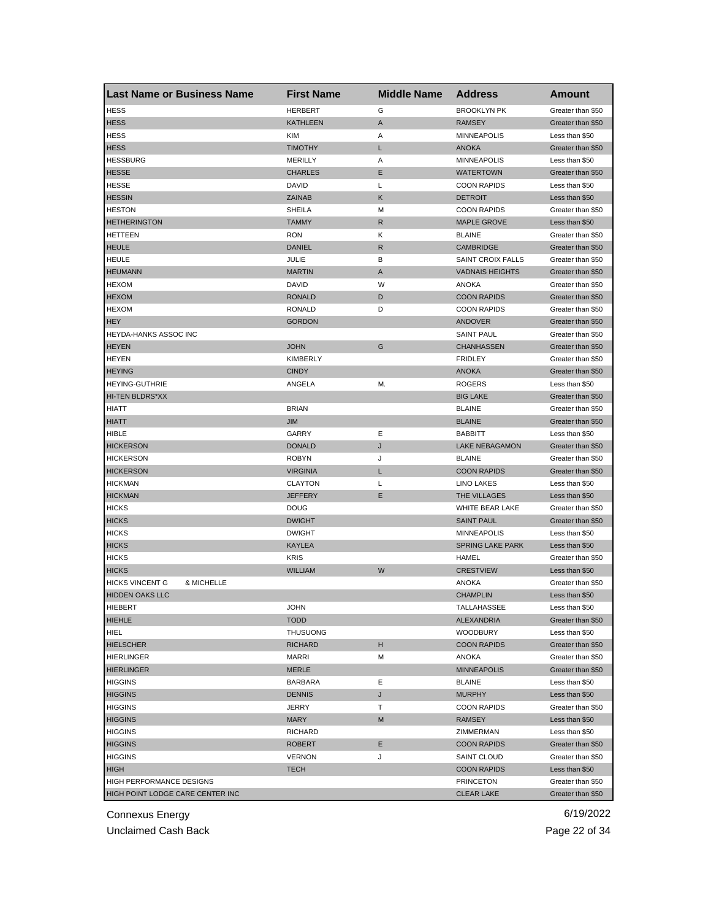| <b>Last Name or Business Name</b>    | <b>First Name</b> | <b>Middle Name</b> | <b>Address</b>          | Amount            |
|--------------------------------------|-------------------|--------------------|-------------------------|-------------------|
| <b>HESS</b>                          | <b>HERBERT</b>    | G                  | <b>BROOKLYN PK</b>      | Greater than \$50 |
| <b>HESS</b>                          | <b>KATHLEEN</b>   | Α                  | <b>RAMSEY</b>           | Greater than \$50 |
| <b>HESS</b>                          | <b>KIM</b>        | Α                  | <b>MINNEAPOLIS</b>      | Less than \$50    |
| <b>HESS</b>                          | <b>TIMOTHY</b>    | Г                  | <b>ANOKA</b>            | Greater than \$50 |
| <b>HESSBURG</b>                      | <b>MERILLY</b>    | Α                  | <b>MINNEAPOLIS</b>      | Less than \$50    |
| <b>HESSE</b>                         | <b>CHARLES</b>    | Ε                  | <b>WATERTOWN</b>        | Greater than \$50 |
| <b>HESSE</b>                         | DAVID             | Г                  | <b>COON RAPIDS</b>      | Less than \$50    |
| <b>HESSIN</b>                        | <b>ZAINAB</b>     | Κ                  | <b>DETROIT</b>          | Less than \$50    |
| <b>HESTON</b>                        | SHEILA            | М                  | <b>COON RAPIDS</b>      | Greater than \$50 |
| <b>HETHERINGTON</b>                  | <b>TAMMY</b>      | R                  | <b>MAPLE GROVE</b>      | Less than \$50    |
| HETTEEN                              | <b>RON</b>        | κ                  | <b>BLAINE</b>           | Greater than \$50 |
| <b>HEULE</b>                         | <b>DANIEL</b>     | R                  | <b>CAMBRIDGE</b>        | Greater than \$50 |
| <b>HEULE</b>                         | JULIE             | в                  | SAINT CROIX FALLS       | Greater than \$50 |
| <b>HEUMANN</b>                       | <b>MARTIN</b>     | A                  | <b>VADNAIS HEIGHTS</b>  | Greater than \$50 |
| <b>HEXOM</b>                         | DAVID             | W                  | ANOKA                   | Greater than \$50 |
| <b>HEXOM</b>                         | <b>RONALD</b>     | D                  | <b>COON RAPIDS</b>      | Greater than \$50 |
| <b>HEXOM</b>                         | <b>RONALD</b>     | D                  | <b>COON RAPIDS</b>      | Greater than \$50 |
| <b>HEY</b>                           | <b>GORDON</b>     |                    | <b>ANDOVER</b>          | Greater than \$50 |
| <b>HEYDA-HANKS ASSOC INC</b>         |                   |                    | <b>SAINT PAUL</b>       | Greater than \$50 |
| <b>HEYEN</b>                         | <b>JOHN</b>       | G                  | <b>CHANHASSEN</b>       | Greater than \$50 |
| <b>HEYEN</b>                         | <b>KIMBERLY</b>   |                    | <b>FRIDLEY</b>          | Greater than \$50 |
| <b>HEYING</b>                        | <b>CINDY</b>      |                    | <b>ANOKA</b>            | Greater than \$50 |
| <b>HEYING-GUTHRIE</b>                | ANGELA            | М.                 | <b>ROGERS</b>           | Less than \$50    |
| HI-TEN BLDRS*XX                      |                   |                    | <b>BIG LAKE</b>         |                   |
|                                      | <b>BRIAN</b>      |                    | <b>BLAINE</b>           | Greater than \$50 |
| HIATT                                |                   |                    |                         | Greater than \$50 |
| <b>HIATT</b>                         | <b>JIM</b>        |                    | <b>BLAINE</b>           | Greater than \$50 |
| HIBLE                                | GARRY             | Ε                  | <b>BABBITT</b>          | Less than \$50    |
| <b>HICKERSON</b>                     | <b>DONALD</b>     | J                  | <b>LAKE NEBAGAMON</b>   | Greater than \$50 |
| <b>HICKERSON</b>                     | <b>ROBYN</b>      | J                  | <b>BLAINE</b>           | Greater than \$50 |
| <b>HICKERSON</b>                     | <b>VIRGINIA</b>   | L                  | <b>COON RAPIDS</b>      | Greater than \$50 |
| <b>HICKMAN</b>                       | <b>CLAYTON</b>    | Г                  | LINO LAKES              | Less than \$50    |
| <b>HICKMAN</b>                       | <b>JEFFERY</b>    | Ε                  | THE VILLAGES            | Less than \$50    |
| <b>HICKS</b>                         | <b>DOUG</b>       |                    | WHITE BEAR LAKE         | Greater than \$50 |
| <b>HICKS</b>                         | <b>DWIGHT</b>     |                    | <b>SAINT PAUL</b>       | Greater than \$50 |
| <b>HICKS</b>                         | <b>DWIGHT</b>     |                    | <b>MINNEAPOLIS</b>      | Less than \$50    |
| <b>HICKS</b>                         | <b>KAYLEA</b>     |                    | <b>SPRING LAKE PARK</b> | Less than \$50    |
| <b>HICKS</b>                         | <b>KRIS</b>       |                    | HAMEL                   | Greater than \$50 |
| <b>HICKS</b>                         | <b>WILLIAM</b>    | W                  | <b>CRESTVIEW</b>        | Less than \$50    |
| <b>HICKS VINCENT G</b><br>& MICHELLE |                   |                    | <b>ANOKA</b>            | Greater than \$50 |
| <b>HIDDEN OAKS LLC</b>               |                   |                    | <b>CHAMPLIN</b>         | Less than \$50    |
| HIEBERT                              | JOHN              |                    | TALLAHASSEE             | Less than \$50    |
| <b>HIEHLE</b>                        | <b>TODD</b>       |                    | <b>ALEXANDRIA</b>       | Greater than \$50 |
| <b>HIEL</b>                          | <b>THUSUONG</b>   |                    | <b>WOODBURY</b>         | Less than \$50    |
| <b>HIELSCHER</b>                     | <b>RICHARD</b>    | н                  | <b>COON RAPIDS</b>      | Greater than \$50 |
| <b>HIERLINGER</b>                    | MARRI             | М                  | ANOKA                   | Greater than \$50 |
| <b>HIERLINGER</b>                    | <b>MERLE</b>      |                    | <b>MINNEAPOLIS</b>      | Greater than \$50 |
| <b>HIGGINS</b>                       | <b>BARBARA</b>    | Ε                  | <b>BLAINE</b>           | Less than \$50    |
| <b>HIGGINS</b>                       | <b>DENNIS</b>     | J                  | <b>MURPHY</b>           | Less than \$50    |
| <b>HIGGINS</b>                       | JERRY             | т                  | <b>COON RAPIDS</b>      | Greater than \$50 |
| <b>HIGGINS</b>                       | MARY              | M                  | <b>RAMSEY</b>           | Less than \$50    |
| <b>HIGGINS</b>                       | <b>RICHARD</b>    |                    | ZIMMERMAN               | Less than \$50    |
| <b>HIGGINS</b>                       | <b>ROBERT</b>     | Е                  | <b>COON RAPIDS</b>      | Greater than \$50 |
| <b>HIGGINS</b>                       | <b>VERNON</b>     | J                  | SAINT CLOUD             | Greater than \$50 |
| <b>HIGH</b>                          | <b>TECH</b>       |                    | <b>COON RAPIDS</b>      | Less than \$50    |
| HIGH PERFORMANCE DESIGNS             |                   |                    | <b>PRINCETON</b>        | Greater than \$50 |
| HIGH POINT LODGE CARE CENTER INC     |                   |                    | <b>CLEAR LAKE</b>       | Greater than \$50 |

Unclaimed Cash Back **Page 22 of 34**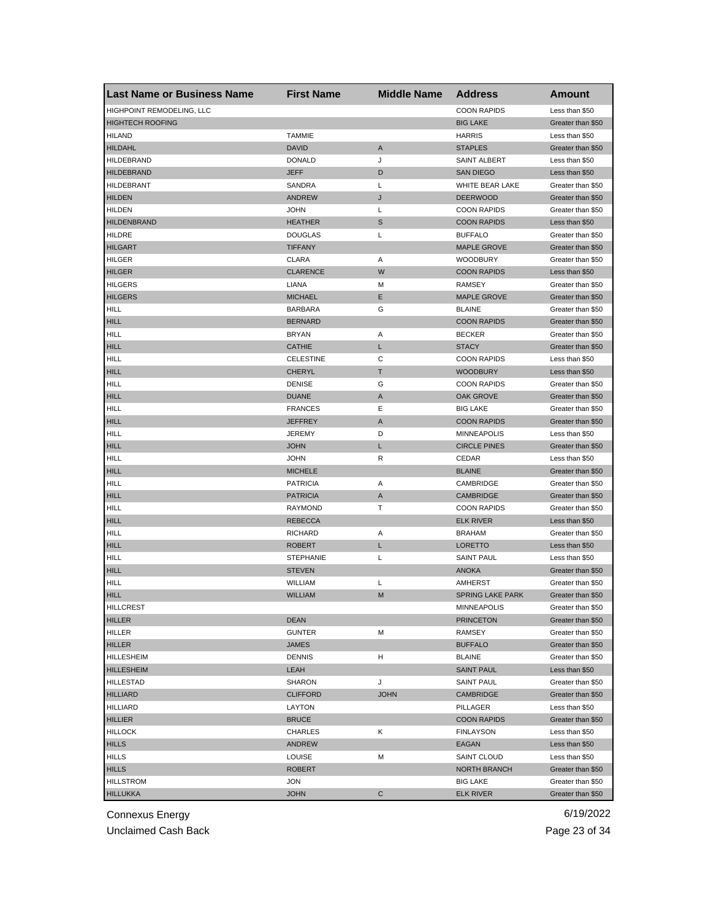| <b>Last Name or Business Name</b> | <b>First Name</b> | <b>Middle Name</b> | <b>Address</b>                | <b>Amount</b>     |
|-----------------------------------|-------------------|--------------------|-------------------------------|-------------------|
| HIGHPOINT REMODELING, LLC         |                   |                    | <b>COON RAPIDS</b>            | Less than \$50    |
| <b>HIGHTECH ROOFING</b>           |                   |                    | <b>BIG LAKE</b>               | Greater than \$50 |
| <b>HILAND</b>                     | <b>TAMMIE</b>     |                    | <b>HARRIS</b>                 | Less than \$50    |
| <b>HILDAHL</b>                    | <b>DAVID</b>      | Α                  | <b>STAPLES</b>                | Greater than \$50 |
| <b>HILDEBRAND</b>                 | <b>DONALD</b>     | J                  | <b>SAINT ALBERT</b>           | Less than \$50    |
| <b>HILDEBRAND</b>                 | <b>JEFF</b>       | D                  | <b>SAN DIEGO</b>              | Less than \$50    |
| <b>HILDEBRANT</b>                 | SANDRA            | Г                  | WHITE BEAR LAKE               | Greater than \$50 |
| <b>HILDEN</b>                     | <b>ANDREW</b>     | J                  | <b>DEERWOOD</b>               | Greater than \$50 |
| <b>HILDEN</b>                     | <b>JOHN</b>       | Г                  | <b>COON RAPIDS</b>            | Greater than \$50 |
| <b>HILDENBRAND</b>                | <b>HEATHER</b>    | S                  | <b>COON RAPIDS</b>            | Less than \$50    |
| <b>HILDRE</b>                     | <b>DOUGLAS</b>    | L                  | <b>BUFFALO</b>                | Greater than \$50 |
| <b>HILGART</b>                    | <b>TIFFANY</b>    |                    | <b>MAPLE GROVE</b>            | Greater than \$50 |
| <b>HILGER</b>                     | <b>CLARA</b>      | Α                  | <b>WOODBURY</b>               | Greater than \$50 |
| <b>HILGER</b>                     | <b>CLARENCE</b>   | W                  | <b>COON RAPIDS</b>            | Less than \$50    |
| <b>HILGERS</b>                    | LIANA             | М                  | RAMSEY                        | Greater than \$50 |
| <b>HILGERS</b>                    | <b>MICHAEL</b>    | Ε                  | <b>MAPLE GROVE</b>            | Greater than \$50 |
| HILL                              | <b>BARBARA</b>    | G                  | <b>BLAINE</b>                 | Greater than \$50 |
| <b>HILL</b>                       | <b>BERNARD</b>    |                    | <b>COON RAPIDS</b>            | Greater than \$50 |
| HILL                              | <b>BRYAN</b>      | Α                  | <b>BECKER</b>                 | Greater than \$50 |
| <b>HILL</b>                       | <b>CATHIE</b>     | L                  | <b>STACY</b>                  | Greater than \$50 |
| HILL                              | <b>CELESTINE</b>  | С                  | <b>COON RAPIDS</b>            | Less than \$50    |
| <b>HILL</b>                       | CHERYL            | Т                  | <b>WOODBURY</b>               | Less than \$50    |
| <b>HILL</b>                       | <b>DENISE</b>     | G                  | <b>COON RAPIDS</b>            | Greater than \$50 |
| <b>HILL</b>                       | <b>DUANE</b>      | A                  | OAK GROVE                     | Greater than \$50 |
| <b>HILL</b>                       | <b>FRANCES</b>    | Ε                  | <b>BIG LAKE</b>               | Greater than \$50 |
| <b>HILL</b>                       | <b>JEFFREY</b>    | A                  | <b>COON RAPIDS</b>            | Greater than \$50 |
| HILL                              | <b>JEREMY</b>     | D                  | <b>MINNEAPOLIS</b>            | Less than \$50    |
| <b>HILL</b>                       | JOHN              | L                  | <b>CIRCLE PINES</b>           | Greater than \$50 |
| <b>HILL</b>                       | <b>JOHN</b>       | R                  | CEDAR                         | Less than \$50    |
| <b>HILL</b>                       | <b>MICHELE</b>    |                    | <b>BLAINE</b>                 | Greater than \$50 |
| HILL                              | <b>PATRICIA</b>   | Α                  |                               |                   |
| <b>HILL</b>                       | <b>PATRICIA</b>   |                    | CAMBRIDGE<br><b>CAMBRIDGE</b> | Greater than \$50 |
|                                   |                   | Α<br>Т             |                               | Greater than \$50 |
| <b>HILL</b>                       | <b>RAYMOND</b>    |                    | <b>COON RAPIDS</b>            | Greater than \$50 |
| <b>HILL</b>                       | <b>REBECCA</b>    |                    | <b>ELK RIVER</b>              | Less than \$50    |
| HILL                              | <b>RICHARD</b>    | Α                  | <b>BRAHAM</b>                 | Greater than \$50 |
| <b>HILL</b>                       | <b>ROBERT</b>     | L                  | <b>LORETTO</b>                | Less than \$50    |
| <b>HILL</b>                       | <b>STEPHANIE</b>  | L                  | <b>SAINT PAUL</b>             | Less than \$50    |
| <b>HILL</b>                       | <b>STEVEN</b>     |                    | <b>ANOKA</b>                  | Greater than \$50 |
| HILL                              | WILLIAM           | Г                  | AMHERST                       | Greater than \$50 |
| <b>HILL</b>                       | <b>WILLIAM</b>    | M                  | <b>SPRING LAKE PARK</b>       | Greater than \$50 |
| <b>HILLCREST</b>                  |                   |                    | <b>MINNEAPOLIS</b>            | Greater than \$50 |
| <b>HILLER</b>                     | <b>DEAN</b>       |                    | <b>PRINCETON</b>              | Greater than \$50 |
| HILLER                            | <b>GUNTER</b>     | М                  | RAMSEY                        | Greater than \$50 |
| <b>HILLER</b>                     | JAMES             |                    | <b>BUFFALO</b>                | Greater than \$50 |
| HILLESHEIM                        | <b>DENNIS</b>     | н                  | <b>BLAINE</b>                 | Greater than \$50 |
| <b>HILLESHEIM</b>                 | LEAH              |                    | <b>SAINT PAUL</b>             | Less than \$50    |
| <b>HILLESTAD</b>                  | <b>SHARON</b>     | J                  | <b>SAINT PAUL</b>             | Greater than \$50 |
| <b>HILLIARD</b>                   | <b>CLIFFORD</b>   | <b>JOHN</b>        | <b>CAMBRIDGE</b>              | Greater than \$50 |
| <b>HILLIARD</b>                   | LAYTON            |                    | PILLAGER                      | Less than \$50    |
| <b>HILLIER</b>                    | <b>BRUCE</b>      |                    | <b>COON RAPIDS</b>            | Greater than \$50 |
| <b>HILLOCK</b>                    | CHARLES           | Κ                  | <b>FINLAYSON</b>              | Less than \$50    |
| <b>HILLS</b>                      | <b>ANDREW</b>     |                    | EAGAN                         | Less than \$50    |
| <b>HILLS</b>                      | <b>LOUISE</b>     | М                  | SAINT CLOUD                   | Less than \$50    |
| <b>HILLS</b>                      | <b>ROBERT</b>     |                    | NORTH BRANCH                  | Greater than \$50 |
| <b>HILLSTROM</b>                  | JON               |                    | <b>BIG LAKE</b>               | Greater than \$50 |
| <b>HILLUKKA</b>                   | <b>JOHN</b>       | С                  | <b>ELK RIVER</b>              | Greater than \$50 |

Unclaimed Cash Back **Page 23 of 34**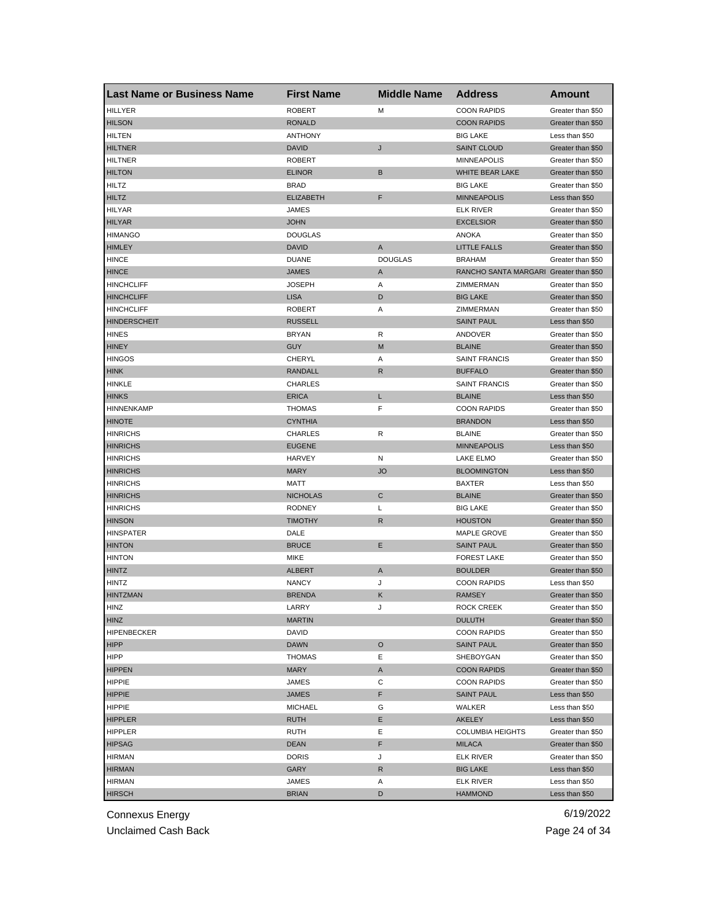| <b>Last Name or Business Name</b> | <b>First Name</b> | <b>Middle Name</b> | <b>Address</b>                         | Amount            |
|-----------------------------------|-------------------|--------------------|----------------------------------------|-------------------|
| <b>HILLYER</b>                    | <b>ROBERT</b>     | M                  | <b>COON RAPIDS</b>                     | Greater than \$50 |
| <b>HILSON</b>                     | <b>RONALD</b>     |                    | <b>COON RAPIDS</b>                     | Greater than \$50 |
| <b>HILTEN</b>                     | <b>ANTHONY</b>    |                    | <b>BIG LAKE</b>                        | Less than \$50    |
| <b>HILTNER</b>                    | <b>DAVID</b>      | J                  | <b>SAINT CLOUD</b>                     | Greater than \$50 |
| <b>HILTNER</b>                    | <b>ROBERT</b>     |                    | <b>MINNEAPOLIS</b>                     | Greater than \$50 |
| <b>HILTON</b>                     | <b>ELINOR</b>     | B                  | WHITE BEAR LAKE                        | Greater than \$50 |
| <b>HILTZ</b>                      | <b>BRAD</b>       |                    | <b>BIG LAKE</b>                        | Greater than \$50 |
| <b>HILTZ</b>                      | <b>ELIZABETH</b>  | F                  | <b>MINNEAPOLIS</b>                     | Less than \$50    |
| <b>HILYAR</b>                     | JAMES             |                    | <b>ELK RIVER</b>                       | Greater than \$50 |
| <b>HILYAR</b>                     | <b>JOHN</b>       |                    | <b>EXCELSIOR</b>                       | Greater than \$50 |
| <b>HIMANGO</b>                    | <b>DOUGLAS</b>    |                    | <b>ANOKA</b>                           | Greater than \$50 |
| <b>HIMLEY</b>                     | <b>DAVID</b>      | A                  | <b>LITTLE FALLS</b>                    | Greater than \$50 |
| <b>HINCE</b>                      | <b>DUANE</b>      | <b>DOUGLAS</b>     | <b>BRAHAM</b>                          | Greater than \$50 |
| <b>HINCE</b>                      | <b>JAMES</b>      | A                  | RANCHO SANTA MARGARI Greater than \$50 |                   |
| <b>HINCHCLIFF</b>                 | <b>JOSEPH</b>     | Α                  | ZIMMERMAN                              | Greater than \$50 |
| <b>HINCHCLIFF</b>                 | <b>LISA</b>       | D                  | <b>BIG LAKE</b>                        | Greater than \$50 |
| <b>HINCHCLIFF</b>                 | <b>ROBERT</b>     | Α                  | ZIMMERMAN                              | Greater than \$50 |
| <b>HINDERSCHEIT</b>               | <b>RUSSELL</b>    |                    | <b>SAINT PAUL</b>                      | Less than \$50    |
| <b>HINES</b>                      | <b>BRYAN</b>      | R                  | ANDOVER                                | Greater than \$50 |
| <b>HINEY</b>                      | <b>GUY</b>        | M                  | <b>BLAINE</b>                          | Greater than \$50 |
| <b>HINGOS</b>                     | CHERYL            | Α                  | <b>SAINT FRANCIS</b>                   | Greater than \$50 |
| <b>HINK</b>                       | <b>RANDALL</b>    | R                  | <b>BUFFALO</b>                         | Greater than \$50 |
| HINKLE                            | CHARLES           |                    | <b>SAINT FRANCIS</b>                   | Greater than \$50 |
| <b>HINKS</b>                      | <b>ERICA</b>      | L                  | <b>BLAINE</b>                          | Less than \$50    |
| <b>HINNENKAMP</b>                 | <b>THOMAS</b>     | F                  | <b>COON RAPIDS</b>                     | Greater than \$50 |
| <b>HINOTE</b>                     | <b>CYNTHIA</b>    |                    | <b>BRANDON</b>                         | Less than \$50    |
| <b>HINRICHS</b>                   | <b>CHARLES</b>    | R                  | <b>BLAINE</b>                          | Greater than \$50 |
| <b>HINRICHS</b>                   | <b>EUGENE</b>     |                    | <b>MINNEAPOLIS</b>                     | Less than \$50    |
| <b>HINRICHS</b>                   | HARVEY            | N                  | LAKE ELMO                              | Greater than \$50 |
| <b>HINRICHS</b>                   | <b>MARY</b>       | <b>JO</b>          | <b>BLOOMINGTON</b>                     | Less than \$50    |
| <b>HINRICHS</b>                   | <b>MATT</b>       |                    | <b>BAXTER</b>                          | Less than \$50    |
| <b>HINRICHS</b>                   | <b>NICHOLAS</b>   | C                  | <b>BLAINE</b>                          | Greater than \$50 |
| <b>HINRICHS</b>                   | <b>RODNEY</b>     | L                  | <b>BIG LAKE</b>                        | Greater than \$50 |
| <b>HINSON</b>                     | <b>TIMOTHY</b>    | R                  | <b>HOUSTON</b>                         | Greater than \$50 |
| <b>HINSPATER</b>                  | DALE              |                    | MAPLE GROVE                            | Greater than \$50 |
| <b>HINTON</b>                     | <b>BRUCE</b>      | Ε                  | <b>SAINT PAUL</b>                      | Greater than \$50 |
| <b>HINTON</b>                     | <b>MIKE</b>       |                    | <b>FOREST LAKE</b>                     | Greater than \$50 |
| <b>HINTZ</b>                      | <b>ALBERT</b>     | Α                  | <b>BOULDER</b>                         | Greater than \$50 |
| <b>HINTZ</b>                      | <b>NANCY</b>      | J                  | <b>COON RAPIDS</b>                     | Less than \$50    |
| <b>HINTZMAN</b>                   | <b>BRENDA</b>     | Κ                  | <b>RAMSEY</b>                          | Greater than \$50 |
| HINZ                              | LARRY             |                    | <b>ROCK CREEK</b>                      | Greater than \$50 |
| <b>HINZ</b>                       | <b>MARTIN</b>     |                    | <b>DULUTH</b>                          | Greater than \$50 |
| HIPENBECKER                       | <b>DAVID</b>      |                    | <b>COON RAPIDS</b>                     | Greater than \$50 |
| <b>HIPP</b>                       | <b>DAWN</b>       | $\circ$            | <b>SAINT PAUL</b>                      | Greater than \$50 |
| HIPP                              | <b>THOMAS</b>     | Е                  | SHEBOYGAN                              | Greater than \$50 |
| <b>HIPPEN</b>                     | <b>MARY</b>       | A                  | <b>COON RAPIDS</b>                     | Greater than \$50 |
| <b>HIPPIE</b>                     | <b>JAMES</b>      | С                  | <b>COON RAPIDS</b>                     | Greater than \$50 |
| <b>HIPPIE</b>                     | <b>JAMES</b>      | F                  | <b>SAINT PAUL</b>                      | Less than \$50    |
| <b>HIPPIE</b>                     | <b>MICHAEL</b>    | G                  | WALKER                                 | Less than \$50    |
| <b>HIPPLER</b>                    | <b>RUTH</b>       | Е                  | AKELEY                                 | Less than \$50    |
| HIPPLER                           | RUTH              | Ε                  | <b>COLUMBIA HEIGHTS</b>                | Greater than \$50 |
| <b>HIPSAG</b>                     | <b>DEAN</b>       | F                  | <b>MILACA</b>                          | Greater than \$50 |
| <b>HIRMAN</b>                     | <b>DORIS</b>      | J                  | <b>ELK RIVER</b>                       | Greater than \$50 |
| <b>HIRMAN</b>                     | GARY              | R                  | <b>BIG LAKE</b>                        | Less than \$50    |
| <b>HIRMAN</b>                     | JAMES             | Α                  | <b>ELK RIVER</b>                       | Less than \$50    |
| <b>HIRSCH</b>                     | <b>BRIAN</b>      | D                  | <b>HAMMOND</b>                         | Less than \$50    |
|                                   |                   |                    |                                        |                   |

Unclaimed Cash Back **Page 24 of 34**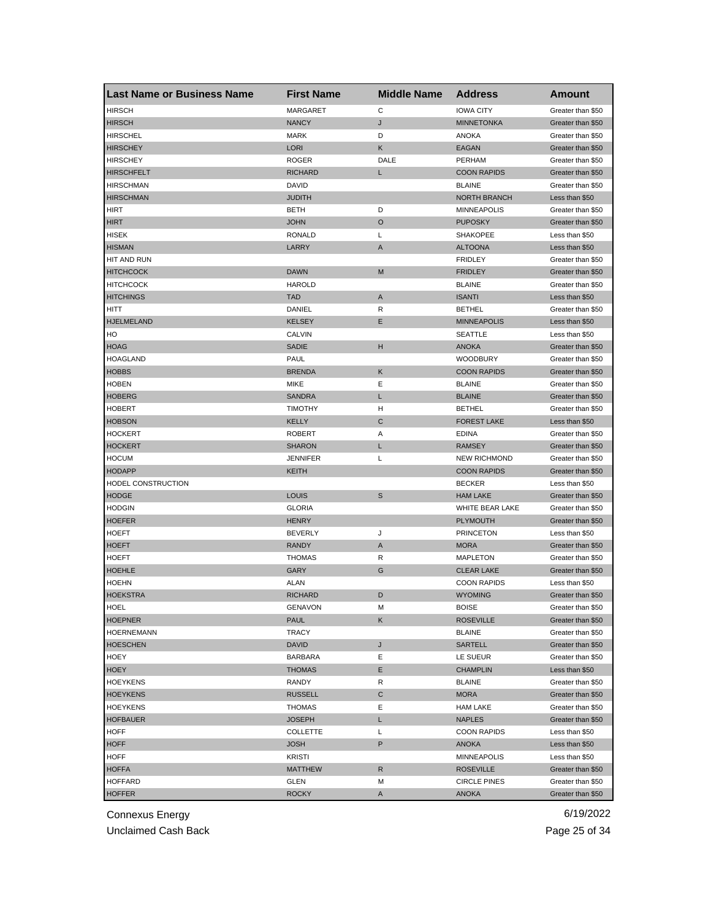| <b>Last Name or Business Name</b> | <b>First Name</b> | <b>Middle Name</b> | <b>Address</b>      | Amount            |
|-----------------------------------|-------------------|--------------------|---------------------|-------------------|
| <b>HIRSCH</b>                     | <b>MARGARET</b>   | C                  | <b>IOWA CITY</b>    | Greater than \$50 |
| <b>HIRSCH</b>                     | <b>NANCY</b>      | J                  | <b>MINNETONKA</b>   | Greater than \$50 |
| <b>HIRSCHEL</b>                   | <b>MARK</b>       | D                  | <b>ANOKA</b>        | Greater than \$50 |
| <b>HIRSCHEY</b>                   | <b>LORI</b>       | Κ                  | <b>EAGAN</b>        | Greater than \$50 |
| <b>HIRSCHEY</b>                   | <b>ROGER</b>      | DALE               | PERHAM              | Greater than \$50 |
| <b>HIRSCHFELT</b>                 | <b>RICHARD</b>    | L                  | <b>COON RAPIDS</b>  | Greater than \$50 |
| <b>HIRSCHMAN</b>                  | DAVID             |                    | <b>BLAINE</b>       | Greater than \$50 |
| <b>HIRSCHMAN</b>                  | <b>JUDITH</b>     |                    | <b>NORTH BRANCH</b> | Less than \$50    |
| HIRT                              | <b>BETH</b>       | D                  | <b>MINNEAPOLIS</b>  | Greater than \$50 |
| <b>HIRT</b>                       | <b>JOHN</b>       | O                  | <b>PUPOSKY</b>      | Greater than \$50 |
| <b>HISEK</b>                      | <b>RONALD</b>     | L                  | <b>SHAKOPEE</b>     | Less than \$50    |
| <b>HISMAN</b>                     | LARRY             | A                  | <b>ALTOONA</b>      | Less than \$50    |
| HIT AND RUN                       |                   |                    | <b>FRIDLEY</b>      | Greater than \$50 |
| <b>HITCHCOCK</b>                  | <b>DAWN</b>       | M                  | <b>FRIDLEY</b>      | Greater than \$50 |
| <b>HITCHCOCK</b>                  | <b>HAROLD</b>     |                    | <b>BLAINE</b>       | Greater than \$50 |
| <b>HITCHINGS</b>                  | <b>TAD</b>        | A                  | <b>ISANTI</b>       | Less than \$50    |
| HITT                              | DANIEL            | R                  | <b>BETHEL</b>       | Greater than \$50 |
| <b>HJELMELAND</b>                 | <b>KELSEY</b>     | Ε                  | <b>MINNEAPOLIS</b>  | Less than \$50    |
| HO                                | CALVIN            |                    | <b>SEATTLE</b>      | Less than \$50    |
| <b>HOAG</b>                       | <b>SADIE</b>      | н                  | <b>ANOKA</b>        | Greater than \$50 |
| <b>HOAGLAND</b>                   | PAUL              |                    | <b>WOODBURY</b>     | Greater than \$50 |
| <b>HOBBS</b>                      | <b>BRENDA</b>     | Κ                  | <b>COON RAPIDS</b>  | Greater than \$50 |
| <b>HOBEN</b>                      | <b>MIKE</b>       | Ε                  | <b>BLAINE</b>       | Greater than \$50 |
| <b>HOBERG</b>                     | <b>SANDRA</b>     | L                  | <b>BLAINE</b>       | Greater than \$50 |
| <b>HOBERT</b>                     | <b>TIMOTHY</b>    | н                  | <b>BETHEL</b>       | Greater than \$50 |
| <b>HOBSON</b>                     | <b>KELLY</b>      | C                  | <b>FOREST LAKE</b>  | Less than \$50    |
|                                   | <b>ROBERT</b>     | Α                  | <b>EDINA</b>        | Greater than \$50 |
| <b>HOCKERT</b>                    |                   |                    |                     |                   |
| <b>HOCKERT</b>                    | <b>SHARON</b>     | L                  | <b>RAMSEY</b>       | Greater than \$50 |
| <b>HOCUM</b>                      | <b>JENNIFER</b>   | L                  | <b>NEW RICHMOND</b> | Greater than \$50 |
| <b>HODAPP</b>                     | KEITH             |                    | <b>COON RAPIDS</b>  | Greater than \$50 |
| HODEL CONSTRUCTION                |                   |                    | <b>BECKER</b>       | Less than \$50    |
| <b>HODGE</b>                      | <b>LOUIS</b>      | S                  | <b>HAM LAKE</b>     | Greater than \$50 |
| <b>HODGIN</b>                     | <b>GLORIA</b>     |                    | WHITE BEAR LAKE     | Greater than \$50 |
| <b>HOEFER</b>                     | <b>HENRY</b>      |                    | <b>PLYMOUTH</b>     | Greater than \$50 |
| <b>HOEFT</b>                      | <b>BEVERLY</b>    | J                  | <b>PRINCETON</b>    | Less than \$50    |
| <b>HOEFT</b>                      | <b>RANDY</b>      | Α                  | <b>MORA</b>         | Greater than \$50 |
| <b>HOEFT</b>                      | <b>THOMAS</b>     | R                  | <b>MAPLETON</b>     | Greater than \$50 |
| <b>HOEHLE</b>                     | GARY              | G                  | <b>CLEAR LAKE</b>   | Greater than \$50 |
| <b>HOEHN</b>                      | <b>ALAN</b>       |                    | <b>COON RAPIDS</b>  | Less than \$50    |
| <b>HOEKSTRA</b>                   | <b>RICHARD</b>    | D                  | <b>WYOMING</b>      | Greater than \$50 |
| HOEL                              | GENAVON           | м                  | <b>BOISE</b>        | Greater than \$50 |
| <b>HOEPNER</b>                    | <b>PAUL</b>       | Κ                  | <b>ROSEVILLE</b>    | Greater than \$50 |
| <b>HOERNEMANN</b>                 | TRACY             |                    | <b>BLAINE</b>       | Greater than \$50 |
| <b>HOESCHEN</b>                   | <b>DAVID</b>      | J                  | SARTELL             | Greater than \$50 |
| <b>HOEY</b>                       | <b>BARBARA</b>    | Е                  | LE SUEUR            | Greater than \$50 |
| <b>HOEY</b>                       | <b>THOMAS</b>     | Е                  | <b>CHAMPLIN</b>     | Less than \$50    |
| <b>HOEYKENS</b>                   | RANDY             | R                  | <b>BLAINE</b>       | Greater than \$50 |
| <b>HOEYKENS</b>                   | <b>RUSSELL</b>    | С                  | <b>MORA</b>         | Greater than \$50 |
| <b>HOEYKENS</b>                   | THOMAS            | Ε                  | <b>HAM LAKE</b>     | Greater than \$50 |
| <b>HOFBAUER</b>                   | <b>JOSEPH</b>     | L                  | <b>NAPLES</b>       | Greater than \$50 |
| <b>HOFF</b>                       | <b>COLLETTE</b>   | L                  | <b>COON RAPIDS</b>  | Less than \$50    |
| <b>HOFF</b>                       | <b>JOSH</b>       | P                  | ANOKA               | Less than \$50    |
| <b>HOFF</b>                       | KRISTI            |                    | MINNEAPOLIS         | Less than \$50    |
| <b>HOFFA</b>                      | <b>MATTHEW</b>    | R                  | <b>ROSEVILLE</b>    | Greater than \$50 |
| <b>HOFFARD</b>                    | GLEN              | М                  | <b>CIRCLE PINES</b> | Greater than \$50 |
| <b>HOFFER</b>                     | <b>ROCKY</b>      | A                  | <b>ANOKA</b>        | Greater than \$50 |

Unclaimed Cash Back **Page 25 of 34**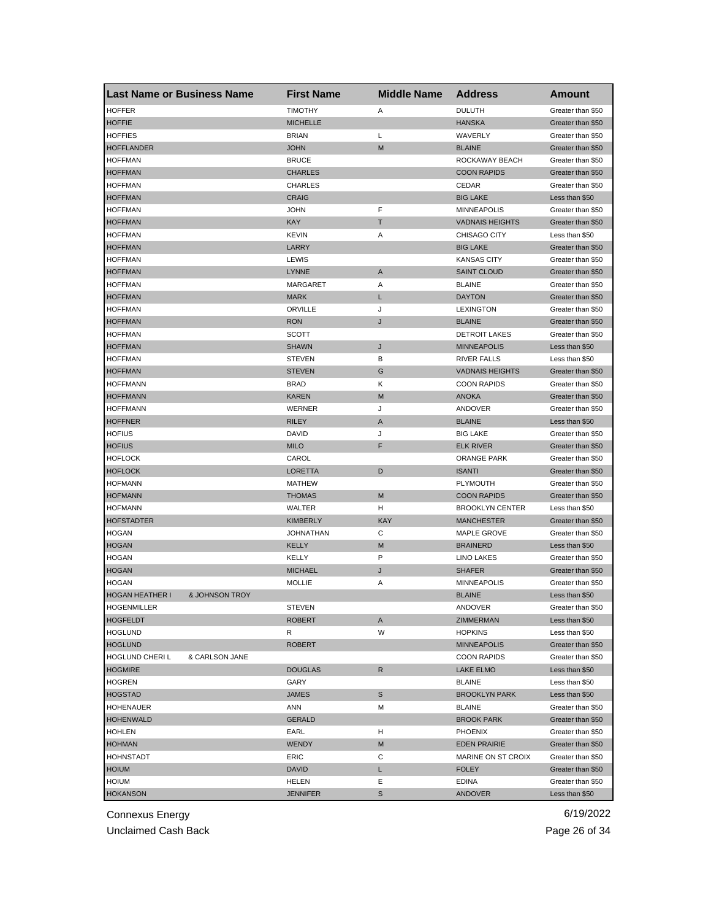| <b>Last Name or Business Name</b> |                | <b>First Name</b> | <b>Middle Name</b> | <b>Address</b>         | <b>Amount</b>     |
|-----------------------------------|----------------|-------------------|--------------------|------------------------|-------------------|
| <b>HOFFER</b>                     |                | <b>TIMOTHY</b>    | Α                  | <b>DULUTH</b>          | Greater than \$50 |
| <b>HOFFIE</b>                     |                | <b>MICHELLE</b>   |                    | <b>HANSKA</b>          | Greater than \$50 |
| <b>HOFFIES</b>                    |                | <b>BRIAN</b>      | L                  | WAVERLY                | Greater than \$50 |
| <b>HOFFLANDER</b>                 |                | <b>JOHN</b>       | M                  | <b>BLAINE</b>          | Greater than \$50 |
| <b>HOFFMAN</b>                    |                | <b>BRUCE</b>      |                    | ROCKAWAY BEACH         | Greater than \$50 |
| <b>HOFFMAN</b>                    |                | <b>CHARLES</b>    |                    | <b>COON RAPIDS</b>     | Greater than \$50 |
| <b>HOFFMAN</b>                    |                | <b>CHARLES</b>    |                    | CEDAR                  | Greater than \$50 |
| <b>HOFFMAN</b>                    |                | <b>CRAIG</b>      |                    | <b>BIG LAKE</b>        | Less than \$50    |
| <b>HOFFMAN</b>                    |                | <b>JOHN</b>       | F                  | <b>MINNEAPOLIS</b>     | Greater than \$50 |
| <b>HOFFMAN</b>                    |                | <b>KAY</b>        | Τ                  | <b>VADNAIS HEIGHTS</b> | Greater than \$50 |
| <b>HOFFMAN</b>                    |                | <b>KEVIN</b>      | Α                  | <b>CHISAGO CITY</b>    | Less than \$50    |
| <b>HOFFMAN</b>                    |                | LARRY             |                    | <b>BIG LAKE</b>        | Greater than \$50 |
| <b>HOFFMAN</b>                    |                | LEWIS             |                    | <b>KANSAS CITY</b>     | Greater than \$50 |
| <b>HOFFMAN</b>                    |                | <b>LYNNE</b>      | A                  | <b>SAINT CLOUD</b>     | Greater than \$50 |
| <b>HOFFMAN</b>                    |                | <b>MARGARET</b>   | Α                  | <b>BLAINE</b>          | Greater than \$50 |
| <b>HOFFMAN</b>                    |                | <b>MARK</b>       | L                  | <b>DAYTON</b>          | Greater than \$50 |
| <b>HOFFMAN</b>                    |                | ORVILLE           | J                  | <b>LEXINGTON</b>       | Greater than \$50 |
| <b>HOFFMAN</b>                    |                | <b>RON</b>        | J                  | <b>BLAINE</b>          | Greater than \$50 |
| <b>HOFFMAN</b>                    |                | SCOTT             |                    | <b>DETROIT LAKES</b>   | Greater than \$50 |
| <b>HOFFMAN</b>                    |                | <b>SHAWN</b>      | J                  | <b>MINNEAPOLIS</b>     | Less than \$50    |
| <b>HOFFMAN</b>                    |                | <b>STEVEN</b>     | В                  | <b>RIVER FALLS</b>     | Less than \$50    |
| <b>HOFFMAN</b>                    |                | <b>STEVEN</b>     | G                  | <b>VADNAIS HEIGHTS</b> | Greater than \$50 |
| <b>HOFFMANN</b>                   |                | <b>BRAD</b>       | Κ                  | <b>COON RAPIDS</b>     | Greater than \$50 |
| <b>HOFFMANN</b>                   |                | <b>KAREN</b>      | M                  | <b>ANOKA</b>           | Greater than \$50 |
| <b>HOFFMANN</b>                   |                | WERNER            | J                  | ANDOVER                | Greater than \$50 |
|                                   |                |                   |                    |                        |                   |
| <b>HOFFNER</b>                    |                | <b>RILEY</b>      | A                  | <b>BLAINE</b>          | Less than \$50    |
| <b>HOFIUS</b>                     |                | DAVID             | J<br>F             | <b>BIG LAKE</b>        | Greater than \$50 |
| <b>HOFIUS</b>                     |                | <b>MILO</b>       |                    | <b>ELK RIVER</b>       | Greater than \$50 |
| <b>HOFLOCK</b>                    |                | CAROL             |                    | <b>ORANGE PARK</b>     | Greater than \$50 |
| <b>HOFLOCK</b>                    |                | <b>LORETTA</b>    | D                  | <b>ISANTI</b>          | Greater than \$50 |
| <b>HOFMANN</b>                    |                | <b>MATHEW</b>     |                    | PLYMOUTH               | Greater than \$50 |
| <b>HOFMANN</b>                    |                | <b>THOMAS</b>     | M                  | <b>COON RAPIDS</b>     | Greater than \$50 |
| <b>HOFMANN</b>                    |                | WALTER            | н                  | <b>BROOKLYN CENTER</b> | Less than \$50    |
| <b>HOFSTADTER</b>                 |                | <b>KIMBERLY</b>   | <b>KAY</b>         | <b>MANCHESTER</b>      | Greater than \$50 |
| <b>HOGAN</b>                      |                | <b>JOHNATHAN</b>  | С                  | <b>MAPLE GROVE</b>     | Greater than \$50 |
| <b>HOGAN</b>                      |                | KELLY             | M                  | <b>BRAINERD</b>        | Less than \$50    |
| <b>HOGAN</b>                      |                | KELLY             | P                  | <b>LINO LAKES</b>      | Greater than \$50 |
| <b>HOGAN</b>                      |                | <b>MICHAEL</b>    | J                  | <b>SHAFER</b>          | Greater than \$50 |
| <b>HOGAN</b>                      |                | <b>MOLLIE</b>     | Α                  | <b>MINNEAPOLIS</b>     | Greater than \$50 |
| <b>HOGAN HEATHER I</b>            | & JOHNSON TROY |                   |                    | <b>BLAINE</b>          | Less than \$50    |
| HOGENMILLER                       |                | SIEVEN            |                    | ANDOVER                | Greater than \$50 |
| <b>HOGFELDT</b>                   |                | <b>ROBERT</b>     | A                  | ZIMMERMAN              | Less than \$50    |
| <b>HOGLUND</b>                    |                | R                 | W                  | <b>HOPKINS</b>         | Less than \$50    |
| <b>HOGLUND</b>                    |                | <b>ROBERT</b>     |                    | <b>MINNEAPOLIS</b>     | Greater than \$50 |
| <b>HOGLUND CHERIL</b>             | & CARLSON JANE |                   |                    | <b>COON RAPIDS</b>     | Greater than \$50 |
| <b>HOGMIRE</b>                    |                | <b>DOUGLAS</b>    | R                  | <b>LAKE ELMO</b>       | Less than \$50    |
| <b>HOGREN</b>                     |                | GARY              |                    | <b>BLAINE</b>          | Less than \$50    |
| <b>HOGSTAD</b>                    |                | <b>JAMES</b>      | S                  | <b>BROOKLYN PARK</b>   | Less than \$50    |
| <b>HOHENAUER</b>                  |                | ANN               | М                  | <b>BLAINE</b>          | Greater than \$50 |
| <b>HOHENWALD</b>                  |                | <b>GERALD</b>     |                    | <b>BROOK PARK</b>      | Greater than \$50 |
| <b>HOHLEN</b>                     |                | EARL              | H                  | PHOENIX                | Greater than \$50 |
| <b>HOHMAN</b>                     |                | <b>WENDY</b>      | M                  | <b>EDEN PRAIRIE</b>    | Greater than \$50 |
| HOHNSTADT                         |                | ERIC              | С                  | MARINE ON ST CROIX     | Greater than \$50 |
| <b>HOIUM</b>                      |                | DAVID             | L                  | <b>FOLEY</b>           | Greater than \$50 |
| <b>HOIUM</b>                      |                | HELEN             | Е                  | <b>EDINA</b>           | Greater than \$50 |
| <b>HOKANSON</b>                   |                | <b>JENNIFER</b>   | S                  | <b>ANDOVER</b>         | Less than \$50    |

Unclaimed Cash Back **Page 26 of 34**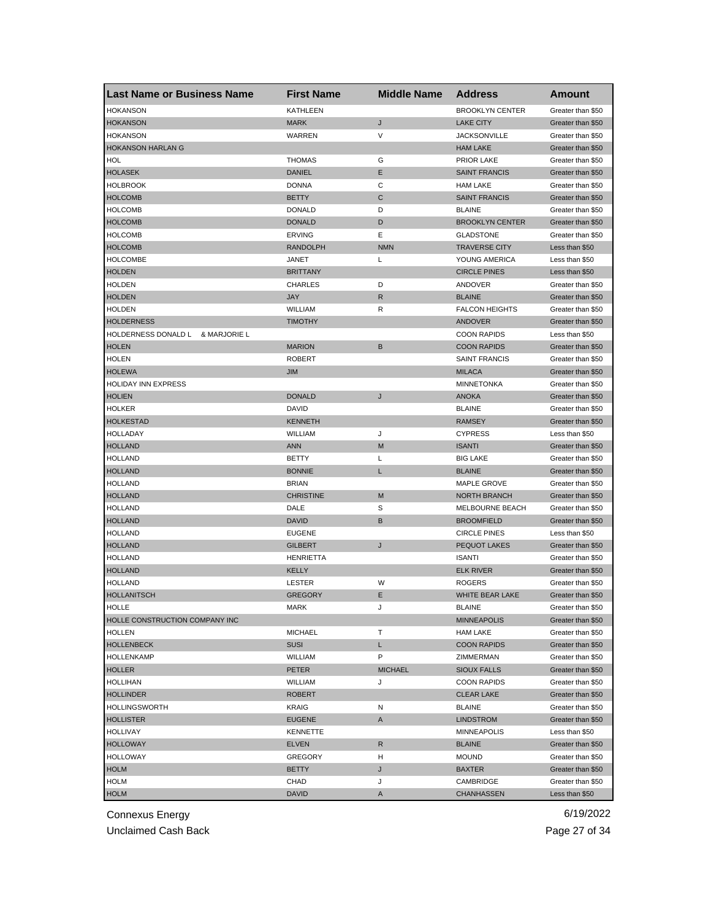| <b>Last Name or Business Name</b>     | <b>First Name</b> | <b>Middle Name</b> | <b>Address</b>                           | Amount                                 |
|---------------------------------------|-------------------|--------------------|------------------------------------------|----------------------------------------|
| <b>HOKANSON</b>                       | <b>KATHLEEN</b>   |                    | <b>BROOKLYN CENTER</b>                   | Greater than \$50                      |
| <b>HOKANSON</b>                       | <b>MARK</b>       | J                  | <b>LAKE CITY</b>                         | Greater than \$50                      |
| <b>HOKANSON</b>                       | WARREN            | V                  | <b>JACKSONVILLE</b>                      | Greater than \$50                      |
| <b>HOKANSON HARLAN G</b>              |                   |                    | <b>HAM LAKE</b>                          | Greater than \$50                      |
| HOL                                   | <b>THOMAS</b>     | G                  | <b>PRIOR LAKE</b>                        | Greater than \$50                      |
| <b>HOLASEK</b>                        | <b>DANIEL</b>     | Ε                  | <b>SAINT FRANCIS</b>                     | Greater than \$50                      |
| <b>HOLBROOK</b>                       | <b>DONNA</b>      | С                  | <b>HAM LAKE</b>                          | Greater than \$50                      |
| <b>HOLCOMB</b>                        | <b>BETTY</b>      | C                  | <b>SAINT FRANCIS</b>                     | Greater than \$50                      |
| <b>HOLCOMB</b>                        | <b>DONALD</b>     | D                  | <b>BLAINE</b>                            | Greater than \$50                      |
| <b>HOLCOMB</b>                        | <b>DONALD</b>     | D                  | <b>BROOKLYN CENTER</b>                   | Greater than \$50                      |
| <b>HOLCOMB</b>                        | <b>ERVING</b>     | Ε                  | <b>GLADSTONE</b>                         | Greater than \$50                      |
| <b>HOLCOMB</b>                        | <b>RANDOLPH</b>   | <b>NMN</b>         | <b>TRAVERSE CITY</b>                     | Less than \$50                         |
| <b>HOLCOMBE</b>                       | <b>JANET</b>      | L                  | YOUNG AMERICA                            | Less than \$50                         |
| <b>HOLDEN</b>                         | <b>BRITTANY</b>   |                    | <b>CIRCLE PINES</b>                      | Less than \$50                         |
| <b>HOLDEN</b>                         | <b>CHARLES</b>    | D                  | ANDOVER                                  | Greater than \$50                      |
| <b>HOLDEN</b>                         | <b>JAY</b>        | $\mathsf{R}$       | <b>BLAINE</b>                            | Greater than \$50                      |
| <b>HOLDEN</b>                         | WILLIAM           | R                  | <b>FALCON HEIGHTS</b>                    | Greater than \$50                      |
| <b>HOLDERNESS</b>                     | <b>TIMOTHY</b>    |                    | ANDOVER                                  | Greater than \$50                      |
| HOLDERNESS DONALD L<br>& MARJORIE L   |                   |                    | <b>COON RAPIDS</b>                       | Less than \$50                         |
| <b>HOLEN</b>                          | <b>MARION</b>     | B                  | <b>COON RAPIDS</b>                       | Greater than \$50                      |
| <b>HOLEN</b>                          | <b>ROBERT</b>     |                    | <b>SAINT FRANCIS</b>                     | Greater than \$50                      |
| <b>HOLEWA</b>                         | JIM               |                    | <b>MILACA</b>                            | Greater than \$50                      |
| HOLIDAY INN EXPRESS                   |                   |                    | <b>MINNETONKA</b>                        | Greater than \$50                      |
| <b>HOLIEN</b>                         | <b>DONALD</b>     | J                  | <b>ANOKA</b>                             | Greater than \$50                      |
| <b>HOLKER</b>                         | DAVID             |                    | <b>BLAINE</b>                            | Greater than \$50                      |
| <b>HOLKESTAD</b>                      | <b>KENNETH</b>    |                    | <b>RAMSEY</b>                            | Greater than \$50                      |
| HOLLADAY                              | WILLIAM           | J                  | <b>CYPRESS</b>                           | Less than \$50                         |
| <b>HOLLAND</b>                        | <b>ANN</b>        | M                  | <b>ISANTI</b>                            | Greater than \$50                      |
| <b>HOLLAND</b>                        | <b>BETTY</b>      | L                  | <b>BIG LAKE</b>                          | Greater than \$50                      |
| <b>HOLLAND</b>                        | <b>BONNIE</b>     | L                  | <b>BLAINE</b>                            | Greater than \$50                      |
| <b>HOLLAND</b>                        | <b>BRIAN</b>      |                    | MAPLE GROVE                              | Greater than \$50                      |
| <b>HOLLAND</b>                        | <b>CHRISTINE</b>  | M                  | <b>NORTH BRANCH</b>                      | Greater than \$50                      |
| HOLLAND                               | DALE              | S                  | MELBOURNE BEACH                          | Greater than \$50                      |
| <b>HOLLAND</b>                        | <b>DAVID</b>      | B                  | <b>BROOMFIELD</b>                        | Greater than \$50                      |
| <b>HOLLAND</b>                        | <b>EUGENE</b>     |                    | <b>CIRCLE PINES</b>                      | Less than \$50                         |
| <b>HOLLAND</b>                        | <b>GILBERT</b>    | J                  | <b>PEQUOT LAKES</b>                      | Greater than \$50                      |
| <b>HOLLAND</b>                        | <b>HENRIETTA</b>  |                    | <b>ISANTI</b>                            | Greater than \$50                      |
| <b>HOLLAND</b>                        | KELLY             |                    | <b>ELK RIVER</b>                         | Greater than \$50                      |
| <b>HOLLAND</b>                        | LESTER            | W                  | <b>ROGERS</b>                            | Greater than \$50                      |
| <b>HOLLANITSCH</b>                    | <b>GREGORY</b>    | Е                  | WHITE BEAR LAKE                          | Greater than \$50                      |
| HOLLE                                 | MARK              | J                  | <b>BLAINE</b>                            |                                        |
| <b>HOLLE CONSTRUCTION COMPANY INC</b> |                   |                    | <b>MINNEAPOLIS</b>                       | Greater than \$50<br>Greater than \$50 |
| <b>HOLLEN</b>                         | <b>MICHAEL</b>    | т                  | <b>HAM LAKE</b>                          | Greater than \$50                      |
| <b>HOLLENBECK</b>                     | <b>SUSI</b>       | L                  | <b>COON RAPIDS</b>                       | Greater than \$50                      |
| <b>HOLLENKAMP</b>                     | WILLIAM           | P                  | ZIMMERMAN                                | Greater than \$50                      |
| <b>HOLLER</b>                         | <b>PETER</b>      | <b>MICHAEL</b>     |                                          | Greater than \$50                      |
|                                       |                   |                    | <b>SIOUX FALLS</b><br><b>COON RAPIDS</b> |                                        |
| <b>HOLLIHAN</b><br><b>HOLLINDER</b>   | WILLIAM           | J                  |                                          | Greater than \$50                      |
|                                       | <b>ROBERT</b>     |                    | <b>CLEAR LAKE</b>                        | Greater than \$50                      |
| <b>HOLLINGSWORTH</b>                  | KRAIG             | N                  | <b>BLAINE</b>                            | Greater than \$50                      |
| <b>HOLLISTER</b>                      | <b>EUGENE</b>     | A                  | <b>LINDSTROM</b>                         | Greater than \$50                      |
| HOLLIVAY                              | <b>KENNETTE</b>   |                    | <b>MINNEAPOLIS</b>                       | Less than \$50                         |
| <b>HOLLOWAY</b>                       | <b>ELVEN</b>      | R                  | <b>BLAINE</b>                            | Greater than \$50                      |
| <b>HOLLOWAY</b>                       | <b>GREGORY</b>    | н                  | <b>MOUND</b>                             | Greater than \$50                      |
| <b>HOLM</b>                           | <b>BETTY</b>      | J                  | <b>BAXTER</b>                            | Greater than \$50                      |
| <b>HOLM</b>                           | CHAD              | J                  | CAMBRIDGE                                | Greater than \$50                      |
| <b>HOLM</b>                           | <b>DAVID</b>      | A                  | <b>CHANHASSEN</b>                        | Less than \$50                         |

Unclaimed Cash Back **Page 27 of 34**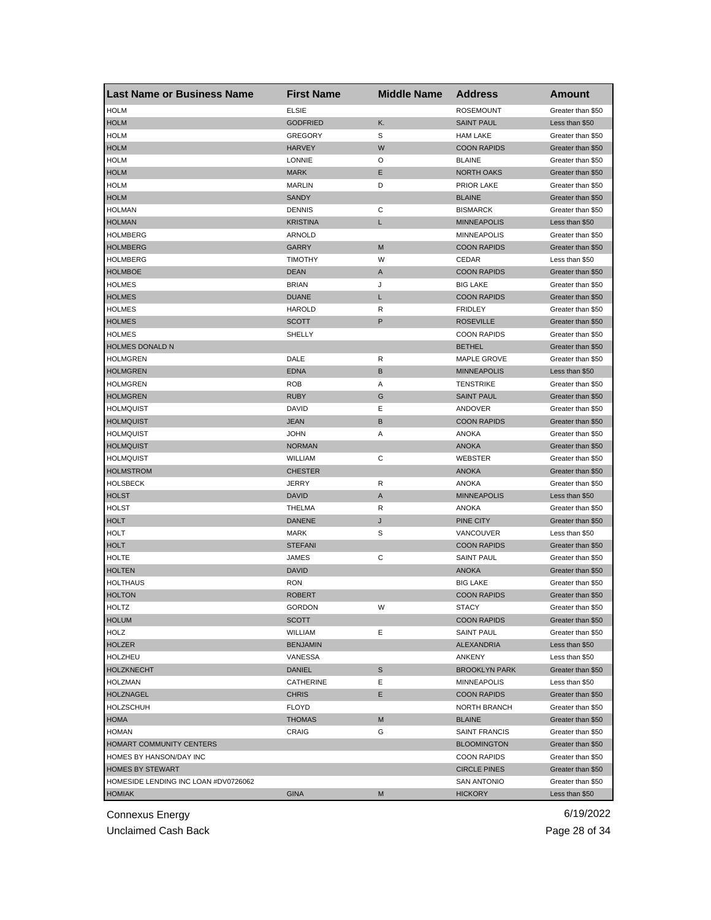| <b>Last Name or Business Name</b>                               | <b>First Name</b> | <b>Middle Name</b> | <b>Address</b>       | Amount                                 |
|-----------------------------------------------------------------|-------------------|--------------------|----------------------|----------------------------------------|
| <b>HOLM</b>                                                     | <b>ELSIE</b>      |                    | <b>ROSEMOUNT</b>     | Greater than \$50                      |
| <b>HOLM</b>                                                     | <b>GODFRIED</b>   | Κ.                 | <b>SAINT PAUL</b>    | Less than \$50                         |
| <b>HOLM</b>                                                     | <b>GREGORY</b>    | S                  | <b>HAM LAKE</b>      | Greater than \$50                      |
| <b>HOLM</b>                                                     | <b>HARVEY</b>     | W                  | <b>COON RAPIDS</b>   | Greater than \$50                      |
| <b>HOLM</b>                                                     | <b>LONNIE</b>     | O                  | <b>BLAINE</b>        | Greater than \$50                      |
| <b>HOLM</b>                                                     | <b>MARK</b>       | Е                  | <b>NORTH OAKS</b>    | Greater than \$50                      |
| <b>HOLM</b>                                                     | <b>MARLIN</b>     | D                  | <b>PRIOR LAKE</b>    | Greater than \$50                      |
| <b>HOLM</b>                                                     | <b>SANDY</b>      |                    | <b>BLAINE</b>        | Greater than \$50                      |
| <b>HOLMAN</b>                                                   | <b>DENNIS</b>     | С                  | <b>BISMARCK</b>      | Greater than \$50                      |
| <b>HOLMAN</b>                                                   | KRISTINA          | L                  | <b>MINNEAPOLIS</b>   | Less than \$50                         |
| <b>HOLMBERG</b>                                                 | ARNOLD            |                    | <b>MINNEAPOLIS</b>   | Greater than \$50                      |
| <b>HOLMBERG</b>                                                 | GARRY             | M                  | <b>COON RAPIDS</b>   | Greater than \$50                      |
| <b>HOLMBERG</b>                                                 | <b>TIMOTHY</b>    | W                  | CEDAR                | Less than \$50                         |
| <b>HOLMBOE</b>                                                  | <b>DEAN</b>       | A                  | <b>COON RAPIDS</b>   | Greater than \$50                      |
| <b>HOLMES</b>                                                   | <b>BRIAN</b>      | J                  | <b>BIG LAKE</b>      | Greater than \$50                      |
| <b>HOLMES</b>                                                   | <b>DUANE</b>      | L                  | <b>COON RAPIDS</b>   | Greater than \$50                      |
| <b>HOLMES</b>                                                   | <b>HAROLD</b>     | R                  | <b>FRIDLEY</b>       | Greater than \$50                      |
| <b>HOLMES</b>                                                   | SCOTT             | P                  | <b>ROSEVILLE</b>     | Greater than \$50                      |
| <b>HOLMES</b>                                                   | SHELLY            |                    | <b>COON RAPIDS</b>   | Greater than \$50                      |
| <b>HOLMES DONALD N</b>                                          |                   |                    | <b>BETHEL</b>        | Greater than \$50                      |
| <b>HOLMGREN</b>                                                 | DALE              | R                  | MAPLE GROVE          | Greater than \$50                      |
| <b>HOLMGREN</b>                                                 | <b>EDNA</b>       | В                  | <b>MINNEAPOLIS</b>   | Less than \$50                         |
| <b>HOLMGREN</b>                                                 | <b>ROB</b>        | Α                  | <b>TENSTRIKE</b>     | Greater than \$50                      |
| <b>HOLMGREN</b>                                                 | <b>RUBY</b>       | G                  | <b>SAINT PAUL</b>    | Greater than \$50                      |
| HOLMQUIST                                                       | DAVID             | Ε                  | ANDOVER              | Greater than \$50                      |
| <b>HOLMQUIST</b>                                                | JEAN              | B                  | <b>COON RAPIDS</b>   | Greater than \$50                      |
| <b>HOLMQUIST</b>                                                | JOHN              | Α                  | ANOKA                | Greater than \$50                      |
| <b>HOLMQUIST</b>                                                | <b>NORMAN</b>     |                    | <b>ANOKA</b>         | Greater than \$50                      |
| <b>HOLMQUIST</b>                                                | WILLIAM           | С                  | WEBSTER              | Greater than \$50                      |
| <b>HOLMSTROM</b>                                                | <b>CHESTER</b>    |                    | <b>ANOKA</b>         | Greater than \$50                      |
| HOLSBECK                                                        | JERRY             | R                  | ANOKA                | Greater than \$50                      |
| <b>HOLST</b>                                                    | <b>DAVID</b>      | A                  | <b>MINNEAPOLIS</b>   | Less than \$50                         |
| HOLST                                                           | THELMA            | R                  | ANOKA                | Greater than \$50                      |
| <b>HOLT</b>                                                     | <b>DANENE</b>     | J                  | PINE CITY            | Greater than \$50                      |
| <b>HOLT</b>                                                     | <b>MARK</b>       | S                  | VANCOUVER            | Less than \$50                         |
| <b>HOLT</b>                                                     | <b>STEFANI</b>    |                    | <b>COON RAPIDS</b>   | Greater than \$50                      |
| HOLTE                                                           | JAMES             | С                  | <b>SAINT PAUL</b>    | Greater than \$50                      |
| <b>HOLTEN</b>                                                   | DAVID             |                    | <b>ANOKA</b>         | Greater than \$50                      |
| HOLTHAUS                                                        | <b>RON</b>        |                    | <b>BIG LAKE</b>      | Greater than \$50                      |
| <b>HOLTON</b>                                                   | <b>ROBERT</b>     |                    | <b>COON RAPIDS</b>   | Greater than \$50                      |
| <b>HOLTZ</b>                                                    | GORDON            | W                  | <b>STACY</b>         | Greater than \$50                      |
| <b>HOLUM</b>                                                    | SCOTT             |                    | <b>COON RAPIDS</b>   | Greater than \$50                      |
| HOLZ                                                            | WILLIAM           | Е                  | <b>SAINT PAUL</b>    | Greater than \$50                      |
| <b>HOLZER</b>                                                   | <b>BENJAMIN</b>   |                    | ALEXANDRIA           | Less than \$50                         |
| HOLZHEU                                                         | VANESSA           |                    | ANKENY               | Less than \$50                         |
| <b>HOLZKNECHT</b>                                               | DANIEL            | S                  | <b>BROOKLYN PARK</b> | Greater than \$50                      |
| <b>HOLZMAN</b>                                                  | CATHERINE         | Ε                  | <b>MINNEAPOLIS</b>   | Less than \$50                         |
| <b>HOLZNAGEL</b>                                                | <b>CHRIS</b>      | E                  | <b>COON RAPIDS</b>   | Greater than \$50                      |
| <b>HOLZSCHUH</b>                                                | <b>FLOYD</b>      |                    | NORTH BRANCH         | Greater than \$50                      |
| HOMA                                                            | THOMAS            | M                  | <b>BLAINE</b>        | Greater than \$50                      |
| <b>HOMAN</b>                                                    | CRAIG             | G                  | <b>SAINT FRANCIS</b> | Greater than \$50                      |
| HOMART COMMUNITY CENTERS                                        |                   |                    |                      | Greater than \$50                      |
|                                                                 |                   |                    | <b>BLOOMINGTON</b>   |                                        |
| HOMES BY HANSON/DAY INC                                         |                   |                    | <b>COON RAPIDS</b>   | Greater than \$50                      |
| <b>HOMES BY STEWART</b><br>HOMESIDE LENDING INC LOAN #DV0726062 |                   |                    | <b>CIRCLE PINES</b>  | Greater than \$50<br>Greater than \$50 |
|                                                                 |                   |                    | <b>SAN ANTONIO</b>   |                                        |
| <b>HOMIAK</b>                                                   | GINA              | M                  | <b>HICKORY</b>       | Less than \$50                         |

Unclaimed Cash Back **Page 28 of 34**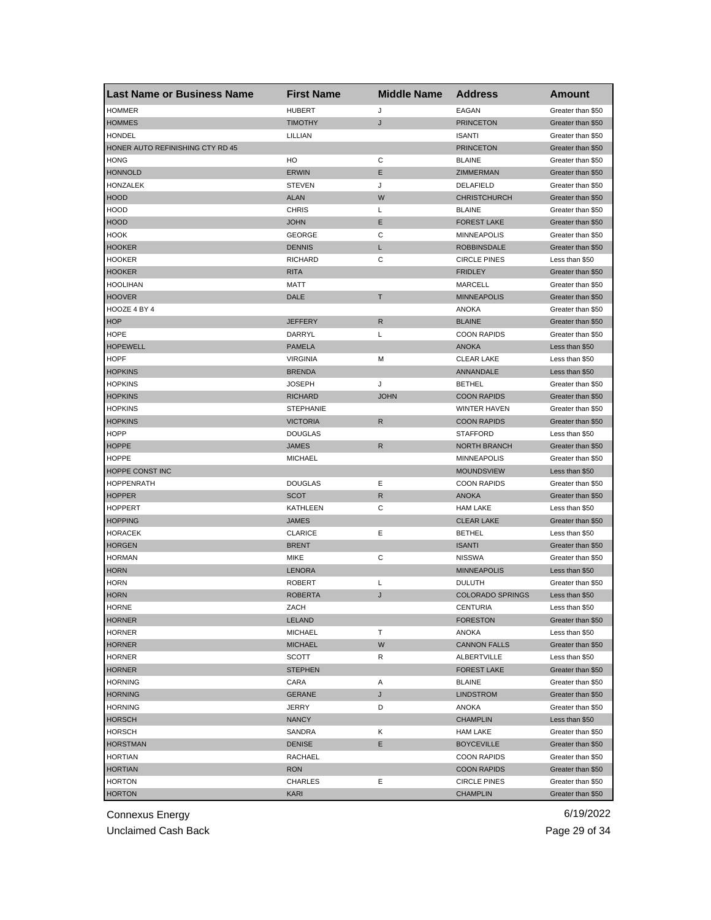| <b>Last Name or Business Name</b> | <b>First Name</b> | <b>Middle Name</b> | <b>Address</b>          | Amount            |
|-----------------------------------|-------------------|--------------------|-------------------------|-------------------|
| <b>HOMMER</b>                     | <b>HUBERT</b>     | J                  | EAGAN                   | Greater than \$50 |
| <b>HOMMES</b>                     | <b>TIMOTHY</b>    | J                  | <b>PRINCETON</b>        | Greater than \$50 |
| <b>HONDEL</b>                     | LILLIAN           |                    | <b>ISANTI</b>           | Greater than \$50 |
| HONER AUTO REFINISHING CTY RD 45  |                   |                    | <b>PRINCETON</b>        | Greater than \$50 |
| <b>HONG</b>                       | HO                | С                  | <b>BLAINE</b>           | Greater than \$50 |
| <b>HONNOLD</b>                    | <b>ERWIN</b>      | Ε                  | ZIMMERMAN               | Greater than \$50 |
| HONZALEK                          | <b>STEVEN</b>     | J                  | DELAFIELD               | Greater than \$50 |
| <b>HOOD</b>                       | <b>ALAN</b>       | W                  | <b>CHRISTCHURCH</b>     | Greater than \$50 |
| <b>HOOD</b>                       | <b>CHRIS</b>      | Г                  | <b>BLAINE</b>           | Greater than \$50 |
| <b>HOOD</b>                       | <b>JOHN</b>       | E                  | <b>FOREST LAKE</b>      | Greater than \$50 |
| <b>HOOK</b>                       | <b>GEORGE</b>     | С                  | <b>MINNEAPOLIS</b>      | Greater than \$50 |
| <b>HOOKER</b>                     | <b>DENNIS</b>     | L                  | <b>ROBBINSDALE</b>      | Greater than \$50 |
| <b>HOOKER</b>                     | <b>RICHARD</b>    | С                  | <b>CIRCLE PINES</b>     | Less than \$50    |
| <b>HOOKER</b>                     | <b>RITA</b>       |                    | <b>FRIDLEY</b>          | Greater than \$50 |
| <b>HOOLIHAN</b>                   | <b>MATT</b>       |                    | <b>MARCELL</b>          | Greater than \$50 |
| <b>HOOVER</b>                     | <b>DALE</b>       | Τ                  | <b>MINNEAPOLIS</b>      | Greater than \$50 |
| HOOZE 4 BY 4                      |                   |                    | <b>ANOKA</b>            | Greater than \$50 |
| <b>HOP</b>                        | <b>JEFFERY</b>    | R                  | <b>BLAINE</b>           | Greater than \$50 |
| <b>HOPE</b>                       | DARRYL            | L                  | <b>COON RAPIDS</b>      | Greater than \$50 |
| <b>HOPEWELL</b>                   | <b>PAMELA</b>     |                    | <b>ANOKA</b>            | Less than \$50    |
| <b>HOPF</b>                       | <b>VIRGINIA</b>   | M                  | <b>CLEAR LAKE</b>       | Less than \$50    |
| <b>HOPKINS</b>                    | <b>BRENDA</b>     |                    | ANNANDALE               | Less than \$50    |
| <b>HOPKINS</b>                    | <b>JOSEPH</b>     | J                  | <b>BETHEL</b>           | Greater than \$50 |
| <b>HOPKINS</b>                    | <b>RICHARD</b>    | <b>JOHN</b>        | <b>COON RAPIDS</b>      | Greater than \$50 |
| <b>HOPKINS</b>                    | <b>STEPHANIE</b>  |                    | <b>WINTER HAVEN</b>     | Greater than \$50 |
| <b>HOPKINS</b>                    | <b>VICTORIA</b>   | R                  | <b>COON RAPIDS</b>      | Greater than \$50 |
| <b>HOPP</b>                       | <b>DOUGLAS</b>    |                    | <b>STAFFORD</b>         | Less than \$50    |
| <b>HOPPE</b>                      | <b>JAMES</b>      | R                  | <b>NORTH BRANCH</b>     | Greater than \$50 |
| <b>HOPPE</b>                      | <b>MICHAEL</b>    |                    |                         |                   |
|                                   |                   |                    | <b>MINNEAPOLIS</b>      | Greater than \$50 |
| HOPPE CONST INC                   |                   |                    | <b>MOUNDSVIEW</b>       | Less than \$50    |
| <b>HOPPENRATH</b>                 | <b>DOUGLAS</b>    | Ε                  | <b>COON RAPIDS</b>      | Greater than \$50 |
| <b>HOPPER</b>                     | <b>SCOT</b>       | $\mathsf{R}$       | <b>ANOKA</b>            | Greater than \$50 |
| <b>HOPPERT</b>                    | <b>KATHLEEN</b>   | C                  | <b>HAM LAKE</b>         | Less than \$50    |
| <b>HOPPING</b>                    | <b>JAMES</b>      |                    | <b>CLEAR LAKE</b>       | Greater than \$50 |
| <b>HORACEK</b>                    | <b>CLARICE</b>    | Ε                  | <b>BETHEL</b>           | Less than \$50    |
| <b>HORGEN</b>                     | <b>BRENT</b>      |                    | <b>ISANTI</b>           | Greater than \$50 |
| <b>HORMAN</b>                     | <b>MIKE</b>       | С                  | <b>NISSWA</b>           | Greater than \$50 |
| <b>HORN</b>                       | LENORA            |                    | <b>MINNEAPOLIS</b>      | Less than \$50    |
| <b>HORN</b>                       | <b>ROBERT</b>     | L                  | <b>DULUTH</b>           | Greater than \$50 |
| <b>HORN</b>                       | <b>ROBERTA</b>    | J                  | <b>COLORADO SPRINGS</b> | Less than \$50    |
| HORNE                             | ZACH              |                    | CENTURIA                | Less than \$50    |
| <b>HORNER</b>                     | <b>LELAND</b>     |                    | <b>FORESTON</b>         | Greater than \$50 |
| <b>HORNER</b>                     | <b>MICHAEL</b>    | т                  | <b>ANOKA</b>            | Less than \$50    |
| <b>HORNER</b>                     | <b>MICHAEL</b>    | W                  | <b>CANNON FALLS</b>     | Greater than \$50 |
| <b>HORNER</b>                     | SCOTT             | R                  | <b>ALBERTVILLE</b>      | Less than \$50    |
| <b>HORNER</b>                     | <b>STEPHEN</b>    |                    | <b>FOREST LAKE</b>      | Greater than \$50 |
| <b>HORNING</b>                    | CARA              | Α                  | <b>BLAINE</b>           | Greater than \$50 |
| <b>HORNING</b>                    | <b>GERANE</b>     | J                  | <b>LINDSTROM</b>        | Greater than \$50 |
| <b>HORNING</b>                    | JERRY             | D                  | ANOKA                   | Greater than \$50 |
| <b>HORSCH</b>                     | <b>NANCY</b>      |                    | <b>CHAMPLIN</b>         | Less than \$50    |
| <b>HORSCH</b>                     | SANDRA            | Κ                  | <b>HAM LAKE</b>         | Greater than \$50 |
| <b>HORSTMAN</b>                   | <b>DENISE</b>     | Е                  | <b>BOYCEVILLE</b>       | Greater than \$50 |
| <b>HORTIAN</b>                    | RACHAEL           |                    | <b>COON RAPIDS</b>      | Greater than \$50 |
| <b>HORTIAN</b>                    | <b>RON</b>        |                    | <b>COON RAPIDS</b>      | Greater than \$50 |
| <b>HORTON</b>                     | CHARLES           | Ε                  | <b>CIRCLE PINES</b>     | Greater than \$50 |
| <b>HORTON</b>                     | KARI              |                    | <b>CHAMPLIN</b>         | Greater than \$50 |

Unclaimed Cash Back **Page 29 of 34**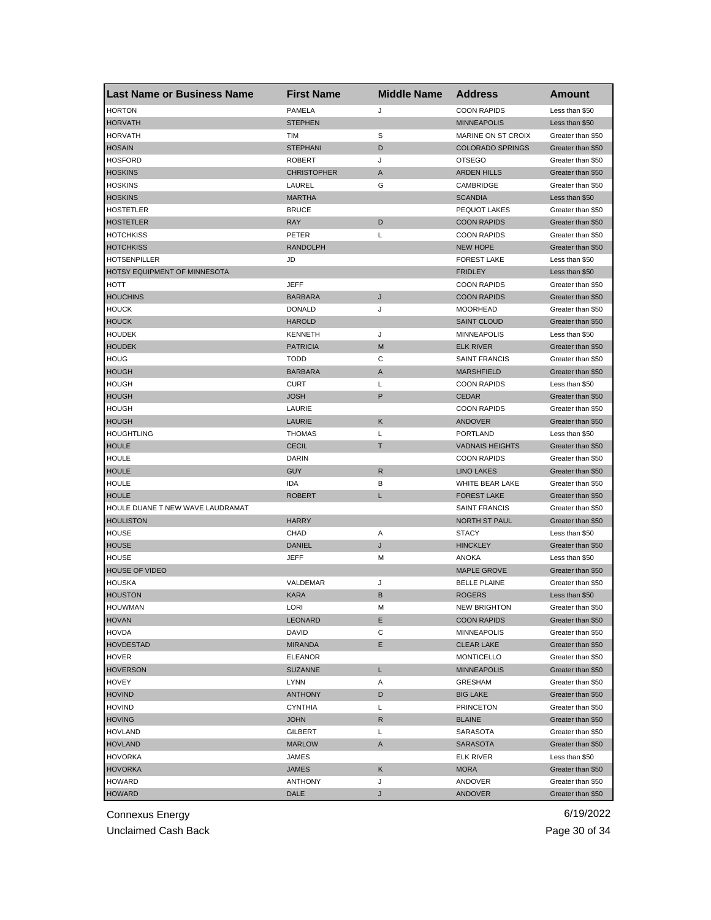| <b>Last Name or Business Name</b> | <b>First Name</b>  | <b>Middle Name</b> | <b>Address</b>          | <b>Amount</b>                          |
|-----------------------------------|--------------------|--------------------|-------------------------|----------------------------------------|
| <b>HORTON</b>                     | PAMELA             | J                  | <b>COON RAPIDS</b>      | Less than \$50                         |
| <b>HORVATH</b>                    | <b>STEPHEN</b>     |                    | <b>MINNEAPOLIS</b>      | Less than \$50                         |
| <b>HORVATH</b>                    | TIM                | S                  | MARINE ON ST CROIX      | Greater than \$50                      |
| <b>HOSAIN</b>                     | <b>STEPHANI</b>    | D                  | <b>COLORADO SPRINGS</b> | Greater than \$50                      |
| <b>HOSFORD</b>                    | <b>ROBERT</b>      | J                  | <b>OTSEGO</b>           | Greater than \$50                      |
| <b>HOSKINS</b>                    | <b>CHRISTOPHER</b> | A                  | <b>ARDEN HILLS</b>      | Greater than \$50                      |
| <b>HOSKINS</b>                    | LAUREL             | G                  | CAMBRIDGE               | Greater than \$50                      |
| <b>HOSKINS</b>                    | <b>MARTHA</b>      |                    | <b>SCANDIA</b>          | Less than \$50                         |
| <b>HOSTETLER</b>                  | <b>BRUCE</b>       |                    | PEQUOT LAKES            | Greater than \$50                      |
| <b>HOSTETLER</b>                  | <b>RAY</b>         | D                  | <b>COON RAPIDS</b>      | Greater than \$50                      |
| <b>HOTCHKISS</b>                  | PETER              | L                  | <b>COON RAPIDS</b>      | Greater than \$50                      |
| <b>HOTCHKISS</b>                  | <b>RANDOLPH</b>    |                    | <b>NEW HOPE</b>         | Greater than \$50                      |
| <b>HOTSENPILLER</b>               | JD                 |                    | <b>FOREST LAKE</b>      | Less than \$50                         |
| HOTSY EQUIPMENT OF MINNESOTA      |                    |                    | <b>FRIDLEY</b>          | Less than \$50                         |
| HOTT                              | <b>JEFF</b>        |                    | <b>COON RAPIDS</b>      | Greater than \$50                      |
| <b>HOUCHINS</b>                   | <b>BARBARA</b>     | J                  | <b>COON RAPIDS</b>      | Greater than \$50                      |
| <b>HOUCK</b>                      | <b>DONALD</b>      | J                  | <b>MOORHEAD</b>         | Greater than \$50                      |
| <b>HOUCK</b>                      | <b>HAROLD</b>      |                    | <b>SAINT CLOUD</b>      | Greater than \$50                      |
| <b>HOUDEK</b>                     | <b>KENNETH</b>     | J                  | <b>MINNEAPOLIS</b>      | Less than \$50                         |
| <b>HOUDEK</b>                     | <b>PATRICIA</b>    | M                  | <b>ELK RIVER</b>        | Greater than \$50                      |
| <b>HOUG</b>                       | <b>TODD</b>        | С                  | <b>SAINT FRANCIS</b>    | Greater than \$50                      |
| <b>HOUGH</b>                      | <b>BARBARA</b>     | Α                  | <b>MARSHFIELD</b>       | Greater than \$50                      |
| <b>HOUGH</b>                      | <b>CURT</b>        | Г                  | <b>COON RAPIDS</b>      | Less than \$50                         |
| <b>HOUGH</b>                      | <b>JOSH</b>        | P                  | <b>CEDAR</b>            | Greater than \$50                      |
| <b>HOUGH</b>                      | LAURIE             |                    | <b>COON RAPIDS</b>      | Greater than \$50                      |
| <b>HOUGH</b>                      | LAURIE             | Κ                  | <b>ANDOVER</b>          | Greater than \$50                      |
| <b>HOUGHTLING</b>                 | <b>THOMAS</b>      | Г                  | <b>PORTLAND</b>         | Less than \$50                         |
| <b>HOULE</b>                      | <b>CECIL</b>       | т                  | <b>VADNAIS HEIGHTS</b>  | Greater than \$50                      |
| <b>HOULE</b>                      | DARIN              |                    | <b>COON RAPIDS</b>      | Greater than \$50                      |
| <b>HOULE</b>                      | <b>GUY</b>         | R                  | <b>LINO LAKES</b>       | Greater than \$50                      |
| <b>HOULE</b>                      | IDA                | В                  | WHITE BEAR LAKE         | Greater than \$50                      |
| <b>HOULE</b>                      | <b>ROBERT</b>      | L                  | <b>FOREST LAKE</b>      | Greater than \$50                      |
| HOULE DUANE T NEW WAVE LAUDRAMAT  |                    |                    | <b>SAINT FRANCIS</b>    | Greater than \$50                      |
| <b>HOULISTON</b>                  | <b>HARRY</b>       |                    | <b>NORTH ST PAUL</b>    | Greater than \$50                      |
| <b>HOUSE</b>                      | CHAD               | Α                  | <b>STACY</b>            | Less than \$50                         |
| <b>HOUSE</b>                      | <b>DANIEL</b>      | J                  | <b>HINCKLEY</b>         | Greater than \$50                      |
| <b>HOUSE</b>                      | <b>JEFF</b>        | М                  | <b>ANOKA</b>            | Less than \$50                         |
| HOUSE OF VIDEO                    |                    |                    | <b>MAPLE GROVE</b>      | Greater than \$50                      |
| <b>HOUSKA</b>                     | VALDEMAR           | J                  | <b>BELLE PLAINE</b>     | Greater than \$50                      |
| <b>HOUSTON</b>                    | KARA               | B                  | <b>ROGERS</b>           | Less than \$50                         |
| <b>HOUWMAN</b>                    | LORI               | м                  | <b>NEW BRIGHTON</b>     | Greater than \$50                      |
| <b>HOVAN</b>                      | LEONARD            | Е                  | <b>COON RAPIDS</b>      | Greater than \$50                      |
| <b>HOVDA</b>                      | DAVID              | С                  | <b>MINNEAPOLIS</b>      | Greater than \$50                      |
| <b>HOVDESTAD</b>                  | <b>MIRANDA</b>     | Е                  | <b>CLEAR LAKE</b>       | Greater than \$50                      |
| <b>HOVER</b>                      | <b>ELEANOR</b>     |                    | <b>MONTICELLO</b>       | Greater than \$50                      |
| <b>HOVERSON</b>                   | <b>SUZANNE</b>     | L                  | <b>MINNEAPOLIS</b>      | Greater than \$50                      |
| HOVEY                             | LYNN               | Α                  | <b>GRESHAM</b>          | Greater than \$50                      |
| <b>HOVIND</b>                     | <b>ANTHONY</b>     | D                  | <b>BIG LAKE</b>         | Greater than \$50                      |
| <b>HOVIND</b>                     | <b>CYNTHIA</b>     | L                  | <b>PRINCETON</b>        | Greater than \$50                      |
| <b>HOVING</b>                     | <b>JOHN</b>        | R                  | <b>BLAINE</b>           | Greater than \$50                      |
| <b>HOVLAND</b>                    | GILBERT            | L                  | SARASOTA                | Greater than \$50                      |
| <b>HOVLAND</b>                    | <b>MARLOW</b>      |                    | <b>SARASOTA</b>         | Greater than \$50                      |
|                                   |                    | Α                  |                         |                                        |
| <b>HOVORKA</b>                    | JAMES              |                    | ELK RIVER               | Less than \$50                         |
| <b>HOVORKA</b><br><b>HOWARD</b>   | JAMES              | Κ<br>J             | <b>MORA</b>             | Greater than \$50<br>Greater than \$50 |
|                                   | <b>ANTHONY</b>     |                    | ANDOVER                 |                                        |
| <b>HOWARD</b>                     | DALE               | J                  | <b>ANDOVER</b>          | Greater than \$50                      |

Unclaimed Cash Back **Page 30 of 34**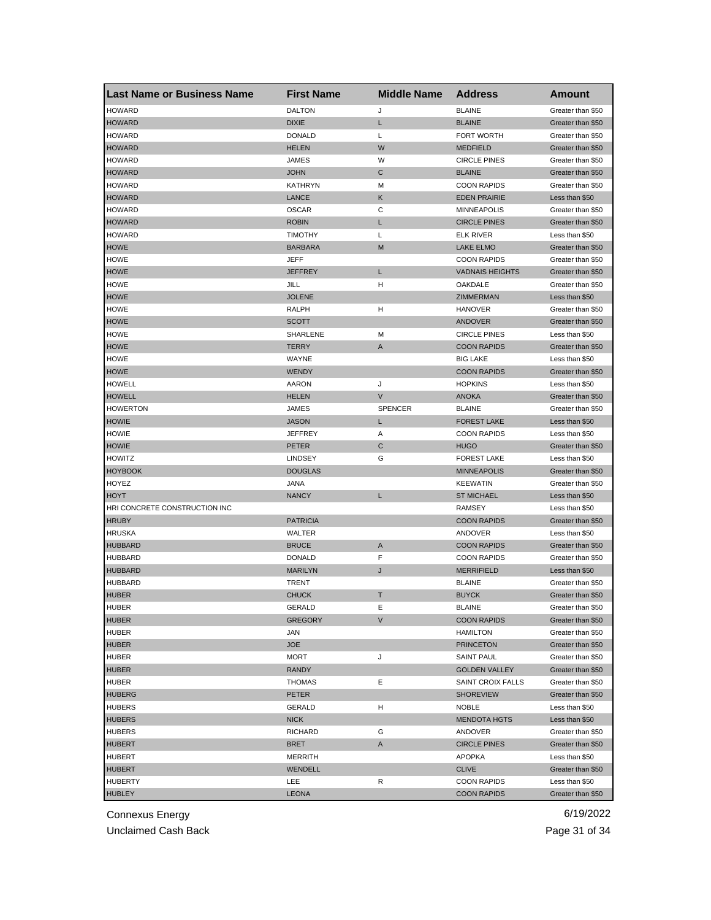| <b>Last Name or Business Name</b> | <b>First Name</b> | <b>Middle Name</b> | <b>Address</b>         | Amount                                 |
|-----------------------------------|-------------------|--------------------|------------------------|----------------------------------------|
| <b>HOWARD</b>                     | <b>DALTON</b>     | J                  | <b>BLAINE</b>          | Greater than \$50                      |
| <b>HOWARD</b>                     | <b>DIXIE</b>      | L                  | <b>BLAINE</b>          | Greater than \$50                      |
| <b>HOWARD</b>                     | <b>DONALD</b>     | Г                  | <b>FORT WORTH</b>      | Greater than \$50                      |
| <b>HOWARD</b>                     | <b>HELEN</b>      | W                  | <b>MEDFIELD</b>        | Greater than \$50                      |
| <b>HOWARD</b>                     | JAMES             | W                  | <b>CIRCLE PINES</b>    | Greater than \$50                      |
| <b>HOWARD</b>                     | <b>JOHN</b>       | С                  | <b>BLAINE</b>          | Greater than \$50                      |
| <b>HOWARD</b>                     | <b>KATHRYN</b>    | M                  | <b>COON RAPIDS</b>     | Greater than \$50                      |
| <b>HOWARD</b>                     | LANCE             | Κ                  | <b>EDEN PRAIRIE</b>    | Less than \$50                         |
| <b>HOWARD</b>                     | <b>OSCAR</b>      | С                  | <b>MINNEAPOLIS</b>     | Greater than \$50                      |
| <b>HOWARD</b>                     | <b>ROBIN</b>      | L                  | <b>CIRCLE PINES</b>    | Greater than \$50                      |
| <b>HOWARD</b>                     | <b>TIMOTHY</b>    | Г                  | ELK RIVER              | Less than \$50                         |
| <b>HOWE</b>                       | <b>BARBARA</b>    | M                  | <b>LAKE ELMO</b>       | Greater than \$50                      |
| HOWE                              | JEFF              |                    | <b>COON RAPIDS</b>     | Greater than \$50                      |
| <b>HOWE</b>                       | JEFFREY           | L                  | <b>VADNAIS HEIGHTS</b> | Greater than \$50                      |
| <b>HOWE</b>                       | JILL              | H                  | OAKDALE                | Greater than \$50                      |
| <b>HOWE</b>                       | <b>JOLENE</b>     |                    | ZIMMERMAN              | Less than \$50                         |
| <b>HOWE</b>                       | RALPH             | н                  | <b>HANOVER</b>         | Greater than \$50                      |
| <b>HOWE</b>                       | <b>SCOTT</b>      |                    | ANDOVER                | Greater than \$50                      |
| HOWE                              | SHARLENE          | м                  | <b>CIRCLE PINES</b>    | Less than \$50                         |
| <b>HOWE</b>                       | <b>TERRY</b>      | A                  | <b>COON RAPIDS</b>     | Greater than \$50                      |
| <b>HOWE</b>                       | <b>WAYNE</b>      |                    | <b>BIG LAKE</b>        | Less than \$50                         |
| <b>HOWE</b>                       | WENDY             |                    | <b>COON RAPIDS</b>     | Greater than \$50                      |
| <b>HOWELL</b>                     | <b>AARON</b>      | J                  | <b>HOPKINS</b>         | Less than \$50                         |
| <b>HOWELL</b>                     | <b>HELEN</b>      | V                  | <b>ANOKA</b>           | Greater than \$50                      |
| <b>HOWERTON</b>                   | JAMES             | <b>SPENCER</b>     | <b>BLAINE</b>          | Greater than \$50                      |
| <b>HOWIE</b>                      | <b>JASON</b>      | L                  | <b>FOREST LAKE</b>     | Less than \$50                         |
| <b>HOWIE</b>                      | JEFFREY           | Α                  | <b>COON RAPIDS</b>     | Less than \$50                         |
| <b>HOWIE</b>                      | PETER             | C                  | <b>HUGO</b>            | Greater than \$50                      |
| <b>HOWITZ</b>                     | <b>LINDSEY</b>    | G                  | <b>FOREST LAKE</b>     | Less than \$50                         |
| <b>HOYBOOK</b>                    | <b>DOUGLAS</b>    |                    | <b>MINNEAPOLIS</b>     | Greater than \$50                      |
| HOYEZ                             | JANA              |                    | <b>KEEWATIN</b>        | Greater than \$50                      |
| <b>HOYT</b>                       | <b>NANCY</b>      | L                  | <b>ST MICHAEL</b>      | Less than \$50                         |
| HRI CONCRETE CONSTRUCTION INC     |                   |                    | RAMSEY                 | Less than \$50                         |
| <b>HRUBY</b>                      | <b>PATRICIA</b>   |                    | <b>COON RAPIDS</b>     | Greater than \$50                      |
| <b>HRUSKA</b>                     | WALTER            |                    | ANDOVER                | Less than \$50                         |
| <b>HUBBARD</b>                    | <b>BRUCE</b>      | A                  | <b>COON RAPIDS</b>     | Greater than \$50                      |
| <b>HUBBARD</b>                    | <b>DONALD</b>     | F                  | <b>COON RAPIDS</b>     | Greater than \$50                      |
| <b>HUBBARD</b>                    | <b>MARILYN</b>    | J                  | <b>MERRIFIELD</b>      | Less than \$50                         |
| <b>HUBBARD</b>                    | TRENT             |                    | <b>BLAINE</b>          | Greater than \$50                      |
| <b>HUBER</b>                      | <b>CHUCK</b>      | Т                  | <b>BUYCK</b>           | Greater than \$50                      |
| HUBER                             | GERALD            | Е                  | BLAINE                 | Greater than \$50                      |
| <b>HUBER</b>                      | <b>GREGORY</b>    | V                  | <b>COON RAPIDS</b>     | Greater than \$50                      |
| <b>HUBER</b>                      | JAN               |                    | <b>HAMILTON</b>        | Greater than \$50                      |
| <b>HUBER</b>                      | <b>JOE</b>        |                    | <b>PRINCETON</b>       | Greater than \$50                      |
| HUBER                             | MORT              | J                  | <b>SAINT PAUL</b>      | Greater than \$50                      |
| <b>HUBER</b>                      | <b>RANDY</b>      |                    | <b>GOLDEN VALLEY</b>   | Greater than \$50                      |
| <b>HUBER</b>                      | <b>THOMAS</b>     | Е                  | SAINT CROIX FALLS      | Greater than \$50                      |
| <b>HUBERG</b>                     | PETER             |                    | <b>SHOREVIEW</b>       | Greater than \$50                      |
| <b>HUBERS</b>                     | GERALD            | H                  | <b>NOBLE</b>           | Less than \$50                         |
|                                   |                   |                    |                        | Less than \$50                         |
| <b>HUBERS</b>                     | <b>NICK</b>       |                    | <b>MENDOTA HGTS</b>    |                                        |
| <b>HUBERS</b>                     | RICHARD           | G                  | ANDOVER                | Greater than \$50<br>Greater than \$50 |
| <b>HUBERT</b>                     | <b>BRET</b>       | A                  | <b>CIRCLE PINES</b>    |                                        |
| HUBERT                            | <b>MERRITH</b>    |                    | APOPKA                 | Less than \$50                         |
| <b>HUBERT</b>                     | WENDELL           |                    | <b>CLIVE</b>           | Greater than \$50                      |
| <b>HUBERTY</b>                    | LEE               | R                  | <b>COON RAPIDS</b>     | Less than \$50                         |
| <b>HUBLEY</b>                     | <b>LEONA</b>      |                    | <b>COON RAPIDS</b>     | Greater than \$50                      |

Unclaimed Cash Back **Page 31 of 34**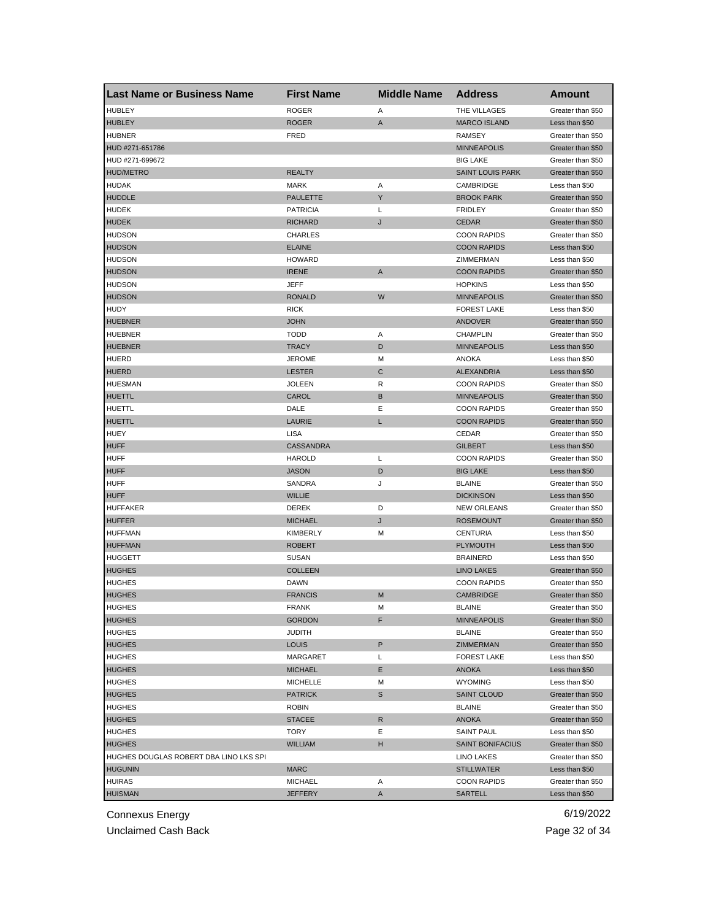| <b>Last Name or Business Name</b>      | <b>First Name</b> | <b>Middle Name</b> | <b>Address</b>          | Amount            |
|----------------------------------------|-------------------|--------------------|-------------------------|-------------------|
| <b>HUBLEY</b>                          | <b>ROGER</b>      | Α                  | THE VILLAGES            | Greater than \$50 |
| <b>HUBLEY</b>                          | <b>ROGER</b>      | A                  | <b>MARCO ISLAND</b>     | Less than \$50    |
| <b>HUBNER</b>                          | FRED              |                    | <b>RAMSEY</b>           | Greater than \$50 |
| HUD #271-651786                        |                   |                    | <b>MINNEAPOLIS</b>      | Greater than \$50 |
| HUD #271-699672                        |                   |                    | <b>BIG LAKE</b>         | Greater than \$50 |
| <b>HUD/METRO</b>                       | <b>REALTY</b>     |                    | <b>SAINT LOUIS PARK</b> | Greater than \$50 |
| HUDAK                                  | <b>MARK</b>       | Α                  | CAMBRIDGE               | Less than \$50    |
| <b>HUDDLE</b>                          | <b>PAULETTE</b>   | Y                  | <b>BROOK PARK</b>       | Greater than \$50 |
| <b>HUDEK</b>                           | <b>PATRICIA</b>   | L                  | <b>FRIDLEY</b>          | Greater than \$50 |
| <b>HUDEK</b>                           | RICHARD           | J                  | <b>CEDAR</b>            | Greater than \$50 |
| <b>HUDSON</b>                          | <b>CHARLES</b>    |                    | <b>COON RAPIDS</b>      | Greater than \$50 |
| <b>HUDSON</b>                          | <b>ELAINE</b>     |                    | <b>COON RAPIDS</b>      | Less than \$50    |
| <b>HUDSON</b>                          | <b>HOWARD</b>     |                    | ZIMMERMAN               | Less than \$50    |
| <b>HUDSON</b>                          | <b>IRENE</b>      | A                  | <b>COON RAPIDS</b>      | Greater than \$50 |
| <b>HUDSON</b>                          | JEFF              |                    | <b>HOPKINS</b>          | Less than \$50    |
| <b>HUDSON</b>                          | <b>RONALD</b>     | W                  | <b>MINNEAPOLIS</b>      | Greater than \$50 |
| <b>HUDY</b>                            | <b>RICK</b>       |                    | <b>FOREST LAKE</b>      | Less than \$50    |
| <b>HUEBNER</b>                         | <b>JOHN</b>       |                    | <b>ANDOVER</b>          | Greater than \$50 |
| <b>HUEBNER</b>                         | <b>TODD</b>       | Α                  | <b>CHAMPLIN</b>         | Greater than \$50 |
| <b>HUEBNER</b>                         | <b>TRACY</b>      | D                  | <b>MINNEAPOLIS</b>      | Less than \$50    |
| <b>HUERD</b>                           | <b>JEROME</b>     | M                  | <b>ANOKA</b>            | Less than \$50    |
| <b>HUERD</b>                           | <b>LESTER</b>     | C                  | <b>ALEXANDRIA</b>       | Less than \$50    |
| <b>HUESMAN</b>                         | <b>JOLEEN</b>     | R                  | <b>COON RAPIDS</b>      | Greater than \$50 |
| <b>HUETTL</b>                          | CAROL             | B                  | <b>MINNEAPOLIS</b>      | Greater than \$50 |
| HUETTL                                 | DALE              | Ε                  | <b>COON RAPIDS</b>      | Greater than \$50 |
| <b>HUETTL</b>                          | LAURIE            | L                  | <b>COON RAPIDS</b>      | Greater than \$50 |
| HUEY                                   | <b>LISA</b>       |                    | CEDAR                   | Greater than \$50 |
| <b>HUFF</b>                            | <b>CASSANDRA</b>  |                    | <b>GILBERT</b>          | Less than \$50    |
| <b>HUFF</b>                            | <b>HAROLD</b>     | L                  | <b>COON RAPIDS</b>      | Greater than \$50 |
| <b>HUFF</b>                            | <b>JASON</b>      | D                  | <b>BIG LAKE</b>         | Less than \$50    |
| <b>HUFF</b>                            | SANDRA            | J                  | <b>BLAINE</b>           | Greater than \$50 |
| <b>HUFF</b>                            | <b>WILLIE</b>     |                    | <b>DICKINSON</b>        | Less than \$50    |
| <b>HUFFAKER</b>                        | DEREK             | D                  | <b>NEW ORLEANS</b>      | Greater than \$50 |
| <b>HUFFER</b>                          | <b>MICHAEL</b>    | J                  | <b>ROSEMOUNT</b>        | Greater than \$50 |
| <b>HUFFMAN</b>                         | <b>KIMBERLY</b>   | M                  | <b>CENTURIA</b>         | Less than \$50    |
| <b>HUFFMAN</b>                         | <b>ROBERT</b>     |                    | PLYMOUTH                | Less than \$50    |
| HUGGETT                                | <b>SUSAN</b>      |                    | <b>BRAINERD</b>         | Less than \$50    |
| <b>HUGHES</b>                          | <b>COLLEEN</b>    |                    | <b>LINO LAKES</b>       | Greater than \$50 |
| <b>HUGHES</b>                          | <b>DAWN</b>       |                    | <b>COON RAPIDS</b>      | Greater than \$50 |
| <b>HUGHES</b>                          | <b>FRANCIS</b>    | M                  | <b>CAMBRIDGE</b>        | Greater than \$50 |
| <b>HUGHES</b>                          | FRANK             | м                  | <b>BLAINE</b>           | Greater than \$50 |
| <b>HUGHES</b>                          | <b>GORDON</b>     | F                  | <b>MINNEAPOLIS</b>      | Greater than \$50 |
| <b>HUGHES</b>                          | JUDITH            |                    | <b>BLAINE</b>           | Greater than \$50 |
| <b>HUGHES</b>                          | LOUIS             | P                  | ZIMMERMAN               | Greater than \$50 |
| <b>HUGHES</b>                          | MARGARET          | L                  | <b>FOREST LAKE</b>      | Less than \$50    |
| <b>HUGHES</b>                          | <b>MICHAEL</b>    | Е                  | ANOKA                   | Less than \$50    |
| <b>HUGHES</b>                          | <b>MICHELLE</b>   | M                  | <b>WYOMING</b>          | Less than \$50    |
| <b>HUGHES</b>                          | <b>PATRICK</b>    | S                  | <b>SAINT CLOUD</b>      | Greater than \$50 |
| <b>HUGHES</b>                          | ROBIN             |                    | <b>BLAINE</b>           | Greater than \$50 |
| <b>HUGHES</b>                          | <b>STACEE</b>     | R                  | <b>ANOKA</b>            | Greater than \$50 |
| <b>HUGHES</b>                          | TORY              | Ε                  | <b>SAINT PAUL</b>       | Less than \$50    |
| <b>HUGHES</b>                          | <b>WILLIAM</b>    | н                  | SAINT BONIFACIUS        | Greater than \$50 |
| HUGHES DOUGLAS ROBERT DBA LINO LKS SPI |                   |                    | LINO LAKES              | Greater than \$50 |
| <b>HUGUNIN</b>                         | <b>MARC</b>       |                    | <b>STILLWATER</b>       | Less than \$50    |
| <b>HUIRAS</b>                          | <b>MICHAEL</b>    | Α                  | <b>COON RAPIDS</b>      | Greater than \$50 |
| <b>HUISMAN</b>                         | <b>JEFFERY</b>    | A                  | SARTELL                 | Less than \$50    |
|                                        |                   |                    |                         |                   |

Unclaimed Cash Back **Page 32 of 34**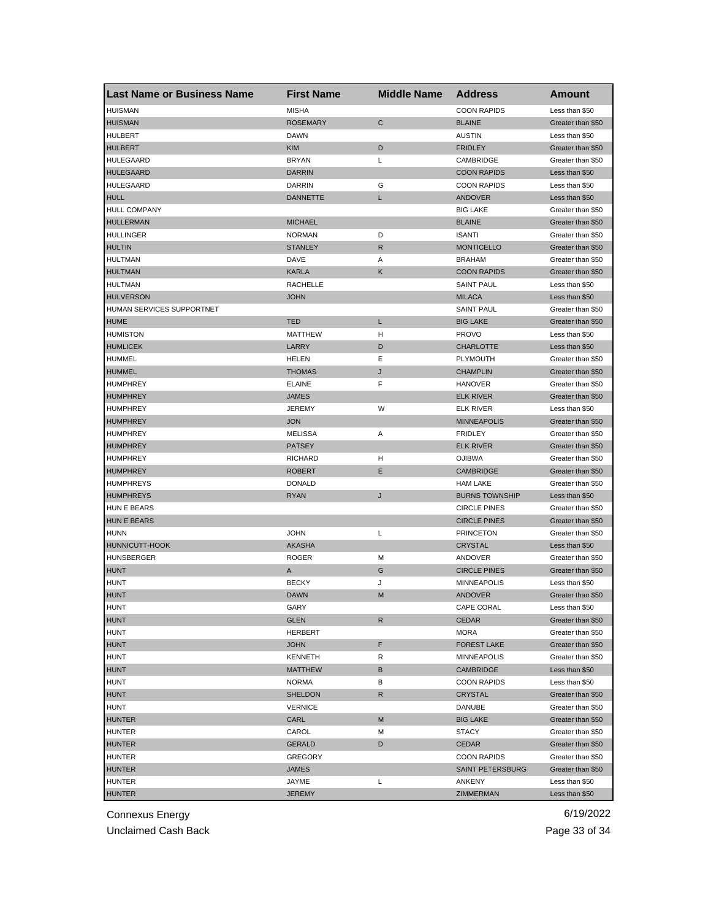| <b>Last Name or Business Name</b> | <b>First Name</b> | <b>Middle Name</b> | <b>Address</b>        | Amount            |
|-----------------------------------|-------------------|--------------------|-----------------------|-------------------|
| <b>HUISMAN</b>                    | <b>MISHA</b>      |                    | <b>COON RAPIDS</b>    | Less than \$50    |
| <b>HUISMAN</b>                    | <b>ROSEMARY</b>   | $\mathsf{C}$       | <b>BLAINE</b>         | Greater than \$50 |
| <b>HULBERT</b>                    | <b>DAWN</b>       |                    | <b>AUSTIN</b>         | Less than \$50    |
| <b>HULBERT</b>                    | <b>KIM</b>        | D                  | <b>FRIDLEY</b>        | Greater than \$50 |
| <b>HULEGAARD</b>                  | <b>BRYAN</b>      | Г                  | CAMBRIDGE             | Greater than \$50 |
| <b>HULEGAARD</b>                  | <b>DARRIN</b>     |                    | <b>COON RAPIDS</b>    | Less than \$50    |
| HULEGAARD                         | <b>DARRIN</b>     | G                  | <b>COON RAPIDS</b>    | Less than \$50    |
| <b>HULL</b>                       | <b>DANNETTE</b>   | L                  | ANDOVER               | Less than \$50    |
| <b>HULL COMPANY</b>               |                   |                    | <b>BIG LAKE</b>       | Greater than \$50 |
| <b>HULLERMAN</b>                  | MICHAEL           |                    | <b>BLAINE</b>         | Greater than \$50 |
| <b>HULLINGER</b>                  | <b>NORMAN</b>     | D                  | <b>ISANTI</b>         | Greater than \$50 |
| <b>HULTIN</b>                     | <b>STANLEY</b>    | R                  | <b>MONTICELLO</b>     | Greater than \$50 |
| <b>HULTMAN</b>                    | DAVE              | Α                  | <b>BRAHAM</b>         | Greater than \$50 |
| <b>HULTMAN</b>                    | <b>KARLA</b>      | Κ                  | <b>COON RAPIDS</b>    | Greater than \$50 |
| <b>HULTMAN</b>                    | <b>RACHELLE</b>   |                    | <b>SAINT PAUL</b>     | Less than \$50    |
| <b>HULVERSON</b>                  | <b>JOHN</b>       |                    | <b>MILACA</b>         | Less than \$50    |
| HUMAN SERVICES SUPPORTNET         |                   |                    | <b>SAINT PAUL</b>     | Greater than \$50 |
| <b>HUME</b>                       | <b>TED</b>        | L                  | <b>BIG LAKE</b>       | Greater than \$50 |
| <b>HUMISTON</b>                   | <b>MATTHEW</b>    | н                  | <b>PROVO</b>          | Less than \$50    |
| <b>HUMLICEK</b>                   | LARRY             | D                  | <b>CHARLOTTE</b>      | Less than \$50    |
| <b>HUMMEL</b>                     | HELEN             | Е                  | PLYMOUTH              | Greater than \$50 |
| <b>HUMMEL</b>                     | <b>THOMAS</b>     | J                  | <b>CHAMPLIN</b>       | Greater than \$50 |
| HUMPHREY                          | <b>ELAINE</b>     | F                  | <b>HANOVER</b>        | Greater than \$50 |
|                                   | <b>JAMES</b>      |                    |                       |                   |
| <b>HUMPHREY</b>                   |                   |                    | <b>ELK RIVER</b>      | Greater than \$50 |
| <b>HUMPHREY</b>                   | <b>JEREMY</b>     | W                  | ELK RIVER             | Less than \$50    |
| <b>HUMPHREY</b>                   | <b>JON</b>        |                    | <b>MINNEAPOLIS</b>    | Greater than \$50 |
| <b>HUMPHREY</b>                   | <b>MELISSA</b>    | Α                  | <b>FRIDLEY</b>        | Greater than \$50 |
| <b>HUMPHREY</b>                   | <b>PATSEY</b>     |                    | <b>ELK RIVER</b>      | Greater than \$50 |
| <b>HUMPHREY</b>                   | <b>RICHARD</b>    | н                  | <b>OJIBWA</b>         | Greater than \$50 |
| <b>HUMPHREY</b>                   | <b>ROBERT</b>     | E                  | <b>CAMBRIDGE</b>      | Greater than \$50 |
| <b>HUMPHREYS</b>                  | <b>DONALD</b>     |                    | <b>HAM LAKE</b>       | Greater than \$50 |
| <b>HUMPHREYS</b>                  | <b>RYAN</b>       | J                  | <b>BURNS TOWNSHIP</b> | Less than \$50    |
| HUN E BEARS                       |                   |                    | <b>CIRCLE PINES</b>   | Greater than \$50 |
| <b>HUN E BEARS</b>                |                   |                    | <b>CIRCLE PINES</b>   | Greater than \$50 |
| <b>HUNN</b>                       | <b>JOHN</b>       | L                  | <b>PRINCETON</b>      | Greater than \$50 |
| HUNNICUTT-HOOK                    | <b>AKASHA</b>     |                    | <b>CRYSTAL</b>        | Less than \$50    |
| <b>HUNSBERGER</b>                 | <b>ROGER</b>      | M                  | ANDOVER               | Greater than \$50 |
| <b>HUNT</b>                       | Α                 | G                  | <b>CIRCLE PINES</b>   | Greater than \$50 |
| <b>HUNT</b>                       | <b>BECKY</b>      | J                  | <b>MINNEAPOLIS</b>    | Less than \$50    |
| <b>HUNT</b>                       | <b>DAWN</b>       | M                  | ANDOVER               | Greater than \$50 |
| <b>HUNT</b>                       | GARY              |                    | CAPE CORAL            | Less than \$50    |
| <b>HUNT</b>                       | <b>GLEN</b>       | R                  | CEDAR                 | Greater than \$50 |
| <b>HUNT</b>                       | <b>HERBERT</b>    |                    | <b>MORA</b>           | Greater than \$50 |
| <b>HUNT</b>                       | <b>JOHN</b>       | F                  | <b>FOREST LAKE</b>    | Greater than \$50 |
| HUNT                              | <b>KENNETH</b>    | R                  | MINNEAPOLIS           | Greater than \$50 |
| <b>HUNT</b>                       | <b>MATTHEW</b>    | В                  | CAMBRIDGE             | Less than \$50    |
| <b>HUNT</b>                       | <b>NORMA</b>      | в                  | <b>COON RAPIDS</b>    | Less than \$50    |
| <b>HUNT</b>                       | <b>SHELDON</b>    | R                  | <b>CRYSTAL</b>        | Greater than \$50 |
| <b>HUNT</b>                       | <b>VERNICE</b>    |                    | DANUBE                | Greater than \$50 |
| <b>HUNTER</b>                     | CARL              | M                  | <b>BIG LAKE</b>       | Greater than \$50 |
| HUNTER                            | CAROL             | Μ                  | <b>STACY</b>          | Greater than \$50 |
| <b>HUNTER</b>                     | <b>GERALD</b>     | D                  | CEDAR                 | Greater than \$50 |
| HUNTER                            | GREGORY           |                    | <b>COON RAPIDS</b>    | Greater than \$50 |
| <b>HUNTER</b>                     | JAMES             |                    | SAINT PETERSBURG      | Greater than \$50 |
| <b>HUNTER</b>                     | JAYME             | L                  | ANKENY                | Less than \$50    |
| <b>HUNTER</b>                     | JEREMY            |                    | ZIMMERMAN             | Less than \$50    |

Unclaimed Cash Back **Page 33 of 34**